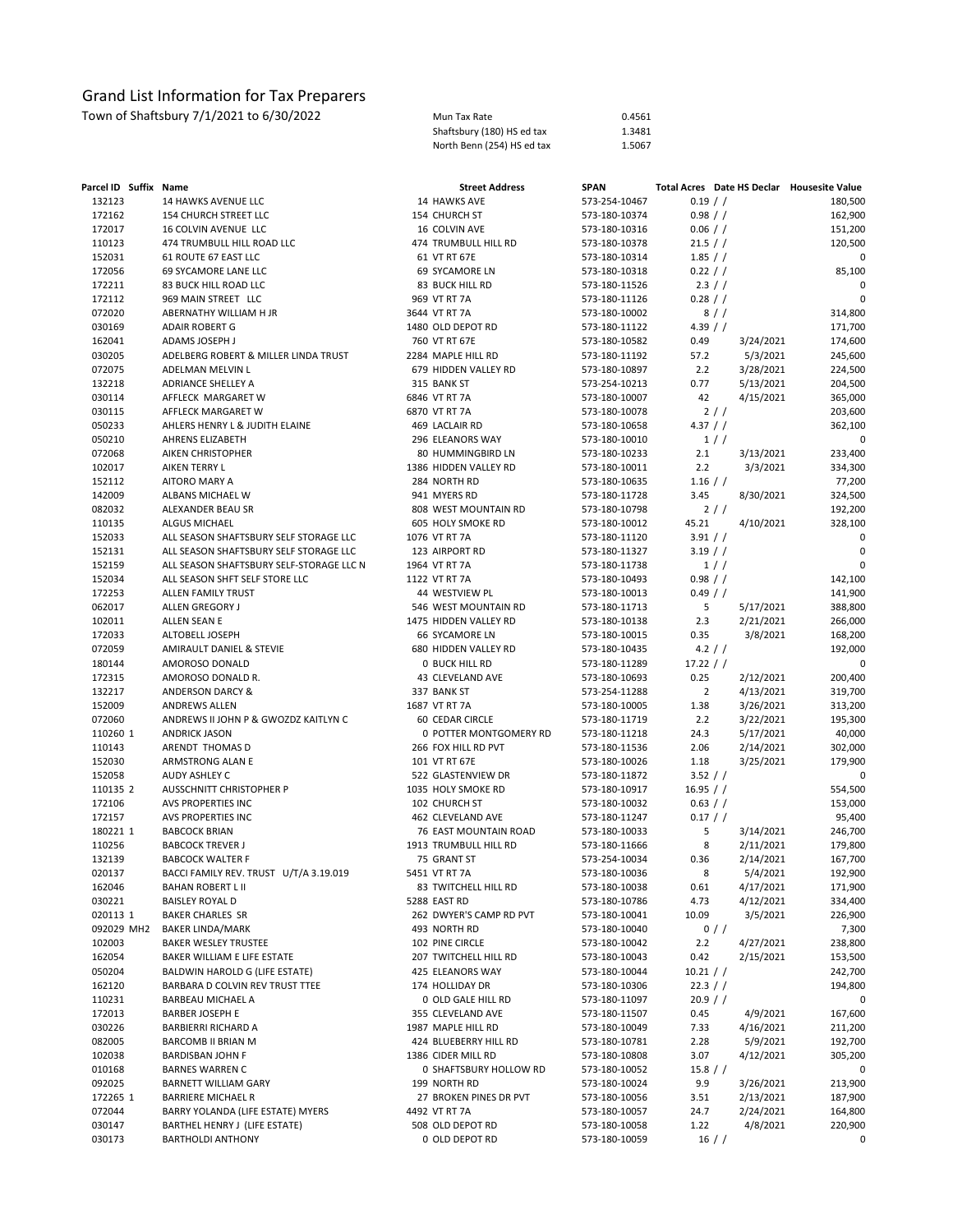Town of Shaftsbury 7/1/2021 to 6/30/2022<br>
Shaftsbury (180) HS ed tax Shaftsbury (180) HS ed tax 1.3481<br>
Shaftsbury (180) HS ed tax 1.5667 Shaftsbury (180) HS ed tax 1.3481<br>North Benn (254) HS ed tax 1.5067 North Benn (254) HS ed tax

| Parcel ID Suffix Name |                                          | <b>Street Address</b>   | <b>SPAN</b>   | Total Acres Date HS Declar Housesite Value |             |
|-----------------------|------------------------------------------|-------------------------|---------------|--------------------------------------------|-------------|
| 132123                | 14 HAWKS AVENUE LLC                      | 14 HAWKS AVE            | 573-254-10467 | $0.19$ / /                                 | 180,500     |
| 172162                | 154 CHURCH STREET LLC                    | 154 CHURCH ST           | 573-180-10374 | 0.98 / /                                   | 162,900     |
| 172017                | 16 COLVIN AVENUE LLC                     | 16 COLVIN AVE           | 573-180-10316 | $0.06$ / /                                 | 151,200     |
| 110123                | 474 TRUMBULL HILL ROAD LLC               | 474 TRUMBULL HILL RD    | 573-180-10378 | 21.5 / /                                   | 120,500     |
| 152031                | 61 ROUTE 67 EAST LLC                     | 61 VT RT 67E            | 573-180-10314 | $1.85$ / /                                 | 0           |
| 172056                | 69 SYCAMORE LANE LLC                     | 69 SYCAMORE LN          | 573-180-10318 | 0.22 / /                                   | 85,100      |
| 172211                | 83 BUCK HILL ROAD LLC                    | 83 BUCK HILL RD         | 573-180-11526 | 2.3 / /                                    | 0           |
| 172112                | 969 MAIN STREET LLC                      | 969 VT RT 7A            | 573-180-11126 | 0.28 / /                                   | $\mathbf 0$ |
| 072020                | ABERNATHY WILLIAM H JR                   | 3644 VT RT 7A           | 573-180-10002 | 8//                                        |             |
| 030169                |                                          | 1480 OLD DEPOT RD       |               |                                            | 314,800     |
|                       | <b>ADAIR ROBERT G</b>                    |                         | 573-180-11122 | 4.39 $/ /$                                 | 171,700     |
| 162041                | ADAMS JOSEPH J                           | 760 VT RT 67E           | 573-180-10582 | 0.49<br>3/24/2021                          | 174,600     |
| 030205                | ADELBERG ROBERT & MILLER LINDA TRUST     | 2284 MAPLE HILL RD      | 573-180-11192 | 57.2<br>5/3/2021                           | 245,600     |
| 072075                | ADELMAN MELVIN L                         | 679 HIDDEN VALLEY RD    | 573-180-10897 | 2.2<br>3/28/2021                           | 224,500     |
| 132218                | ADRIANCE SHELLEY A                       | 315 BANK ST             | 573-254-10213 | 0.77<br>5/13/2021                          | 204,500     |
| 030114                | AFFLECK MARGARET W                       | 6846 VT RT 7A           | 573-180-10007 | 42<br>4/15/2021                            | 365,000     |
| 030115                | AFFLECK MARGARET W                       | 6870 VT RT 7A           | 573-180-10078 | 2//                                        | 203,600     |
| 050233                | AHLERS HENRY L & JUDITH ELAINE           | 469 LACLAIR RD          | 573-180-10658 | 4.37 / /                                   | 362,100     |
| 050210                | AHRENS ELIZABETH                         | 296 ELEANORS WAY        | 573-180-10010 | 1//                                        | 0           |
| 072068                | AIKEN CHRISTOPHER                        | 80 HUMMINGBIRD LN       | 573-180-10233 | 2.1<br>3/13/2021                           | 233,400     |
| 102017                | AIKEN TERRY L                            | 1386 HIDDEN VALLEY RD   | 573-180-10011 | 2.2<br>3/3/2021                            | 334,300     |
| 152112                | AITORO MARY A                            | 284 NORTH RD            | 573-180-10635 | $1.16$ / /                                 | 77,200      |
| 142009                | ALBANS MICHAEL W                         | 941 MYERS RD            | 573-180-11728 | 3.45<br>8/30/2021                          | 324,500     |
|                       |                                          |                         |               |                                            |             |
| 082032                | ALEXANDER BEAU SR                        | 808 WEST MOUNTAIN RD    | 573-180-10798 | 2//                                        | 192,200     |
| 110135                | <b>ALGUS MICHAEL</b>                     | 605 HOLY SMOKE RD       | 573-180-10012 | 45.21<br>4/10/2021                         | 328,100     |
| 152033                | ALL SEASON SHAFTSBURY SELF STORAGE LLC   | 1076 VT RT 7A           | 573-180-11120 | 3.91 / /                                   | 0           |
| 152131                | ALL SEASON SHAFTSBURY SELF STORAGE LLC   | 123 AIRPORT RD          | 573-180-11327 | $3.19$ / /                                 | 0           |
| 152159                | ALL SEASON SHAFTSBURY SELF-STORAGE LLC N | 1964 VT RT 7A           | 573-180-11738 | 1//                                        |             |
| 152034                | ALL SEASON SHFT SELF STORE LLC           | 1122 VT RT 7A           | 573-180-10493 | 0.98 / /                                   | 142,100     |
| 172253                | ALLEN FAMILY TRUST                       | 44 WESTVIEW PL          | 573-180-10013 | $0.49$ / /                                 | 141,900     |
| 062017                | ALLEN GREGORY J                          | 546 WEST MOUNTAIN RD    | 573-180-11713 | 5<br>5/17/2021                             | 388,800     |
| 102011                | ALLEN SEAN E                             | 1475 HIDDEN VALLEY RD   | 573-180-10138 | 2.3<br>2/21/2021                           | 266,000     |
| 172033                | ALTOBELL JOSEPH                          | 66 SYCAMORE LN          | 573-180-10015 | 0.35<br>3/8/2021                           | 168,200     |
| 072059                | AMIRAULT DANIEL & STEVIE                 | 680 HIDDEN VALLEY RD    | 573-180-10435 | 4.2 / /                                    | 192,000     |
| 180144                | AMOROSO DONALD                           | <b>0 BUCK HILL RD</b>   | 573-180-11289 | 17.22 / /                                  | 0           |
| 172315                |                                          | 43 CLEVELAND AVE        |               | 0.25                                       |             |
|                       | AMOROSO DONALD R.                        |                         | 573-180-10693 | 2/12/2021                                  | 200,400     |
| 132217                | <b>ANDERSON DARCY &amp;</b>              | 337 BANK ST             | 573-254-11288 | $\overline{2}$<br>4/13/2021                | 319,700     |
| 152009                | <b>ANDREWS ALLEN</b>                     | 1687 VT RT 7A           | 573-180-10005 | 1.38<br>3/26/2021                          | 313,200     |
| 072060                | ANDREWS II JOHN P & GWOZDZ KAITLYN C     | 60 CEDAR CIRCLE         | 573-180-11719 | 2.2<br>3/22/2021                           | 195,300     |
| 110260 1              | <b>ANDRICK JASON</b>                     | 0 POTTER MONTGOMERY RD  | 573-180-11218 | 24.3<br>5/17/2021                          | 40,000      |
| 110143                | ARENDT THOMAS D                          | 266 FOX HILL RD PVT     | 573-180-11536 | 2.06<br>2/14/2021                          | 302,000     |
| 152030                | ARMSTRONG ALAN E                         | 101 VT RT 67E           | 573-180-10026 | 1.18<br>3/25/2021                          | 179,900     |
| 152058                | AUDY ASHLEY C                            | 522 GLASTENVIEW DR      | 573-180-11872 | 3.52 / /                                   | 0           |
| 110135 2              | AUSSCHNITT CHRISTOPHER P                 | 1035 HOLY SMOKE RD      | 573-180-10917 | 16.95 / /                                  | 554,500     |
| 172106                | <b>AVS PROPERTIES INC</b>                | 102 CHURCH ST           | 573-180-10032 | $0.63$ / /                                 | 153,000     |
| 172157                | AVS PROPERTIES INC                       | 462 CLEVELAND AVE       | 573-180-11247 | $0.17$ / /                                 | 95,400      |
| 180221 1              | <b>BABCOCK BRIAN</b>                     | 76 EAST MOUNTAIN ROAD   | 573-180-10033 | 5<br>3/14/2021                             | 246,700     |
| 110256                | <b>BABCOCK TREVER J</b>                  | 1913 TRUMBULL HILL RD   | 573-180-11666 | 8<br>2/11/2021                             | 179,800     |
| 132139                | <b>BABCOCK WALTER F</b>                  | 75 GRANT ST             | 573-254-10034 | 0.36<br>2/14/2021                          | 167,700     |
| 020137                | BACCI FAMILY REV. TRUST U/T/A 3.19.019   | 5451 VT RT 7A           | 573-180-10036 | 8<br>5/4/2021                              | 192,900     |
| 162046                | <b>BAHAN ROBERT L II</b>                 | 83 TWITCHELL HILL RD    | 573-180-10038 | 4/17/2021<br>0.61                          | 171,900     |
|                       |                                          |                         |               | 4.73                                       |             |
| 030221                | BAISLEY ROYAL D                          | 5288 EAST RD            | 573-180-10786 | 4/12/2021                                  | 334,400     |
| 020113 1              | <b>BAKER CHARLES SR</b>                  | 262 DWYER'S CAMP RD PVT | 573-180-10041 | 10.09<br>3/5/2021                          | 226,900     |
| 092029 MH2            | BAKER LINDA/MARK                         | 493 NORTH RD            | 573-180-10040 | $0$ / /                                    | 7,300       |
| 102003                | <b>BAKER WESLEY TRUSTEE</b>              | 102 PINE CIRCLE         | 573-180-10042 | 2.2<br>4/27/2021                           | 238,800     |
| 162054                | BAKER WILLIAM E LIFE ESTATE              | 207 TWITCHELL HILL RD   | 573-180-10043 | 0.42<br>2/15/2021                          | 153,500     |
| 050204                | BALDWIN HAROLD G (LIFE ESTATE)           | 425 ELEANORS WAY        | 573-180-10044 | 10.21 / /                                  | 242,700     |
| 162120                | BARBARA D COLVIN REV TRUST TTEE          | 174 HOLLIDAY DR         | 573-180-10306 | 22.3 / /                                   | 194,800     |
| 110231                | BARBEAU MICHAEL A                        | 0 OLD GALE HILL RD      | 573-180-11097 | 20.9 / /                                   | 0           |
| 172013                | <b>BARBER JOSEPH E</b>                   | 355 CLEVELAND AVE       | 573-180-11507 | 4/9/2021<br>0.45                           | 167,600     |
| 030226                | BARBIERRI RICHARD A                      | 1987 MAPLE HILL RD      | 573-180-10049 | 7.33<br>4/16/2021                          | 211,200     |
| 082005                | BARCOMB II BRIAN M                       | 424 BLUEBERRY HILL RD   | 573-180-10781 | 2.28<br>5/9/2021                           | 192,700     |
| 102038                | BARDISBAN JOHN F                         | 1386 CIDER MILL RD      | 573-180-10808 | 3.07<br>4/12/2021                          | 305,200     |
| 010168                | <b>BARNES WARREN C</b>                   | 0 SHAFTSBURY HOLLOW RD  | 573-180-10052 | 15.8 / /                                   | 0           |
| 092025                | BARNETT WILLIAM GARY                     | 199 NORTH RD            | 573-180-10024 | 9.9<br>3/26/2021                           | 213,900     |
|                       |                                          |                         |               |                                            |             |
| 172265 1              | BARRIERE MICHAEL R                       | 27 BROKEN PINES DR PVT  | 573-180-10056 | 2/13/2021<br>3.51                          | 187,900     |
| 072044                | BARRY YOLANDA (LIFE ESTATE) MYERS        | 4492 VT RT 7A           | 573-180-10057 | 24.7<br>2/24/2021                          | 164,800     |
| 030147                | BARTHEL HENRY J (LIFE ESTATE)            | 508 OLD DEPOT RD        | 573-180-10058 | 1.22<br>4/8/2021                           | 220,900     |
| 030173                | BARTHOLDI ANTHONY                        | 0 OLD DEPOT RD          | 573-180-10059 | $16$ / /                                   | 0           |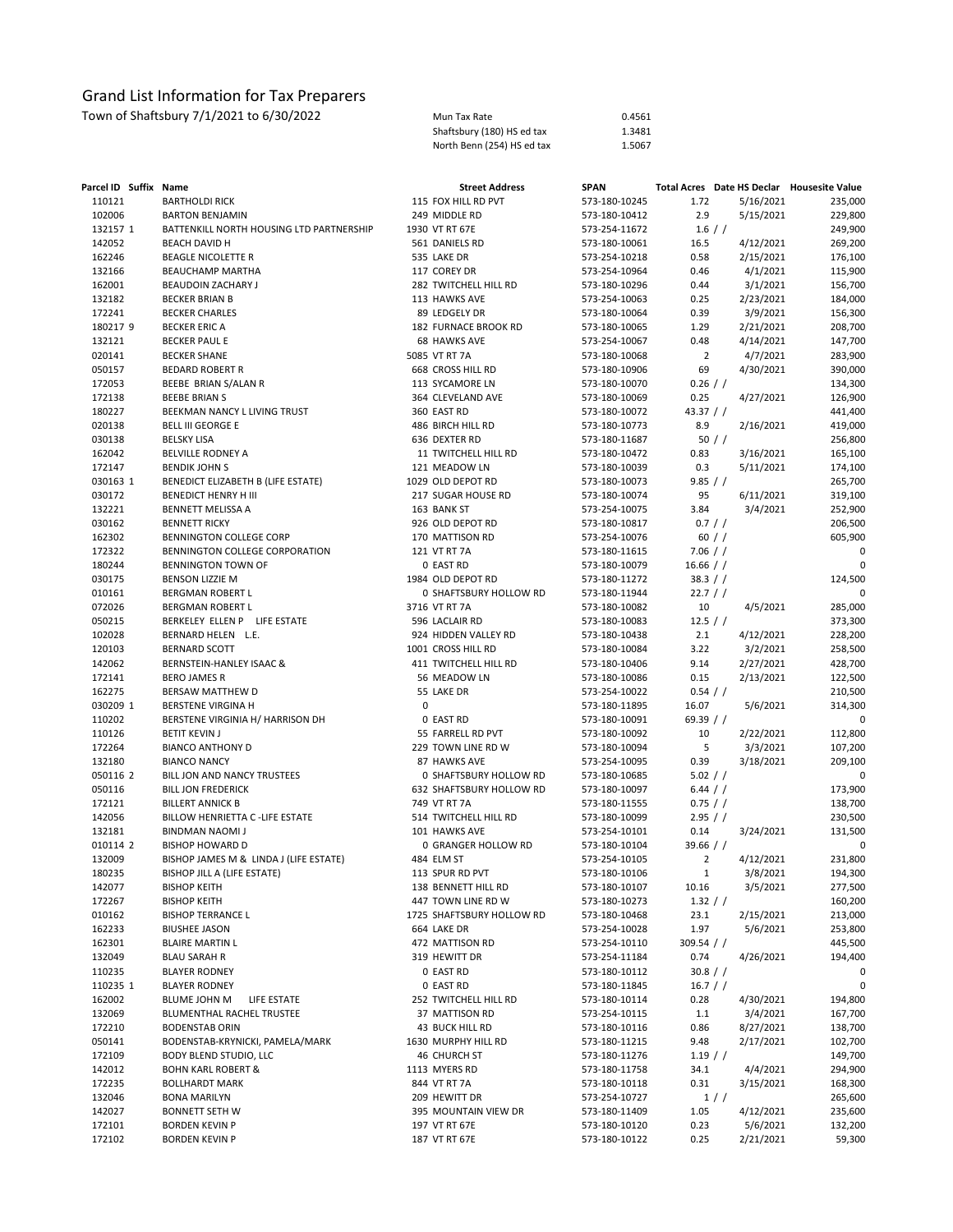| Parcel ID Suffix Name |                                                                  |   | <b>Street Address</b>     | <b>SPAN</b>   |                |           | Total Acres Date HS Declar Housesite Value |
|-----------------------|------------------------------------------------------------------|---|---------------------------|---------------|----------------|-----------|--------------------------------------------|
| 110121                | <b>BARTHOLDI RICK</b>                                            |   | 115 FOX HILL RD PVT       | 573-180-10245 | 1.72           | 5/16/2021 | 235,000                                    |
| 102006                | <b>BARTON BENJAMIN</b>                                           |   | 249 MIDDLE RD             | 573-180-10412 | 2.9            | 5/15/2021 | 229,800                                    |
| 132157 1              | BATTENKILL NORTH HOUSING LTD PARTNERSHIP                         |   | 1930 VT RT 67E            | 573-254-11672 | $1.6$ / /      |           | 249,900                                    |
| 142052                | <b>BEACH DAVID H</b>                                             |   | 561 DANIELS RD            | 573-180-10061 | 16.5           | 4/12/2021 | 269,200                                    |
| 162246                | <b>BEAGLE NICOLETTE R</b>                                        |   | 535 LAKE DR               | 573-254-10218 | 0.58           | 2/15/2021 | 176,100                                    |
| 132166                | <b>BEAUCHAMP MARTHA</b>                                          |   | 117 COREY DR              | 573-254-10964 | 0.46           | 4/1/2021  | 115,900                                    |
| 162001                | BEAUDOIN ZACHARY J                                               |   | 282 TWITCHELL HILL RD     | 573-180-10296 | 0.44           | 3/1/2021  | 156,700                                    |
| 132182                | <b>BECKER BRIAN B</b>                                            |   | 113 HAWKS AVE             | 573-254-10063 | 0.25           | 2/23/2021 | 184,000                                    |
| 172241                | <b>BECKER CHARLES</b>                                            |   | 89 LEDGELY DR             | 573-180-10064 | 0.39           | 3/9/2021  | 156,300                                    |
| 180217 9              | <b>BECKER ERIC A</b>                                             |   | 182 FURNACE BROOK RD      | 573-180-10065 | 1.29           | 2/21/2021 | 208,700                                    |
| 132121                | <b>BECKER PAUL E</b>                                             |   | <b>68 HAWKS AVE</b>       | 573-254-10067 | 0.48           | 4/14/2021 | 147,700                                    |
| 020141                | <b>BECKER SHANE</b>                                              |   | 5085 VT RT 7A             | 573-180-10068 | $\overline{2}$ | 4/7/2021  | 283,900                                    |
| 050157                | <b>BEDARD ROBERT R</b>                                           |   | 668 CROSS HILL RD         | 573-180-10906 | 69             | 4/30/2021 | 390,000                                    |
| 172053                | BEEBE BRIAN S/ALAN R                                             |   | 113 SYCAMORE LN           | 573-180-10070 | $0.26$ / /     |           | 134,300                                    |
| 172138                | <b>BEEBE BRIAN S</b>                                             |   | 364 CLEVELAND AVE         | 573-180-10069 | 0.25           | 4/27/2021 | 126,900                                    |
| 180227                | BEEKMAN NANCY L LIVING TRUST                                     |   | 360 EAST RD               | 573-180-10072 | 43.37 $/$ $/$  |           | 441,400                                    |
| 020138                | <b>BELL III GEORGE E</b>                                         |   | 486 BIRCH HILL RD         | 573-180-10773 | 8.9            | 2/16/2021 | 419,000                                    |
| 030138                | <b>BELSKY LISA</b>                                               |   | 636 DEXTER RD             | 573-180-11687 |                | 50/       | 256,800                                    |
| 162042                | BELVILLE RODNEY A                                                |   | 11 TWITCHELL HILL RD      | 573-180-10472 | 0.83           | 3/16/2021 | 165,100                                    |
| 172147                | <b>BENDIK JOHN S</b>                                             |   | 121 MEADOW LN             | 573-180-10039 | 0.3            | 5/11/2021 | 174,100                                    |
| 030163 1              | BENEDICT ELIZABETH B (LIFE ESTATE)                               |   | 1029 OLD DEPOT RD         | 573-180-10073 | 9.85 / /       |           | 265,700                                    |
| 030172                | BENEDICT HENRY H III                                             |   | 217 SUGAR HOUSE RD        | 573-180-10074 | 95             | 6/11/2021 | 319,100                                    |
| 132221                | BENNETT MELISSA A                                                |   | 163 BANK ST               | 573-254-10075 | 3.84           | 3/4/2021  | 252,900                                    |
| 030162                | <b>BENNETT RICKY</b>                                             |   | 926 OLD DEPOT RD          | 573-180-10817 | 0.7 / /        |           | 206,500                                    |
| 162302                | BENNINGTON COLLEGE CORP                                          |   | 170 MATTISON RD           | 573-254-10076 |                | 60 / /    | 605,900                                    |
| 172322                | BENNINGTON COLLEGE CORPORATION                                   |   | 121 VT RT 7A              | 573-180-11615 | 7.06 / /       |           | 0                                          |
| 180244                | BENNINGTON TOWN OF                                               |   | 0 EAST RD                 | 573-180-10079 | 16.66 / /      |           | 0                                          |
| 030175                | <b>BENSON LIZZIE M</b>                                           |   | 1984 OLD DEPOT RD         | 573-180-11272 | 38.3 / /       |           | 124,500                                    |
| 010161                | BERGMAN ROBERT L                                                 |   | 0 SHAFTSBURY HOLLOW RD    | 573-180-11944 | 22.7 / /       |           | 0                                          |
| 072026                | BERGMAN ROBERT L                                                 |   | 3716 VT RT 7A             | 573-180-10082 | 10             | 4/5/2021  | 285,000                                    |
| 050215                | BERKELEY ELLEN P LIFE ESTATE                                     |   | 596 LACLAIR RD            | 573-180-10083 | 12.5 / /       |           | 373,300                                    |
| 102028                | BERNARD HELEN L.E.                                               |   | 924 HIDDEN VALLEY RD      | 573-180-10438 | 2.1            | 4/12/2021 | 228,200                                    |
| 120103                | <b>BERNARD SCOTT</b>                                             |   | 1001 CROSS HILL RD        | 573-180-10084 | 3.22           | 3/2/2021  | 258,500                                    |
| 142062                | BERNSTEIN-HANLEY ISAAC &                                         |   | 411 TWITCHELL HILL RD     | 573-180-10406 | 9.14           | 2/27/2021 | 428,700                                    |
| 172141                | <b>BERO JAMES R</b>                                              |   | 56 MEADOW LN              | 573-180-10086 | 0.15           | 2/13/2021 | 122,500                                    |
| 162275                | BERSAW MATTHEW D                                                 |   | 55 LAKE DR                | 573-254-10022 | $0.54$ / /     |           | 210,500                                    |
| 030209 1              | <b>BERSTENE VIRGINA H</b>                                        | 0 |                           | 573-180-11895 | 16.07          | 5/6/2021  | 314,300                                    |
| 110202                | BERSTENE VIRGINIA H/ HARRISON DH                                 |   | 0 EAST RD                 | 573-180-10091 | 69.39 $/$ /    |           | 0                                          |
| 110126                | <b>BETIT KEVIN J</b>                                             |   | 55 FARRELL RD PVT         | 573-180-10092 | 10             | 2/22/2021 | 112,800                                    |
| 172264                | <b>BIANCO ANTHONY D</b>                                          |   | 229 TOWN LINE RD W        | 573-180-10094 | 5              | 3/3/2021  | 107,200                                    |
| 132180                | <b>BIANCO NANCY</b>                                              |   | 87 HAWKS AVE              | 573-254-10095 | 0.39           | 3/18/2021 | 209,100                                    |
| 050116 2              | BILL JON AND NANCY TRUSTEES                                      |   | 0 SHAFTSBURY HOLLOW RD    | 573-180-10685 | 5.02 / /       |           | 0                                          |
| 050116                | <b>BILL JON FREDERICK</b>                                        |   | 632 SHAFTSBURY HOLLOW RD  | 573-180-10097 | $6.44$ / /     |           | 173,900                                    |
| 172121                | <b>BILLERT ANNICK B</b>                                          |   | 749 VT RT 7A              | 573-180-11555 | 0.75 / /       |           | 138,700                                    |
| 142056                | BILLOW HENRIETTA C -LIFE ESTATE                                  |   | 514 TWITCHELL HILL RD     | 573-180-10099 | 2.95 / /       |           | 230,500                                    |
| 132181                | <b>BINDMAN NAOMI J</b>                                           |   | 101 HAWKS AVE             | 573-254-10101 | 0.14           | 3/24/2021 | 131,500                                    |
| 010114 2              | <b>BISHOP HOWARD D</b>                                           |   | 0 GRANGER HOLLOW RD       | 573-180-10104 | $39.66$ / /    |           | 0                                          |
| 132009                | BISHOP JAMES M & LINDA J (LIFE ESTATE)                           |   | 484 ELM ST                | 573-254-10105 | $\overline{2}$ | 4/12/2021 | 231,800                                    |
| 180235                | BISHOP JILL A (LIFE ESTATE)                                      |   | 113 SPUR RD PVT           | 573-180-10106 | 1              | 3/8/2021  | 194.300                                    |
| 142077                | <b>BISHOP KEITH</b>                                              |   | 138 BENNETT HILL RD       | 573-180-10107 | 10.16          | 3/5/2021  | 277,500                                    |
| 172267                | <b>BISHOP KEITH</b>                                              |   | 447 TOWN LINE RD W        | 573-180-10273 | 1.32 / /       |           | 160,200                                    |
| 010162                | <b>BISHOP TERRANCE L</b>                                         |   | 1725 SHAFTSBURY HOLLOW RD | 573-180-10468 | 23.1           | 2/15/2021 | 213,000                                    |
| 162233                | <b>BIUSHEE JASON</b>                                             |   | 664 LAKE DR               | 573-254-10028 | 1.97           | 5/6/2021  | 253,800                                    |
| 162301                | <b>BLAIRE MARTIN L</b>                                           |   | 472 MATTISON RD           | 573-254-10110 | 309.54 / /     |           | 445,500                                    |
| 132049                | <b>BLAU SARAH R</b>                                              |   | 319 HEWITT DR             | 573-254-11184 | 0.74           | 4/26/2021 | 194,400                                    |
| 110235                | <b>BLAYER RODNEY</b>                                             |   | 0 EAST RD                 | 573-180-10112 | 30.8 / /       |           | 0                                          |
| 110235 1              | <b>BLAYER RODNEY</b>                                             |   | 0 EAST RD                 | 573-180-11845 | 16.7 / /       |           | 0                                          |
| 162002                | BLUME JOHN M                                                     |   |                           |               | 0.28           |           | 194,800                                    |
|                       | LIFE ESTATE                                                      |   | 252 TWITCHELL HILL RD     | 573-180-10114 |                | 4/30/2021 | 167,700                                    |
| 132069                | BLUMENTHAL RACHEL TRUSTEE                                        |   | 37 MATTISON RD            | 573-254-10115 | 1.1            | 3/4/2021  |                                            |
| 172210                | <b>BODENSTAB ORIN</b>                                            |   | 43 BUCK HILL RD           | 573-180-10116 | 0.86           | 8/27/2021 | 138,700                                    |
| 050141                | BODENSTAB-KRYNICKI, PAMELA/MARK<br><b>BODY BLEND STUDIO, LLC</b> |   | 1630 MURPHY HILL RD       | 573-180-11215 | 9.48           | 2/17/2021 | 102,700                                    |
| 172109                |                                                                  |   | <b>46 CHURCH ST</b>       | 573-180-11276 | $1.19$ / /     |           | 149,700                                    |
| 142012                | <b>BOHN KARL ROBERT &amp;</b>                                    |   | 1113 MYERS RD             | 573-180-11758 | 34.1           | 4/4/2021  | 294,900                                    |
| 172235                | <b>BOLLHARDT MARK</b>                                            |   | 844 VT RT 7A              | 573-180-10118 | 0.31           | 3/15/2021 | 168,300                                    |
| 132046                | <b>BONA MARILYN</b>                                              |   | 209 HEWITT DR             | 573-254-10727 |                | 1//       | 265,600                                    |
| 142027                | <b>BONNETT SETH W</b>                                            |   | 395 MOUNTAIN VIEW DR      | 573-180-11409 | 1.05           | 4/12/2021 | 235,600                                    |
| 172101                | <b>BORDEN KEVIN P</b>                                            |   | 197 VT RT 67E             | 573-180-10120 | 0.23           | 5/6/2021  | 132,200                                    |
| 172102                | BORDEN KEVIN P                                                   |   | 187 VT RT 67E             | 573-180-10122 | 0.25           | 2/21/2021 | 59,300                                     |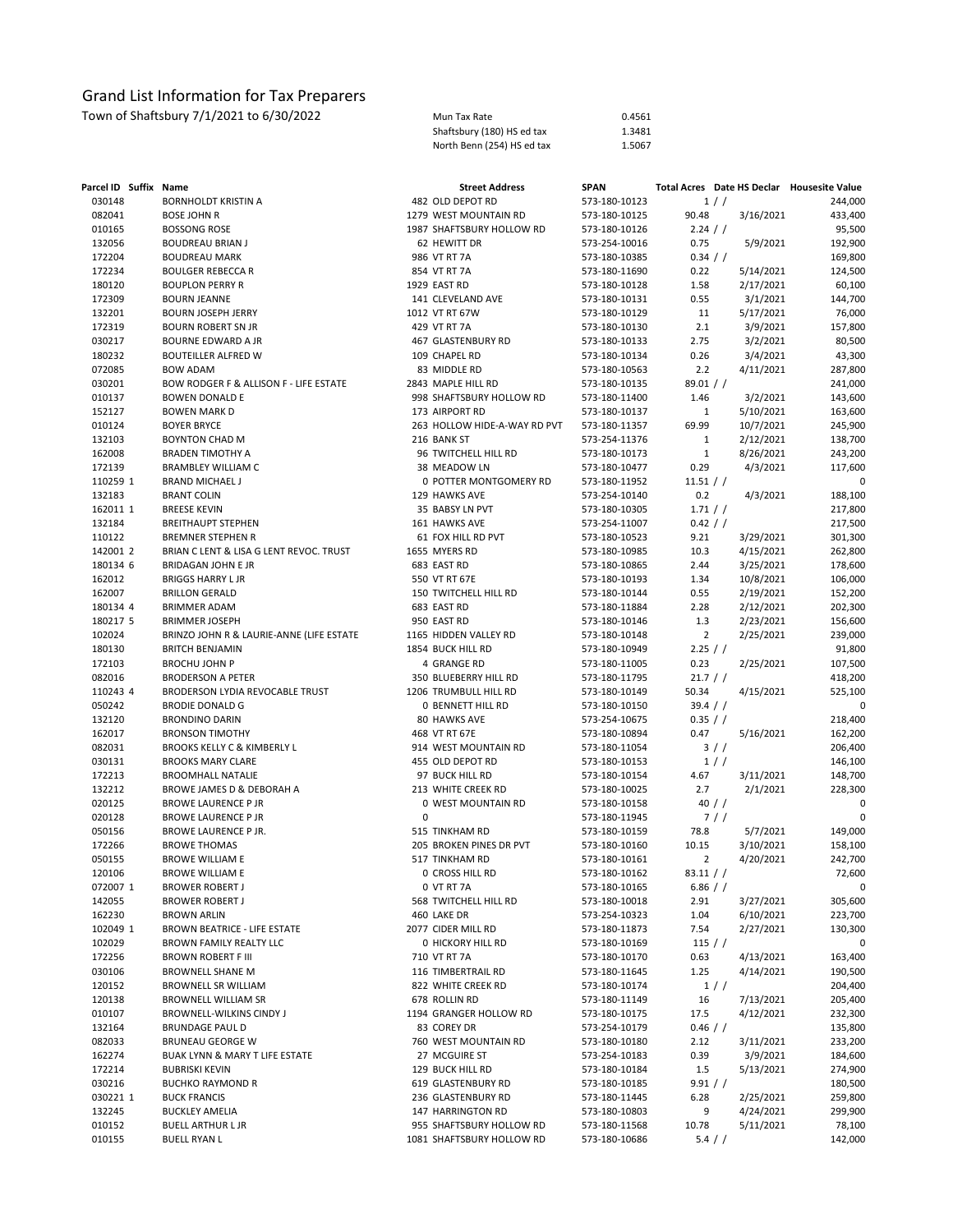| Town of Shaftsbury 7/1/2021 to 6/30/2022 | Mun Tax Rate               | 0.4561 |
|------------------------------------------|----------------------------|--------|
|                                          | Shaftsbury (180) HS ed tax | 1.3481 |
|                                          | North Benn (254) HS ed tax | 1.5067 |

| Parcel ID Suffix Name |                                                 |   | <b>Street Address</b>                    | <b>SPAN</b>                    |                      | Total Acres Date HS Declar Housesite Value |                        |
|-----------------------|-------------------------------------------------|---|------------------------------------------|--------------------------------|----------------------|--------------------------------------------|------------------------|
| 030148                | BORNHOLDT KRISTIN A                             |   | 482 OLD DEPOT RD                         | 573-180-10123                  |                      | 1/                                         | 244,000                |
| 082041                | <b>BOSE JOHN R</b>                              |   | 1279 WEST MOUNTAIN RD                    | 573-180-10125                  | 90.48                | 3/16/2021                                  | 433,400                |
| 010165                | <b>BOSSONG ROSE</b>                             |   | 1987 SHAFTSBURY HOLLOW RD                | 573-180-10126                  | $2.24$ / /           |                                            | 95,500                 |
| 132056                | <b>BOUDREAU BRIAN J</b>                         |   | 62 HEWITT DR                             | 573-254-10016                  | 0.75                 | 5/9/2021                                   | 192,900                |
| 172204                | <b>BOUDREAU MARK</b>                            |   | 986 VT RT 7A                             | 573-180-10385                  | 0.34 / /             |                                            | 169,800                |
| 172234                | <b>BOULGER REBECCA R</b>                        |   | 854 VT RT 7A                             | 573-180-11690                  | 0.22                 | 5/14/2021                                  | 124,500                |
| 180120                | <b>BOUPLON PERRY R</b>                          |   | 1929 EAST RD                             | 573-180-10128                  | 1.58                 | 2/17/2021                                  | 60,100                 |
| 172309                | <b>BOURN JEANNE</b>                             |   | 141 CLEVELAND AVE                        | 573-180-10131                  | 0.55                 | 3/1/2021                                   | 144,700                |
| 132201                | <b>BOURN JOSEPH JERRY</b>                       |   | 1012 VT RT 67W                           | 573-180-10129                  | 11                   | 5/17/2021                                  | 76,000                 |
| 172319                | <b>BOURN ROBERT SN JR</b>                       |   | 429 VT RT 7A                             | 573-180-10130                  | 2.1                  | 3/9/2021                                   | 157,800                |
| 030217                | BOURNE EDWARD A JR                              |   | 467 GLASTENBURY RD                       | 573-180-10133                  | 2.75                 | 3/2/2021                                   | 80,500                 |
| 180232                | <b>BOUTEILLER ALFRED W</b><br><b>BOW ADAM</b>   |   | 109 CHAPEL RD                            | 573-180-10134<br>573-180-10563 | 0.26                 | 3/4/2021                                   | 43,300                 |
| 072085<br>030201      | BOW RODGER F & ALLISON F - LIFE ESTATE          |   | 83 MIDDLE RD<br>2843 MAPLE HILL RD       | 573-180-10135                  | 2.2<br>89.01 / /     | 4/11/2021                                  | 287,800<br>241,000     |
| 010137                | <b>BOWEN DONALD E</b>                           |   | 998 SHAFTSBURY HOLLOW RD                 | 573-180-11400                  | 1.46                 | 3/2/2021                                   | 143,600                |
| 152127                | <b>BOWEN MARK D</b>                             |   | 173 AIRPORT RD                           | 573-180-10137                  | 1                    | 5/10/2021                                  | 163,600                |
| 010124                | <b>BOYER BRYCE</b>                              |   | 263 HOLLOW HIDE-A-WAY RD PVT             | 573-180-11357                  | 69.99                | 10/7/2021                                  | 245,900                |
| 132103                | <b>BOYNTON CHAD M</b>                           |   | 216 BANK ST                              | 573-254-11376                  | 1                    | 2/12/2021                                  | 138,700                |
| 162008                | <b>BRADEN TIMOTHY A</b>                         |   | 96 TWITCHELL HILL RD                     | 573-180-10173                  | $\mathbf{1}$         | 8/26/2021                                  | 243,200                |
| 172139                | <b>BRAMBLEY WILLIAM C</b>                       |   | 38 MEADOW LN                             | 573-180-10477                  | 0.29                 | 4/3/2021                                   | 117,600                |
| 110259 1              | <b>BRAND MICHAEL J</b>                          |   | 0 POTTER MONTGOMERY RD                   | 573-180-11952                  | 11.51 / /            |                                            | 0                      |
| 132183                | <b>BRANT COLIN</b>                              |   | 129 HAWKS AVE                            | 573-254-10140                  | 0.2                  | 4/3/2021                                   | 188,100                |
| 162011 1              | <b>BREESE KEVIN</b>                             |   | 35 BABSY LN PVT                          | 573-180-10305                  | 1.71 / /             |                                            | 217,800                |
| 132184                | <b>BREITHAUPT STEPHEN</b>                       |   | 161 HAWKS AVE                            | 573-254-11007                  | 0.42 / /             |                                            | 217,500                |
| 110122                | <b>BREMNER STEPHEN R</b>                        |   | 61 FOX HILL RD PVT                       | 573-180-10523                  | 9.21                 | 3/29/2021                                  | 301,300                |
| 142001 2              | BRIAN C LENT & LISA G LENT REVOC. TRUST         |   | 1655 MYERS RD                            | 573-180-10985                  | 10.3                 | 4/15/2021                                  | 262,800                |
| 180134 6              | <b>BRIDAGAN JOHN E JR</b>                       |   | 683 EAST RD                              | 573-180-10865                  | 2.44                 | 3/25/2021                                  | 178,600                |
| 162012                | <b>BRIGGS HARRY L JR</b>                        |   | 550 VT RT 67E                            | 573-180-10193                  | 1.34                 | 10/8/2021                                  | 106,000                |
| 162007                | <b>BRILLON GERALD</b>                           |   | 150 TWITCHELL HILL RD                    | 573-180-10144                  | 0.55                 | 2/19/2021                                  | 152,200                |
| 180134 4              | <b>BRIMMER ADAM</b>                             |   | 683 EAST RD                              | 573-180-11884                  | 2.28                 | 2/12/2021                                  | 202,300                |
| 180217 5              | <b>BRIMMER JOSEPH</b>                           |   | 950 EAST RD                              | 573-180-10146                  | 1.3                  | 2/23/2021                                  | 156,600                |
| 102024                | BRINZO JOHN R & LAURIE-ANNE (LIFE ESTATE        |   | 1165 HIDDEN VALLEY RD                    | 573-180-10148                  | $\overline{2}$       | 2/25/2021                                  | 239,000                |
| 180130                | <b>BRITCH BENJAMIN</b>                          |   | 1854 BUCK HILL RD                        | 573-180-10949                  | 2.25 / /             |                                            | 91,800                 |
| 172103                | <b>BROCHU JOHN P</b>                            |   | 4 GRANGE RD                              | 573-180-11005                  | 0.23                 | 2/25/2021                                  | 107,500                |
| 082016                | <b>BRODERSON A PETER</b>                        |   | 350 BLUEBERRY HILL RD                    | 573-180-11795                  | $21.7$ / /           |                                            | 418,200                |
| 110243 4<br>050242    | BRODERSON LYDIA REVOCABLE TRUST                 |   | 1206 TRUMBULL HILL RD                    | 573-180-10149                  | 50.34                | 4/15/2021                                  | 525,100<br>$\mathbf 0$ |
| 132120                | <b>BRODIE DONALD G</b><br><b>BRONDINO DARIN</b> |   | <b>0 BENNETT HILL RD</b><br>80 HAWKS AVE | 573-180-10150<br>573-254-10675 | 39.4 / /<br>0.35 / / |                                            | 218,400                |
| 162017                | <b>BRONSON TIMOTHY</b>                          |   | 468 VT RT 67E                            | 573-180-10894                  | 0.47                 | 5/16/2021                                  | 162,200                |
| 082031                | <b>BROOKS KELLY C &amp; KIMBERLY L</b>          |   | 914 WEST MOUNTAIN RD                     | 573-180-11054                  |                      | 3/                                         | 206,400                |
| 030131                | <b>BROOKS MARY CLARE</b>                        |   | 455 OLD DEPOT RD                         | 573-180-10153                  |                      | 1/                                         | 146,100                |
| 172213                | <b>BROOMHALL NATALIE</b>                        |   | 97 BUCK HILL RD                          | 573-180-10154                  | 4.67                 | 3/11/2021                                  | 148,700                |
| 132212                | BROWE JAMES D & DEBORAH A                       |   | 213 WHITE CREEK RD                       | 573-180-10025                  | 2.7                  | 2/1/2021                                   | 228,300                |
| 020125                | <b>BROWE LAURENCE P JR</b>                      |   | 0 WEST MOUNTAIN RD                       | 573-180-10158                  |                      | 40 $/$ $/$                                 | 0                      |
| 020128                | <b>BROWE LAURENCE P JR</b>                      | 0 |                                          | 573-180-11945                  |                      | 7/                                         | 0                      |
| 050156                | BROWE LAURENCE P JR.                            |   | 515 TINKHAM RD                           | 573-180-10159                  | 78.8                 | 5/7/2021                                   | 149,000                |
| 172266                | <b>BROWE THOMAS</b>                             |   | 205 BROKEN PINES DR PVT                  | 573-180-10160                  | 10.15                | 3/10/2021                                  | 158,100                |
| 050155                | <b>BROWE WILLIAM E</b>                          |   | 517 TINKHAM RD                           | 573-180-10161                  | $\overline{2}$       | 4/20/2021                                  | 242,700                |
| 120106                | <b>BROWE WILLIAM E</b>                          |   | 0 CROSS HILL RD                          | 573-180-10162                  | 83.11 / /            |                                            | 72,600                 |
| 072007 1              | <b>BROWER ROBERT J</b>                          |   | 0 VT RT 7A                               | 573-180-10165                  | $6.86$ / /           |                                            | 0                      |
| 142055                | <b>BROWER ROBERT J</b>                          |   | 568 TWITCHELL HILL RD                    | 573-180-10018                  | 2.91                 | 3/27/2021                                  | 305,600                |
| 162230                | <b>BROWN ARLIN</b>                              |   | 460 LAKE DR                              | 573-254-10323                  | 1.04                 | 6/10/2021                                  | 223,700                |
| 102049 1              | BROWN BEATRICE - LIFE ESTATE                    |   | 2077 CIDER MILL RD                       | 573-180-11873                  | 7.54                 | 2/27/2021                                  | 130,300                |
| 102029                | BROWN FAMILY REALTY LLC                         |   | 0 HICKORY HILL RD                        | 573-180-10169                  | $115$ / /            |                                            | 0                      |
| 172256                | <b>BROWN ROBERT F III</b>                       |   | 710 VT RT 7A                             | 573-180-10170                  | 0.63                 | 4/13/2021                                  | 163,400                |
| 030106                | <b>BROWNELL SHANE M</b>                         |   | 116 TIMBERTRAIL RD                       | 573-180-11645                  | 1.25                 | 4/14/2021                                  | 190,500                |
| 120152                | BROWNELL SR WILLIAM                             |   | 822 WHITE CREEK RD                       | 573-180-10174                  |                      | 1/                                         | 204,400                |
| 120138<br>010107      | BROWNELL WILLIAM SR<br>BROWNELL-WILKINS CINDY J |   | 678 ROLLIN RD<br>1194 GRANGER HOLLOW RD  | 573-180-11149                  | 16                   | 7/13/2021<br>4/12/2021                     | 205,400                |
| 132164                | <b>BRUNDAGE PAUL D</b>                          |   | 83 COREY DR                              | 573-180-10175<br>573-254-10179 | 17.5<br>$0.46$ / /   |                                            | 232,300<br>135,800     |
| 082033                | <b>BRUNEAU GEORGE W</b>                         |   | 760 WEST MOUNTAIN RD                     | 573-180-10180                  | 2.12                 | 3/11/2021                                  | 233,200                |
| 162274                | BUAK LYNN & MARY T LIFE ESTATE                  |   | 27 MCGUIRE ST                            | 573-254-10183                  | 0.39                 | 3/9/2021                                   | 184,600                |
| 172214                | <b>BUBRISKI KEVIN</b>                           |   | 129 BUCK HILL RD                         | 573-180-10184                  | 1.5                  | 5/13/2021                                  | 274,900                |
| 030216                | <b>BUCHKO RAYMOND R</b>                         |   | 619 GLASTENBURY RD                       | 573-180-10185                  | 9.91 / /             |                                            | 180,500                |
| 030221 1              | <b>BUCK FRANCIS</b>                             |   | 236 GLASTENBURY RD                       | 573-180-11445                  | 6.28                 | 2/25/2021                                  | 259,800                |
| 132245                | <b>BUCKLEY AMELIA</b>                           |   | 147 HARRINGTON RD                        | 573-180-10803                  | 9                    | 4/24/2021                                  | 299,900                |
| 010152                | <b>BUELL ARTHUR L JR</b>                        |   | 955 SHAFTSBURY HOLLOW RD                 | 573-180-11568                  | 10.78                | 5/11/2021                                  | 78,100                 |
| 010155                | <b>BUELL RYAN L</b>                             |   | 1081 SHAFTSBURY HOLLOW RD                | 573-180-10686                  |                      | $5.4$ / /                                  | 142,000                |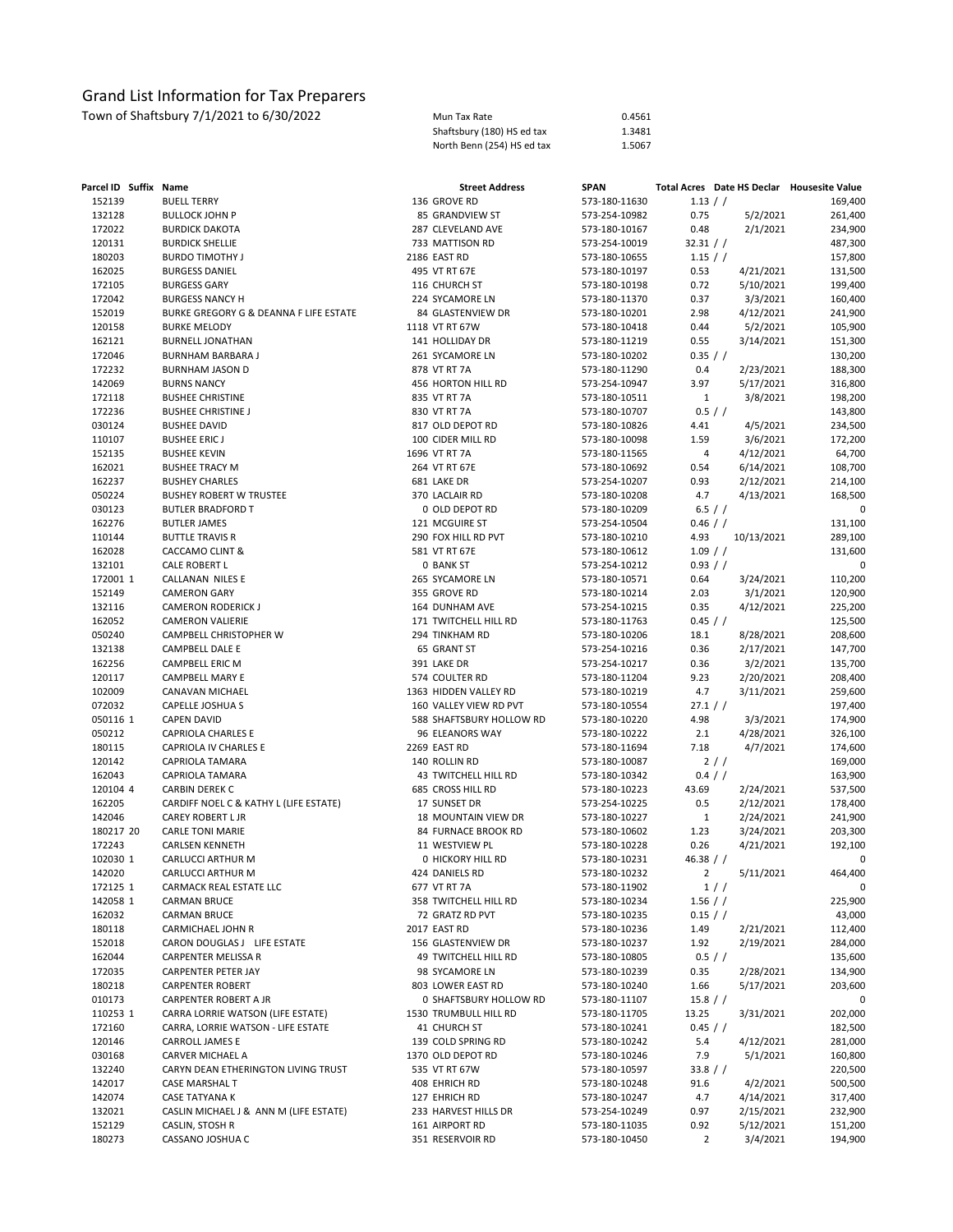| Mun Tax Rate               | 0.4561 |
|----------------------------|--------|
| Shaftsbury (180) HS ed tax | 1.3481 |
| North Benn (254) HS ed tax | 1.5067 |

| Parcel ID Suffix Name |                                        | <b>Street Address</b>    | <b>SPAN</b> |               |                |            | Total Acres Date HS Declar Housesite Value |
|-----------------------|----------------------------------------|--------------------------|-------------|---------------|----------------|------------|--------------------------------------------|
| 152139                | <b>BUELL TERRY</b>                     | 136 GROVE RD             |             | 573-180-11630 | 1.13 / /       |            | 169,400                                    |
| 132128                | <b>BULLOCK JOHN P</b>                  | 85 GRANDVIEW ST          |             | 573-254-10982 | 0.75           | 5/2/2021   | 261,400                                    |
| 172022                | <b>BURDICK DAKOTA</b>                  | 287 CLEVELAND AVE        |             | 573-180-10167 | 0.48           | 2/1/2021   | 234,900                                    |
| 120131                | <b>BURDICK SHELLIE</b>                 | 733 MATTISON RD          |             | 573-254-10019 | 32.31 / /      |            | 487,300                                    |
| 180203                | <b>BURDO TIMOTHY J</b>                 | 2186 EAST RD             |             | 573-180-10655 | $1.15$ / /     |            | 157,800                                    |
| 162025                | <b>BURGESS DANIEL</b>                  | 495 VT RT 67E            |             | 573-180-10197 | 0.53           | 4/21/2021  | 131,500                                    |
| 172105                | <b>BURGESS GARY</b>                    | 116 CHURCH ST            |             | 573-180-10198 | 0.72           | 5/10/2021  | 199,400                                    |
| 172042                | <b>BURGESS NANCY H</b>                 | 224 SYCAMORE LN          |             | 573-180-11370 | 0.37           | 3/3/2021   | 160,400                                    |
| 152019                | BURKE GREGORY G & DEANNA F LIFE ESTATE | 84 GLASTENVIEW DR        |             | 573-180-10201 | 2.98           | 4/12/2021  | 241,900                                    |
| 120158                | <b>BURKE MELODY</b>                    | 1118 VT RT 67W           |             | 573-180-10418 | 0.44           | 5/2/2021   | 105,900                                    |
| 162121                | <b>BURNELL JONATHAN</b>                | 141 HOLLIDAY DR          |             | 573-180-11219 | 0.55           | 3/14/2021  | 151,300                                    |
| 172046                | BURNHAM BARBARA J                      | 261 SYCAMORE LN          |             | 573-180-10202 | 0.35 / /       |            | 130,200                                    |
| 172232                | <b>BURNHAM JASON D</b>                 | 878 VT RT 7A             |             | 573-180-11290 | 0.4            | 2/23/2021  | 188,300                                    |
|                       | <b>BURNS NANCY</b>                     |                          |             |               |                |            |                                            |
| 142069                |                                        | 456 HORTON HILL RD       |             | 573-254-10947 | 3.97           | 5/17/2021  | 316,800                                    |
| 172118                | <b>BUSHEE CHRISTINE</b>                | 835 VT RT 7A             |             | 573-180-10511 | $\mathbf{1}$   | 3/8/2021   | 198,200                                    |
| 172236                | <b>BUSHEE CHRISTINE J</b>              | 830 VT RT 7A             |             | 573-180-10707 |                | 0.5 / /    | 143,800                                    |
| 030124                | <b>BUSHEE DAVID</b>                    | 817 OLD DEPOT RD         |             | 573-180-10826 | 4.41           | 4/5/2021   | 234,500                                    |
| 110107                | <b>BUSHEE ERICJ</b>                    | 100 CIDER MILL RD        |             | 573-180-10098 | 1.59           | 3/6/2021   | 172,200                                    |
| 152135                | <b>BUSHEE KEVIN</b>                    | 1696 VT RT 7A            |             | 573-180-11565 | 4              | 4/12/2021  | 64,700                                     |
| 162021                | <b>BUSHEE TRACY M</b>                  | 264 VT RT 67E            |             | 573-180-10692 | 0.54           | 6/14/2021  | 108,700                                    |
| 162237                | <b>BUSHEY CHARLES</b>                  | 681 LAKE DR              |             | 573-254-10207 | 0.93           | 2/12/2021  | 214,100                                    |
| 050224                | <b>BUSHEY ROBERT W TRUSTEE</b>         | 370 LACLAIR RD           |             | 573-180-10208 | 4.7            | 4/13/2021  | 168,500                                    |
| 030123                | <b>BUTLER BRADFORD T</b>               | 0 OLD DEPOT RD           |             | 573-180-10209 | 6.5 / /        |            | 0                                          |
| 162276                | <b>BUTLER JAMES</b>                    | 121 MCGUIRE ST           |             | 573-254-10504 | $0.46$ / /     |            | 131,100                                    |
| 110144                | <b>BUTTLE TRAVIS R</b>                 | 290 FOX HILL RD PVT      |             | 573-180-10210 | 4.93           | 10/13/2021 | 289,100                                    |
| 162028                | <b>CACCAMO CLINT &amp;</b>             | 581 VT RT 67E            |             | 573-180-10612 | $1.09$ / /     |            | 131,600                                    |
| 132101                | <b>CALE ROBERT L</b>                   | 0 BANK ST                |             | 573-254-10212 | 0.93 / /       |            | 0                                          |
| 172001 1              | <b>CALLANAN NILES E</b>                | 265 SYCAMORE LN          |             | 573-180-10571 | 0.64           | 3/24/2021  | 110,200                                    |
| 152149                | <b>CAMERON GARY</b>                    | 355 GROVE RD             |             | 573-180-10214 | 2.03           | 3/1/2021   | 120,900                                    |
| 132116                | <b>CAMERON RODERICK J</b>              | 164 DUNHAM AVE           |             | 573-254-10215 | 0.35           | 4/12/2021  | 225,200                                    |
| 162052                | <b>CAMERON VALIERIE</b>                | 171 TWITCHELL HILL RD    |             | 573-180-11763 | 0.45 / /       |            | 125,500                                    |
| 050240                | CAMPBELL CHRISTOPHER W                 | 294 TINKHAM RD           |             | 573-180-10206 | 18.1           | 8/28/2021  | 208,600                                    |
| 132138                | CAMPBELL DALE E                        | 65 GRANT ST              |             | 573-254-10216 | 0.36           | 2/17/2021  | 147,700                                    |
| 162256                | <b>CAMPBELL ERIC M</b>                 | 391 LAKE DR              |             | 573-254-10217 | 0.36           | 3/2/2021   | 135,700                                    |
| 120117                | CAMPBELL MARY E                        | 574 COULTER RD           |             | 573-180-11204 | 9.23           | 2/20/2021  | 208,400                                    |
| 102009                | CANAVAN MICHAEL                        | 1363 HIDDEN VALLEY RD    |             | 573-180-10219 | 4.7            | 3/11/2021  | 259,600                                    |
| 072032                | CAPELLE JOSHUA S                       | 160 VALLEY VIEW RD PVT   |             | 573-180-10554 | 27.1 / /       |            | 197,400                                    |
| 050116 1              | <b>CAPEN DAVID</b>                     | 588 SHAFTSBURY HOLLOW RD |             | 573-180-10220 | 4.98           | 3/3/2021   | 174,900                                    |
| 050212                | <b>CAPRIOLA CHARLES E</b>              | 96 ELEANORS WAY          |             | 573-180-10222 | 2.1            |            | 326,100                                    |
|                       |                                        |                          |             |               |                | 4/28/2021  |                                            |
| 180115                | CAPRIOLA IV CHARLES E                  | 2269 EAST RD             |             | 573-180-11694 | 7.18           | 4/7/2021   | 174,600                                    |
| 120142                | <b>CAPRIOLA TAMARA</b>                 | 140 ROLLIN RD            |             | 573-180-10087 |                | 2/1        | 169,000                                    |
| 162043                | <b>CAPRIOLA TAMARA</b>                 | 43 TWITCHELL HILL RD     |             | 573-180-10342 | 0.4 / /        |            | 163,900                                    |
| 120104 4              | <b>CARBIN DEREK C</b>                  | 685 CROSS HILL RD        |             | 573-180-10223 | 43.69          | 2/24/2021  | 537,500                                    |
| 162205                | CARDIFF NOEL C & KATHY L (LIFE ESTATE) | 17 SUNSET DR             |             | 573-254-10225 | 0.5            | 2/12/2021  | 178,400                                    |
| 142046                | <b>CAREY ROBERT L JR</b>               | 18 MOUNTAIN VIEW DR      |             | 573-180-10227 | $\mathbf{1}$   | 2/24/2021  | 241,900                                    |
| 180217 20             | <b>CARLE TONI MARIE</b>                | 84 FURNACE BROOK RD      |             | 573-180-10602 | 1.23           | 3/24/2021  | 203,300                                    |
| 172243                | <b>CARLSEN KENNETH</b>                 | 11 WESTVIEW PL           |             | 573-180-10228 | 0.26           | 4/21/2021  | 192,100                                    |
| 102030 1              | CARLUCCI ARTHUR M                      | 0 HICKORY HILL RD        |             | 573-180-10231 | 46.38 $/ /$    |            | 0                                          |
| 142020                | CARLUCCI ARTHUR M                      | 424 DANIELS RD           |             | 573-180-10232 | 2              | 5/11/2021  | 464.400                                    |
| 172125 1              | CARMACK REAL ESTATE LLC                | 677 VT RT 7A             |             | 573-180-11902 |                | 1//        | 0                                          |
| 142058 1              | <b>CARMAN BRUCE</b>                    | 358 TWITCHELL HILL RD    |             | 573-180-10234 | $1.56$ / /     |            | 225,900                                    |
| 162032                | <b>CARMAN BRUCE</b>                    | 72 GRATZ RD PVT          |             | 573-180-10235 | 0.15 / /       |            | 43,000                                     |
| 180118                | CARMICHAEL JOHN R                      | 2017 EAST RD             |             | 573-180-10236 | 1.49           | 2/21/2021  | 112,400                                    |
| 152018                | CARON DOUGLAS J LIFE ESTATE            | 156 GLASTENVIEW DR       |             | 573-180-10237 | 1.92           | 2/19/2021  | 284,000                                    |
| 162044                | <b>CARPENTER MELISSA R</b>             | 49 TWITCHELL HILL RD     |             | 573-180-10805 | 0.5 / /        |            | 135,600                                    |
| 172035                | CARPENTER PETER JAY                    | 98 SYCAMORE LN           |             | 573-180-10239 | 0.35           | 2/28/2021  | 134,900                                    |
| 180218                | <b>CARPENTER ROBERT</b>                | 803 LOWER EAST RD        |             | 573-180-10240 | 1.66           | 5/17/2021  | 203,600                                    |
| 010173                | CARPENTER ROBERT A JR                  | 0 SHAFTSBURY HOLLOW RD   |             | 573-180-11107 | 15.8 / /       |            | 0                                          |
| 110253 1              | CARRA LORRIE WATSON (LIFE ESTATE)      | 1530 TRUMBULL HILL RD    |             | 573-180-11705 | 13.25          | 3/31/2021  | 202,000                                    |
| 172160                | CARRA, LORRIE WATSON - LIFE ESTATE     | 41 CHURCH ST             |             | 573-180-10241 | 0.45 / /       |            | 182,500                                    |
| 120146                | CARROLL JAMES E                        | 139 COLD SPRING RD       |             | 573-180-10242 | 5.4            | 4/12/2021  | 281,000                                    |
| 030168                | CARVER MICHAEL A                       | 1370 OLD DEPOT RD        |             | 573-180-10246 | 7.9            | 5/1/2021   | 160,800                                    |
| 132240                | CARYN DEAN ETHERINGTON LIVING TRUST    | 535 VT RT 67W            |             | 573-180-10597 | 33.8 / /       |            | 220,500                                    |
|                       |                                        |                          |             |               | 91.6           |            |                                            |
| 142017                | <b>CASE MARSHAL T</b>                  | 408 EHRICH RD            |             | 573-180-10248 |                | 4/2/2021   | 500,500                                    |
| 142074                | CASE TATYANA K                         | 127 EHRICH RD            |             | 573-180-10247 | 4.7            | 4/14/2021  | 317,400                                    |
| 132021                | CASLIN MICHAEL J & ANN M (LIFE ESTATE) | 233 HARVEST HILLS DR     |             | 573-254-10249 | 0.97           | 2/15/2021  | 232,900                                    |
| 152129                | CASLIN, STOSH R                        | 161 AIRPORT RD           |             | 573-180-11035 | 0.92           | 5/12/2021  | 151,200                                    |
| 180273                | CASSANO JOSHUA C                       | 351 RESERVOIR RD         |             | 573-180-10450 | $\overline{2}$ | 3/4/2021   | 194,900                                    |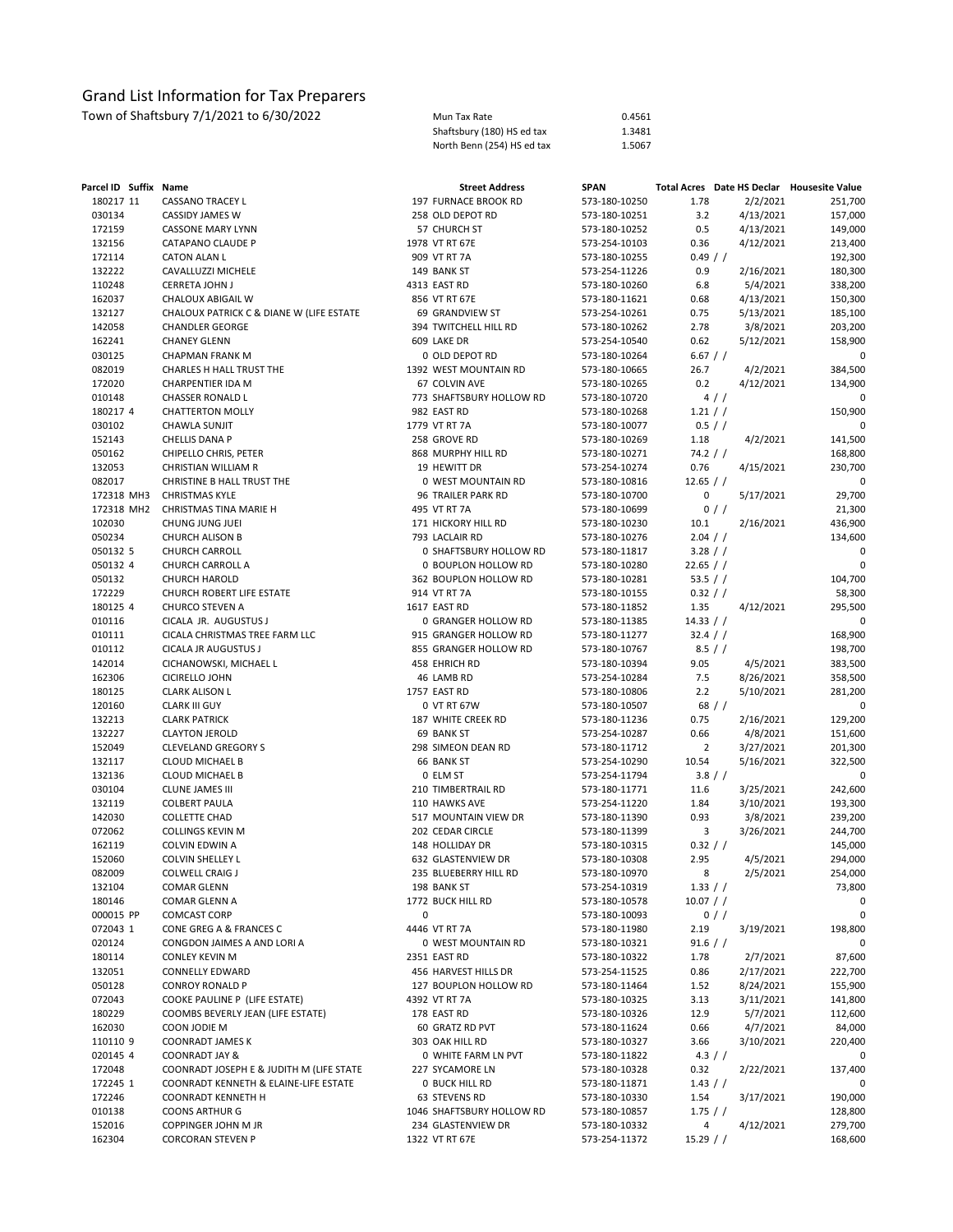| Parcel ID Suffix Name |                                          | <b>Street Address</b>     | <b>SPAN</b>   |                | Total Acres Date HS Declar Housesite Value |         |
|-----------------------|------------------------------------------|---------------------------|---------------|----------------|--------------------------------------------|---------|
| 180217 11             | CASSANO TRACEY L                         | 197 FURNACE BROOK RD      | 573-180-10250 | 1.78           | 2/2/2021                                   | 251,700 |
| 030134                | CASSIDY JAMES W                          | 258 OLD DEPOT RD          | 573-180-10251 | 3.2            | 4/13/2021                                  | 157,000 |
| 172159                | <b>CASSONE MARY LYNN</b>                 | 57 CHURCH ST              | 573-180-10252 | 0.5            | 4/13/2021                                  | 149,000 |
| 132156                | CATAPANO CLAUDE P                        | 1978 VT RT 67E            | 573-254-10103 | 0.36           | 4/12/2021                                  | 213,400 |
| 172114                | <b>CATON ALAN L</b>                      | 909 VT RT 7A              | 573-180-10255 | 0.49 / /       |                                            | 192,300 |
| 132222                | CAVALLUZZI MICHELE                       | 149 BANK ST               | 573-254-11226 | 0.9            | 2/16/2021                                  | 180,300 |
| 110248                | CERRETA JOHN J                           | 4313 EAST RD              | 573-180-10260 | 6.8            | 5/4/2021                                   | 338,200 |
| 162037                | CHALOUX ABIGAIL W                        | 856 VT RT 67E             | 573-180-11621 | 0.68           | 4/13/2021                                  | 150,300 |
| 132127                | CHALOUX PATRICK C & DIANE W (LIFE ESTATE | 69 GRANDVIEW ST           | 573-254-10261 | 0.75           | 5/13/2021                                  | 185,100 |
| 142058                | <b>CHANDLER GEORGE</b>                   | 394 TWITCHELL HILL RD     | 573-180-10262 | 2.78           | 3/8/2021                                   | 203,200 |
| 162241                | <b>CHANEY GLENN</b>                      | 609 LAKE DR               | 573-254-10540 | 0.62           | 5/12/2021                                  | 158,900 |
| 030125                | <b>CHAPMAN FRANK M</b>                   | 0 OLD DEPOT RD            | 573-180-10264 | 6.67 / /       |                                            | 0       |
| 082019                | CHARLES H HALL TRUST THE                 | 1392 WEST MOUNTAIN RD     | 573-180-10665 | 26.7           | 4/2/2021                                   | 384,500 |
| 172020                | CHARPENTIER IDA M                        | 67 COLVIN AVE             | 573-180-10265 | 0.2            | 4/12/2021                                  | 134,900 |
| 010148                | CHASSER RONALD L                         | 773 SHAFTSBURY HOLLOW RD  | 573-180-10720 |                | 4/                                         | 0       |
| 180217 4              | <b>CHATTERTON MOLLY</b>                  | 982 EAST RD               | 573-180-10268 | 1.21 / /       |                                            | 150,900 |
| 030102                | CHAWLA SUNJIT                            | 1779 VT RT 7A             | 573-180-10077 | 0.5 / /        |                                            | 0       |
| 152143                | CHELLIS DANA P                           | 258 GROVE RD              | 573-180-10269 | 1.18           | 4/2/2021                                   | 141,500 |
| 050162                | CHIPELLO CHRIS, PETER                    | 868 MURPHY HILL RD        | 573-180-10271 | 74.2 / /       |                                            | 168,800 |
| 132053                | CHRISTIAN WILLIAM R                      | 19 HEWITT DR              | 573-254-10274 | 0.76           | 4/15/2021                                  | 230,700 |
| 082017                | CHRISTINE B HALL TRUST THE               | 0 WEST MOUNTAIN RD        | 573-180-10816 | 12.65 / /      |                                            | 0       |
| 172318 MH3            | <b>CHRISTMAS KYLE</b>                    | 96 TRAILER PARK RD        | 573-180-10700 | 0              | 5/17/2021                                  | 29,700  |
| 172318 MH2            | CHRISTMAS TINA MARIE H                   | 495 VT RT 7A              | 573-180-10699 |                | 0/                                         | 21,300  |
| 102030                | CHUNG JUNG JUEI                          | 171 HICKORY HILL RD       | 573-180-10230 | 10.1           | 2/16/2021                                  | 436,900 |
| 050234                | <b>CHURCH ALISON B</b>                   | 793 LACLAIR RD            | 573-180-10276 | 2.04 / /       |                                            | 134,600 |
| 050132 5              | <b>CHURCH CARROLL</b>                    | 0 SHAFTSBURY HOLLOW RD    | 573-180-11817 | 3.28 / /       |                                            | 0       |
| 050132 4              | CHURCH CARROLL A                         | 0 BOUPLON HOLLOW RD       | 573-180-10280 | 22.65 / /      |                                            | 0       |
| 050132                | <b>CHURCH HAROLD</b>                     | 362 BOUPLON HOLLOW RD     | 573-180-10281 | 53.5 $/$ /     |                                            | 104,700 |
| 172229                | CHURCH ROBERT LIFE ESTATE                | 914 VT RT 7A              | 573-180-10155 | 0.32 / /       |                                            | 58,300  |
| 180125 4              | CHURCO STEVEN A                          | 1617 EAST RD              | 573-180-11852 | 1.35           | 4/12/2021                                  | 295,500 |
| 010116                | CICALA JR. AUGUSTUS J                    | 0 GRANGER HOLLOW RD       | 573-180-11385 | 14.33 / /      |                                            | 0       |
| 010111                | CICALA CHRISTMAS TREE FARM LLC           | 915 GRANGER HOLLOW RD     | 573-180-11277 | 32.4 / /       |                                            | 168,900 |
| 010112                | CICALA JR AUGUSTUS J                     | 855 GRANGER HOLLOW RD     | 573-180-10767 | $8.5$ / /      |                                            | 198,700 |
| 142014                | CICHANOWSKI, MICHAEL L                   | 458 EHRICH RD             | 573-180-10394 | 9.05           | 4/5/2021                                   | 383,500 |
| 162306                | <b>CICIRELLO JOHN</b>                    | 46 LAMB RD                | 573-254-10284 | 7.5            | 8/26/2021                                  | 358,500 |
| 180125                | <b>CLARK ALISON L</b>                    | 1757 EAST RD              | 573-180-10806 | 2.2            | 5/10/2021                                  | 281,200 |
| 120160                | <b>CLARK III GUY</b>                     | 0 VT RT 67W               | 573-180-10507 |                | 68/                                        | 0       |
| 132213                | <b>CLARK PATRICK</b>                     | 187 WHITE CREEK RD        | 573-180-11236 | 0.75           | 2/16/2021                                  | 129,200 |
| 132227                | <b>CLAYTON JEROLD</b>                    | 69 BANK ST                | 573-254-10287 | 0.66           | 4/8/2021                                   | 151,600 |
| 152049                | <b>CLEVELAND GREGORY S</b>               | 298 SIMEON DEAN RD        | 573-180-11712 | $\overline{2}$ | 3/27/2021                                  | 201,300 |
| 132117                | <b>CLOUD MICHAEL B</b>                   | 66 BANK ST                | 573-254-10290 | 10.54          | 5/16/2021                                  | 322,500 |
| 132136                | <b>CLOUD MICHAEL B</b>                   | 0 ELM ST                  | 573-254-11794 | 3.8 / /        |                                            | 0       |
| 030104                | <b>CLUNE JAMES III</b>                   | 210 TIMBERTRAIL RD        | 573-180-11771 | 11.6           | 3/25/2021                                  | 242,600 |
| 132119                | <b>COLBERT PAULA</b>                     | 110 HAWKS AVE             | 573-254-11220 | 1.84           | 3/10/2021                                  | 193,300 |
| 142030                | <b>COLLETTE CHAD</b>                     | 517 MOUNTAIN VIEW DR      | 573-180-11390 | 0.93           | 3/8/2021                                   | 239,200 |
| 072062                | COLLINGS KEVIN M                         | 202 CEDAR CIRCLE          | 573-180-11399 | 3              | 3/26/2021                                  | 244,700 |
| 162119                | COLVIN EDWIN A                           | 148 HOLLIDAY DR           | 573-180-10315 | 0.32 / /       |                                            | 145,000 |
| 152060                | COLVIN SHELLEY L                         | 632 GLASTENVIEW DR        | 573-180-10308 | 2.95           | 4/5/2021                                   | 294,000 |
| 082009                | <b>COLWELL CRAIG J</b>                   | 235 BLUEBERRY HILL RD     | 573-180-10970 | 8              | 2/5/2021                                   | 254,000 |
| 132104                | <b>COMAR GLENN</b>                       | 198 BANK ST               | 573-254-10319 | 1.33 / /       |                                            | 73,800  |
| 180146                | COMAR GLENN A                            | 1772 BUCK HILL RD         | 573-180-10578 | $10.07$ / /    |                                            | 0       |
| 000015 PP             | <b>COMCAST CORP</b>                      | 0                         | 573-180-10093 |                | $0$ / /                                    | 0       |
| 072043 1              | CONE GREG A & FRANCES C                  | 4446 VT RT 7A             | 573-180-11980 | 2.19           | 3/19/2021                                  | 198,800 |
| 020124                | CONGDON JAIMES A AND LORI A              | 0 WEST MOUNTAIN RD        | 573-180-10321 | 91.6 / /       |                                            | 0       |
| 180114                | <b>CONLEY KEVIN M</b>                    | 2351 EAST RD              | 573-180-10322 | 1.78           | 2/7/2021                                   | 87,600  |
| 132051                | <b>CONNELLY EDWARD</b>                   | 456 HARVEST HILLS DR      | 573-254-11525 | 0.86           | 2/17/2021                                  | 222,700 |
| 050128                | <b>CONROY RONALD P</b>                   | 127 BOUPLON HOLLOW RD     | 573-180-11464 | 1.52           | 8/24/2021                                  | 155,900 |
| 072043                | COOKE PAULINE P (LIFE ESTATE)            | 4392 VT RT 7A             | 573-180-10325 | 3.13           | 3/11/2021                                  | 141,800 |
| 180229                | COOMBS BEVERLY JEAN (LIFE ESTATE)        | 178 EAST RD               | 573-180-10326 | 12.9           | 5/7/2021                                   | 112,600 |
| 162030                | COON JODIE M                             | 60 GRATZ RD PVT           | 573-180-11624 | 0.66           | 4/7/2021                                   | 84,000  |
| 110110 9              | COONRADT JAMES K                         | 303 OAK HILL RD           | 573-180-10327 | 3.66           | 3/10/2021                                  | 220,400 |
| 020145 4              | <b>COONRADT JAY &amp;</b>                | 0 WHITE FARM LN PVT       | 573-180-11822 | $4.3$ / /      |                                            | 0       |
| 172048                | COONRADT JOSEPH E & JUDITH M (LIFE STATE | 227 SYCAMORE LN           | 573-180-10328 | 0.32           | 2/22/2021                                  | 137,400 |
| 172245 1              | COONRADT KENNETH & ELAINE-LIFE ESTATE    | <b>0 BUCK HILL RD</b>     | 573-180-11871 | $1.43$ / /     |                                            | 0       |
| 172246                | COONRADT KENNETH H                       | 63 STEVENS RD             | 573-180-10330 | 1.54           | 3/17/2021                                  | 190,000 |
| 010138                | <b>COONS ARTHUR G</b>                    | 1046 SHAFTSBURY HOLLOW RD | 573-180-10857 | 1.75 / /       |                                            | 128,800 |
| 152016                | COPPINGER JOHN M JR                      | 234 GLASTENVIEW DR        | 573-180-10332 | 4              | 4/12/2021                                  | 279,700 |
| 162304                | <b>CORCORAN STEVEN P</b>                 | 1322 VT RT 67E            | 573-254-11372 | $15.29$ / /    |                                            | 168,600 |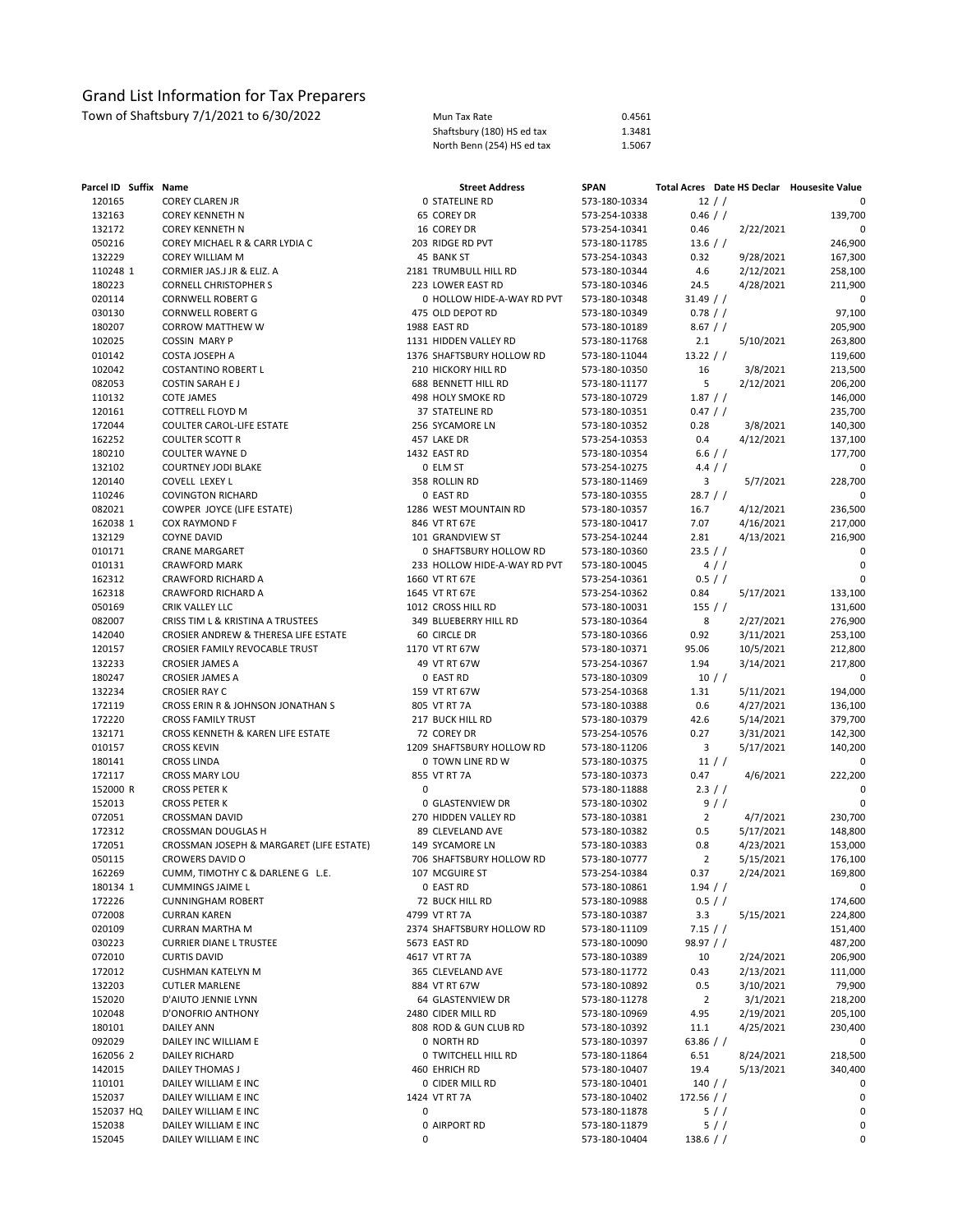Town of Shaftsbury 7/1/2021 to 6/30/2022 Mun Tax Rate 0.4561 Mun Tax Rate 0.4561 Shaftsbury (180) HS ed tax 1.3481<br>North Benn (254) HS ed tax 1.5067 North Benn (254) HS ed tax

| Parcel ID Suffix Name |                                          |   | <b>Street Address</b>                       | <b>SPAN</b>                    |                     |           | Total Acres Date HS Declar Housesite Value |
|-----------------------|------------------------------------------|---|---------------------------------------------|--------------------------------|---------------------|-----------|--------------------------------------------|
| 120165                | <b>COREY CLAREN JR</b>                   |   | <b>0 STATELINE RD</b>                       | 573-180-10334                  | 12 / /              |           | 0                                          |
| 132163                | <b>COREY KENNETH N</b>                   |   | 65 COREY DR                                 | 573-254-10338                  | $0.46$ / /          |           | 139,700                                    |
| 132172                | <b>COREY KENNETH N</b>                   |   | 16 COREY DR                                 | 573-254-10341                  | 0.46                | 2/22/2021 | 0                                          |
| 050216                | COREY MICHAEL R & CARR LYDIA C           |   | 203 RIDGE RD PVT                            | 573-180-11785                  | 13.6 / /            |           | 246,900                                    |
| 132229                | <b>COREY WILLIAM M</b>                   |   | 45 BANK ST                                  | 573-254-10343                  | 0.32                | 9/28/2021 | 167,300                                    |
| 110248 1              | CORMIER JAS.J JR & ELIZ. A               |   | 2181 TRUMBULL HILL RD                       | 573-180-10344                  | 4.6                 | 2/12/2021 | 258,100                                    |
| 180223                | <b>CORNELL CHRISTOPHER S</b>             |   | 223 LOWER EAST RD                           | 573-180-10346                  | 24.5                | 4/28/2021 | 211,900                                    |
| 020114                | <b>CORNWELL ROBERT G</b>                 |   | 0 HOLLOW HIDE-A-WAY RD PVT                  | 573-180-10348                  | $31.49$ / /         |           | 0                                          |
| 030130                | <b>CORNWELL ROBERT G</b>                 |   | 475 OLD DEPOT RD                            | 573-180-10349                  | $0.78$ / /          |           | 97,100                                     |
| 180207                | <b>CORROW MATTHEW W</b>                  |   | 1988 EAST RD                                | 573-180-10189                  | $8.67$ / /          |           | 205,900                                    |
| 102025                | <b>COSSIN MARY P</b>                     |   | 1131 HIDDEN VALLEY RD                       | 573-180-11768                  | 2.1                 | 5/10/2021 | 263,800                                    |
| 010142                | COSTA JOSEPH A                           |   | 1376 SHAFTSBURY HOLLOW RD                   | 573-180-11044                  | 13.22 / /           |           | 119,600                                    |
| 102042                | COSTANTINO ROBERT L                      |   | 210 HICKORY HILL RD                         | 573-180-10350                  | 16                  | 3/8/2021  | 213,500                                    |
| 082053                | <b>COSTIN SARAH E J</b>                  |   | 688 BENNETT HILL RD                         | 573-180-11177                  | 5                   | 2/12/2021 | 206,200                                    |
| 110132                | <b>COTE JAMES</b>                        |   | 498 HOLY SMOKE RD                           | 573-180-10729                  | 1.87 / /            |           | 146,000                                    |
| 120161                | COTTRELL FLOYD M                         |   | <b>37 STATELINE RD</b>                      | 573-180-10351                  | 0.47 / /            |           | 235,700                                    |
| 172044                | COULTER CAROL-LIFE ESTATE                |   | 256 SYCAMORE LN                             | 573-180-10352                  | 0.28                | 3/8/2021  | 140,300                                    |
| 162252                | <b>COULTER SCOTT R</b>                   |   | 457 LAKE DR                                 | 573-254-10353                  | 0.4                 | 4/12/2021 | 137,100                                    |
| 180210                | COULTER WAYNE D                          |   | 1432 EAST RD                                | 573-180-10354                  | 6.6 / /             |           | 177,700                                    |
| 132102                | <b>COURTNEY JODI BLAKE</b>               |   | 0 ELM ST                                    | 573-254-10275                  | 4.4 / /             |           | 0                                          |
| 120140                | COVELL LEXEY L                           |   | 358 ROLLIN RD                               | 573-180-11469                  | 3                   | 5/7/2021  | 228,700                                    |
| 110246                | <b>COVINGTON RICHARD</b>                 |   | 0 EAST RD                                   | 573-180-10355                  | 28.7 / /            |           | 0                                          |
| 082021                | COWPER JOYCE (LIFE ESTATE)               |   | 1286 WEST MOUNTAIN RD                       | 573-180-10357                  | 16.7                | 4/12/2021 | 236,500                                    |
| 162038 1              | COX RAYMOND F                            |   | 846 VT RT 67E                               | 573-180-10417                  | 7.07                | 4/16/2021 | 217,000                                    |
| 132129                | <b>COYNE DAVID</b>                       |   | 101 GRANDVIEW ST                            | 573-254-10244                  | 2.81                | 4/13/2021 | 216,900                                    |
| 010171                | <b>CRANE MARGARET</b>                    |   | 0 SHAFTSBURY HOLLOW RD                      | 573-180-10360                  | 23.5 / /            |           | 0                                          |
| 010131                | <b>CRAWFORD MARK</b>                     |   | 233 HOLLOW HIDE-A-WAY RD PVT                | 573-180-10045                  | 4/                  |           | $\mathbf 0$                                |
| 162312                | CRAWFORD RICHARD A                       |   | 1660 VT RT 67E                              | 573-254-10361                  | 0.5 / /             |           |                                            |
| 162318                | CRAWFORD RICHARD A                       |   | 1645 VT RT 67E                              | 573-254-10362                  | 0.84                | 5/17/2021 | 133,100                                    |
| 050169                | CRIK VALLEY LLC                          |   | 1012 CROSS HILL RD                          | 573-180-10031                  | 155 / /             |           | 131,600                                    |
| 082007                | CRISS TIM L & KRISTINA A TRUSTEES        |   | 349 BLUEBERRY HILL RD                       | 573-180-10364                  | 8                   | 2/27/2021 | 276,900                                    |
| 142040                | CROSIER ANDREW & THERESA LIFE ESTATE     |   | 60 CIRCLE DR                                | 573-180-10366                  | 0.92                | 3/11/2021 | 253,100                                    |
| 120157                | <b>CROSIER FAMILY REVOCABLE TRUST</b>    |   | 1170 VT RT 67W                              | 573-180-10371                  | 95.06               | 10/5/2021 | 212,800                                    |
| 132233                | <b>CROSIER JAMES A</b>                   |   | 49 VT RT 67W                                | 573-254-10367                  | 1.94                | 3/14/2021 | 217,800                                    |
| 180247                | <b>CROSIER JAMES A</b>                   |   | 0 EAST RD                                   | 573-180-10309                  | $10$ / $/$          |           | 0                                          |
| 132234                | <b>CROSIER RAY C</b>                     |   | 159 VT RT 67W                               | 573-254-10368                  | 1.31                | 5/11/2021 | 194,000                                    |
| 172119                | CROSS ERIN R & JOHNSON JONATHAN S        |   | 805 VT RT 7A                                | 573-180-10388                  | 0.6                 | 4/27/2021 | 136,100                                    |
| 172220                | <b>CROSS FAMILY TRUST</b>                |   | 217 BUCK HILL RD                            | 573-180-10379                  | 42.6                | 5/14/2021 | 379,700                                    |
| 132171                | CROSS KENNETH & KAREN LIFE ESTATE        |   | 72 COREY DR                                 | 573-254-10576                  | 0.27                | 3/31/2021 | 142,300                                    |
| 010157                | <b>CROSS KEVIN</b>                       |   | 1209 SHAFTSBURY HOLLOW RD                   | 573-180-11206                  | 3                   | 5/17/2021 | 140,200                                    |
| 180141                | <b>CROSS LINDA</b>                       |   | 0 TOWN LINE RD W                            | 573-180-10375                  | $11$ / $/$          |           | $\mathbf 0$                                |
| 172117                | CROSS MARY LOU                           |   | 855 VT RT 7A                                | 573-180-10373                  | 0.47                | 4/6/2021  | 222,200                                    |
| 152000 R              | <b>CROSS PETER K</b>                     | 0 |                                             | 573-180-11888                  | 2.3 / /             |           | $\mathbf 0$                                |
| 152013                | <b>CROSS PETER K</b>                     |   | 0 GLASTENVIEW DR                            | 573-180-10302                  |                     | 9/        |                                            |
| 072051                | <b>CROSSMAN DAVID</b>                    |   | 270 HIDDEN VALLEY RD                        | 573-180-10381                  | $\overline{2}$      | 4/7/2021  | 230,700                                    |
| 172312                | <b>CROSSMAN DOUGLAS H</b>                |   | 89 CLEVELAND AVE                            | 573-180-10382                  | 0.5                 | 5/17/2021 | 148,800                                    |
| 172051                | CROSSMAN JOSEPH & MARGARET (LIFE ESTATE) |   | 149 SYCAMORE LN                             | 573-180-10383                  | 0.8                 | 4/23/2021 | 153,000                                    |
| 050115                | <b>CROWERS DAVID O</b>                   |   | 706 SHAFTSBURY HOLLOW RD                    | 573-180-10777                  | $\overline{2}$      | 5/15/2021 | 176,100                                    |
| 162269                | CUMM, TIMOTHY C & DARLENE G L.E.         |   | 107 MCGUIRE ST                              | 573-254-10384                  | 0.37                | 2/24/2021 | 169,800                                    |
| 180134 1              | <b>CUMMINGS JAIME L</b>                  |   | 0 EAST RD                                   | 573-180-10861                  | $1.94$ / /          |           |                                            |
| 172226                | <b>CUNNINGHAM ROBERT</b>                 |   | 72 BUCK HILL RD                             | 573-180-10988                  | 0.5 / /             |           | 174,600                                    |
| 072008                | <b>CURRAN KAREN</b>                      |   | 4799 VT RT 7A                               | 573-180-10387                  | 3.3                 | 5/15/2021 | 224,800                                    |
| 020109                | <b>CURRAN MARTHA M</b>                   |   | 2374 SHAFTSBURY HOLLOW RD                   | 573-180-11109                  | 7.15 / /            |           | 151,400                                    |
| 030223                | <b>CURRIER DIANE L TRUSTEE</b>           |   | 5673 EAST RD                                | 573-180-10090                  | 98.97 / /           |           | 487,200                                    |
| 072010                | <b>CURTIS DAVID</b>                      |   | 4617 VT RT 7A                               | 573-180-10389                  | 10                  | 2/24/2021 | 206,900                                    |
| 172012                | CUSHMAN KATELYN M                        |   | 365 CLEVELAND AVE                           | 573-180-11772                  | 0.43                | 2/13/2021 | 111,000                                    |
| 132203                | <b>CUTLER MARLENE</b>                    |   | 884 VT RT 67W                               | 573-180-10892                  | 0.5                 | 3/10/2021 | 79,900                                     |
| 152020                | D'AIUTO JENNIE LYNN                      |   | 64 GLASTENVIEW DR                           | 573-180-11278                  | $\overline{2}$      | 3/1/2021  | 218,200                                    |
| 102048                | D'ONOFRIO ANTHONY                        |   | 2480 CIDER MILL RD                          | 573-180-10969                  | 4.95                | 2/19/2021 | 205,100                                    |
| 180101<br>092029      | <b>DAILEY ANN</b>                        |   | 808 ROD & GUN CLUB RD                       | 573-180-10392                  | 11.1<br>63.86 $/$ / | 4/25/2021 | 230,400                                    |
| 162056 2              | DAILEY INC WILLIAM E<br>DAILEY RICHARD   |   | 0 NORTH RD                                  | 573-180-10397                  |                     |           | 0<br>218,500                               |
| 142015                |                                          |   | <b>0 TWITCHELL HILL RD</b><br>460 EHRICH RD | 573-180-11864                  | 6.51<br>19.4        | 8/24/2021 |                                            |
| 110101                | DAILEY THOMAS J<br>DAILEY WILLIAM E INC  |   | 0 CIDER MILL RD                             | 573-180-10407<br>573-180-10401 | 140 / /             | 5/13/2021 | 340,400<br>0                               |
| 152037                | DAILEY WILLIAM E INC                     |   | 1424 VT RT 7A                               | 573-180-10402                  | 172.56 / /          |           | 0                                          |
| 152037 HQ             | DAILEY WILLIAM E INC                     | 0 |                                             | 573-180-11878                  | 5/                  |           | 0                                          |
| 152038                | DAILEY WILLIAM E INC                     |   | 0 AIRPORT RD                                | 573-180-11879                  | 5/                  |           | 0                                          |
| 152045                | DAILEY WILLIAM E INC                     | 0 |                                             | 573-180-10404                  | $138.6$ / /         |           | 0                                          |
|                       |                                          |   |                                             |                                |                     |           |                                            |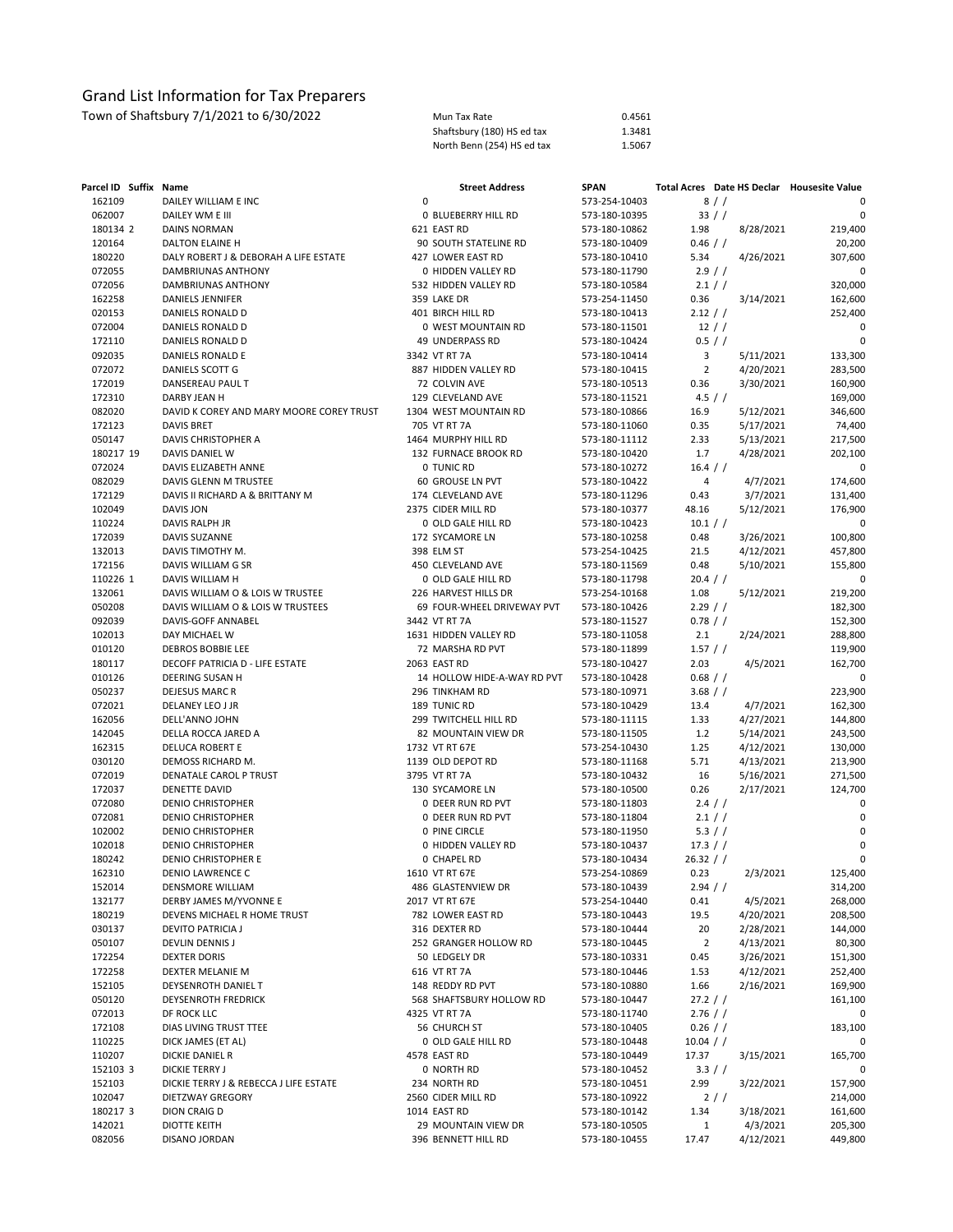| Mun Tax Rate               | 0.4561 |
|----------------------------|--------|
| Shaftsbury (180) HS ed tax | 1.3481 |
| North Benn (254) HS ed tax | 1.5067 |

| Parcel ID Suffix Name |                                          |   | <b>Street Address</b>                 | <b>SPAN</b>                    |                |                        | Total Acres Date HS Declar Housesite Value |
|-----------------------|------------------------------------------|---|---------------------------------------|--------------------------------|----------------|------------------------|--------------------------------------------|
| 162109                | DAILEY WILLIAM E INC                     | 0 |                                       | 573-254-10403                  |                | 8//                    | 0                                          |
| 062007                | DAILEY WM E III                          |   | <b>0 BLUEBERRY HILL RD</b>            | 573-180-10395                  |                | 33 / /                 | 0                                          |
| 180134 2              | <b>DAINS NORMAN</b>                      |   | 621 EAST RD                           | 573-180-10862                  | 1.98           | 8/28/2021              | 219,400                                    |
| 120164                | DALTON ELAINE H                          |   | 90 SOUTH STATELINE RD                 | 573-180-10409                  | $0.46$ / /     |                        | 20,200                                     |
| 180220                | DALY ROBERT J & DEBORAH A LIFE ESTATE    |   | 427 LOWER EAST RD                     | 573-180-10410                  | 5.34           | 4/26/2021              | 307,600                                    |
| 072055                | DAMBRIUNAS ANTHONY                       |   | 0 HIDDEN VALLEY RD                    | 573-180-11790                  |                | 2.9/                   | $\mathbf 0$                                |
| 072056                | DAMBRIUNAS ANTHONY                       |   | 532 HIDDEN VALLEY RD                  | 573-180-10584                  |                | 2.1 / /                | 320,000                                    |
| 162258                | DANIELS JENNIFER                         |   | 359 LAKE DR                           | 573-254-11450                  | 0.36           | 3/14/2021              | 162,600                                    |
| 020153                | DANIELS RONALD D                         |   | 401 BIRCH HILL RD                     | 573-180-10413                  | 2.12 / /       |                        | 252,400                                    |
| 072004                | DANIELS RONALD D                         |   | 0 WEST MOUNTAIN RD                    | 573-180-11501                  |                | 12 / /                 | 0                                          |
| 172110                | DANIELS RONALD D                         |   | 49 UNDERPASS RD                       | 573-180-10424                  |                | 0.5 / /                | 0                                          |
| 092035                | DANIELS RONALD E                         |   | 3342 VT RT 7A                         | 573-180-10414                  | 3              | 5/11/2021              | 133,300                                    |
| 072072                | DANIELS SCOTT G                          |   | 887 HIDDEN VALLEY RD                  | 573-180-10415                  | $\overline{2}$ | 4/20/2021              | 283,500                                    |
| 172019                | DANSEREAU PAUL T                         |   | 72 COLVIN AVE                         | 573-180-10513                  | 0.36           | 3/30/2021              | 160,900                                    |
| 172310                | DARBY JEAN H                             |   | 129 CLEVELAND AVE                     | 573-180-11521                  |                | 4.5 $/$                | 169,000                                    |
| 082020                | DAVID K COREY AND MARY MOORE COREY TRUST |   | 1304 WEST MOUNTAIN RD                 | 573-180-10866                  | 16.9           | 5/12/2021              | 346,600                                    |
| 172123                | <b>DAVIS BRET</b>                        |   | 705 VT RT 7A                          | 573-180-11060                  | 0.35           | 5/17/2021              | 74,400                                     |
| 050147                | DAVIS CHRISTOPHER A                      |   | 1464 MURPHY HILL RD                   | 573-180-11112                  | 2.33           | 5/13/2021              | 217,500                                    |
| 180217 19             | DAVIS DANIEL W                           |   | 132 FURNACE BROOK RD                  | 573-180-10420                  | 1.7            | 4/28/2021              | 202,100                                    |
| 072024                | DAVIS ELIZABETH ANNE                     |   | 0 TUNIC RD                            | 573-180-10272                  | 16.4 / /       |                        | 0                                          |
| 082029                | DAVIS GLENN M TRUSTEE                    |   | 60 GROUSE LN PVT                      | 573-180-10422                  | 4              | 4/7/2021               | 174,600                                    |
| 172129                | DAVIS II RICHARD A & BRITTANY M          |   | 174 CLEVELAND AVE                     | 573-180-11296                  | 0.43           | 3/7/2021               | 131,400                                    |
| 102049                | DAVIS JON                                |   | 2375 CIDER MILL RD                    | 573-180-10377                  | 48.16          | 5/12/2021              | 176,900                                    |
| 110224                | DAVIS RALPH JR                           |   | 0 OLD GALE HILL RD                    | 573-180-10423                  | 10.1 / /       |                        | 0                                          |
| 172039                | DAVIS SUZANNE                            |   | 172 SYCAMORE LN                       | 573-180-10258                  | 0.48           | 3/26/2021              | 100,800                                    |
| 132013                | DAVIS TIMOTHY M.                         |   | 398 ELM ST                            | 573-254-10425                  | 21.5           | 4/12/2021              | 457,800                                    |
| 172156                | DAVIS WILLIAM G SR                       |   | 450 CLEVELAND AVE                     | 573-180-11569                  | 0.48           | 5/10/2021              | 155,800                                    |
| 110226 1              | DAVIS WILLIAM H                          |   | 0 OLD GALE HILL RD                    | 573-180-11798                  | 20.4 / /       |                        | 0                                          |
| 132061                | DAVIS WILLIAM O & LOIS W TRUSTEE         |   | 226 HARVEST HILLS DR                  | 573-254-10168                  | 1.08           | 5/12/2021              | 219,200                                    |
| 050208                | DAVIS WILLIAM O & LOIS W TRUSTEES        |   | 69 FOUR-WHEEL DRIVEWAY PVT            | 573-180-10426                  | $2.29$ / /     |                        | 182,300                                    |
| 092039                | DAVIS-GOFF ANNABEL                       |   | 3442 VT RT 7A                         | 573-180-11527                  | 0.78 / /       |                        | 152,300                                    |
| 102013                | DAY MICHAEL W                            |   | 1631 HIDDEN VALLEY RD                 | 573-180-11058                  | 2.1            | 2/24/2021              | 288,800                                    |
| 010120                | DEBROS BOBBIE LEE                        |   | 72 MARSHA RD PVT                      | 573-180-11899                  | 1.57 / /       |                        | 119,900                                    |
| 180117                | DECOFF PATRICIA D - LIFE ESTATE          |   | 2063 EAST RD                          | 573-180-10427                  | 2.03           | 4/5/2021               | 162,700                                    |
| 010126                | DEERING SUSAN H                          |   | 14 HOLLOW HIDE-A-WAY RD PVT           | 573-180-10428                  | $0.68$ / /     |                        | 0                                          |
| 050237                | DEJESUS MARC R                           |   | 296 TINKHAM RD                        | 573-180-10971                  | $3.68$ / /     |                        | 223,900                                    |
| 072021                | DELANEY LEO J JR                         |   | 189 TUNIC RD                          | 573-180-10429                  | 13.4           | 4/7/2021               | 162,300                                    |
| 162056                | DELL'ANNO JOHN                           |   | 299 TWITCHELL HILL RD                 | 573-180-11115                  | 1.33           | 4/27/2021              | 144,800                                    |
| 142045                | DELLA ROCCA JARED A                      |   | 82 MOUNTAIN VIEW DR<br>1732 VT RT 67E | 573-180-11505                  | 1.2            | 5/14/2021              | 243,500                                    |
| 162315<br>030120      | DELUCA ROBERT E<br>DEMOSS RICHARD M.     |   | 1139 OLD DEPOT RD                     | 573-254-10430<br>573-180-11168 | 1.25<br>5.71   | 4/12/2021<br>4/13/2021 | 130,000<br>213,900                         |
| 072019                | DENATALE CAROL P TRUST                   |   | 3795 VT RT 7A                         | 573-180-10432                  | 16             | 5/16/2021              | 271,500                                    |
| 172037                | DENETTE DAVID                            |   | 130 SYCAMORE LN                       | 573-180-10500                  | 0.26           | 2/17/2021              | 124,700                                    |
| 072080                | <b>DENIO CHRISTOPHER</b>                 |   | 0 DEER RUN RD PVT                     | 573-180-11803                  |                | 2.4 / /                | 0                                          |
| 072081                | <b>DENIO CHRISTOPHER</b>                 |   | 0 DEER RUN RD PVT                     | 573-180-11804                  |                | 2.1 / /                | 0                                          |
| 102002                | <b>DENIO CHRISTOPHER</b>                 |   | 0 PINE CIRCLE                         | 573-180-11950                  |                | 5.3 / /                | 0                                          |
| 102018                | <b>DENIO CHRISTOPHER</b>                 |   | 0 HIDDEN VALLEY RD                    | 573-180-10437                  | 17.3 / /       |                        | $\mathbf 0$                                |
| 180242                | DENIO CHRISTOPHER E                      |   | <b>0 CHAPEL RD</b>                    | 573-180-10434                  | 26.32 / /      |                        | $\mathbf 0$                                |
| 162310                | DENIO LAWRENCE C                         |   | 1610 VT RT 67E                        | 573-254-10869                  | 0.23           | 2/3/2021               | 125,400                                    |
| 152014                | DENSMORE WILLIAM                         |   | 486 GLASTENVIEW DR                    | 573-180-10439                  | 2.94 / /       |                        | 314,200                                    |
| 132177                | DERBY JAMES M/YVONNE E                   |   | 2017 VT RT 67E                        | 573-254-10440                  | 0.41           | 4/5/2021               | 268,000                                    |
| 180219                | DEVENS MICHAEL R HOME TRUST              |   | 782 LOWER EAST RD                     | 573-180-10443                  | 19.5           | 4/20/2021              | 208,500                                    |
| 030137                | DEVITO PATRICIA J                        |   | 316 DEXTER RD                         | 573-180-10444                  | 20             | 2/28/2021              | 144,000                                    |
| 050107                | DEVLIN DENNIS J                          |   | 252 GRANGER HOLLOW RD                 | 573-180-10445                  | $\overline{2}$ | 4/13/2021              | 80,300                                     |
| 172254                | <b>DEXTER DORIS</b>                      |   | 50 LEDGELY DR                         | 573-180-10331                  | 0.45           | 3/26/2021              | 151,300                                    |
| 172258                | DEXTER MELANIE M                         |   | 616 VT RT 7A                          | 573-180-10446                  | 1.53           | 4/12/2021              | 252,400                                    |
| 152105                | DEYSENROTH DANIEL T                      |   | 148 REDDY RD PVT                      | 573-180-10880                  | 1.66           | 2/16/2021              | 169,900                                    |
| 050120                | DEYSENROTH FREDRICK                      |   | 568 SHAFTSBURY HOLLOW RD              | 573-180-10447                  | 27.2 / /       |                        | 161,100                                    |
| 072013                | DF ROCK LLC                              |   | 4325 VT RT 7A                         | 573-180-11740                  | $2.76$ / /     |                        | 0                                          |
| 172108                | DIAS LIVING TRUST TTEE                   |   | 56 CHURCH ST                          | 573-180-10405                  | $0.26$ / /     |                        | 183,100                                    |
| 110225                | DICK JAMES (ET AL)                       |   | 0 OLD GALE HILL RD                    | 573-180-10448                  | $10.04$ / /    |                        |                                            |
| 110207                | DICKIE DANIEL R                          |   | 4578 EAST RD                          | 573-180-10449                  | 17.37          | 3/15/2021              | 165,700                                    |
| 152103 3              | DICKIE TERRY J                           |   | 0 NORTH RD                            | 573-180-10452                  |                | 3.3 / /                | 0                                          |
| 152103                | DICKIE TERRY J & REBECCA J LIFE ESTATE   |   | 234 NORTH RD                          | 573-180-10451                  | 2.99           | 3/22/2021              | 157,900                                    |
| 102047                | DIETZWAY GREGORY                         |   | 2560 CIDER MILL RD                    | 573-180-10922                  |                | 2//                    | 214,000                                    |
| 180217 3              | <b>DION CRAIG D</b>                      |   | 1014 EAST RD                          | 573-180-10142                  | 1.34           | 3/18/2021              | 161,600                                    |
| 142021                | <b>DIOTTE KEITH</b>                      |   | 29 MOUNTAIN VIEW DR                   | 573-180-10505                  | 1              | 4/3/2021               | 205,300                                    |
| 082056                | DISANO JORDAN                            |   | 396 BENNETT HILL RD                   | 573-180-10455                  | 17.47          | 4/12/2021              | 449,800                                    |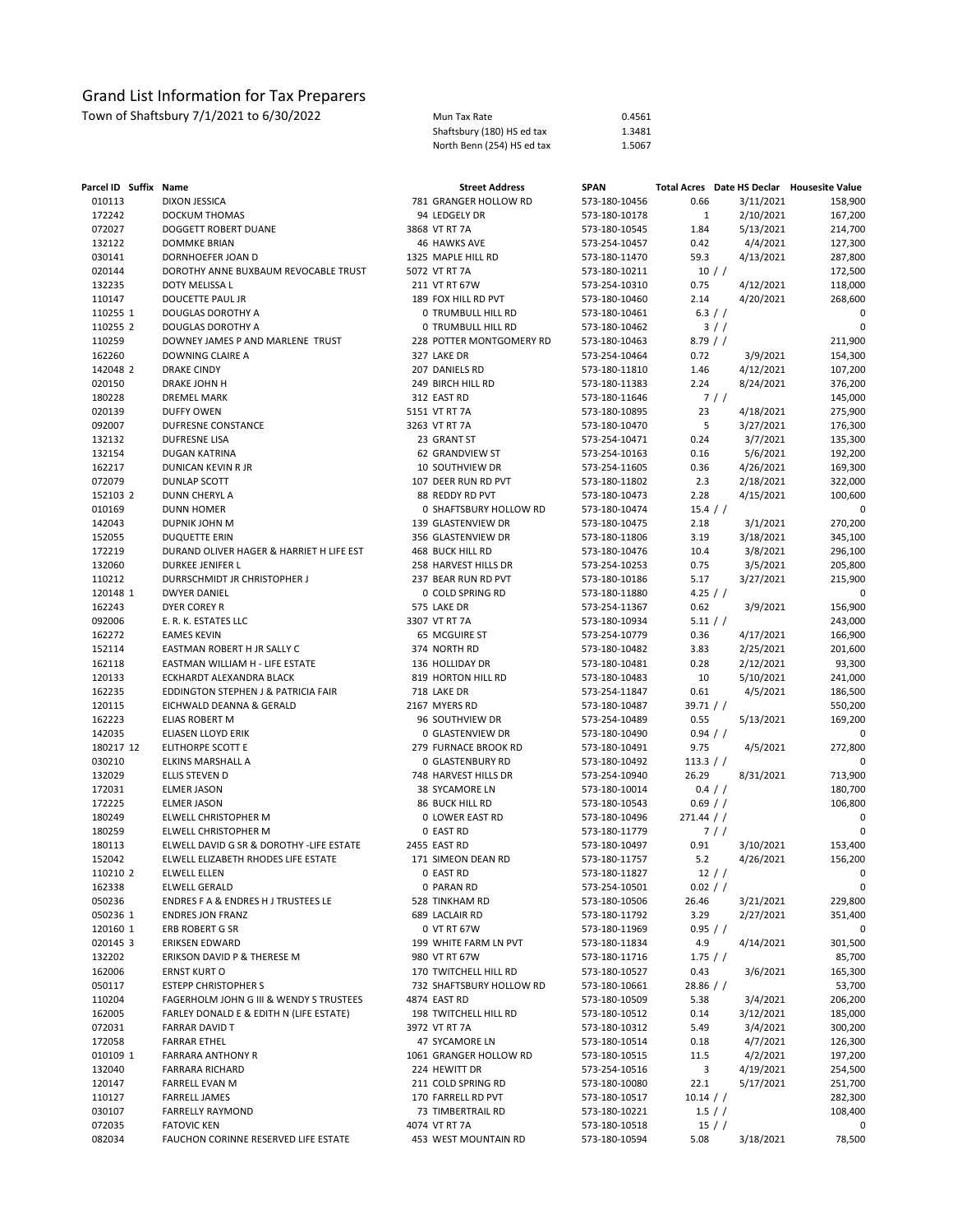| Parcel ID Suffix Name |                                          | <b>Street Address</b>    | <b>SPAN</b>   |              |            | Total Acres Date HS Declar Housesite Value |
|-----------------------|------------------------------------------|--------------------------|---------------|--------------|------------|--------------------------------------------|
| 010113                | <b>DIXON JESSICA</b>                     | 781 GRANGER HOLLOW RD    | 573-180-10456 | 0.66         | 3/11/2021  | 158,900                                    |
| 172242                | DOCKUM THOMAS                            | 94 LEDGELY DR            | 573-180-10178 | $\mathbf{1}$ | 2/10/2021  | 167,200                                    |
| 072027                | DOGGETT ROBERT DUANE                     | 3868 VT RT 7A            | 573-180-10545 | 1.84         | 5/13/2021  | 214,700                                    |
| 132122                | <b>DOMMKE BRIAN</b>                      | <b>46 HAWKS AVE</b>      | 573-254-10457 | 0.42         | 4/4/2021   | 127,300                                    |
| 030141                | DORNHOEFER JOAN D                        | 1325 MAPLE HILL RD       | 573-180-11470 | 59.3         | 4/13/2021  | 287,800                                    |
| 020144                | DOROTHY ANNE BUXBAUM REVOCABLE TRUST     | 5072 VT RT 7A            | 573-180-10211 |              | $10$ / $/$ | 172,500                                    |
| 132235                | DOTY MELISSA L                           | 211 VT RT 67W            | 573-254-10310 | 0.75         | 4/12/2021  | 118,000                                    |
| 110147                | DOUCETTE PAUL JR                         | 189 FOX HILL RD PVT      | 573-180-10460 | 2.14         | 4/20/2021  | 268,600                                    |
| 110255 1              | DOUGLAS DOROTHY A                        | 0 TRUMBULL HILL RD       | 573-180-10461 |              | 6.3 / /    | 0                                          |
| 110255 2              | DOUGLAS DOROTHY A                        | 0 TRUMBULL HILL RD       | 573-180-10462 |              | $3$ / $/$  | 0                                          |
| 110259                | DOWNEY JAMES P AND MARLENE TRUST         | 228 POTTER MONTGOMERY RD | 573-180-10463 | 8.79/        |            | 211,900                                    |
| 162260                | DOWNING CLAIRE A                         | 327 LAKE DR              | 573-254-10464 | 0.72         | 3/9/2021   | 154,300                                    |
| 142048 2              | <b>DRAKE CINDY</b>                       | 207 DANIELS RD           | 573-180-11810 | 1.46         | 4/12/2021  | 107,200                                    |
| 020150                | DRAKE JOHN H                             | 249 BIRCH HILL RD        | 573-180-11383 | 2.24         | 8/24/2021  | 376,200                                    |
| 180228                | <b>DREMEL MARK</b>                       | 312 EAST RD              | 573-180-11646 |              | 7/         | 145,000                                    |
| 020139                | <b>DUFFY OWEN</b>                        | 5151 VT RT 7A            | 573-180-10895 | 23           | 4/18/2021  | 275,900                                    |
| 092007                | DUFRESNE CONSTANCE                       | 3263 VT RT 7A            | 573-180-10470 | 5            | 3/27/2021  | 176,300                                    |
| 132132                | DUFRESNE LISA                            | 23 GRANT ST              | 573-254-10471 | 0.24         | 3/7/2021   | 135,300                                    |
| 132154                | DUGAN KATRINA                            | 62 GRANDVIEW ST          | 573-254-10163 | 0.16         | 5/6/2021   | 192,200                                    |
| 162217                | DUNICAN KEVIN R JR                       | 10 SOUTHVIEW DR          | 573-254-11605 | 0.36         | 4/26/2021  | 169,300                                    |
| 072079                | <b>DUNLAP SCOTT</b>                      | 107 DEER RUN RD PVT      | 573-180-11802 | 2.3          | 2/18/2021  | 322,000                                    |
| 152103 2              | DUNN CHERYL A                            | 88 REDDY RD PVT          | 573-180-10473 | 2.28         | 4/15/2021  | 100,600                                    |
| 010169                | <b>DUNN HOMER</b>                        | 0 SHAFTSBURY HOLLOW RD   | 573-180-10474 | 15.4 / /     |            | 0                                          |
| 142043                | DUPNIK JOHN M                            | 139 GLASTENVIEW DR       | 573-180-10475 | 2.18         | 3/1/2021   | 270,200                                    |
| 152055                | <b>DUQUETTE ERIN</b>                     | 356 GLASTENVIEW DR       | 573-180-11806 | 3.19         | 3/18/2021  | 345,100                                    |
| 172219                | DURAND OLIVER HAGER & HARRIET H LIFE EST | <b>468 BUCK HILL RD</b>  | 573-180-10476 | 10.4         | 3/8/2021   | 296,100                                    |
| 132060                | DURKEE JENIFER L                         | 258 HARVEST HILLS DR     | 573-254-10253 | 0.75         | 3/5/2021   | 205,800                                    |
| 110212                | DURRSCHMIDT JR CHRISTOPHER J             | 237 BEAR RUN RD PVT      | 573-180-10186 | 5.17         | 3/27/2021  | 215,900                                    |
| 120148 1              | <b>DWYER DANIEL</b>                      | 0 COLD SPRING RD         | 573-180-11880 | 4.25 / /     |            | 0                                          |
| 162243                | DYER COREY R                             | 575 LAKE DR              | 573-254-11367 | 0.62         | 3/9/2021   | 156,900                                    |
| 092006                | E. R. K. ESTATES LLC                     | 3307 VT RT 7A            | 573-180-10934 | 5.11 / /     |            | 243,000                                    |
| 162272                | <b>EAMES KEVIN</b>                       | 65 MCGUIRE ST            | 573-254-10779 | 0.36         | 4/17/2021  | 166,900                                    |
| 152114                | EASTMAN ROBERT H JR SALLY C              | 374 NORTH RD             | 573-180-10482 | 3.83         | 2/25/2021  | 201,600                                    |
| 162118                | EASTMAN WILLIAM H - LIFE ESTATE          | 136 HOLLIDAY DR          | 573-180-10481 | 0.28         | 2/12/2021  | 93,300                                     |
| 120133                | ECKHARDT ALEXANDRA BLACK                 | 819 HORTON HILL RD       | 573-180-10483 | 10           | 5/10/2021  | 241,000                                    |
| 162235                | EDDINGTON STEPHEN J & PATRICIA FAIR      | 718 LAKE DR              | 573-254-11847 | 0.61         | 4/5/2021   | 186,500                                    |
| 120115                | EICHWALD DEANNA & GERALD                 | 2167 MYERS RD            | 573-180-10487 | 39.71 / /    |            | 550,200                                    |
| 162223                | ELIAS ROBERT M                           | 96 SOUTHVIEW DR          | 573-254-10489 | 0.55         | 5/13/2021  | 169,200                                    |
| 142035                | ELIASEN LLOYD ERIK                       | 0 GLASTENVIEW DR         | 573-180-10490 | 0.94 / /     |            |                                            |
| 180217 12             | ELITHORPE SCOTT E                        | 279 FURNACE BROOK RD     | 573-180-10491 | 9.75         | 4/5/2021   | 272,800                                    |
| 030210                | ELKINS MARSHALL A                        | 0 GLASTENBURY RD         | 573-180-10492 | 113.3 / /    |            | 0                                          |
| 132029                | ELLIS STEVEN D                           | 748 HARVEST HILLS DR     | 573-254-10940 | 26.29        | 8/31/2021  | 713,900                                    |
| 172031                | <b>ELMER JASON</b>                       | 38 SYCAMORE LN           | 573-180-10014 |              | 0.4 / /    | 180,700                                    |
| 172225                | <b>ELMER JASON</b>                       | 86 BUCK HILL RD          | 573-180-10543 | $0.69$ / /   |            | 106,800                                    |
| 180249                | ELWELL CHRISTOPHER M                     | 0 LOWER EAST RD          | 573-180-10496 | $271.44$ / / |            | 0                                          |
| 180259                | ELWELL CHRISTOPHER M                     | 0 EAST RD                | 573-180-11779 |              | 7/         | $\mathbf 0$                                |
| 180113                | ELWELL DAVID G SR & DOROTHY -LIFE ESTATE | 2455 EAST RD             | 573-180-10497 | 0.91         | 3/10/2021  | 153,400                                    |
| 152042                | ELWELL ELIZABETH RHODES LIFE ESTATE      | 171 SIMEON DEAN RD       | 573-180-11757 | 5.2          | 4/26/2021  | 156,200                                    |
| 110210 2              | ELWELL ELLEN                             | 0 EAST RD                | 573-180-11827 |              | 12 //      | 0                                          |
| 162338                | <b>ELWELL GERALD</b>                     | 0 PARAN RD               | 573-254-10501 | 0.02 / /     |            | 0                                          |
| 050236                | ENDRES F A & ENDRES H J TRUSTEES LE      | 528 TINKHAM RD           | 573-180-10506 | 26.46        | 3/21/2021  | 229,800                                    |
| 050236 1              | <b>ENDRES JON FRANZ</b>                  | 689 LACLAIR RD           | 573-180-11792 | 3.29         | 2/27/2021  | 351,400                                    |
| 120160 1              | ERB ROBERT G SR                          | 0 VT RT 67W              | 573-180-11969 | 0.95 / /     |            | 0                                          |
| 020145 3              | ERIKSEN EDWARD                           | 199 WHITE FARM LN PVT    | 573-180-11834 | 4.9          | 4/14/2021  | 301,500                                    |
| 132202                | ERIKSON DAVID P & THERESE M              | 980 VT RT 67W            | 573-180-11716 | 1.75/        |            | 85,700                                     |
| 162006                | <b>ERNST KURT O</b>                      | 170 TWITCHELL HILL RD    | 573-180-10527 | 0.43         | 3/6/2021   | 165,300                                    |
| 050117                | <b>ESTEPP CHRISTOPHER S</b>              | 732 SHAFTSBURY HOLLOW RD | 573-180-10661 | $28.86$ / /  |            | 53,700                                     |
| 110204                | FAGERHOLM JOHN G III & WENDY S TRUSTEES  | 4874 EAST RD             | 573-180-10509 | 5.38         | 3/4/2021   | 206,200                                    |
| 162005                | FARLEY DONALD E & EDITH N (LIFE ESTATE)  | 198 TWITCHELL HILL RD    | 573-180-10512 | 0.14         | 3/12/2021  | 185,000                                    |
| 072031                | <b>FARRAR DAVID T</b>                    | 3972 VT RT 7A            | 573-180-10312 | 5.49         | 3/4/2021   | 300,200                                    |
| 172058                | <b>FARRAR ETHEL</b>                      | 47 SYCAMORE LN           | 573-180-10514 | 0.18         | 4/7/2021   | 126,300                                    |
| 010109 1              | <b>FARRARA ANTHONY R</b>                 | 1061 GRANGER HOLLOW RD   | 573-180-10515 | 11.5         | 4/2/2021   | 197,200                                    |
| 132040                | <b>FARRARA RICHARD</b>                   | 224 HEWITT DR            | 573-254-10516 | 3            | 4/19/2021  | 254,500                                    |
| 120147                | <b>FARRELL EVAN M</b>                    | 211 COLD SPRING RD       | 573-180-10080 | 22.1         | 5/17/2021  | 251,700                                    |
| 110127                | <b>FARRELL JAMES</b>                     | 170 FARRELL RD PVT       | 573-180-10517 | $10.14$ / /  |            | 282,300                                    |
| 030107                | <b>FARRELLY RAYMOND</b>                  | 73 TIMBERTRAIL RD        | 573-180-10221 |              | $1.5$ / /  | 108,400                                    |
| 072035                | <b>FATOVIC KEN</b>                       | 4074 VT RT 7A            | 573-180-10518 |              | 15/        | 0                                          |
| 082034                | FAUCHON CORINNE RESERVED LIFE ESTATE     | 453 WEST MOUNTAIN RD     | 573-180-10594 | 5.08         | 3/18/2021  | 78,500                                     |
|                       |                                          |                          |               |              |            |                                            |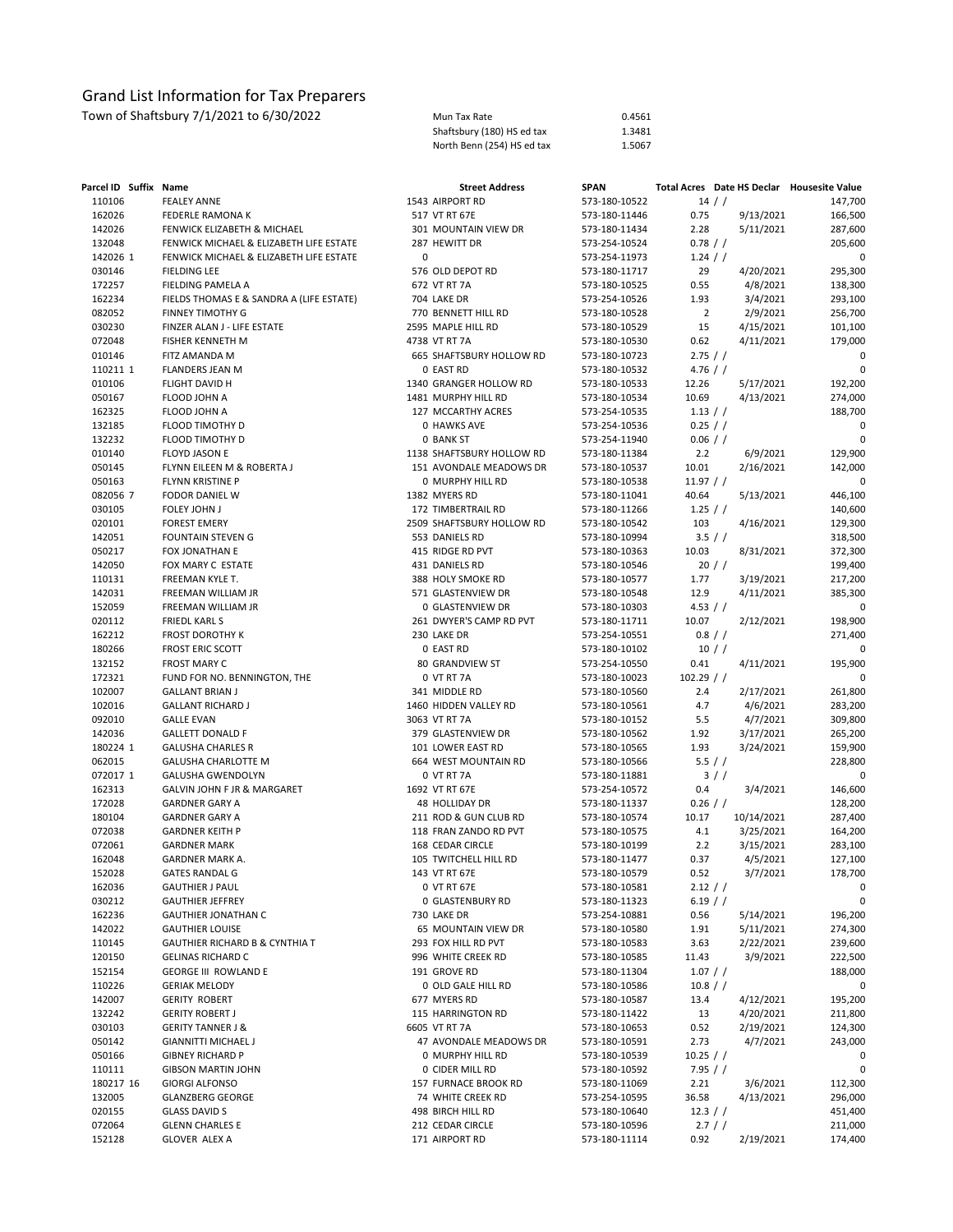Town of Shaftsbury 7/1/2021 to 6/30/2022 Mun Tax Rate 0.4561

Shaftsbury (180) HS ed tax 1.3481<br>North Benn (254) HS ed tax 1.5067 North Benn (254) HS ed tax

| Parcel ID Suffix Name |                                          | <b>Street Address</b>     | <b>SPAN</b>   | Total Acres Date HS Declar Housesite Value |             |
|-----------------------|------------------------------------------|---------------------------|---------------|--------------------------------------------|-------------|
| 110106                | <b>FEALEY ANNE</b>                       | 1543 AIRPORT RD           | 573-180-10522 | 14 //                                      | 147,700     |
| 162026                | FEDERLE RAMONA K                         | 517 VT RT 67E             | 573-180-11446 | 0.75<br>9/13/2021                          | 166,500     |
| 142026                | FENWICK ELIZABETH & MICHAEL              | 301 MOUNTAIN VIEW DR      | 573-180-11434 | 2.28<br>5/11/2021                          | 287,600     |
| 132048                | FENWICK MICHAEL & ELIZABETH LIFE ESTATE  | 287 HEWITT DR             | 573-254-10524 | $0.78$ / /                                 | 205,600     |
| 142026 1              | FENWICK MICHAEL & ELIZABETH LIFE ESTATE  | $\mathbf 0$               | 573-254-11973 | $1.24$ / /                                 | 0           |
| 030146                | <b>FIELDING LEE</b>                      | 576 OLD DEPOT RD          | 573-180-11717 | 29<br>4/20/2021                            | 295,300     |
| 172257                | FIELDING PAMELA A                        | 672 VT RT 7A              | 573-180-10525 | 0.55<br>4/8/2021                           | 138,300     |
| 162234                | FIELDS THOMAS E & SANDRA A (LIFE ESTATE) | 704 LAKE DR               | 573-254-10526 | 1.93<br>3/4/2021                           | 293,100     |
| 082052                | <b>FINNEY TIMOTHY G</b>                  | 770 BENNETT HILL RD       | 573-180-10528 | $\overline{2}$<br>2/9/2021                 | 256,700     |
| 030230                | FINZER ALAN J - LIFE ESTATE              | 2595 MAPLE HILL RD        | 573-180-10529 | 15<br>4/15/2021                            | 101,100     |
| 072048                | FISHER KENNETH M                         | 4738 VT RT 7A             | 573-180-10530 | 0.62<br>4/11/2021                          | 179,000     |
| 010146                | FITZ AMANDA M                            | 665 SHAFTSBURY HOLLOW RD  | 573-180-10723 | 2.75/                                      | 0           |
| 110211 1              | <b>FLANDERS JEAN M</b>                   | 0 EAST RD                 | 573-180-10532 | $4.76$ / /                                 | 0           |
| 010106                | FLIGHT DAVID H                           | 1340 GRANGER HOLLOW RD    | 573-180-10533 | 12.26<br>5/17/2021                         | 192,200     |
| 050167                | FLOOD JOHN A                             | 1481 MURPHY HILL RD       | 573-180-10534 | 10.69<br>4/13/2021                         | 274,000     |
| 162325                | FLOOD JOHN A                             | 127 MCCARTHY ACRES        | 573-254-10535 | 1.13 / /                                   | 188,700     |
| 132185                | FLOOD TIMOTHY D                          | 0 HAWKS AVE               | 573-254-10536 | $0.25$ / /                                 | 0           |
| 132232                | FLOOD TIMOTHY D                          | 0 BANK ST                 | 573-254-11940 | $0.06$ / /                                 | 0           |
| 010140                | FLOYD JASON E                            | 1138 SHAFTSBURY HOLLOW RD | 573-180-11384 | 2.2<br>6/9/2021                            | 129,900     |
| 050145                | FLYNN EILEEN M & ROBERTA J               | 151 AVONDALE MEADOWS DR   | 573-180-10537 | 10.01<br>2/16/2021                         | 142,000     |
| 050163                | FLYNN KRISTINE P                         | 0 MURPHY HILL RD          | 573-180-10538 | 11.97 / /                                  | 0           |
| 082056 7              | FODOR DANIEL W                           | 1382 MYERS RD             | 573-180-11041 | 40.64<br>5/13/2021                         | 446,100     |
| 030105                | FOLEY JOHN J                             | 172 TIMBERTRAIL RD        | 573-180-11266 | 1.25 / /                                   | 140,600     |
| 020101                | <b>FOREST EMERY</b>                      | 2509 SHAFTSBURY HOLLOW RD | 573-180-10542 | 103<br>4/16/2021                           | 129,300     |
| 142051                | FOUNTAIN STEVEN G                        | 553 DANIELS RD            | 573-180-10994 | 3.5 / /                                    | 318,500     |
| 050217                | FOX JONATHAN E                           | 415 RIDGE RD PVT          | 573-180-10363 | 10.03<br>8/31/2021                         | 372,300     |
| 142050                | FOX MARY C ESTATE                        | 431 DANIELS RD            | 573-180-10546 | 20/                                        | 199,400     |
| 110131                | FREEMAN KYLE T.                          | 388 HOLY SMOKE RD         | 573-180-10577 | 1.77<br>3/19/2021                          | 217,200     |
| 142031                | FREEMAN WILLIAM JR                       | 571 GLASTENVIEW DR        | 573-180-10548 | 12.9<br>4/11/2021                          | 385,300     |
| 152059                | FREEMAN WILLIAM JR                       | 0 GLASTENVIEW DR          | 573-180-10303 | 4.53 $/$ /                                 | 0           |
| 020112                | <b>FRIEDL KARLS</b>                      | 261 DWYER'S CAMP RD PVT   | 573-180-11711 | 10.07<br>2/12/2021                         | 198,900     |
| 162212                | <b>FROST DOROTHY K</b>                   | 230 LAKE DR               | 573-254-10551 | 0.8 / /                                    | 271,400     |
| 180266                | <b>FROST ERIC SCOTT</b>                  | 0 EAST RD                 | 573-180-10102 | 10 //                                      | 0           |
| 132152                | <b>FROST MARY C</b>                      | 80 GRANDVIEW ST           | 573-254-10550 | 0.41<br>4/11/2021                          | 195,900     |
| 172321                | FUND FOR NO. BENNINGTON, THE             | 0 VT RT 7A                | 573-180-10023 | $102.29$ / /                               | 0           |
| 102007                | <b>GALLANT BRIAN J</b>                   | 341 MIDDLE RD             | 573-180-10560 | 2/17/2021<br>2.4                           | 261,800     |
| 102016                | <b>GALLANT RICHARD J</b>                 | 1460 HIDDEN VALLEY RD     | 573-180-10561 | 4.7<br>4/6/2021                            | 283,200     |
| 092010                | <b>GALLE EVAN</b>                        | 3063 VT RT 7A             | 573-180-10152 | 5.5<br>4/7/2021                            | 309,800     |
| 142036                | <b>GALLETT DONALD F</b>                  | 379 GLASTENVIEW DR        | 573-180-10562 | 1.92<br>3/17/2021                          | 265,200     |
| 180224 1              | <b>GALUSHA CHARLES R</b>                 | 101 LOWER EAST RD         | 573-180-10565 | 1.93<br>3/24/2021                          | 159,900     |
| 062015                | <b>GALUSHA CHARLOTTE M</b>               | 664 WEST MOUNTAIN RD      | 573-180-10566 | 5.5 / /                                    | 228,800     |
| 072017 1              | <b>GALUSHA GWENDOLYN</b>                 | 0 VT RT 7A                | 573-180-11881 | 3/                                         | 0           |
| 162313                | GALVIN JOHN F JR & MARGARET              | 1692 VT RT 67E            | 573-254-10572 | 0.4<br>3/4/2021                            | 146,600     |
| 172028                | <b>GARDNER GARY A</b>                    | 48 HOLLIDAY DR            | 573-180-11337 | $0.26$ / /                                 | 128,200     |
| 180104                | <b>GARDNER GARY A</b>                    | 211 ROD & GUN CLUB RD     | 573-180-10574 | 10.17<br>10/14/2021                        | 287,400     |
| 072038                | <b>GARDNER KEITH P</b>                   | 118 FRAN ZANDO RD PVT     | 573-180-10575 | 4.1<br>3/25/2021                           | 164,200     |
| 072061                | <b>GARDNER MARK</b>                      | 168 CEDAR CIRCLE          | 573-180-10199 | 2.2<br>3/15/2021                           | 283,100     |
| 162048                | <b>GARDNER MARK A.</b>                   | 105 TWITCHELL HILL RD     | 573-180-11477 | 0.37<br>4/5/2021                           | 127,100     |
| 152028                | <b>GATES RANDAL G</b>                    | 143 VT RT 67E             | 573-180-10579 | 0.52<br>3/7/2021                           | 178,700     |
| 162036                | <b>GAUTHIER J PAUL</b>                   | 0 VT RT 67E               | 573-180-10581 | $2.12$ / /                                 | 0           |
| 030212                | <b>GAUTHIER JEFFREY</b>                  | 0 GLASTENBURY RD          | 573-180-11323 | $6.19$ / /                                 | $\mathbf 0$ |
| 162236                | <b>GAUTHIER JONATHAN C</b>               | 730 LAKE DR               | 573-254-10881 | 0.56<br>5/14/2021                          | 196,200     |
| 142022                | <b>GAUTHIER LOUISE</b>                   | 65 MOUNTAIN VIEW DR       | 573-180-10580 | 5/11/2021<br>1.91                          | 274,300     |
| 110145                | GAUTHIER RICHARD B & CYNTHIA T           | 293 FOX HILL RD PVT       | 573-180-10583 | 3.63<br>2/22/2021                          | 239,600     |
| 120150                | <b>GELINAS RICHARD C</b>                 | 996 WHITE CREEK RD        | 573-180-10585 | 11.43<br>3/9/2021                          | 222,500     |
| 152154                | <b>GEORGE III ROWLAND E</b>              | 191 GROVE RD              | 573-180-11304 | 1.07 / /                                   | 188,000     |
| 110226                | <b>GERIAK MELODY</b>                     | 0 OLD GALE HILL RD        | 573-180-10586 | 10.8 / /                                   | 0           |
| 142007                | <b>GERITY ROBERT</b>                     | 677 MYERS RD              | 573-180-10587 | 4/12/2021<br>13.4                          | 195,200     |
| 132242                | <b>GERITY ROBERT J</b>                   | 115 HARRINGTON RD         | 573-180-11422 | 4/20/2021<br>13                            | 211,800     |
| 030103                | <b>GERITY TANNER J &amp;</b>             | 6605 VT RT 7A             | 573-180-10653 | 0.52<br>2/19/2021                          | 124,300     |
| 050142                | <b>GIANNITTI MICHAEL J</b>               | 47 AVONDALE MEADOWS DR    | 573-180-10591 | 2.73<br>4/7/2021                           | 243,000     |
| 050166                | <b>GIBNEY RICHARD P</b>                  | 0 MURPHY HILL RD          | 573-180-10539 | 10.25 / /                                  | 0           |
| 110111                | <b>GIBSON MARTIN JOHN</b>                | 0 CIDER MILL RD           | 573-180-10592 | 7.95 / /                                   | 0           |
| 180217 16             | <b>GIORGI ALFONSO</b>                    | 157 FURNACE BROOK RD      | 573-180-11069 | 2.21<br>3/6/2021                           | 112,300     |
| 132005                | <b>GLANZBERG GEORGE</b>                  | 74 WHITE CREEK RD         | 573-254-10595 | 36.58<br>4/13/2021                         | 296,000     |
| 020155                | <b>GLASS DAVID S</b>                     | 498 BIRCH HILL RD         | 573-180-10640 | $12.3$ / /                                 | 451,400     |
| 072064                | <b>GLENN CHARLES E</b>                   | 212 CEDAR CIRCLE          | 573-180-10596 | 2.7 / /                                    | 211,000     |
| 152128                | GLOVER ALEX A                            | 171 AIRPORT RD            | 573-180-11114 | 0.92<br>2/19/2021                          | 174,400     |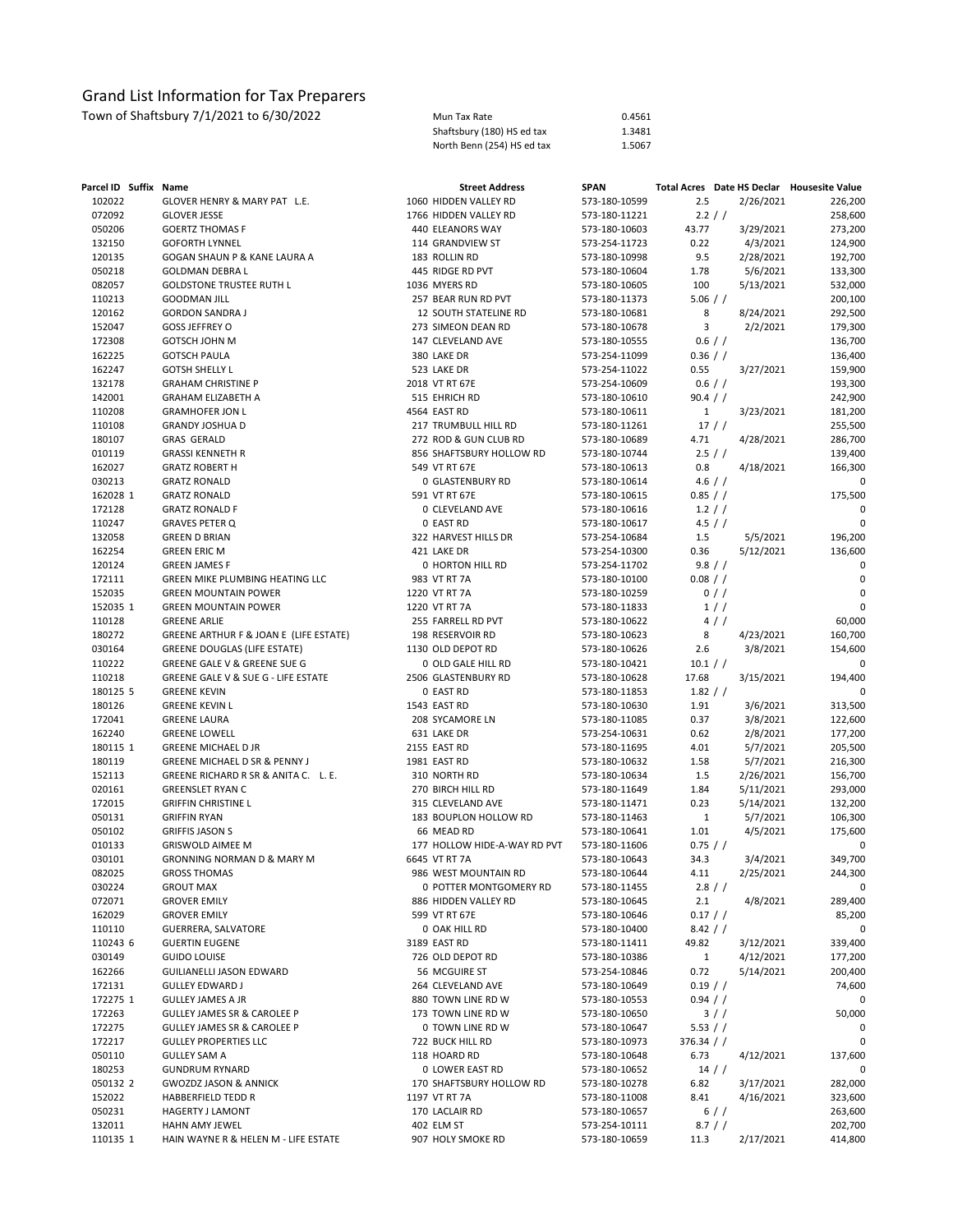| Parcel ID Suffix Name |                                        | <b>Street Address</b>        | <b>SPAN</b>   |              |           |           | Total Acres Date HS Declar Housesite Value |
|-----------------------|----------------------------------------|------------------------------|---------------|--------------|-----------|-----------|--------------------------------------------|
| 102022                | GLOVER HENRY & MARY PAT L.E.           | 1060 HIDDEN VALLEY RD        | 573-180-10599 | 2.5          |           | 2/26/2021 | 226,200                                    |
| 072092                | <b>GLOVER JESSE</b>                    | 1766 HIDDEN VALLEY RD        | 573-180-11221 | 2.2 / /      |           |           | 258,600                                    |
| 050206                | <b>GOERTZ THOMAS F</b>                 | 440 ELEANORS WAY             | 573-180-10603 | 43.77        |           | 3/29/2021 | 273,200                                    |
| 132150                | <b>GOFORTH LYNNEL</b>                  | 114 GRANDVIEW ST             | 573-254-11723 | 0.22         |           | 4/3/2021  | 124,900                                    |
| 120135                | GOGAN SHAUN P & KANE LAURA A           | 183 ROLLIN RD                | 573-180-10998 | 9.5          |           | 2/28/2021 | 192,700                                    |
| 050218                | <b>GOLDMAN DEBRA L</b>                 | 445 RIDGE RD PVT             | 573-180-10604 | 1.78         |           | 5/6/2021  | 133,300                                    |
| 082057                | <b>GOLDSTONE TRUSTEE RUTH L</b>        | 1036 MYERS RD                | 573-180-10605 | 100          |           | 5/13/2021 | 532,000                                    |
| 110213                | <b>GOODMAN JILL</b>                    | 257 BEAR RUN RD PVT          | 573-180-11373 | $5.06$ / /   |           |           | 200,100                                    |
| 120162                | <b>GORDON SANDRA J</b>                 | 12 SOUTH STATELINE RD        | 573-180-10681 | 8            |           | 8/24/2021 | 292,500                                    |
| 152047                | <b>GOSS JEFFREY O</b>                  | 273 SIMEON DEAN RD           | 573-180-10678 | 3            |           | 2/2/2021  | 179,300                                    |
| 172308                | GOTSCH JOHN M                          | 147 CLEVELAND AVE            | 573-180-10555 | $0.6$ / /    |           |           | 136,700                                    |
| 162225                | <b>GOTSCH PAULA</b>                    | 380 LAKE DR                  | 573-254-11099 | $0.36$ / /   |           |           | 136,400                                    |
| 162247                | <b>GOTSH SHELLY L</b>                  | 523 LAKE DR                  | 573-254-11022 | 0.55         |           | 3/27/2021 | 159,900                                    |
| 132178                | <b>GRAHAM CHRISTINE P</b>              | 2018 VT RT 67E               | 573-254-10609 | $0.6$ / /    |           |           | 193,300                                    |
| 142001                | <b>GRAHAM ELIZABETH A</b>              | 515 EHRICH RD                | 573-180-10610 | 90.4 / /     |           |           | 242,900                                    |
| 110208                | <b>GRAMHOFER JON L</b>                 | 4564 EAST RD                 | 573-180-10611 | $\mathbf{1}$ |           | 3/23/2021 | 181,200                                    |
| 110108                | <b>GRANDY JOSHUA D</b>                 | 217 TRUMBULL HILL RD         | 573-180-11261 |              | $17$ / /  |           | 255,500                                    |
| 180107                | <b>GRAS GERALD</b>                     | 272 ROD & GUN CLUB RD        | 573-180-10689 | 4.71         |           | 4/28/2021 | 286,700                                    |
| 010119                | <b>GRASSI KENNETH R</b>                | 856 SHAFTSBURY HOLLOW RD     | 573-180-10744 | $2.5$ / /    |           |           | 139,400                                    |
| 162027                | <b>GRATZ ROBERT H</b>                  | 549 VT RT 67E                | 573-180-10613 | 0.8          |           | 4/18/2021 | 166,300                                    |
| 030213                | <b>GRATZ RONALD</b>                    | 0 GLASTENBURY RD             | 573-180-10614 | 4.6 $/$ /    |           |           | 0                                          |
| 162028 1              | <b>GRATZ RONALD</b>                    | 591 VT RT 67E                | 573-180-10615 | $0.85$ / /   |           |           | 175,500                                    |
| 172128                | <b>GRATZ RONALD F</b>                  | 0 CLEVELAND AVE              | 573-180-10616 | 1.2 / /      |           |           | 0                                          |
| 110247                | <b>GRAVES PETER Q</b>                  | 0 EAST RD                    | 573-180-10617 | 4.5 / /      |           |           | 0                                          |
| 132058                | <b>GREEN D BRIAN</b>                   | 322 HARVEST HILLS DR         | 573-254-10684 | 1.5          |           | 5/5/2021  | 196,200                                    |
| 162254                | <b>GREEN ERIC M</b>                    | 421 LAKE DR                  | 573-254-10300 | 0.36         |           | 5/12/2021 | 136,600                                    |
| 120124                | <b>GREEN JAMES F</b>                   | 0 HORTON HILL RD             | 573-254-11702 | 9.8 / /      |           |           | 0                                          |
| 172111                | GREEN MIKE PLUMBING HEATING LLC        | 983 VT RT 7A                 | 573-180-10100 | $0.08$ / /   |           |           | 0                                          |
| 152035                | <b>GREEN MOUNTAIN POWER</b>            | 1220 VT RT 7A                | 573-180-10259 |              | $0$ / $/$ |           | $\mathbf 0$                                |
| 152035 1              | <b>GREEN MOUNTAIN POWER</b>            | 1220 VT RT 7A                | 573-180-11833 |              | 1//       |           | $\mathbf 0$                                |
| 110128                | <b>GREENE ARLIE</b>                    | 255 FARRELL RD PVT           | 573-180-10622 |              | 4/        |           | 60,000                                     |
| 180272                | GREENE ARTHUR F & JOAN E (LIFE ESTATE) | 198 RESERVOIR RD             | 573-180-10623 | 8            |           | 4/23/2021 | 160,700                                    |
| 030164                | GREENE DOUGLAS (LIFE ESTATE)           | 1130 OLD DEPOT RD            | 573-180-10626 | 2.6          |           | 3/8/2021  | 154,600                                    |
| 110222                | GREENE GALE V & GREENE SUE G           | 0 OLD GALE HILL RD           | 573-180-10421 | 10.1 / /     |           |           | $\mathbf 0$                                |
| 110218                | GREENE GALE V & SUE G - LIFE ESTATE    | 2506 GLASTENBURY RD          | 573-180-10628 | 17.68        |           | 3/15/2021 | 194,400                                    |
| 180125 5              | <b>GREENE KEVIN</b>                    | 0 EAST RD                    | 573-180-11853 | 1.82 / /     |           |           | 0                                          |
| 180126                | <b>GREENE KEVIN L</b>                  | 1543 EAST RD                 | 573-180-10630 | 1.91         |           | 3/6/2021  | 313,500                                    |
| 172041                | <b>GREENE LAURA</b>                    | 208 SYCAMORE LN              | 573-180-11085 | 0.37         |           | 3/8/2021  | 122,600                                    |
| 162240                | <b>GREENE LOWELL</b>                   | 631 LAKE DR                  | 573-254-10631 | 0.62         |           | 2/8/2021  | 177,200                                    |
| 180115 1              | <b>GREENE MICHAEL D JR</b>             | 2155 EAST RD                 | 573-180-11695 | 4.01         |           | 5/7/2021  | 205,500                                    |
| 180119                | GREENE MICHAEL D SR & PENNY J          | 1981 EAST RD                 | 573-180-10632 | 1.58         |           | 5/7/2021  | 216,300                                    |
| 152113                | GREENE RICHARD R SR & ANITA C. L. E.   | 310 NORTH RD                 | 573-180-10634 | 1.5          |           | 2/26/2021 | 156,700                                    |
| 020161                | <b>GREENSLET RYAN C</b>                | 270 BIRCH HILL RD            | 573-180-11649 | 1.84         |           | 5/11/2021 | 293,000                                    |
| 172015                | <b>GRIFFIN CHRISTINE L</b>             | 315 CLEVELAND AVE            | 573-180-11471 | 0.23         |           | 5/14/2021 | 132,200                                    |
| 050131                | <b>GRIFFIN RYAN</b>                    | 183 BOUPLON HOLLOW RD        | 573-180-11463 | $\mathbf{1}$ |           | 5/7/2021  | 106,300                                    |
| 050102                | <b>GRIFFIS JASON S</b>                 | 66 MEAD RD                   | 573-180-10641 | 1.01         |           | 4/5/2021  | 175,600                                    |
| 010133                | <b>GRISWOLD AIMEE M</b>                | 177 HOLLOW HIDE-A-WAY RD PVT | 573-180-11606 | 0.75 / /     |           |           | 0                                          |
| 030101                | GRONNING NORMAN D & MARY M             | 6645 VT RT 7A                | 573-180-10643 | 34.3         |           | 3/4/2021  | 349,700                                    |
| 082025                | <b>GROSS THOMAS</b>                    | 986 WEST MOUNTAIN RD         | 573-180-10644 | 4.11         |           | 2/25/2021 | 244,300                                    |
| 030224                | <b>GROUT MAX</b>                       | 0 POTTER MONTGOMERY RD       | 573-180-11455 | $2.8$ / /    |           |           | 0                                          |
| 072071                | <b>GROVER EMILY</b>                    | 886 HIDDEN VALLEY RD         | 573-180-10645 | 2.1          |           | 4/8/2021  | 289,400                                    |
| 162029                | <b>GROVER EMILY</b>                    | 599 VT RT 67E                | 573-180-10646 | $0.17$ / /   |           |           | 85,200                                     |
| 110110                | GUERRERA, SALVATORE                    | 0 OAK HILL RD                | 573-180-10400 | $8.42$ / /   |           |           | 0                                          |
| 110243 6              | <b>GUERTIN EUGENE</b>                  | 3189 EAST RD                 | 573-180-11411 | 49.82        |           | 3/12/2021 | 339,400                                    |
| 030149                | <b>GUIDO LOUISE</b>                    | 726 OLD DEPOT RD             | 573-180-10386 | $\mathbf{1}$ |           | 4/12/2021 | 177,200                                    |
| 162266                | GUILIANELLI JASON EDWARD               | 56 MCGUIRE ST                | 573-254-10846 | 0.72         |           | 5/14/2021 | 200,400                                    |
| 172131                | <b>GULLEY EDWARD J</b>                 | 264 CLEVELAND AVE            | 573-180-10649 | $0.19$ / /   |           |           | 74,600                                     |
| 172275 1              | <b>GULLEY JAMES A JR</b>               | 880 TOWN LINE RD W           | 573-180-10553 | 0.94 / /     |           |           | 0                                          |
| 172263                | <b>GULLEY JAMES SR &amp; CAROLEE P</b> | 173 TOWN LINE RD W           | 573-180-10650 |              | $3$ / /   |           | 50,000                                     |
| 172275                | <b>GULLEY JAMES SR &amp; CAROLEE P</b> | 0 TOWN LINE RD W             | 573-180-10647 | 5.53 / /     |           |           | 0                                          |
| 172217                | <b>GULLEY PROPERTIES LLC</b>           | 722 BUCK HILL RD             | 573-180-10973 | $376.34$ / / |           |           | $\mathbf 0$                                |
| 050110                | <b>GULLEY SAM A</b>                    | 118 HOARD RD                 | 573-180-10648 | 6.73         |           | 4/12/2021 | 137,600                                    |
| 180253                | <b>GUNDRUM RYNARD</b>                  | 0 LOWER EAST RD              | 573-180-10652 |              | 14 //     |           | 0                                          |
| 050132 2              | <b>GWOZDZ JASON &amp; ANNICK</b>       | 170 SHAFTSBURY HOLLOW RD     | 573-180-10278 | 6.82         |           | 3/17/2021 | 282,000                                    |
| 152022                | HABBERFIELD TEDD R                     | 1197 VT RT 7A                | 573-180-11008 | 8.41         |           | 4/16/2021 | 323,600                                    |
| 050231                | <b>HAGERTY J LAMONT</b>                | 170 LACLAIR RD               | 573-180-10657 |              | $6$ / /   |           | 263,600                                    |
| 132011                | HAHN AMY JEWEL                         | 402 ELM ST                   | 573-254-10111 | $8.7$ / /    |           |           | 202,700                                    |
| 110135 1              | HAIN WAYNE R & HELEN M - LIFE ESTATE   | 907 HOLY SMOKE RD            | 573-180-10659 | 11.3         |           | 2/17/2021 | 414,800                                    |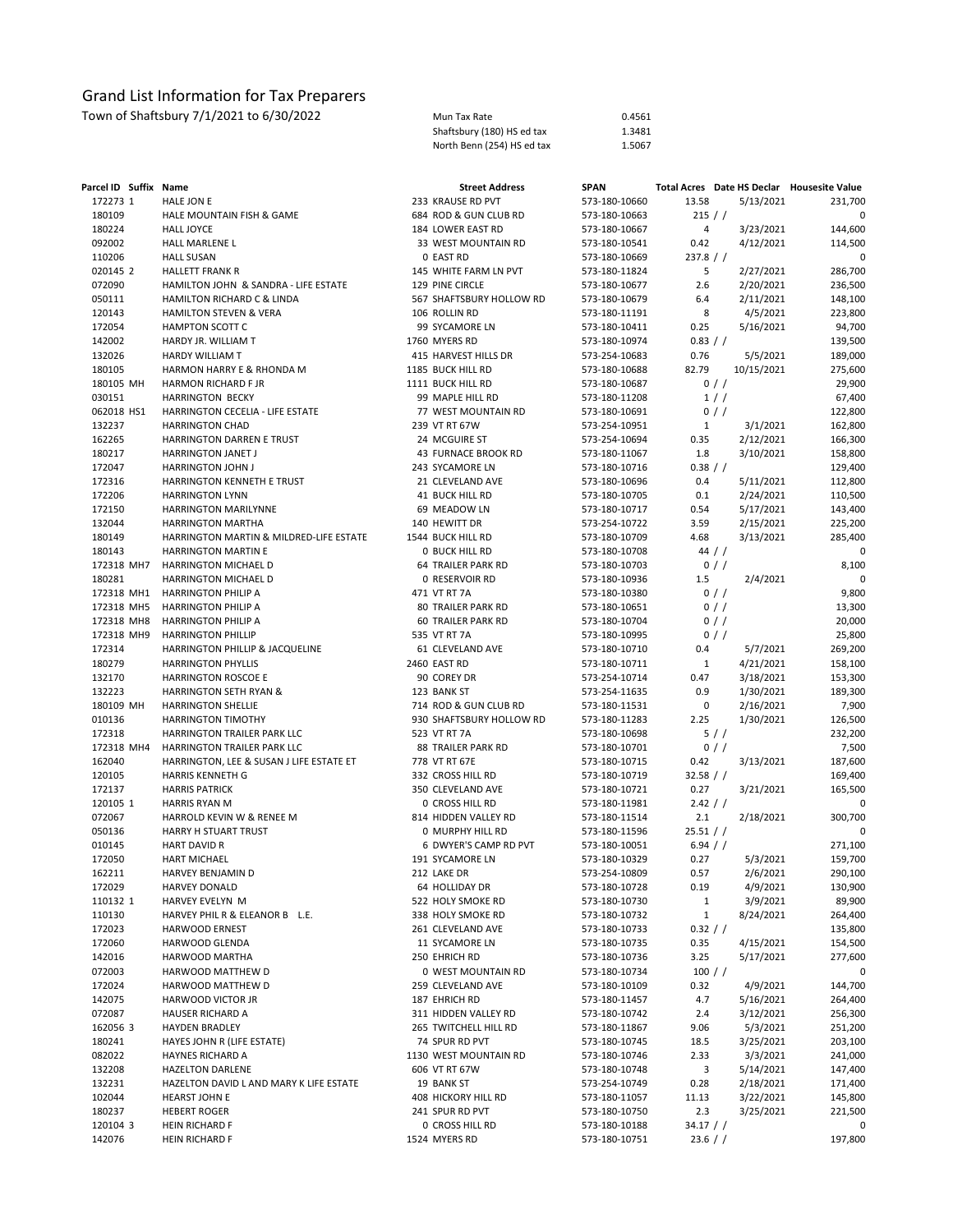| Parcel ID Suffix Name |                                                      | <b>Street Address</b>         | <b>SPAN</b>                    |              |                        | Total Acres Date HS Declar Housesite Value |
|-----------------------|------------------------------------------------------|-------------------------------|--------------------------------|--------------|------------------------|--------------------------------------------|
| 172273 1              | HALE JON E                                           | 233 KRAUSE RD PVT             | 573-180-10660                  | 13.58        | 5/13/2021              | 231,700                                    |
| 180109                | HALE MOUNTAIN FISH & GAME                            | 684 ROD & GUN CLUB RD         | 573-180-10663                  | 215 / /      |                        | 0                                          |
| 180224                | <b>HALL JOYCE</b>                                    | 184 LOWER EAST RD             | 573-180-10667                  | 4            | 3/23/2021              | 144,600                                    |
| 092002                | HALL MARLENE L                                       | 33 WEST MOUNTAIN RD           | 573-180-10541                  | 0.42         | 4/12/2021              | 114,500                                    |
| 110206                | <b>HALL SUSAN</b>                                    | 0 EAST RD                     | 573-180-10669                  | 237.8 / /    |                        | 0                                          |
| 020145 2              | <b>HALLETT FRANK R</b>                               | 145 WHITE FARM LN PVT         | 573-180-11824                  | 5            | 2/27/2021              | 286,700                                    |
| 072090                | HAMILTON JOHN & SANDRA - LIFE ESTATE                 | 129 PINE CIRCLE               | 573-180-10677                  | 2.6          | 2/20/2021              | 236,500                                    |
| 050111                | HAMILTON RICHARD C & LINDA                           | 567 SHAFTSBURY HOLLOW RD      | 573-180-10679                  | 6.4          | 2/11/2021              | 148,100                                    |
| 120143                | HAMILTON STEVEN & VERA                               | 106 ROLLIN RD                 | 573-180-11191                  | 8            | 4/5/2021               | 223,800                                    |
| 172054                | <b>HAMPTON SCOTT C</b>                               | 99 SYCAMORE LN                | 573-180-10411                  | 0.25         | 5/16/2021              | 94,700                                     |
| 142002                | HARDY JR. WILLIAM T                                  | 1760 MYERS RD                 | 573-180-10974                  | 0.83 / /     |                        | 139,500                                    |
| 132026                | <b>HARDY WILLIAM T</b>                               | 415 HARVEST HILLS DR          | 573-254-10683                  | 0.76         | 5/5/2021               | 189,000                                    |
| 180105                | HARMON HARRY E & RHONDA M                            | 1185 BUCK HILL RD             | 573-180-10688                  | 82.79        | 10/15/2021             | 275,600                                    |
| 180105 MH             | <b>HARMON RICHARD F JR</b>                           | 1111 BUCK HILL RD             | 573-180-10687                  |              | $0$ / /                | 29,900                                     |
| 030151                | <b>HARRINGTON BECKY</b>                              | 99 MAPLE HILL RD              | 573-180-11208                  |              | 1//                    | 67,400                                     |
| 062018 HS1            | HARRINGTON CECELIA - LIFE ESTATE                     | 77 WEST MOUNTAIN RD           | 573-180-10691                  |              | $0$ / /                | 122,800                                    |
| 132237                | <b>HARRINGTON CHAD</b>                               | 239 VT RT 67W                 | 573-254-10951                  | $\mathbf{1}$ | 3/1/2021               | 162,800                                    |
| 162265                | HARRINGTON DARREN E TRUST                            | 24 MCGUIRE ST                 | 573-254-10694                  | 0.35         | 2/12/2021              | 166,300                                    |
| 180217                | <b>HARRINGTON JANET J</b>                            | 43 FURNACE BROOK RD           | 573-180-11067                  | 1.8          | 3/10/2021              | 158,800                                    |
| 172047                | <b>HARRINGTON JOHN J</b>                             | 243 SYCAMORE LN               | 573-180-10716                  | 0.38 / /     |                        | 129,400                                    |
| 172316                | HARRINGTON KENNETH E TRUST<br><b>HARRINGTON LYNN</b> | 21 CLEVELAND AVE              | 573-180-10696                  | 0.4          | 5/11/2021              | 112,800                                    |
| 172206                |                                                      | 41 BUCK HILL RD               | 573-180-10705                  | 0.1          | 2/24/2021              | 110,500                                    |
| 172150<br>132044      | HARRINGTON MARILYNNE<br><b>HARRINGTON MARTHA</b>     | 69 MEADOW LN<br>140 HEWITT DR | 573-180-10717<br>573-254-10722 | 0.54<br>3.59 | 5/17/2021<br>2/15/2021 | 143,400                                    |
| 180149                | HARRINGTON MARTIN & MILDRED-LIFE ESTATE              | 1544 BUCK HILL RD             | 573-180-10709                  | 4.68         | 3/13/2021              | 225,200<br>285,400                         |
| 180143                | HARRINGTON MARTIN E                                  | <b>0 BUCK HILL RD</b>         | 573-180-10708                  |              | 44 //                  | 0                                          |
| 172318 MH7            | HARRINGTON MICHAEL D                                 | <b>64 TRAILER PARK RD</b>     | 573-180-10703                  |              | 0/                     | 8,100                                      |
| 180281                | HARRINGTON MICHAEL D                                 | 0 RESERVOIR RD                | 573-180-10936                  | 1.5          | 2/4/2021               | 0                                          |
| 172318 MH1            | <b>HARRINGTON PHILIP A</b>                           | 471 VT RT 7A                  | 573-180-10380                  |              | 0/                     | 9,800                                      |
| 172318 MH5            | <b>HARRINGTON PHILIP A</b>                           | <b>80 TRAILER PARK RD</b>     | 573-180-10651                  |              | $0$ / /                | 13,300                                     |
| 172318 MH8            | <b>HARRINGTON PHILIP A</b>                           | <b>60 TRAILER PARK RD</b>     | 573-180-10704                  |              | $0$ / /                | 20,000                                     |
| 172318 MH9            | <b>HARRINGTON PHILLIP</b>                            | 535 VT RT 7A                  | 573-180-10995                  |              | $0$ / /                | 25,800                                     |
| 172314                | HARRINGTON PHILLIP & JACQUELINE                      | 61 CLEVELAND AVE              | 573-180-10710                  | 0.4          | 5/7/2021               | 269,200                                    |
| 180279                | <b>HARRINGTON PHYLLIS</b>                            | 2460 EAST RD                  | 573-180-10711                  | 1            | 4/21/2021              | 158,100                                    |
| 132170                | <b>HARRINGTON ROSCOE E</b>                           | 90 COREY DR                   | 573-254-10714                  | 0.47         |                        | 153,300                                    |
| 132223                | HARRINGTON SETH RYAN &                               | 123 BANK ST                   |                                | 0.9          | 3/18/2021<br>1/30/2021 |                                            |
| 180109 MH             | <b>HARRINGTON SHELLIE</b>                            | 714 ROD & GUN CLUB RD         | 573-254-11635<br>573-180-11531 | 0            | 2/16/2021              | 189,300<br>7,900                           |
| 010136                | HARRINGTON TIMOTHY                                   | 930 SHAFTSBURY HOLLOW RD      |                                | 2.25         | 1/30/2021              |                                            |
| 172318                | HARRINGTON TRAILER PARK LLC                          | 523 VT RT 7A                  | 573-180-11283<br>573-180-10698 |              | 5//                    | 126,500<br>232,200                         |
| 172318 MH4            | HARRINGTON TRAILER PARK LLC                          | 88 TRAILER PARK RD            | 573-180-10701                  |              | $0$ / /                | 7,500                                      |
| 162040                | HARRINGTON, LEE & SUSAN J LIFE ESTATE ET             | 778 VT RT 67E                 | 573-180-10715                  | 0.42         | 3/13/2021              | 187,600                                    |
| 120105                | <b>HARRIS KENNETH G</b>                              | 332 CROSS HILL RD             | 573-180-10719                  | 32.58 / /    |                        | 169,400                                    |
| 172137                | <b>HARRIS PATRICK</b>                                | 350 CLEVELAND AVE             | 573-180-10721                  | 0.27         | 3/21/2021              | 165,500                                    |
| 120105 1              | <b>HARRIS RYAN M</b>                                 | 0 CROSS HILL RD               | 573-180-11981                  | 2.42 / /     |                        | 0                                          |
| 072067                | HARROLD KEVIN W & RENEE M                            | 814 HIDDEN VALLEY RD          | 573-180-11514                  | 2.1          | 2/18/2021              | 300,700                                    |
| 050136                | <b>HARRY H STUART TRUST</b>                          | 0 MURPHY HILL RD              | 573-180-11596                  | 25.51 / /    |                        | 0                                          |
| 010145                | <b>HART DAVID R</b>                                  | 6 DWYER'S CAMP RD PVT         | 573-180-10051                  | 6.94 / /     |                        | 271,100                                    |
| 172050                | HART MICHAEL                                         | 191 SYCAMORE LN               | 573-180-10329                  | 0.27         | 5/3/2021               | 159,700                                    |
| 162211                | HARVEY BENJAMIN D                                    | 212 LAKE DR                   | 573-254-10809                  | 0.57         | 2/6/2021               | 290,100                                    |
| 172029                | <b>HARVEY DONALD</b>                                 | 64 HOLLIDAY DR                | 573-180-10728                  | 0.19         | 4/9/2021               | 130,900                                    |
| 110132 1              | HARVEY EVELYN M                                      | 522 HOLY SMOKE RD             | 573-180-10730                  | $\mathbf{1}$ | 3/9/2021               | 89,900                                     |
| 110130                | HARVEY PHIL R & ELEANOR B L.E.                       | 338 HOLY SMOKE RD             | 573-180-10732                  | $\mathbf{1}$ | 8/24/2021              | 264,400                                    |
| 172023                | HARWOOD ERNEST                                       | 261 CLEVELAND AVE             | 573-180-10733                  | 0.32 / /     |                        | 135,800                                    |
| 172060                | HARWOOD GLENDA                                       | 11 SYCAMORE LN                | 573-180-10735                  | 0.35         | 4/15/2021              | 154,500                                    |
| 142016                | HARWOOD MARTHA                                       | 250 EHRICH RD                 | 573-180-10736                  | 3.25         | 5/17/2021              | 277,600                                    |
| 072003                | HARWOOD MATTHEW D                                    | 0 WEST MOUNTAIN RD            | 573-180-10734                  | $100$ / /    |                        | 0                                          |
| 172024                | HARWOOD MATTHEW D                                    | 259 CLEVELAND AVE             |                                | 0.32         | 4/9/2021               | 144,700                                    |
|                       | HARWOOD VICTOR JR                                    | 187 EHRICH RD                 | 573-180-10109                  |              |                        |                                            |
| 142075                |                                                      | 311 HIDDEN VALLEY RD          | 573-180-11457                  | 4.7          | 5/16/2021              | 264,400                                    |
| 072087<br>162056 3    | HAUSER RICHARD A<br><b>HAYDEN BRADLEY</b>            |                               | 573-180-10742                  | 2.4          | 3/12/2021              | 256,300                                    |
|                       |                                                      | 265 TWITCHELL HILL RD         | 573-180-11867                  | 9.06         | 5/3/2021               | 251,200                                    |
| 180241                | HAYES JOHN R (LIFE ESTATE)                           | 74 SPUR RD PVT                | 573-180-10745                  | 18.5         | 3/25/2021              | 203,100                                    |
| 082022                | HAYNES RICHARD A<br><b>HAZELTON DARLENE</b>          | 1130 WEST MOUNTAIN RD         | 573-180-10746                  | 2.33         | 3/3/2021               | 241,000                                    |
| 132208                |                                                      | 606 VT RT 67W                 | 573-180-10748                  | 3            | 5/14/2021              | 147,400                                    |
| 132231                | HAZELTON DAVID L AND MARY K LIFE ESTATE              | 19 BANK ST                    | 573-254-10749                  | 0.28         | 2/18/2021              | 171,400                                    |
| 102044                | <b>HEARST JOHN E</b>                                 | 408 HICKORY HILL RD           | 573-180-11057                  | 11.13        | 3/22/2021              | 145,800                                    |
| 180237                | <b>HEBERT ROGER</b>                                  | 241 SPUR RD PVT               | 573-180-10750                  | 2.3          | 3/25/2021              | 221,500                                    |
| 120104 3              | HEIN RICHARD F                                       | 0 CROSS HILL RD               | 573-180-10188                  | $34.17$ / /  |                        | 0                                          |
| 142076                | HEIN RICHARD F                                       | 1524 MYERS RD                 | 573-180-10751                  | $23.6$ / /   |                        | 197,800                                    |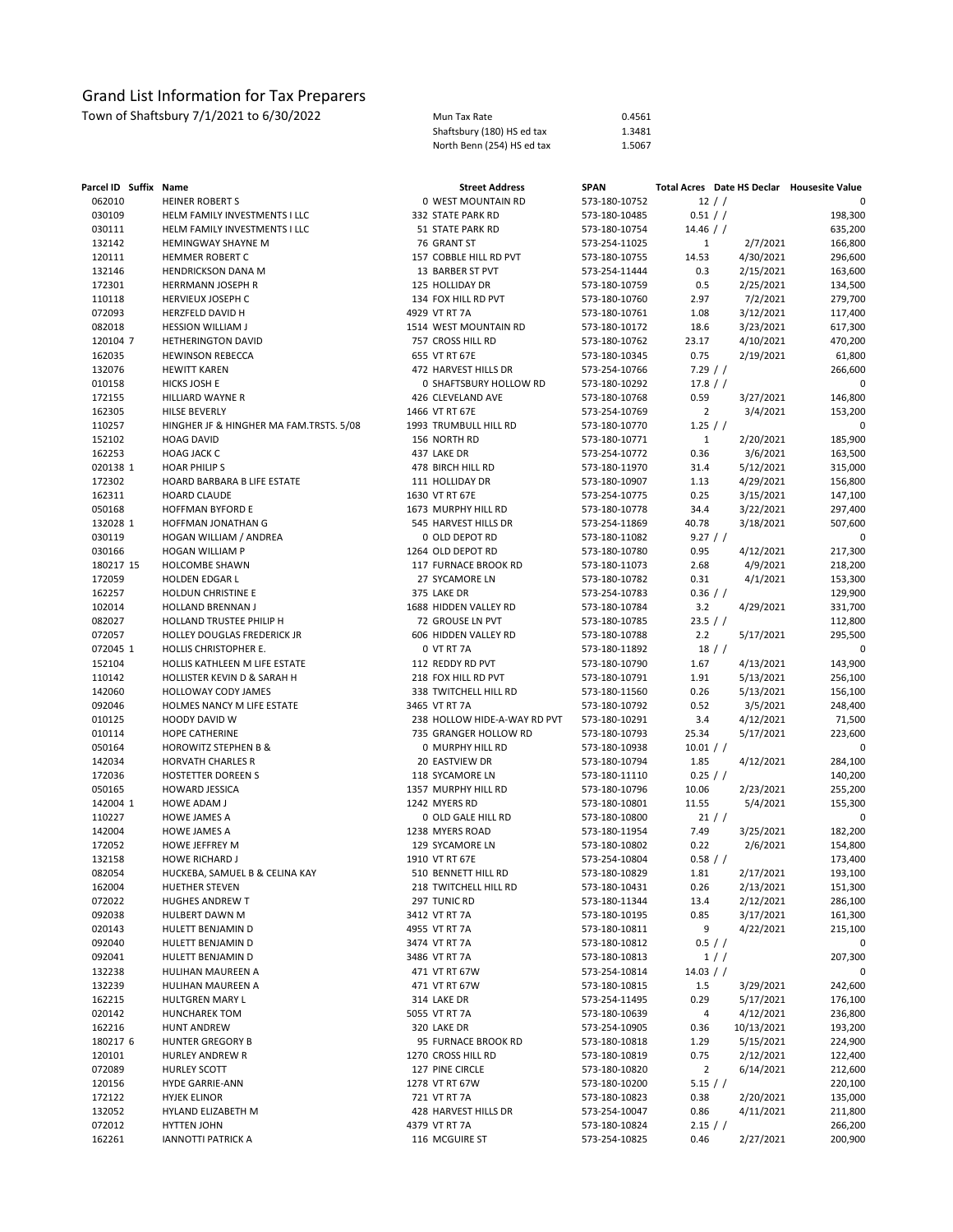| Mun Tax Rate               | 0.4561 |
|----------------------------|--------|
| Shaftsbury (180) HS ed tax | 1.3481 |
| North Benn (254) HS ed tax | 1.5067 |

| Parcel ID Suffix Name |                                                  | <b>Street Address</b>                  | <b>SPAN</b>                    |                   | Total Acres Date HS Declar Housesite Value |                    |
|-----------------------|--------------------------------------------------|----------------------------------------|--------------------------------|-------------------|--------------------------------------------|--------------------|
| 062010                | <b>HEINER ROBERT S</b>                           | 0 WEST MOUNTAIN RD                     | 573-180-10752                  |                   | 12 / /                                     |                    |
| 030109                | HELM FAMILY INVESTMENTS I LLC                    | 332 STATE PARK RD                      | 573-180-10485                  | 0.51 / /          |                                            | 198,300            |
| 030111                | HELM FAMILY INVESTMENTS I LLC                    | 51 STATE PARK RD                       | 573-180-10754                  | $14.46$ / /       |                                            | 635,200            |
| 132142                | HEMINGWAY SHAYNE M                               | 76 GRANT ST                            | 573-254-11025                  | $\mathbf{1}$      | 2/7/2021                                   | 166,800            |
| 120111                | <b>HEMMER ROBERT C</b>                           | 157 COBBLE HILL RD PVT                 | 573-180-10755                  | 14.53             | 4/30/2021                                  | 296,600            |
| 132146                | HENDRICKSON DANA M                               | 13 BARBER ST PVT                       | 573-254-11444                  | 0.3               | 2/15/2021                                  | 163,600            |
| 172301                | HERRMANN JOSEPH R                                | 125 HOLLIDAY DR                        | 573-180-10759                  | 0.5               | 2/25/2021                                  | 134,500            |
| 110118                | HERVIEUX JOSEPH C                                | 134 FOX HILL RD PVT                    | 573-180-10760                  | 2.97              | 7/2/2021                                   | 279,700            |
| 072093                | HERZFELD DAVID H                                 | 4929 VT RT 7A                          | 573-180-10761                  | 1.08              | 3/12/2021                                  | 117,400            |
| 082018                | <b>HESSION WILLIAM J</b>                         | 1514 WEST MOUNTAIN RD                  | 573-180-10172                  | 18.6              | 3/23/2021                                  | 617,300            |
| 120104 7              | <b>HETHERINGTON DAVID</b>                        | 757 CROSS HILL RD                      | 573-180-10762                  | 23.17             | 4/10/2021                                  | 470,200            |
| 162035                | <b>HEWINSON REBECCA</b>                          | 655 VT RT 67E                          | 573-180-10345                  | 0.75              | 2/19/2021                                  | 61,800             |
| 132076                | <b>HEWITT KAREN</b>                              | 472 HARVEST HILLS DR                   | 573-254-10766                  | 7.29 / /          |                                            | 266,600            |
| 010158                | HICKS JOSH E                                     | 0 SHAFTSBURY HOLLOW RD                 | 573-180-10292                  | 17.8 / /          |                                            | 0                  |
| 172155                | HILLIARD WAYNE R                                 | 426 CLEVELAND AVE                      | 573-180-10768                  | 0.59              | 3/27/2021                                  | 146,800            |
| 162305                | HILSE BEVERLY                                    | 1466 VT RT 67E                         | 573-254-10769                  | $\overline{2}$    | 3/4/2021                                   | 153,200            |
| 110257                | HINGHER JF & HINGHER MA FAM.TRSTS. 5/08          | 1993 TRUMBULL HILL RD                  | 573-180-10770                  | $1.25$ / /        |                                            | 0                  |
| 152102                | <b>HOAG DAVID</b>                                | 156 NORTH RD                           | 573-180-10771                  | $\mathbf{1}$      | 2/20/2021                                  | 185,900            |
| 162253                | <b>HOAG JACK C</b>                               | 437 LAKE DR                            | 573-254-10772                  | 0.36              | 3/6/2021                                   | 163,500            |
| 020138 1              | <b>HOAR PHILIPS</b>                              | 478 BIRCH HILL RD                      | 573-180-11970                  | 31.4              | 5/12/2021                                  | 315,000            |
| 172302                | HOARD BARBARA B LIFE ESTATE                      | 111 HOLLIDAY DR                        | 573-180-10907                  | 1.13              | 4/29/2021                                  | 156,800            |
| 162311                | HOARD CLAUDE                                     | 1630 VT RT 67E                         | 573-254-10775                  | 0.25              | 3/15/2021                                  | 147,100            |
| 050168                | HOFFMAN BYFORD E                                 | 1673 MURPHY HILL RD                    | 573-180-10778                  | 34.4              | 3/22/2021                                  | 297,400            |
| 132028 1              | HOFFMAN JONATHAN G                               | 545 HARVEST HILLS DR                   | 573-254-11869<br>573-180-11082 | 40.78<br>9.27 / / | 3/18/2021                                  | 507,600<br>0       |
| 030119                | HOGAN WILLIAM / ANDREA<br><b>HOGAN WILLIAM P</b> | 0 OLD DEPOT RD                         |                                |                   |                                            |                    |
| 030166<br>180217 15   |                                                  | 1264 OLD DEPOT RD                      | 573-180-10780                  | 0.95              | 4/12/2021                                  | 217,300            |
| 172059                | HOLCOMBE SHAWN<br>HOLDEN EDGAR L                 | 117 FURNACE BROOK RD<br>27 SYCAMORE LN | 573-180-11073<br>573-180-10782 | 2.68<br>0.31      | 4/9/2021                                   | 218,200            |
| 162257                | HOLDUN CHRISTINE E                               | 375 LAKE DR                            | 573-254-10783                  | $0.36$ / /        | 4/1/2021                                   | 153,300<br>129,900 |
| 102014                | HOLLAND BRENNAN J                                | 1688 HIDDEN VALLEY RD                  | 573-180-10784                  | 3.2               | 4/29/2021                                  | 331,700            |
| 082027                | HOLLAND TRUSTEE PHILIP H                         | 72 GROUSE LN PVT                       | 573-180-10785                  | 23.5 / /          |                                            | 112,800            |
| 072057                | HOLLEY DOUGLAS FREDERICK JR                      | 606 HIDDEN VALLEY RD                   | 573-180-10788                  | 2.2               | 5/17/2021                                  | 295,500            |
| 072045 1              | HOLLIS CHRISTOPHER E.                            | 0 VT RT 7A                             | 573-180-11892                  |                   | $18$ / $/$                                 | 0                  |
| 152104                | HOLLIS KATHLEEN M LIFE ESTATE                    | 112 REDDY RD PVT                       | 573-180-10790                  | 1.67              | 4/13/2021                                  | 143,900            |
| 110142                | HOLLISTER KEVIN D & SARAH H                      | 218 FOX HILL RD PVT                    | 573-180-10791                  | 1.91              | 5/13/2021                                  | 256,100            |
| 142060                | HOLLOWAY CODY JAMES                              | 338 TWITCHELL HILL RD                  | 573-180-11560                  | 0.26              | 5/13/2021                                  | 156,100            |
| 092046                | HOLMES NANCY M LIFE ESTATE                       | 3465 VT RT 7A                          | 573-180-10792                  | 0.52              | 3/5/2021                                   | 248,400            |
| 010125                | HOODY DAVID W                                    | 238 HOLLOW HIDE-A-WAY RD PVT           | 573-180-10291                  | 3.4               | 4/12/2021                                  | 71,500             |
| 010114                | HOPE CATHERINE                                   | 735 GRANGER HOLLOW RD                  | 573-180-10793                  | 25.34             | 5/17/2021                                  | 223,600            |
| 050164                | <b>HOROWITZ STEPHEN B &amp;</b>                  | 0 MURPHY HILL RD                       | 573-180-10938                  | 10.01 / /         |                                            | 0                  |
| 142034                | <b>HORVATH CHARLES R</b>                         | 20 EASTVIEW DR                         | 573-180-10794                  | 1.85              | 4/12/2021                                  | 284,100            |
| 172036                | HOSTETTER DOREEN S                               | 118 SYCAMORE LN                        | 573-180-11110                  | 0.25 / /          |                                            | 140,200            |
| 050165                | HOWARD JESSICA                                   | 1357 MURPHY HILL RD                    | 573-180-10796                  | 10.06             | 2/23/2021                                  | 255,200            |
| 142004 1              | <b>HOWE ADAM J</b>                               | 1242 MYERS RD                          | 573-180-10801                  | 11.55             | 5/4/2021                                   | 155,300            |
| 110227                | <b>HOWE JAMES A</b>                              | 0 OLD GALE HILL RD                     | 573-180-10800                  |                   | 21 / /                                     | 0                  |
| 142004                | <b>HOWE JAMES A</b>                              | 1238 MYERS ROAD                        | 573-180-11954                  | 7.49              | 3/25/2021                                  | 182,200            |
| 172052                | HOWE JEFFREY M                                   | 129 SYCAMORE LN                        | 573-180-10802                  | 0.22              | 2/6/2021                                   | 154,800            |
| 132158                | <b>HOWE RICHARD J</b>                            | 1910 VT RT 67E                         | 573-254-10804                  | 0.58 / /          |                                            | 173,400            |
| 082054                | HUCKEBA, SAMUEL B & CELINA KAY                   | 510 BENNETT HILL RD                    | 573-180-10829                  | 1.81              | 2/17/2021                                  | 193,100            |
| 162004                | HUETHER STEVEN                                   | 218 TWITCHELL HILL RD                  | 573-180-10431                  | 0.26              | 2/13/2021                                  | 151,300            |
| 072022                | HUGHES ANDREW T                                  | 297 TUNIC RD                           | 573-180-11344                  | 13.4              | 2/12/2021                                  | 286,100            |
| 092038                | HULBERT DAWN M                                   | 3412 VT RT 7A                          | 573-180-10195                  | 0.85              | 3/17/2021                                  | 161,300            |
| 020143                | HULETT BENJAMIN D                                | 4955 VT RT 7A                          | 573-180-10811                  | 9                 | 4/22/2021                                  | 215,100            |
| 092040                | HULETT BENJAMIN D                                | 3474 VT RT 7A                          | 573-180-10812                  |                   | 0.5 / /                                    | 0                  |
| 092041                | HULETT BENJAMIN D<br>HULIHAN MAUREEN A           | 3486 VT RT 7A<br>471 VT RT 67W         | 573-180-10813                  |                   | 1//                                        | 207,300            |
| 132238<br>132239      | HULIHAN MAUREEN A                                |                                        | 573-254-10814                  | 14.03 / /         | 3/29/2021                                  | 0<br>242,600       |
| 162215                | HULTGREN MARY L                                  | 471 VT RT 67W<br>314 LAKE DR           | 573-180-10815<br>573-254-11495 | $1.5$<br>0.29     | 5/17/2021                                  | 176,100            |
| 020142                | HUNCHAREK TOM                                    | 5055 VT RT 7A                          | 573-180-10639                  | 4                 | 4/12/2021                                  | 236,800            |
| 162216                | <b>HUNT ANDREW</b>                               | 320 LAKE DR                            | 573-254-10905                  | 0.36              | 10/13/2021                                 | 193,200            |
| 180217 6              | <b>HUNTER GREGORY B</b>                          | 95 FURNACE BROOK RD                    | 573-180-10818                  | 1.29              | 5/15/2021                                  | 224,900            |
| 120101                | HURLEY ANDREW R                                  | 1270 CROSS HILL RD                     | 573-180-10819                  | 0.75              | 2/12/2021                                  | 122,400            |
| 072089                | HURLEY SCOTT                                     | 127 PINE CIRCLE                        | 573-180-10820                  | $\overline{2}$    | 6/14/2021                                  | 212,600            |
| 120156                | <b>HYDE GARRIE-ANN</b>                           | 1278 VT RT 67W                         | 573-180-10200                  | $5.15$ / /        |                                            | 220,100            |
| 172122                | <b>HYJEK ELINOR</b>                              | 721 VT RT 7A                           | 573-180-10823                  | 0.38              | 2/20/2021                                  | 135,000            |
| 132052                | HYLAND ELIZABETH M                               | 428 HARVEST HILLS DR                   | 573-254-10047                  | 0.86              | 4/11/2021                                  | 211,800            |
| 072012                | HYTTEN JOHN                                      | 4379 VT RT 7A                          | 573-180-10824                  | $2.15$ / /        |                                            | 266,200            |
| 162261                | <b>IANNOTTI PATRICK A</b>                        | 116 MCGUIRE ST                         | 573-254-10825                  | 0.46              | 2/27/2021                                  | 200,900            |
|                       |                                                  |                                        |                                |                   |                                            |                    |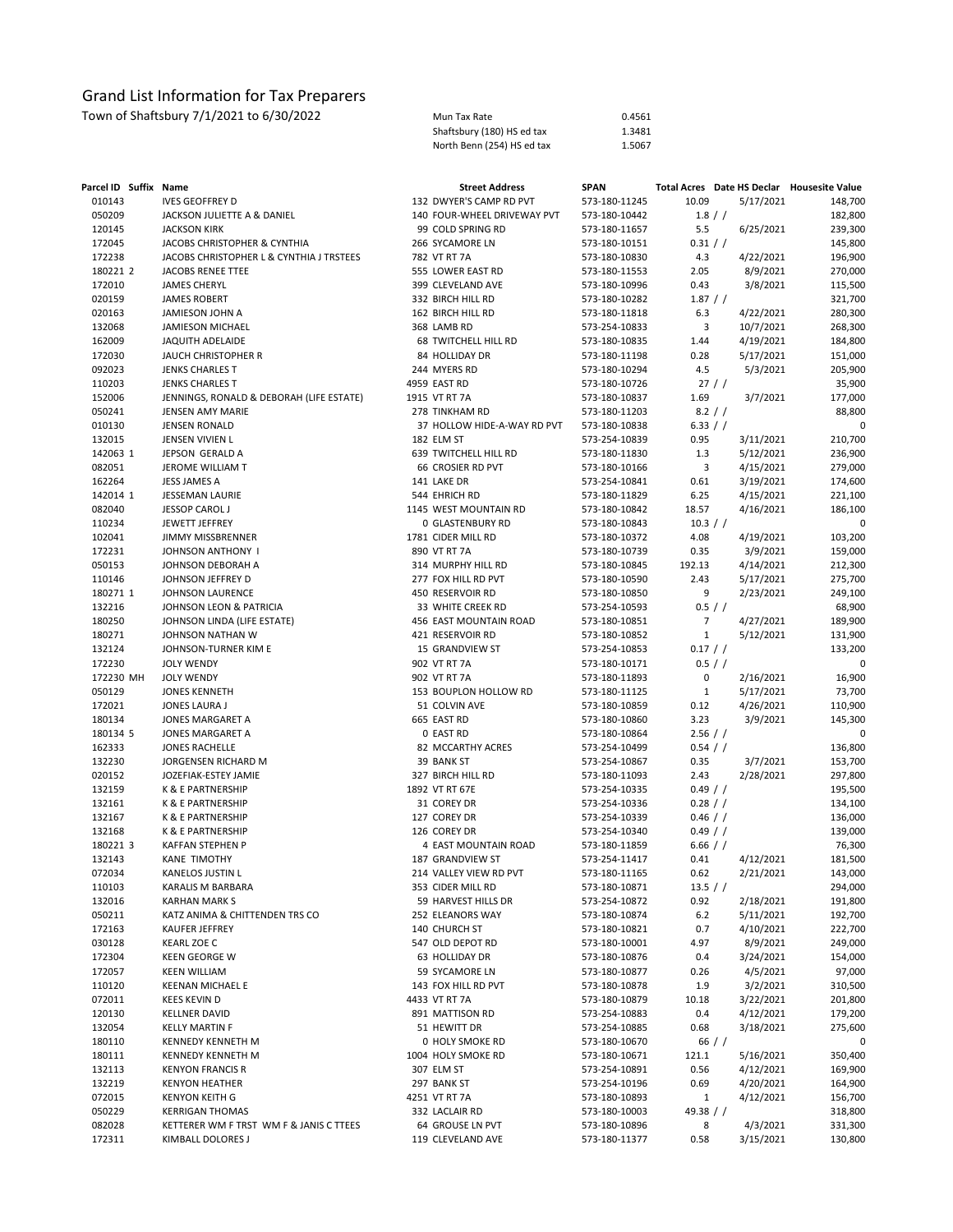| Town of Shaftsbury 7/1/2021 to 6/30/2022 | Mun Tax Rate               | 0.4561 |
|------------------------------------------|----------------------------|--------|
|                                          | Shaftsbury (180) HS ed tax | 1.3481 |
|                                          | North Benn (254) HS ed tax | 1.5067 |

| Parcel ID Suffix Name |                                          | <b>Street Address</b>       | <b>SPAN</b>   |                |           | Total Acres Date HS Declar Housesite Value |
|-----------------------|------------------------------------------|-----------------------------|---------------|----------------|-----------|--------------------------------------------|
| 010143                | <b>IVES GEOFFREY D</b>                   | 132 DWYER'S CAMP RD PVT     | 573-180-11245 | 10.09          | 5/17/2021 | 148,700                                    |
| 050209                | JACKSON JULIETTE A & DANIEL              | 140 FOUR-WHEEL DRIVEWAY PVT | 573-180-10442 |                | 1.8 / /   | 182,800                                    |
| 120145                | <b>JACKSON KIRK</b>                      | 99 COLD SPRING RD           | 573-180-11657 | 5.5            | 6/25/2021 | 239,300                                    |
| 172045                | JACOBS CHRISTOPHER & CYNTHIA             | 266 SYCAMORE LN             | 573-180-10151 | 0.31 / /       |           | 145,800                                    |
| 172238                | JACOBS CHRISTOPHER L & CYNTHIA J TRSTEES | 782 VT RT 7A                | 573-180-10830 | 4.3            | 4/22/2021 | 196,900                                    |
| 180221 2              | <b>JACOBS RENEE TTEE</b>                 | 555 LOWER EAST RD           | 573-180-11553 | 2.05           | 8/9/2021  | 270,000                                    |
| 172010                | <b>JAMES CHERYL</b>                      | 399 CLEVELAND AVE           | 573-180-10996 | 0.43           | 3/8/2021  | 115,500                                    |
| 020159                | <b>JAMES ROBERT</b>                      | 332 BIRCH HILL RD           | 573-180-10282 | 1.87 / /       |           | 321,700                                    |
| 020163                | JAMIESON JOHN A                          | 162 BIRCH HILL RD           | 573-180-11818 | 6.3            | 4/22/2021 | 280,300                                    |
| 132068                | JAMIESON MICHAEL                         | 368 LAMB RD                 | 573-254-10833 | 3              | 10/7/2021 | 268,300                                    |
| 162009                | <b>JAQUITH ADELAIDE</b>                  | <b>68 TWITCHELL HILL RD</b> | 573-180-10835 | 1.44           | 4/19/2021 | 184,800                                    |
| 172030                | JAUCH CHRISTOPHER R                      | 84 HOLLIDAY DR              | 573-180-11198 | 0.28           | 5/17/2021 | 151,000                                    |
| 092023                | <b>JENKS CHARLES T</b>                   | 244 MYERS RD                | 573-180-10294 | 4.5            | 5/3/2021  | 205,900                                    |
| 110203                | <b>JENKS CHARLES T</b>                   | 4959 EAST RD                | 573-180-10726 |                | 27/       | 35,900                                     |
| 152006                | JENNINGS, RONALD & DEBORAH (LIFE ESTATE) | 1915 VT RT 7A               | 573-180-10837 | 1.69           | 3/7/2021  | 177,000                                    |
| 050241                | JENSEN AMY MARIE                         | 278 TINKHAM RD              | 573-180-11203 |                | 8.2 / /   | 88,800                                     |
| 010130                | <b>JENSEN RONALD</b>                     | 37 HOLLOW HIDE-A-WAY RD PVT | 573-180-10838 | 6.33 / /       |           | 0                                          |
| 132015                | JENSEN VIVIEN L                          | 182 ELM ST                  | 573-254-10839 | 0.95           | 3/11/2021 | 210,700                                    |
| 142063 1              | JEPSON GERALD A                          | 639 TWITCHELL HILL RD       | 573-180-11830 | 1.3            | 5/12/2021 | 236,900                                    |
| 082051                | JEROME WILLIAM T                         | 66 CROSIER RD PVT           | 573-180-10166 | 3              | 4/15/2021 | 279,000                                    |
| 162264                | <b>JESS JAMES A</b>                      | 141 LAKE DR                 | 573-254-10841 | 0.61           | 3/19/2021 | 174,600                                    |
| 142014 1              | <b>JESSEMAN LAURIE</b>                   | 544 EHRICH RD               | 573-180-11829 | 6.25           | 4/15/2021 | 221,100                                    |
| 082040                | JESSOP CAROL J                           | 1145 WEST MOUNTAIN RD       | 573-180-10842 | 18.57          | 4/16/2021 | 186,100                                    |
| 110234                | JEWETT JEFFREY                           | 0 GLASTENBURY RD            | 573-180-10843 | 10.3 / /       |           | 0                                          |
| 102041                | JIMMY MISSBRENNER                        | 1781 CIDER MILL RD          | 573-180-10372 | 4.08           | 4/19/2021 | 103,200                                    |
| 172231                | JOHNSON ANTHONY I                        | 890 VT RT 7A                | 573-180-10739 | 0.35           | 3/9/2021  | 159,000                                    |
| 050153                | JOHNSON DEBORAH A                        | 314 MURPHY HILL RD          | 573-180-10845 | 192.13         | 4/14/2021 | 212,300                                    |
| 110146                | JOHNSON JEFFREY D                        | 277 FOX HILL RD PVT         | 573-180-10590 | 2.43           | 5/17/2021 | 275,700                                    |
| 180271 1              | JOHNSON LAURENCE                         | 450 RESERVOIR RD            | 573-180-10850 | 9              | 2/23/2021 | 249,100                                    |
| 132216                | JOHNSON LEON & PATRICIA                  | 33 WHITE CREEK RD           | 573-254-10593 |                | 0.5 / /   | 68,900                                     |
| 180250                | JOHNSON LINDA (LIFE ESTATE)              | 456 EAST MOUNTAIN ROAD      | 573-180-10851 | $\overline{7}$ | 4/27/2021 | 189,900                                    |
| 180271                | JOHNSON NATHAN W                         | 421 RESERVOIR RD            | 573-180-10852 | $\mathbf{1}$   | 5/12/2021 | 131,900                                    |
| 132124                | JOHNSON-TURNER KIM E                     | 15 GRANDVIEW ST             | 573-254-10853 | $0.17$ / /     |           | 133,200                                    |
| 172230                | <b>JOLY WENDY</b>                        | 902 VT RT 7A                | 573-180-10171 |                | 0.5 / /   | 0                                          |
| 172230 MH             | <b>JOLY WENDY</b>                        | 902 VT RT 7A                | 573-180-11893 | 0              | 2/16/2021 | 16,900                                     |
| 050129                | <b>JONES KENNETH</b>                     | 153 BOUPLON HOLLOW RD       | 573-180-11125 | $\mathbf{1}$   | 5/17/2021 | 73,700                                     |
| 172021                | <b>JONES LAURA J</b>                     | 51 COLVIN AVE               | 573-180-10859 | 0.12           | 4/26/2021 | 110,900                                    |
| 180134                | JONES MARGARET A                         | 665 EAST RD                 | 573-180-10860 | 3.23           | 3/9/2021  | 145,300                                    |
| 180134 5              | JONES MARGARET A                         | 0 EAST RD                   | 573-180-10864 | 2.56 / /       |           | 0                                          |
| 162333                | JONES RACHELLE                           | 82 MCCARTHY ACRES           | 573-254-10499 | $0.54$ / /     |           | 136,800                                    |
| 132230                | JORGENSEN RICHARD M                      | 39 BANK ST                  | 573-254-10867 | 0.35           | 3/7/2021  | 153,700                                    |
| 020152                | JOZEFIAK-ESTEY JAMIE                     | 327 BIRCH HILL RD           | 573-180-11093 | 2.43           | 2/28/2021 | 297,800                                    |
| 132159                | K & E PARTNERSHIP                        | 1892 VT RT 67E              | 573-254-10335 | 0.49 / /       |           | 195,500                                    |
| 132161                | K & E PARTNERSHIP                        | 31 COREY DR                 | 573-254-10336 | $0.28$ / /     |           | 134,100                                    |
| 132167                | K & E PARTNERSHIP                        | 127 COREY DR                | 573-254-10339 | $0.46$ / /     |           | 136,000                                    |
| 132168                | K & E PARTNERSHIP                        | 126 COREY DR                | 573-254-10340 | $0.49$ / /     |           | 139,000                                    |
| 180221 3              | <b>KAFFAN STEPHEN P</b>                  | 4 EAST MOUNTAIN ROAD        | 573-180-11859 | $6.66$ / /     |           | 76,300                                     |
| 132143                | <b>KANE TIMOTHY</b>                      | 187 GRANDVIEW ST            | 573-254-11417 | 0.41           | 4/12/2021 | 181,500                                    |
| 072034                | KANELOS JUSTIN L                         | 214 VALLEY VIEW RD PVT      | 573-180-11165 | 0.62           | 2/21/2021 | 143,000                                    |
| 110103                | KARALIS M BARBARA                        | 353 CIDER MILL RD           | 573-180-10871 | 13.5 / /       |           | 294,000                                    |
| 132016                | <b>KARHAN MARK S</b>                     | 59 HARVEST HILLS DR         | 573-254-10872 | 0.92           | 2/18/2021 | 191,800                                    |
| 050211                | KATZ ANIMA & CHITTENDEN TRS CO           | 252 ELEANORS WAY            | 573-180-10874 | $6.2$          | 5/11/2021 | 192,700                                    |
| 172163                | KAUFER JEFFREY                           | 140 CHURCH ST               | 573-180-10821 | 0.7            | 4/10/2021 | 222,700                                    |
| 030128                | <b>KEARL ZOE C</b>                       | 547 OLD DEPOT RD            | 573-180-10001 | 4.97           | 8/9/2021  | 249,000                                    |
| 172304                | <b>KEEN GEORGE W</b>                     | 63 HOLLIDAY DR              | 573-180-10876 | 0.4            | 3/24/2021 | 154,000                                    |
| 172057                | <b>KEEN WILLIAM</b>                      | 59 SYCAMORE LN              | 573-180-10877 | 0.26           | 4/5/2021  | 97,000                                     |
| 110120                | KEENAN MICHAEL E                         | 143 FOX HILL RD PVT         | 573-180-10878 | 1.9            | 3/2/2021  | 310,500                                    |
| 072011                | <b>KEES KEVIN D</b>                      | 4433 VT RT 7A               | 573-180-10879 | 10.18          | 3/22/2021 | 201,800                                    |
| 120130                | <b>KELLNER DAVID</b>                     | 891 MATTISON RD             | 573-254-10883 | 0.4            | 4/12/2021 | 179,200                                    |
| 132054                | <b>KELLY MARTIN F</b>                    | 51 HEWITT DR                | 573-254-10885 | 0.68           | 3/18/2021 | 275,600                                    |
| 180110                | <b>KENNEDY KENNETH M</b>                 | 0 HOLY SMOKE RD             | 573-180-10670 |                | 66 $/$ /  | 0                                          |
| 180111                | <b>KENNEDY KENNETH M</b>                 | 1004 HOLY SMOKE RD          | 573-180-10671 | 121.1          | 5/16/2021 | 350,400                                    |
| 132113                | <b>KENYON FRANCIS R</b>                  | 307 ELM ST                  | 573-254-10891 | 0.56           | 4/12/2021 | 169,900                                    |
| 132219                | <b>KENYON HEATHER</b>                    | 297 BANK ST                 | 573-254-10196 | 0.69           | 4/20/2021 | 164,900                                    |
| 072015                | <b>KENYON KEITH G</b>                    | 4251 VT RT 7A               | 573-180-10893 | $\mathbf{1}$   | 4/12/2021 | 156,700                                    |
| 050229                | <b>KERRIGAN THOMAS</b>                   | 332 LACLAIR RD              | 573-180-10003 | 49.38 $/ /$    |           | 318,800                                    |
| 082028                | KETTERER WM F TRST WM F & JANIS C TTEES  | 64 GROUSE LN PVT            | 573-180-10896 | 8              | 4/3/2021  | 331,300                                    |
| 172311                | KIMBALL DOLORES J                        | 119 CLEVELAND AVE           | 573-180-11377 | 0.58           | 3/15/2021 | 130,800                                    |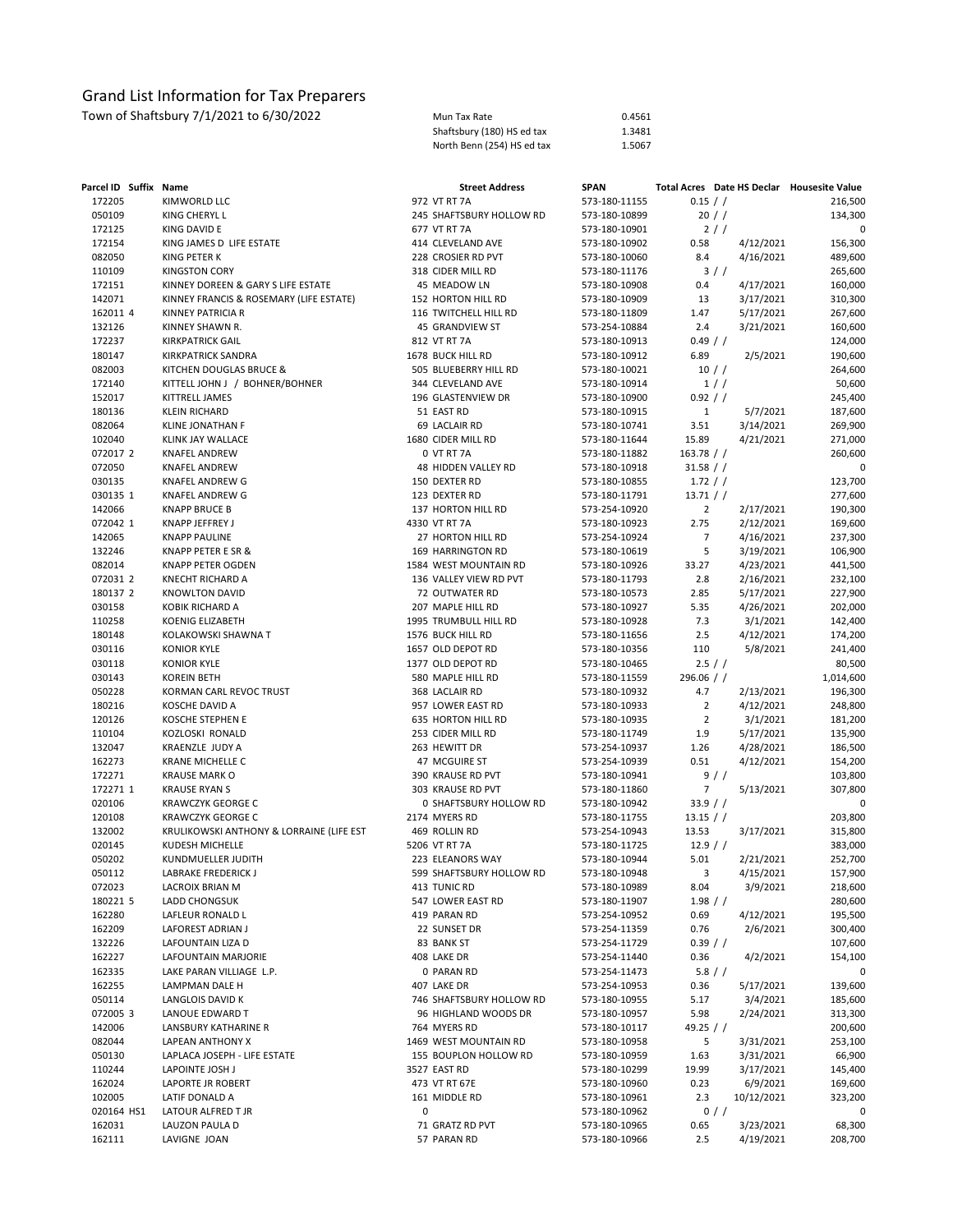| Mun Tax Rate               | 0.4561 |
|----------------------------|--------|
| Shaftsbury (180) HS ed tax | 1.3481 |
| North Benn (254) HS ed tax | 1.5067 |

| Parcel ID Suffix Name |                                          | <b>Street Address</b>    | <b>SPAN</b>   | Total Acres Date HS Declar Housesite Value |           |
|-----------------------|------------------------------------------|--------------------------|---------------|--------------------------------------------|-----------|
| 172205                | KIMWORLD LLC                             | 972 VT RT 7A             | 573-180-11155 | 0.15 / /                                   | 216,500   |
| 050109                | KING CHERYL L                            | 245 SHAFTSBURY HOLLOW RD | 573-180-10899 | 20 / /                                     | 134,300   |
| 172125                | KING DAVID E                             | 677 VT RT 7A             | 573-180-10901 | 2//                                        | 0         |
| 172154                | KING JAMES D LIFE ESTATE                 | 414 CLEVELAND AVE        | 573-180-10902 | 0.58<br>4/12/2021                          | 156,300   |
| 082050                | KING PETER K                             | 228 CROSIER RD PVT       | 573-180-10060 | 8.4<br>4/16/2021                           | 489,600   |
| 110109                | <b>KINGSTON CORY</b>                     | 318 CIDER MILL RD        | 573-180-11176 | 3//                                        | 265,600   |
| 172151                | KINNEY DOREEN & GARY S LIFE ESTATE       | 45 MEADOW LN             | 573-180-10908 | 0.4<br>4/17/2021                           | 160,000   |
| 142071                | KINNEY FRANCIS & ROSEMARY (LIFE ESTATE)  | 152 HORTON HILL RD       | 573-180-10909 | 13<br>3/17/2021                            | 310,300   |
| 162011 4              | KINNEY PATRICIA R                        | 116 TWITCHELL HILL RD    | 573-180-11809 | 1.47<br>5/17/2021                          | 267,600   |
| 132126                | KINNEY SHAWN R.                          | 45 GRANDVIEW ST          | 573-254-10884 | 2.4<br>3/21/2021                           | 160,600   |
| 172237                | <b>KIRKPATRICK GAIL</b>                  | 812 VT RT 7A             | 573-180-10913 | 0.49 / /                                   | 124,000   |
| 180147                | <b>KIRKPATRICK SANDRA</b>                | 1678 BUCK HILL RD        | 573-180-10912 | 6.89<br>2/5/2021                           | 190,600   |
| 082003                | KITCHEN DOUGLAS BRUCE &                  | 505 BLUEBERRY HILL RD    | 573-180-10021 | $10$ / $/$                                 | 264,600   |
| 172140                | KITTELL JOHN J / BOHNER/BOHNER           | 344 CLEVELAND AVE        | 573-180-10914 | 1//                                        | 50,600    |
| 152017                | KITTRELL JAMES                           | 196 GLASTENVIEW DR       | 573-180-10900 | 0.92 / /                                   | 245,400   |
| 180136                | <b>KLEIN RICHARD</b>                     | 51 EAST RD               | 573-180-10915 | $\mathbf{1}$<br>5/7/2021                   | 187,600   |
| 082064                | KLINE JONATHAN F                         | 69 LACLAIR RD            | 573-180-10741 | 3.51<br>3/14/2021                          | 269,900   |
| 102040                | KLINK JAY WALLACE                        | 1680 CIDER MILL RD       | 573-180-11644 | 15.89<br>4/21/2021                         | 271,000   |
| 072017 2              | <b>KNAFEL ANDREW</b>                     | 0 VT RT 7A               | 573-180-11882 | $163.78$ / /                               | 260,600   |
| 072050                | <b>KNAFEL ANDREW</b>                     | 48 HIDDEN VALLEY RD      | 573-180-10918 | 31.58 / /                                  | 0         |
| 030135                | KNAFEL ANDREW G                          | 150 DEXTER RD            | 573-180-10855 | 1.72 / /                                   | 123,700   |
| 030135 1              | KNAFEL ANDREW G                          | 123 DEXTER RD            | 573-180-11791 | 13.71 / /                                  | 277,600   |
| 142066                | <b>KNAPP BRUCE B</b>                     | 137 HORTON HILL RD       | 573-254-10920 | $\overline{2}$<br>2/17/2021                | 190,300   |
| 072042 1              | KNAPP JEFFREY J                          | 4330 VT RT 7A            | 573-180-10923 | 2.75<br>2/12/2021                          | 169,600   |
| 142065                | <b>KNAPP PAULINE</b>                     | 27 HORTON HILL RD        | 573-254-10924 | $\overline{7}$<br>4/16/2021                | 237,300   |
| 132246                | KNAPP PETER E SR &                       | 169 HARRINGTON RD        | 573-180-10619 | 5<br>3/19/2021                             | 106,900   |
| 082014                | <b>KNAPP PETER OGDEN</b>                 | 1584 WEST MOUNTAIN RD    | 573-180-10926 | 33.27<br>4/23/2021                         | 441,500   |
| 072031 2              | <b>KNECHT RICHARD A</b>                  | 136 VALLEY VIEW RD PVT   | 573-180-11793 | 2.8<br>2/16/2021                           | 232,100   |
| 180137 2              | <b>KNOWLTON DAVID</b>                    | 72 OUTWATER RD           | 573-180-10573 | 2.85<br>5/17/2021                          | 227,900   |
| 030158                | <b>KOBIK RICHARD A</b>                   | 207 MAPLE HILL RD        | 573-180-10927 | 4/26/2021<br>5.35                          | 202,000   |
| 110258                | KOENIG ELIZABETH                         | 1995 TRUMBULL HILL RD    | 573-180-10928 | 7.3<br>3/1/2021                            | 142,400   |
| 180148                | KOLAKOWSKI SHAWNA T                      | 1576 BUCK HILL RD        | 573-180-11656 | 2.5<br>4/12/2021                           | 174,200   |
| 030116                | <b>KONIOR KYLE</b>                       | 1657 OLD DEPOT RD        | 573-180-10356 | 110<br>5/8/2021                            | 241,400   |
| 030118                | <b>KONIOR KYLE</b>                       | 1377 OLD DEPOT RD        | 573-180-10465 | 2.5 / /                                    | 80,500    |
| 030143                | <b>KOREIN BETH</b>                       | 580 MAPLE HILL RD        | 573-180-11559 | $296.06$ / /                               | 1,014,600 |
| 050228                | KORMAN CARL REVOC TRUST                  | 368 LACLAIR RD           | 573-180-10932 | 4.7<br>2/13/2021                           | 196,300   |
| 180216                | KOSCHE DAVID A                           | 957 LOWER EAST RD        | 573-180-10933 | $\overline{2}$<br>4/12/2021                | 248,800   |
| 120126                | KOSCHE STEPHEN E                         | 635 HORTON HILL RD       | 573-180-10935 | $\overline{2}$<br>3/1/2021                 | 181,200   |
| 110104                | KOZLOSKI RONALD                          | 253 CIDER MILL RD        | 573-180-11749 | 1.9<br>5/17/2021                           | 135,900   |
| 132047                | KRAENZLE JUDY A                          | 263 HEWITT DR            | 573-254-10937 | 1.26<br>4/28/2021                          | 186,500   |
| 162273                | <b>KRANE MICHELLE C</b>                  | 47 MCGUIRE ST            | 573-254-10939 | 0.51<br>4/12/2021                          | 154,200   |
| 172271                | <b>KRAUSE MARK O</b>                     | 390 KRAUSE RD PVT        | 573-180-10941 | 9/                                         | 103,800   |
| 172271 1              | <b>KRAUSE RYAN S</b>                     | 303 KRAUSE RD PVT        | 573-180-11860 | $\overline{7}$<br>5/13/2021                | 307,800   |
| 020106                | <b>KRAWCZYK GEORGE C</b>                 | 0 SHAFTSBURY HOLLOW RD   | 573-180-10942 | 33.9 / /                                   | 0         |
| 120108                | <b>KRAWCZYK GEORGE C</b>                 | 2174 MYERS RD            | 573-180-11755 | $13.15$ / /                                | 203,800   |
| 132002                | KRULIKOWSKI ANTHONY & LORRAINE (LIFE EST | 469 ROLLIN RD            | 573-254-10943 | 13.53<br>3/17/2021                         | 315,800   |
| 020145                | <b>KUDESH MICHELLE</b>                   | 5206 VT RT 7A            | 573-180-11725 | 12.9 / /                                   | 383,000   |
| 050202                | KUNDMUELLER JUDITH                       | 223 ELEANORS WAY         | 573-180-10944 | 5.01<br>2/21/2021                          | 252,700   |
| 050112                | LABRAKE FREDERICK J                      | 599 SHAFTSBURY HOLLOW RD | 573-180-10948 | 3<br>4/15/2021                             | 157,900   |
| 072023                | LACROIX BRIAN M                          | 413 TUNIC RD             | 573-180-10989 | 8.04<br>3/9/2021                           | 218,600   |
| 180221 5              | LADD CHONGSUK                            | 547 LOWER EAST RD        | 573-180-11907 | 1.98 / /                                   | 280,600   |
| 162280                | LAFLEUR RONALD L                         | 419 PARAN RD             | 573-254-10952 | 0.69<br>4/12/2021                          | 195,500   |
| 162209                | LAFOREST ADRIAN J                        | 22 SUNSET DR             | 573-254-11359 | 0.76<br>2/6/2021                           | 300,400   |
| 132226                | LAFOUNTAIN LIZA D                        | 83 BANK ST               | 573-254-11729 | 0.39 / /                                   | 107,600   |
| 162227                | LAFOUNTAIN MARJORIE                      | 408 LAKE DR              | 573-254-11440 | 0.36<br>4/2/2021                           | 154,100   |
| 162335                | LAKE PARAN VILLIAGE L.P.                 | 0 PARAN RD               | 573-254-11473 | $5.8$ / /                                  | 0         |
| 162255                | LAMPMAN DALE H                           | 407 LAKE DR              | 573-254-10953 | 0.36<br>5/17/2021                          | 139,600   |
| 050114                | LANGLOIS DAVID K                         | 746 SHAFTSBURY HOLLOW RD | 573-180-10955 | 5.17<br>3/4/2021                           | 185,600   |
| 072005 3              | LANOUE EDWARD T                          | 96 HIGHLAND WOODS DR     | 573-180-10957 | 5.98<br>2/24/2021                          | 313,300   |
| 142006                | LANSBURY KATHARINE R                     | 764 MYERS RD             | 573-180-10117 | 49.25 $/$ /                                | 200,600   |
| 082044                | LAPEAN ANTHONY X                         | 1469 WEST MOUNTAIN RD    | 573-180-10958 | 5<br>3/31/2021                             | 253,100   |
| 050130                | LAPLACA JOSEPH - LIFE ESTATE             | 155 BOUPLON HOLLOW RD    | 573-180-10959 | 3/31/2021<br>1.63                          | 66,900    |
| 110244                | LAPOINTE JOSH J                          | 3527 EAST RD             | 573-180-10299 | 3/17/2021<br>19.99                         | 145,400   |
| 162024                | LAPORTE JR ROBERT                        | 473 VT RT 67E            | 573-180-10960 | 0.23<br>6/9/2021                           | 169,600   |
| 102005                | LATIF DONALD A                           | 161 MIDDLE RD            | 573-180-10961 | 10/12/2021<br>2.3                          | 323,200   |
| 020164 HS1            | LATOUR ALFRED T JR                       | 0                        | 573-180-10962 | $0$ / /                                    | 0         |
| 162031                | LAUZON PAULA D                           | 71 GRATZ RD PVT          | 573-180-10965 | 0.65<br>3/23/2021                          | 68,300    |
| 162111                | LAVIGNE JOAN                             | 57 PARAN RD              | 573-180-10966 | 2.5<br>4/19/2021                           | 208,700   |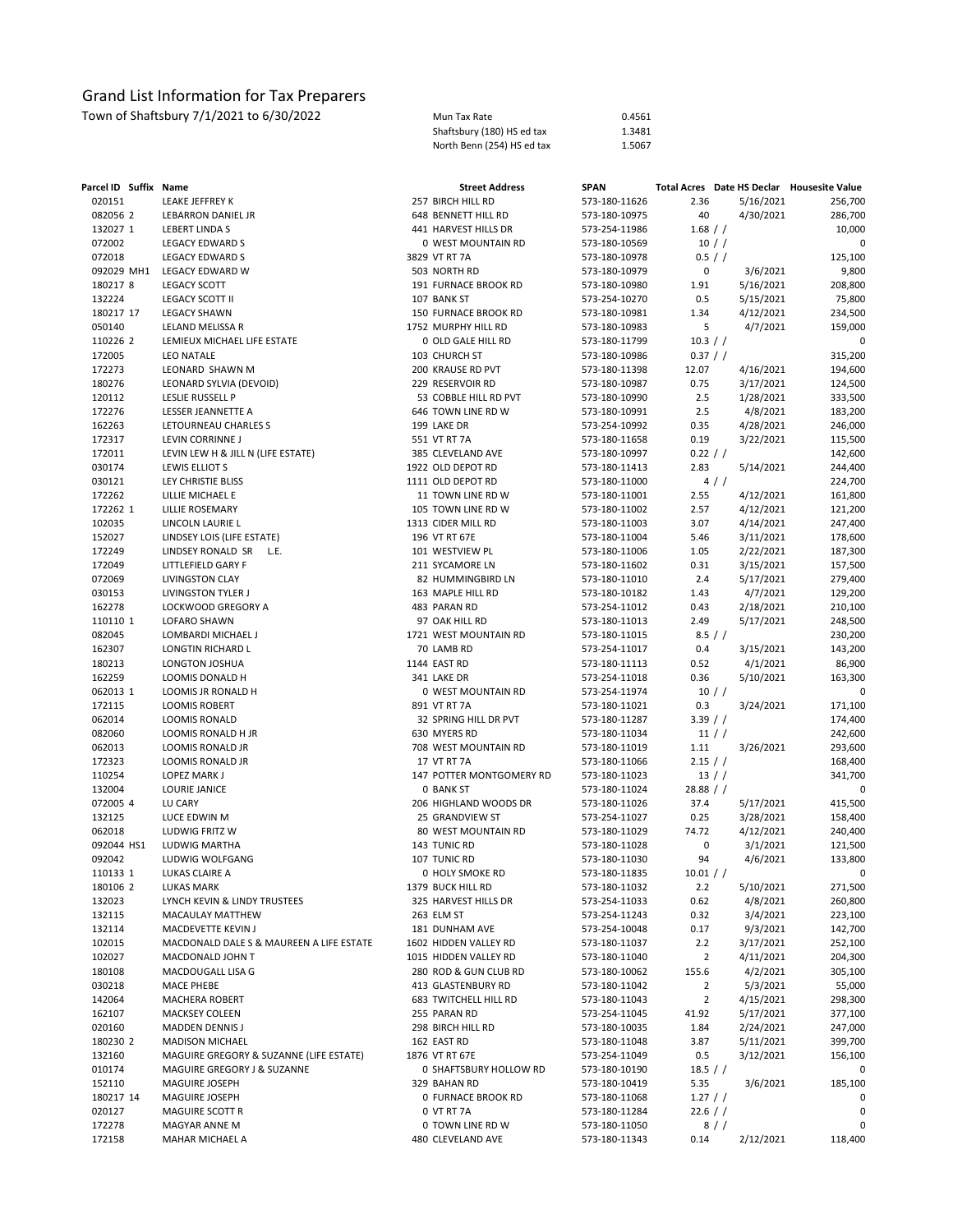| Mun Tax Rate               | 0.4561 |
|----------------------------|--------|
| Shaftsbury (180) HS ed tax | 1.3481 |
| North Benn (254) HS ed tax | 1.5067 |

| Parcel ID Suffix Name |                                             | <b>Street Address</b>                     | <b>SPAN</b>                    |                |                        | Total Acres Date HS Declar Housesite Value |
|-----------------------|---------------------------------------------|-------------------------------------------|--------------------------------|----------------|------------------------|--------------------------------------------|
| 020151                | LEAKE JEFFREY K                             | 257 BIRCH HILL RD                         | 573-180-11626                  | 2.36           | 5/16/2021              | 256,700                                    |
| 082056 2              | LEBARRON DANIEL JR                          | 648 BENNETT HILL RD                       | 573-180-10975                  | 40             | 4/30/2021              | 286,700                                    |
| 132027 1              | <b>LEBERT LINDA S</b>                       | 441 HARVEST HILLS DR                      | 573-254-11986                  | $1.68$ / /     |                        | 10,000                                     |
| 072002                | <b>LEGACY EDWARD S</b>                      | 0 WEST MOUNTAIN RD                        | 573-180-10569                  | $10$ / $/$     |                        | $\mathbf 0$                                |
| 072018                | LEGACY EDWARD S                             | 3829 VT RT 7A                             | 573-180-10978                  | 0.5 / /        |                        | 125,100                                    |
| 092029 MH1            | LEGACY EDWARD W                             | 503 NORTH RD                              | 573-180-10979                  | 0              | 3/6/2021               | 9,800                                      |
| 180217 8              | LEGACY SCOTT                                | 191 FURNACE BROOK RD                      | 573-180-10980                  | 1.91           | 5/16/2021              | 208,800                                    |
| 132224                | LEGACY SCOTT II                             | 107 BANK ST                               | 573-254-10270                  | 0.5            | 5/15/2021              | 75,800                                     |
| 180217 17             | <b>LEGACY SHAWN</b>                         | 150 FURNACE BROOK RD                      | 573-180-10981                  | 1.34           | 4/12/2021              | 234,500                                    |
| 050140                | LELAND MELISSA R                            | 1752 MURPHY HILL RD                       | 573-180-10983                  | 5              | 4/7/2021               | 159,000                                    |
| 110226 2              | LEMIEUX MICHAEL LIFE ESTATE                 | 0 OLD GALE HILL RD                        | 573-180-11799                  | 10.3 / /       |                        | 0                                          |
| 172005                | <b>LEO NATALE</b>                           | 103 CHURCH ST                             | 573-180-10986                  | 0.37 / /       |                        | 315,200                                    |
| 172273                | LEONARD SHAWN M                             | 200 KRAUSE RD PVT                         | 573-180-11398                  | 12.07          | 4/16/2021              | 194,600                                    |
| 180276<br>120112      | LEONARD SYLVIA (DEVOID)<br>LESLIE RUSSELL P | 229 RESERVOIR RD<br>53 COBBLE HILL RD PVT | 573-180-10987<br>573-180-10990 | 0.75<br>2.5    | 3/17/2021<br>1/28/2021 | 124,500<br>333,500                         |
| 172276                | LESSER JEANNETTE A                          | 646 TOWN LINE RD W                        | 573-180-10991                  | 2.5            | 4/8/2021               | 183,200                                    |
| 162263                | LETOURNEAU CHARLES S                        | 199 LAKE DR                               | 573-254-10992                  | 0.35           | 4/28/2021              | 246,000                                    |
| 172317                | LEVIN CORRINNE J                            | 551 VT RT 7A                              | 573-180-11658                  | 0.19           | 3/22/2021              | 115,500                                    |
| 172011                | LEVIN LEW H & JILL N (LIFE ESTATE)          | 385 CLEVELAND AVE                         | 573-180-10997                  | 0.22 / /       |                        | 142,600                                    |
| 030174                | LEWIS ELLIOT S                              | 1922 OLD DEPOT RD                         | 573-180-11413                  | 2.83           | 5/14/2021              | 244,400                                    |
| 030121                | LEY CHRISTIE BLISS                          | 1111 OLD DEPOT RD                         | 573-180-11000                  |                | $4$ / $/$              | 224,700                                    |
| 172262                | LILLIE MICHAEL E                            | 11 TOWN LINE RD W                         | 573-180-11001                  | 2.55           | 4/12/2021              | 161,800                                    |
| 172262 1              | <b>LILLIE ROSEMARY</b>                      | 105 TOWN LINE RD W                        | 573-180-11002                  | 2.57           | 4/12/2021              | 121,200                                    |
| 102035                | LINCOLN LAURIE L                            | 1313 CIDER MILL RD                        | 573-180-11003                  | 3.07           | 4/14/2021              | 247,400                                    |
| 152027                | LINDSEY LOIS (LIFE ESTATE)                  | 196 VT RT 67E                             | 573-180-11004                  | 5.46           | 3/11/2021              | 178,600                                    |
| 172249                | LINDSEY RONALD SR<br>L.E.                   | 101 WESTVIEW PL                           | 573-180-11006                  | 1.05           | 2/22/2021              | 187,300                                    |
| 172049                | LITTLEFIELD GARY F                          | 211 SYCAMORE LN                           | 573-180-11602                  | 0.31           | 3/15/2021              | 157,500                                    |
| 072069                | <b>LIVINGSTON CLAY</b>                      | 82 HUMMINGBIRD LN                         | 573-180-11010                  | 2.4            | 5/17/2021              | 279,400                                    |
| 030153                | LIVINGSTON TYLER J                          | 163 MAPLE HILL RD                         | 573-180-10182                  | 1.43           | 4/7/2021               | 129,200                                    |
| 162278                | LOCKWOOD GREGORY A                          | 483 PARAN RD                              | 573-254-11012                  | 0.43           | 2/18/2021              | 210,100                                    |
| 110110 1              | LOFARO SHAWN                                | 97 OAK HILL RD                            | 573-180-11013                  | 2.49           | 5/17/2021              | 248,500                                    |
| 082045                | LOMBARDI MICHAEL J                          | 1721 WEST MOUNTAIN RD                     | 573-180-11015                  | $8.5$ / /      |                        | 230,200                                    |
| 162307                | LONGTIN RICHARD L                           | 70 LAMB RD                                | 573-254-11017                  | 0.4            | 3/15/2021              | 143,200                                    |
| 180213                | LONGTON JOSHUA                              | 1144 EAST RD                              | 573-180-11113                  | 0.52           | 4/1/2021               | 86,900                                     |
| 162259                | LOOMIS DONALD H                             | 341 LAKE DR                               | 573-254-11018                  | 0.36           | 5/10/2021              | 163,300                                    |
| 062013 1              | LOOMIS JR RONALD H                          | 0 WEST MOUNTAIN RD                        | 573-254-11974                  |                | $10$ / $/$             | 0                                          |
| 172115                | <b>LOOMIS ROBERT</b>                        | 891 VT RT 7A                              | 573-180-11021                  | 0.3            | 3/24/2021              | 171,100                                    |
| 062014                | <b>LOOMIS RONALD</b>                        | 32 SPRING HILL DR PVT                     | 573-180-11287                  | 3.39 / /       |                        | 174,400                                    |
| 082060                | LOOMIS RONALD H JR                          | 630 MYERS RD                              | 573-180-11034                  | 11 //          |                        | 242,600                                    |
| 062013                | LOOMIS RONALD JR                            | 708 WEST MOUNTAIN RD                      | 573-180-11019                  | 1.11           | 3/26/2021              | 293,600                                    |
| 172323                | LOOMIS RONALD JR                            | 17 VT RT 7A                               | 573-180-11066                  | 2.15 / /       |                        | 168,400                                    |
| 110254                | LOPEZ MARK J                                | 147 POTTER MONTGOMERY RD                  | 573-180-11023                  | 13 //          |                        | 341,700                                    |
| 132004                | LOURIE JANICE                               | <b>0 BANK ST</b>                          | 573-180-11024                  | $28.88$ / /    |                        | 0                                          |
| 072005 4              | LU CARY                                     | 206 HIGHLAND WOODS DR                     | 573-180-11026                  | 37.4           | 5/17/2021              | 415,500                                    |
| 132125                | LUCE EDWIN M                                | 25 GRANDVIEW ST                           | 573-254-11027                  | 0.25           | 3/28/2021              | 158,400                                    |
| 062018                | LUDWIG FRITZ W                              | 80 WEST MOUNTAIN RD                       | 573-180-11029                  | 74.72          | 4/12/2021              | 240,400                                    |
| 092044 HS1<br>092042  | LUDWIG MARTHA                               | 143 TUNIC RD<br>107 TUNIC RD              | 573-180-11028<br>573-180-11030 | 0<br>94        | 3/1/2021               | 121,500                                    |
|                       | LUDWIG WOLFGANG<br>LUKAS CLAIRE A           | 0 HOLY SMOKE RD                           | 573-180-11835                  | 10.01 / /      | 4/6/2021               | 133,800                                    |
| 110133 1<br>180106 2  | LUKAS MARK                                  | 1379 BUCK HILL RD                         | 573-180-11032                  | 2.2            | 5/10/2021              | 0<br>271,500                               |
| 132023                | LYNCH KEVIN & LINDY TRUSTEES                | 325 HARVEST HILLS DR                      | 573-254-11033                  | 0.62           | 4/8/2021               | 260,800                                    |
| 132115                | MACAULAY MATTHEW                            | 263 ELM ST                                | 573-254-11243                  | 0.32           | 3/4/2021               | 223,100                                    |
| 132114                | MACDEVETTE KEVIN J                          | 181 DUNHAM AVE                            | 573-254-10048                  | 0.17           | 9/3/2021               | 142,700                                    |
| 102015                | MACDONALD DALE S & MAUREEN A LIFE ESTATE    | 1602 HIDDEN VALLEY RD                     | 573-180-11037                  | 2.2            | 3/17/2021              | 252,100                                    |
| 102027                | MACDONALD JOHN T                            | 1015 HIDDEN VALLEY RD                     | 573-180-11040                  | $\overline{2}$ | 4/11/2021              | 204,300                                    |
| 180108                | MACDOUGALL LISA G                           | 280 ROD & GUN CLUB RD                     | 573-180-10062                  | 155.6          | 4/2/2021               | 305,100                                    |
| 030218                | MACE PHEBE                                  | 413 GLASTENBURY RD                        | 573-180-11042                  | $\overline{2}$ | 5/3/2021               | 55,000                                     |
| 142064                | MACHERA ROBERT                              | 683 TWITCHELL HILL RD                     | 573-180-11043                  | $\overline{2}$ | 4/15/2021              | 298,300                                    |
| 162107                | <b>MACKSEY COLEEN</b>                       | 255 PARAN RD                              | 573-254-11045                  | 41.92          | 5/17/2021              | 377,100                                    |
| 020160                | <b>MADDEN DENNIS J</b>                      | 298 BIRCH HILL RD                         | 573-180-10035                  | 1.84           | 2/24/2021              | 247,000                                    |
| 180230 2              | <b>MADISON MICHAEL</b>                      | 162 EAST RD                               | 573-180-11048                  | 3.87           | 5/11/2021              | 399,700                                    |
| 132160                | MAGUIRE GREGORY & SUZANNE (LIFE ESTATE)     | 1876 VT RT 67E                            | 573-254-11049                  | 0.5            | 3/12/2021              | 156,100                                    |
| 010174                | MAGUIRE GREGORY J & SUZANNE                 | 0 SHAFTSBURY HOLLOW RD                    | 573-180-10190                  | 18.5 / /       |                        | 0                                          |
| 152110                | MAGUIRE JOSEPH                              | 329 BAHAN RD                              | 573-180-10419                  | 5.35           | 3/6/2021               | 185,100                                    |
| 180217 14             | MAGUIRE JOSEPH                              | 0 FURNACE BROOK RD                        | 573-180-11068                  | 1.27 / /       |                        | 0                                          |
| 020127                | MAGUIRE SCOTT R                             | 0 VT RT 7A                                | 573-180-11284                  | 22.6 / /       |                        | 0                                          |
| 172278                | MAGYAR ANNE M                               | 0 TOWN LINE RD W                          | 573-180-11050                  |                | 8//                    | 0                                          |
| 172158                | MAHAR MICHAEL A                             | 480 CLEVELAND AVE                         | 573-180-11343                  | 0.14           | 2/12/2021              | 118,400                                    |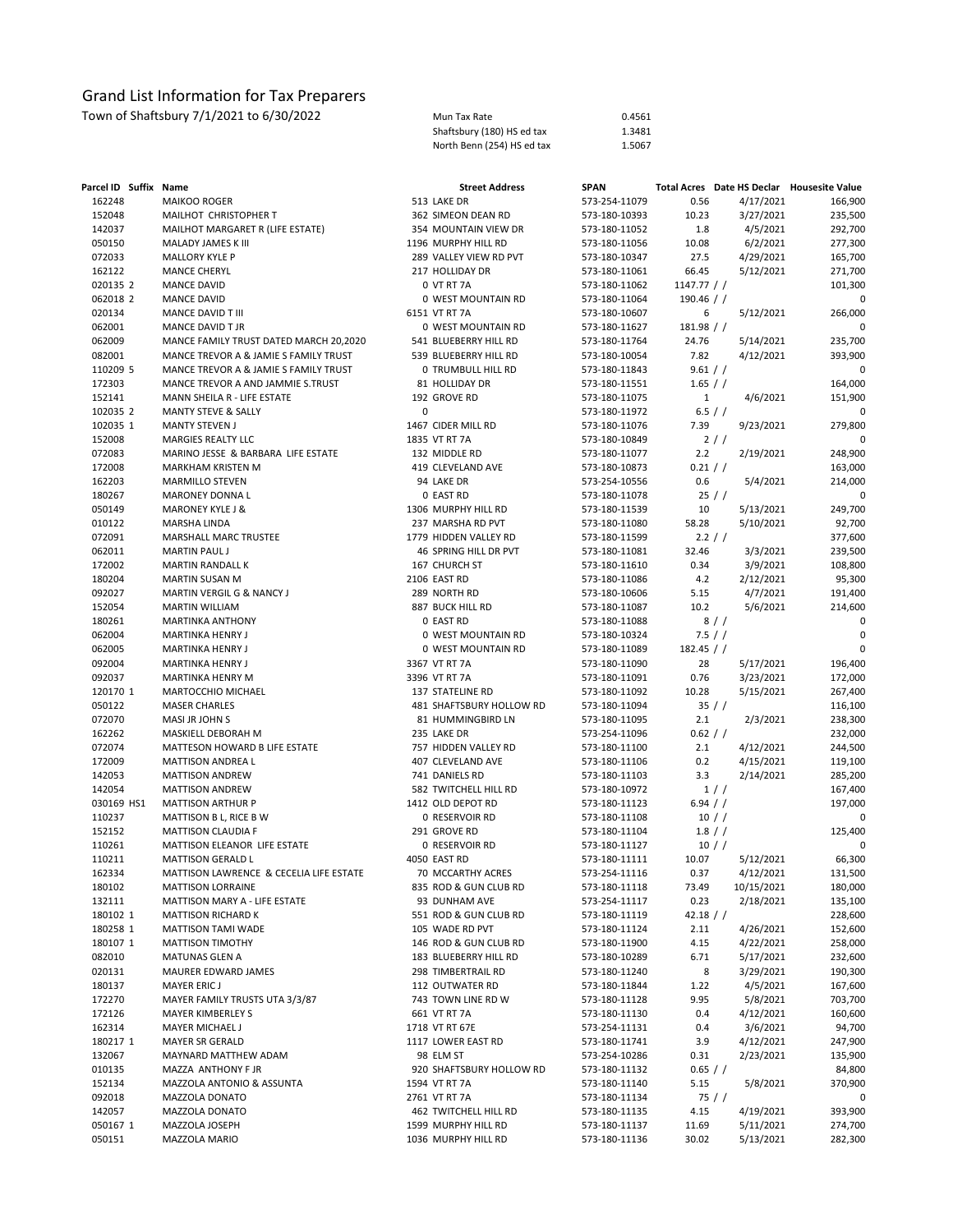| Parcel ID Suffix Name |                                                    | <b>Street Address</b>                    | <b>SPAN</b>                    |              | Total Acres Date HS Declar Housesite Value |                   |
|-----------------------|----------------------------------------------------|------------------------------------------|--------------------------------|--------------|--------------------------------------------|-------------------|
| 162248                | MAIKOO ROGER                                       | 513 LAKE DR                              | 573-254-11079                  | 0.56         | 4/17/2021                                  | 166,900           |
| 152048                | MAILHOT CHRISTOPHER T                              | 362 SIMEON DEAN RD                       | 573-180-10393                  | 10.23        | 3/27/2021                                  | 235,500           |
| 142037                | MAILHOT MARGARET R (LIFE ESTATE)                   | 354 MOUNTAIN VIEW DR                     | 573-180-11052                  | 1.8          | 4/5/2021                                   | 292,700           |
| 050150                | MALADY JAMES K III                                 | 1196 MURPHY HILL RD                      | 573-180-11056                  | 10.08        | 6/2/2021                                   | 277,300           |
| 072033                | <b>MALLORY KYLE P</b>                              | 289 VALLEY VIEW RD PVT                   | 573-180-10347                  | 27.5         | 4/29/2021                                  | 165,700           |
| 162122                | <b>MANCE CHERYL</b>                                | 217 HOLLIDAY DR                          | 573-180-11061                  | 66.45        | 5/12/2021                                  | 271,700           |
| 020135 2              | <b>MANCE DAVID</b>                                 | 0 VT RT 7A                               | 573-180-11062                  | 1147.77 / /  |                                            | 101,300           |
| 062018 2              | <b>MANCE DAVID</b>                                 | 0 WEST MOUNTAIN RD                       | 573-180-11064                  | 190.46 $/$ / |                                            | 0                 |
| 020134                | MANCE DAVID T III                                  | 6151 VT RT 7A                            | 573-180-10607                  | 6            | 5/12/2021                                  | 266,000           |
| 062001                | MANCE DAVID T JR                                   | 0 WEST MOUNTAIN RD                       | 573-180-11627                  | $181.98$ / / |                                            | 0                 |
| 062009                | MANCE FAMILY TRUST DATED MARCH 20,2020             | 541 BLUEBERRY HILL RD                    | 573-180-11764                  | 24.76        | 5/14/2021                                  | 235,700           |
| 082001                | MANCE TREVOR A & JAMIE S FAMILY TRUST              | 539 BLUEBERRY HILL RD                    | 573-180-10054                  | 7.82         | 4/12/2021                                  | 393,900           |
| 110209 5              | MANCE TREVOR A & JAMIE S FAMILY TRUST              | 0 TRUMBULL HILL RD                       | 573-180-11843                  | 9.61 / /     |                                            | 0                 |
| 172303                | MANCE TREVOR A AND JAMMIE S.TRUST                  | 81 HOLLIDAY DR                           | 573-180-11551                  | 1.65 / /     |                                            | 164,000           |
| 152141                | MANN SHEILA R - LIFE ESTATE                        | 192 GROVE RD                             | 573-180-11075                  | $\mathbf{1}$ | 4/6/2021                                   | 151,900           |
| 102035 2              | MANTY STEVE & SALLY                                | 0                                        | 573-180-11972                  | 6.5 / /      |                                            | 0                 |
| 102035 1              | <b>MANTY STEVEN J</b>                              | 1467 CIDER MILL RD                       | 573-180-11076                  | 7.39         | 9/23/2021                                  | 279,800           |
| 152008                | MARGIES REALTY LLC                                 | 1835 VT RT 7A                            | 573-180-10849                  |              | 2//                                        | 0                 |
| 072083                | MARINO JESSE & BARBARA LIFE ESTATE                 | 132 MIDDLE RD                            | 573-180-11077                  | 2.2          | 2/19/2021                                  | 248,900           |
| 172008                | MARKHAM KRISTEN M                                  | 419 CLEVELAND AVE                        | 573-180-10873                  | 0.21 / /     |                                            | 163,000           |
| 162203                | <b>MARMILLO STEVEN</b>                             | 94 LAKE DR                               | 573-254-10556                  | 0.6          | 5/4/2021                                   | 214,000           |
| 180267                | MARONEY DONNA L                                    | 0 EAST RD                                | 573-180-11078                  | 10           | 25//                                       | 0                 |
| 050149<br>010122      | <b>MARONEY KYLE J &amp;</b><br><b>MARSHA LINDA</b> | 1306 MURPHY HILL RD<br>237 MARSHA RD PVT | 573-180-11539                  | 58.28        | 5/13/2021<br>5/10/2021                     | 249,700<br>92,700 |
| 072091                | MARSHALL MARC TRUSTEE                              | 1779 HIDDEN VALLEY RD                    | 573-180-11080<br>573-180-11599 |              | 2.2 / /                                    | 377,600           |
| 062011                | <b>MARTIN PAUL J</b>                               | 46 SPRING HILL DR PVT                    | 573-180-11081                  | 32.46        | 3/3/2021                                   | 239,500           |
| 172002                | MARTIN RANDALL K                                   | 167 CHURCH ST                            | 573-180-11610                  | 0.34         | 3/9/2021                                   | 108,800           |
| 180204                | <b>MARTIN SUSAN M</b>                              | 2106 EAST RD                             | 573-180-11086                  | 4.2          | 2/12/2021                                  | 95,300            |
| 092027                | MARTIN VERGIL G & NANCY J                          | 289 NORTH RD                             | 573-180-10606                  | 5.15         | 4/7/2021                                   | 191,400           |
| 152054                | <b>MARTIN WILLIAM</b>                              | 887 BUCK HILL RD                         | 573-180-11087                  | 10.2         | 5/6/2021                                   | 214,600           |
| 180261                | <b>MARTINKA ANTHONY</b>                            | 0 EAST RD                                | 573-180-11088                  |              | 8//                                        | 0                 |
| 062004                | MARTINKA HENRY J                                   | 0 WEST MOUNTAIN RD                       | 573-180-10324                  | 7.5/         |                                            | 0                 |
| 062005                | MARTINKA HENRY J                                   | 0 WEST MOUNTAIN RD                       | 573-180-11089                  | $182.45$ / / |                                            | 0                 |
| 092004                | MARTINKA HENRY J                                   | 3367 VT RT 7A                            | 573-180-11090                  | 28           | 5/17/2021                                  | 196,400           |
| 092037                | MARTINKA HENRY M                                   | 3396 VT RT 7A                            | 573-180-11091                  | 0.76         | 3/23/2021                                  | 172,000           |
| 120170 1              | MARTOCCHIO MICHAEL                                 | 137 STATELINE RD                         | 573-180-11092                  | 10.28        | 5/15/2021                                  | 267,400           |
| 050122                | <b>MASER CHARLES</b>                               | 481 SHAFTSBURY HOLLOW RD                 | 573-180-11094                  |              | 35//                                       | 116,100           |
| 072070                | MASI JR JOHN S                                     | 81 HUMMINGBIRD LN                        | 573-180-11095                  | 2.1          | 2/3/2021                                   | 238,300           |
| 162262                | MASKIELL DEBORAH M                                 | 235 LAKE DR                              | 573-254-11096                  | 0.62 / /     |                                            | 232,000           |
| 072074                | MATTESON HOWARD B LIFE ESTATE                      | 757 HIDDEN VALLEY RD                     | 573-180-11100                  | 2.1          | 4/12/2021                                  | 244,500           |
| 172009                | MATTISON ANDREA L                                  | 407 CLEVELAND AVE                        | 573-180-11106                  | 0.2          | 4/15/2021                                  | 119,100           |
| 142053                | <b>MATTISON ANDREW</b>                             | 741 DANIELS RD                           | 573-180-11103                  | 3.3          | 2/14/2021                                  | 285,200           |
| 142054                | <b>MATTISON ANDREW</b>                             | 582 TWITCHELL HILL RD                    | 573-180-10972                  |              | 1//                                        | 167,400           |
| 030169 HS1            | <b>MATTISON ARTHUR P</b>                           | 1412 OLD DEPOT RD                        | 573-180-11123                  | 6.94 / /     |                                            | 197,000           |
| 110237                | MATTISON B L, RICE B W                             | 0 RESERVOIR RD                           | 573-180-11108                  |              | $10$ / $/$                                 | 0                 |
| 152152                | <b>MATTISON CLAUDIA F</b>                          | 291 GROVE RD                             | 573-180-11104                  | 1.8 / /      |                                            | 125,400           |
| 110261                | MATTISON ELEANOR LIFE ESTATE                       | 0 RESERVOIR RD                           | 573-180-11127                  |              | $10$ / $/$                                 | 0                 |
| 110211                | MATTISON GERALD L                                  | 4050 EAST RD                             | 573-180-11111                  | 10.07        | 5/12/2021                                  | 66,300            |
| 162334                | MATTISON LAWRENCE & CECELIA LIFE ESTATE            | 70 MCCARTHY ACRES                        | 573-254-11116                  | 0.37         | 4/12/2021                                  | 131,500           |
| 180102                | <b>MATTISON LORRAINE</b>                           | 835 ROD & GUN CLUB RD                    | 573-180-11118                  | 73.49        | 10/15/2021                                 | 180,000           |
| 132111                | MATTISON MARY A - LIFE ESTATE                      | 93 DUNHAM AVE                            | 573-254-11117                  | 0.23         | 2/18/2021                                  | 135,100           |
| 180102 1              | <b>MATTISON RICHARD K</b>                          | 551 ROD & GUN CLUB RD                    | 573-180-11119                  | 42.18 $/$ /  |                                            | 228,600           |
| 180258 1              | MATTISON TAMI WADE                                 | 105 WADE RD PVT                          | 573-180-11124                  | 2.11         | 4/26/2021                                  | 152,600           |
| 180107 1              | <b>MATTISON TIMOTHY</b>                            | 146 ROD & GUN CLUB RD                    | 573-180-11900                  | 4.15         | 4/22/2021                                  | 258,000           |
| 082010                | MATUNAS GLEN A                                     | 183 BLUEBERRY HILL RD                    | 573-180-10289                  | 6.71         | 5/17/2021                                  | 232,600           |
| 020131                | MAURER EDWARD JAMES                                | 298 TIMBERTRAIL RD                       | 573-180-11240                  | 8            | 3/29/2021                                  | 190,300           |
| 180137                | MAYER ERIC J                                       | 112 OUTWATER RD                          | 573-180-11844                  | 1.22         | 4/5/2021                                   | 167,600           |
| 172270                | MAYER FAMILY TRUSTS UTA 3/3/87                     | 743 TOWN LINE RD W                       | 573-180-11128                  | 9.95         | 5/8/2021                                   | 703,700           |
| 172126                | MAYER KIMBERLEY S                                  | 661 VT RT 7A                             | 573-180-11130                  | 0.4          | 4/12/2021                                  | 160,600           |
| 162314                | MAYER MICHAEL J                                    | 1718 VT RT 67E                           | 573-254-11131                  | 0.4          | 3/6/2021                                   | 94,700            |
| 180217 1              | MAYER SR GERALD                                    | 1117 LOWER EAST RD                       | 573-180-11741                  | 3.9          | 4/12/2021                                  | 247,900           |
| 132067                | MAYNARD MATTHEW ADAM                               | 98 ELM ST                                | 573-254-10286                  | 0.31         | 2/23/2021                                  | 135,900           |
| 010135                | MAZZA ANTHONY F JR                                 | 920 SHAFTSBURY HOLLOW RD                 | 573-180-11132                  | $0.65$ / /   |                                            | 84,800            |
| 152134                | MAZZOLA ANTONIO & ASSUNTA                          | 1594 VT RT 7A                            | 573-180-11140                  | 5.15         | 5/8/2021                                   | 370,900           |
| 092018                | MAZZOLA DONATO                                     | 2761 VT RT 7A                            | 573-180-11134                  |              | 75/                                        | 0                 |
| 142057                | MAZZOLA DONATO                                     | 462 TWITCHELL HILL RD                    | 573-180-11135                  | 4.15         | 4/19/2021                                  | 393,900           |
| 050167 1              | MAZZOLA JOSEPH                                     | 1599 MURPHY HILL RD                      | 573-180-11137                  | 11.69        | 5/11/2021                                  | 274,700           |
| 050151                | MAZZOLA MARIO                                      | 1036 MURPHY HILL RD                      | 573-180-11136                  | 30.02        | 5/13/2021                                  | 282,300           |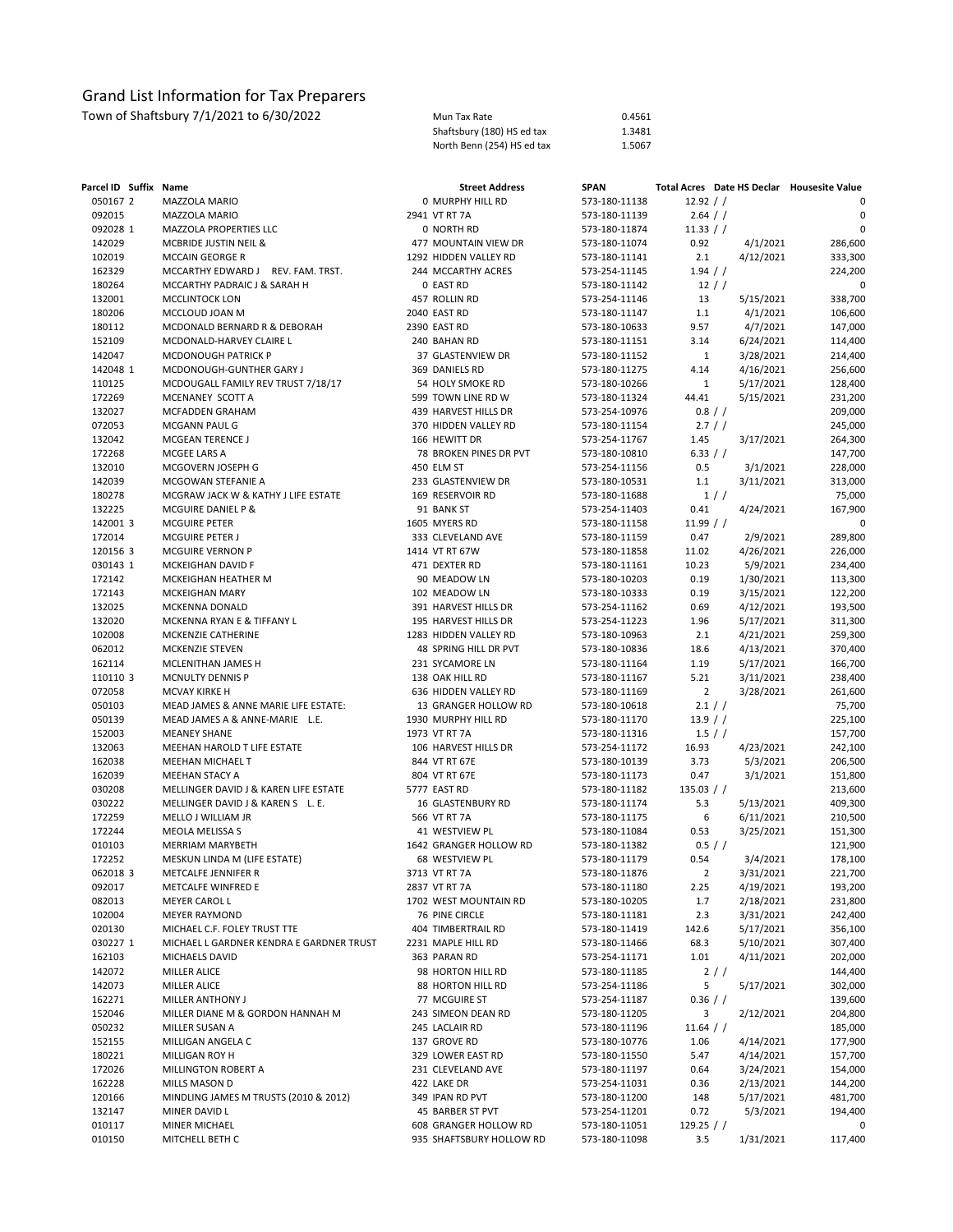| Parcel ID Suffix Name |                                          | <b>Street Address</b>    | <b>SPAN</b>   |                |           | Total Acres Date HS Declar Housesite Value |
|-----------------------|------------------------------------------|--------------------------|---------------|----------------|-----------|--------------------------------------------|
| 050167 2              | MAZZOLA MARIO                            | 0 MURPHY HILL RD         | 573-180-11138 | 12.92 / /      |           | 0                                          |
| 092015                | MAZZOLA MARIO                            | 2941 VT RT 7A            | 573-180-11139 | 2.64 / /       |           | $\mathbf 0$                                |
| 092028 1              | MAZZOLA PROPERTIES LLC                   | 0 NORTH RD               | 573-180-11874 | 11.33 / /      |           | $\Omega$                                   |
| 142029                | MCBRIDE JUSTIN NEIL &                    | 477 MOUNTAIN VIEW DR     | 573-180-11074 | 0.92           | 4/1/2021  | 286,600                                    |
| 102019                | MCCAIN GEORGE R                          | 1292 HIDDEN VALLEY RD    | 573-180-11141 | 2.1            | 4/12/2021 | 333,300                                    |
| 162329                | MCCARTHY EDWARD J REV. FAM. TRST.        | 244 MCCARTHY ACRES       | 573-254-11145 | 1.94 / /       |           | 224,200                                    |
| 180264                | MCCARTHY PADRAIC J & SARAH H             | 0 EAST RD                | 573-180-11142 | $12$ / /       |           | 0                                          |
| 132001                | MCCLINTOCK LON                           | 457 ROLLIN RD            | 573-254-11146 | 13             | 5/15/2021 | 338,700                                    |
| 180206                | MCCLOUD JOAN M                           | 2040 EAST RD             | 573-180-11147 | 1.1            | 4/1/2021  | 106,600                                    |
| 180112                | MCDONALD BERNARD R & DEBORAH             | 2390 EAST RD             | 573-180-10633 | 9.57           | 4/7/2021  | 147,000                                    |
| 152109                | MCDONALD-HARVEY CLAIRE L                 | 240 BAHAN RD             | 573-180-11151 | 3.14           | 6/24/2021 | 114,400                                    |
| 142047                | MCDONOUGH PATRICK P                      | 37 GLASTENVIEW DR        | 573-180-11152 | $\mathbf{1}$   | 3/28/2021 | 214,400                                    |
| 142048 1              | MCDONOUGH-GUNTHER GARY J                 | 369 DANIELS RD           | 573-180-11275 | 4.14           | 4/16/2021 | 256,600                                    |
| 110125                | MCDOUGALL FAMILY REV TRUST 7/18/17       | 54 HOLY SMOKE RD         | 573-180-10266 | $\mathbf{1}$   | 5/17/2021 | 128,400                                    |
| 172269                | MCENANEY SCOTT A                         | 599 TOWN LINE RD W       | 573-180-11324 | 44.41          | 5/15/2021 | 231,200                                    |
| 132027                | MCFADDEN GRAHAM                          | 439 HARVEST HILLS DR     | 573-254-10976 | 0.8 / /        |           | 209,000                                    |
| 072053                | MCGANN PAUL G                            | 370 HIDDEN VALLEY RD     | 573-180-11154 | 2.7 / /        |           | 245,000                                    |
| 132042                | <b>MCGEAN TERENCE J</b>                  | 166 HEWITT DR            | 573-254-11767 | 1.45           | 3/17/2021 | 264,300                                    |
| 172268                | MCGEE LARS A                             | 78 BROKEN PINES DR PVT   | 573-180-10810 | 6.33 / /       |           | 147,700                                    |
| 132010                | MCGOVERN JOSEPH G                        | 450 ELM ST               | 573-254-11156 | 0.5            | 3/1/2021  | 228,000                                    |
| 142039                | MCGOWAN STEFANIE A                       | 233 GLASTENVIEW DR       | 573-180-10531 | 1.1            | 3/11/2021 | 313,000                                    |
| 180278                | MCGRAW JACK W & KATHY J LIFE ESTATE      | 169 RESERVOIR RD         | 573-180-11688 |                | 1//       | 75,000                                     |
| 132225                | MCGUIRE DANIEL P &                       | 91 BANK ST               | 573-254-11403 | 0.41           | 4/24/2021 | 167,900                                    |
| 142001 3              | <b>MCGUIRE PETER</b>                     | 1605 MYERS RD            | 573-180-11158 | 11.99 / /      |           | 0                                          |
| 172014                | MCGUIRE PETER J                          | 333 CLEVELAND AVE        | 573-180-11159 | 0.47           | 2/9/2021  | 289,800                                    |
| 120156 3              | MCGUIRE VERNON P                         | 1414 VT RT 67W           | 573-180-11858 | 11.02          | 4/26/2021 | 226,000                                    |
| 030143 1              | MCKEIGHAN DAVID F                        | 471 DEXTER RD            | 573-180-11161 | 10.23          | 5/9/2021  | 234,400                                    |
| 172142                | MCKEIGHAN HEATHER M                      | 90 MEADOW LN             | 573-180-10203 | 0.19           | 1/30/2021 | 113,300                                    |
| 172143                | MCKEIGHAN MARY                           | 102 MEADOW LN            | 573-180-10333 | 0.19           | 3/15/2021 | 122,200                                    |
| 132025                | MCKENNA DONALD                           | 391 HARVEST HILLS DR     | 573-254-11162 | 0.69           | 4/12/2021 | 193,500                                    |
| 132020                | MCKENNA RYAN E & TIFFANY L               | 195 HARVEST HILLS DR     | 573-254-11223 | 1.96           | 5/17/2021 | 311,300                                    |
| 102008                | MCKENZIE CATHERINE                       | 1283 HIDDEN VALLEY RD    | 573-180-10963 | 2.1            | 4/21/2021 | 259,300                                    |
| 062012                | MCKENZIE STEVEN                          | 48 SPRING HILL DR PVT    | 573-180-10836 | 18.6           | 4/13/2021 | 370,400                                    |
| 162114                | MCLENITHAN JAMES H                       | 231 SYCAMORE LN          | 573-180-11164 | 1.19           | 5/17/2021 | 166,700                                    |
| 110110 3              | MCNULTY DENNIS P                         | 138 OAK HILL RD          | 573-180-11167 | 5.21           | 3/11/2021 | 238,400                                    |
| 072058                | <b>MCVAY KIRKE H</b>                     | 636 HIDDEN VALLEY RD     | 573-180-11169 | $\overline{2}$ | 3/28/2021 | 261,600                                    |
| 050103                | MEAD JAMES & ANNE MARIE LIFE ESTATE:     | 13 GRANGER HOLLOW RD     | 573-180-10618 | 2.1 / /        |           | 75,700                                     |
| 050139                | MEAD JAMES A & ANNE-MARIE L.E.           | 1930 MURPHY HILL RD      | 573-180-11170 | 13.9 / /       |           | 225,100                                    |
| 152003                | <b>MEANEY SHANE</b>                      | 1973 VT RT 7A            | 573-180-11316 | 1.5 / /        |           | 157,700                                    |
| 132063                | MEEHAN HAROLD T LIFE ESTATE              | 106 HARVEST HILLS DR     | 573-254-11172 | 16.93          | 4/23/2021 | 242,100                                    |
| 162038                | MEEHAN MICHAEL T                         | 844 VT RT 67E            | 573-180-10139 | 3.73           | 5/3/2021  | 206,500                                    |
| 162039                | MEEHAN STACY A                           | 804 VT RT 67E            | 573-180-11173 | 0.47           | 3/1/2021  | 151,800                                    |
| 030208                | MELLINGER DAVID J & KAREN LIFE ESTATE    | 5777 EAST RD             | 573-180-11182 | 135.03 / /     |           | 213,600                                    |
| 030222                | MELLINGER DAVID J & KAREN S L. E.        | 16 GLASTENBURY RD        | 573-180-11174 | 5.3            | 5/13/2021 | 409,300                                    |
| 172259                | MELLO J WILLIAM JR                       | 566 VT RT 7A             | 573-180-11175 | 6              | 6/11/2021 | 210,500                                    |
| 172244                | MEOLA MELISSA S                          | 41 WESTVIEW PL           | 573-180-11084 | 0.53           | 3/25/2021 | 151,300                                    |
| 010103                | MERRIAM MARYBETH                         | 1642 GRANGER HOLLOW RD   | 573-180-11382 | 0.5 / /        |           | 121,900                                    |
| 172252                | MESKUN LINDA M (LIFE ESTATE)             | 68 WESTVIEW PL           | 573-180-11179 | 0.54           | 3/4/2021  | 178,100                                    |
| 062018 3              | METCALFE JENNIFER R                      | 3713 VT RT 7A            | 573-180-11876 | $\overline{2}$ | 3/31/2021 | 221,700                                    |
| 092017                | METCALFE WINFRED E                       | 2837 VT RT 7A            | 573-180-11180 | 2.25           | 4/19/2021 | 193,200                                    |
| 082013                | MEYER CAROL L                            | 1702 WEST MOUNTAIN RD    | 573-180-10205 | 1.7            | 2/18/2021 | 231,800                                    |
| 102004                | <b>MEYER RAYMOND</b>                     | 76 PINE CIRCLE           | 573-180-11181 | 2.3            | 3/31/2021 | 242,400                                    |
| 020130                | MICHAEL C.F. FOLEY TRUST TTE             | 404 TIMBERTRAIL RD       | 573-180-11419 | 142.6          | 5/17/2021 | 356,100                                    |
| 030227 1              | MICHAEL L GARDNER KENDRA E GARDNER TRUST | 2231 MAPLE HILL RD       | 573-180-11466 | 68.3           | 5/10/2021 | 307,400                                    |
| 162103                | MICHAELS DAVID                           | 363 PARAN RD             | 573-254-11171 | 1.01           | 4/11/2021 | 202,000                                    |
| 142072                | MILLER ALICE                             | 98 HORTON HILL RD        | 573-180-11185 |                | 2/        | 144,400                                    |
| 142073                | MILLER ALICE                             | 88 HORTON HILL RD        | 573-254-11186 | 5              | 5/17/2021 | 302,000                                    |
| 162271                | MILLER ANTHONY J                         | 77 MCGUIRE ST            | 573-254-11187 | $0.36$ / /     |           | 139,600                                    |
| 152046                | MILLER DIANE M & GORDON HANNAH M         | 243 SIMEON DEAN RD       | 573-180-11205 | 3              | 2/12/2021 | 204,800                                    |
| 050232                | MILLER SUSAN A                           | 245 LACLAIR RD           | 573-180-11196 | $11.64$ / /    |           | 185,000                                    |
| 152155                | MILLIGAN ANGELA C                        | 137 GROVE RD             | 573-180-10776 | 1.06           | 4/14/2021 | 177,900                                    |
| 180221                | MILLIGAN ROY H                           | 329 LOWER EAST RD        | 573-180-11550 | 5.47           | 4/14/2021 | 157,700                                    |
| 172026                | MILLINGTON ROBERT A                      | 231 CLEVELAND AVE        | 573-180-11197 | 0.64           | 3/24/2021 | 154,000                                    |
| 162228                | MILLS MASON D                            | 422 LAKE DR              | 573-254-11031 | 0.36           | 2/13/2021 | 144,200                                    |
| 120166                | MINDLING JAMES M TRUSTS (2010 & 2012)    | 349 IPAN RD PVT          | 573-180-11200 | 148            | 5/17/2021 | 481,700                                    |
| 132147                | MINER DAVID L                            | 45 BARBER ST PVT         | 573-254-11201 | 0.72           | 5/3/2021  | 194,400                                    |
| 010117                | MINER MICHAEL                            | 608 GRANGER HOLLOW RD    | 573-180-11051 | $129.25$ / /   |           | 0                                          |
| 010150                | MITCHELL BETH C                          | 935 SHAFTSBURY HOLLOW RD | 573-180-11098 | 3.5            | 1/31/2021 | 117,400                                    |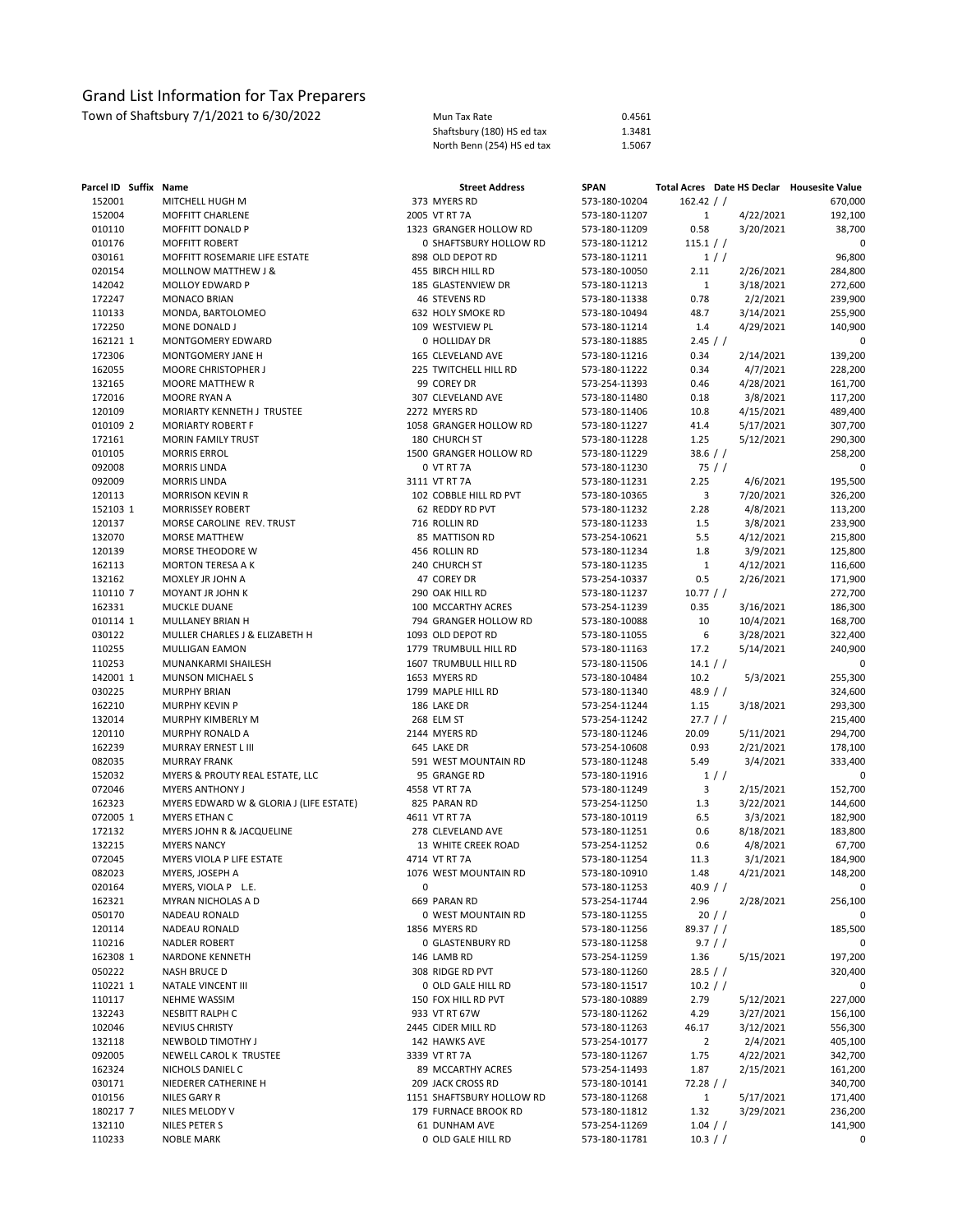| Parcel ID Suffix Name |                                         |   | <b>Street Address</b>     | <b>SPAN</b>   |                |                       | Total Acres Date HS Declar Housesite Value |
|-----------------------|-----------------------------------------|---|---------------------------|---------------|----------------|-----------------------|--------------------------------------------|
| 152001                | MITCHELL HUGH M                         |   | 373 MYERS RD              | 573-180-10204 | $162.42$ / /   |                       | 670,000                                    |
| 152004                | MOFFITT CHARLENE                        |   | 2005 VT RT 7A             | 573-180-11207 | $\mathbf{1}$   | 4/22/2021             | 192,100                                    |
| 010110                | MOFFITT DONALD P                        |   | 1323 GRANGER HOLLOW RD    | 573-180-11209 | 0.58           | 3/20/2021             | 38,700                                     |
| 010176                | MOFFITT ROBERT                          |   | 0 SHAFTSBURY HOLLOW RD    | 573-180-11212 | 115.1 / /      |                       | 0                                          |
| 030161                | MOFFITT ROSEMARIE LIFE ESTATE           |   | 898 OLD DEPOT RD          | 573-180-11211 |                | 1/                    | 96,800                                     |
| 020154                | MOLLNOW MATTHEW J &                     |   | 455 BIRCH HILL RD         | 573-180-10050 | 2.11           | 2/26/2021             | 284,800                                    |
| 142042                | <b>MOLLOY EDWARD P</b>                  |   | 185 GLASTENVIEW DR        | 573-180-11213 | $\mathbf{1}$   | 3/18/2021             | 272,600                                    |
| 172247                | <b>MONACO BRIAN</b>                     |   | 46 STEVENS RD             | 573-180-11338 | 0.78           | 2/2/2021              | 239,900                                    |
| 110133                | MONDA, BARTOLOMEO                       |   | 632 HOLY SMOKE RD         | 573-180-10494 | 48.7           | 3/14/2021             | 255,900                                    |
| 172250                | MONE DONALD J                           |   | 109 WESTVIEW PL           | 573-180-11214 | 1.4            | 4/29/2021             | 140,900                                    |
| 162121 1              | MONTGOMERY EDWARD                       |   | 0 HOLLIDAY DR             | 573-180-11885 | 2.45 / /       |                       | 0                                          |
| 172306                | MONTGOMERY JANE H                       |   | 165 CLEVELAND AVE         | 573-180-11216 | 0.34           | 2/14/2021             | 139,200                                    |
| 162055                | MOORE CHRISTOPHER J                     |   | 225 TWITCHELL HILL RD     | 573-180-11222 | 0.34           | 4/7/2021              | 228,200                                    |
| 132165                | MOORE MATTHEW R                         |   | 99 COREY DR               | 573-254-11393 | 0.46           | 4/28/2021             | 161,700                                    |
| 172016                | MOORE RYAN A                            |   | 307 CLEVELAND AVE         | 573-180-11480 | 0.18           | 3/8/2021              | 117,200                                    |
| 120109                | MORIARTY KENNETH J TRUSTEE              |   | 2272 MYERS RD             | 573-180-11406 | 10.8           | 4/15/2021             | 489,400                                    |
| 010109 2              | <b>MORIARTY ROBERT F</b>                |   | 1058 GRANGER HOLLOW RD    | 573-180-11227 | 41.4           | 5/17/2021             | 307,700                                    |
| 172161                | MORIN FAMILY TRUST                      |   | 180 CHURCH ST             | 573-180-11228 | 1.25           | 5/12/2021             | 290,300                                    |
| 010105                | <b>MORRIS ERROL</b>                     |   | 1500 GRANGER HOLLOW RD    | 573-180-11229 | 38.6 / /       |                       | 258,200                                    |
| 092008                | <b>MORRIS LINDA</b>                     |   | 0 VT RT 7A                | 573-180-11230 |                | 75/                   | 0                                          |
| 092009                | <b>MORRIS LINDA</b>                     |   | 3111 VT RT 7A             | 573-180-11231 | 2.25           | 4/6/2021              | 195,500                                    |
| 120113                | <b>MORRISON KEVIN R</b>                 |   | 102 COBBLE HILL RD PVT    | 573-180-10365 | 3              | 7/20/2021             | 326,200                                    |
| 152103 1              | MORRISSEY ROBERT                        |   | 62 REDDY RD PVT           | 573-180-11232 | 2.28           | 4/8/2021              | 113,200                                    |
| 120137                | MORSE CAROLINE REV. TRUST               |   | 716 ROLLIN RD             | 573-180-11233 | 1.5            | 3/8/2021              | 233,900                                    |
| 132070                | <b>MORSE MATTHEW</b>                    |   | 85 MATTISON RD            | 573-254-10621 | 5.5            | 4/12/2021             | 215,800                                    |
| 120139                | MORSE THEODORE W                        |   | 456 ROLLIN RD             | 573-180-11234 | 1.8            | 3/9/2021              | 125,800                                    |
| 162113                | <b>MORTON TERESA A K</b>                |   | 240 CHURCH ST             | 573-180-11235 | $\mathbf{1}$   | 4/12/2021             | 116,600                                    |
| 132162                | MOXLEY JR JOHN A                        |   | 47 COREY DR               | 573-254-10337 | 0.5            | 2/26/2021             | 171,900                                    |
| 110110 7              | MOYANT JR JOHN K                        |   | 290 OAK HILL RD           | 573-180-11237 | 10.77 / /      |                       | 272,700                                    |
| 162331                | MUCKLE DUANE                            |   | 100 MCCARTHY ACRES        | 573-254-11239 | 0.35           | 3/16/2021             | 186,300                                    |
| 010114 1              | MULLANEY BRIAN H                        |   | 794 GRANGER HOLLOW RD     | 573-180-10088 | 10             | 10/4/2021             | 168,700                                    |
| 030122                | MULLER CHARLES J & ELIZABETH H          |   | 1093 OLD DEPOT RD         | 573-180-11055 | 6              | 3/28/2021             | 322,400                                    |
| 110255                | MULLIGAN EAMON                          |   | 1779 TRUMBULL HILL RD     | 573-180-11163 | 17.2           | 5/14/2021             | 240,900                                    |
| 110253                | MUNANKARMI SHAILESH                     |   | 1607 TRUMBULL HILL RD     | 573-180-11506 | 14.1 / /       |                       | 0                                          |
| 142001 1              | MUNSON MICHAEL S                        |   | 1653 MYERS RD             | 573-180-10484 | 10.2           | 5/3/2021              | 255,300                                    |
| 030225                | <b>MURPHY BRIAN</b>                     |   | 1799 MAPLE HILL RD        | 573-180-11340 | 48.9 $/$ /     |                       | 324,600                                    |
| 162210                | <b>MURPHY KEVIN P</b>                   |   | 186 LAKE DR               | 573-254-11244 | 1.15           | 3/18/2021             | 293,300                                    |
| 132014                | MURPHY KIMBERLY M                       |   | 268 ELM ST                | 573-254-11242 | 27.7 / /       |                       | 215,400                                    |
| 120110                | MURPHY RONALD A                         |   | 2144 MYERS RD             | 573-180-11246 | 20.09          | 5/11/2021             | 294,700                                    |
| 162239                | MURRAY ERNEST L III                     |   | 645 LAKE DR               | 573-254-10608 | 0.93           |                       |                                            |
| 082035                | <b>MURRAY FRANK</b>                     |   | 591 WEST MOUNTAIN RD      | 573-180-11248 | 5.49           | 2/21/2021<br>3/4/2021 | 178,100<br>333,400                         |
| 152032                | MYERS & PROUTY REAL ESTATE, LLC         |   | 95 GRANGE RD              | 573-180-11916 |                | 1/                    | 0                                          |
| 072046                | <b>MYERS ANTHONY J</b>                  |   | 4558 VT RT 7A             | 573-180-11249 | 3              | 2/15/2021             | 152,700                                    |
| 162323                | MYERS EDWARD W & GLORIA J (LIFE ESTATE) |   | 825 PARAN RD              | 573-254-11250 | 1.3            | 3/22/2021             | 144,600                                    |
| 072005 1              | MYERS ETHAN C                           |   | 4611 VT RT 7A             | 573-180-10119 | 6.5            | 3/3/2021              | 182,900                                    |
| 172132                | MYERS JOHN R & JACQUELINE               |   | 278 CLEVELAND AVE         | 573-180-11251 | 0.6            | 8/18/2021             | 183,800                                    |
| 132215                | <b>MYERS NANCY</b>                      |   | 13 WHITE CREEK ROAD       | 573-254-11252 | 0.6            | 4/8/2021              | 67,700                                     |
| 072045                | MYERS VIOLA P LIFE ESTATE               |   | 4714 VT RT 7A             | 573-180-11254 | 11.3           | 3/1/2021              | 184,900                                    |
| 082023                | MYERS, JOSEPH A                         |   | 1076 WEST MOUNTAIN RD     | 573-180-10910 | 1.48           | 4/21/2021             | 148,200                                    |
| 020164                | MYERS, VIOLA P L.E.                     | 0 |                           | 573-180-11253 | 40.9 / /       |                       |                                            |
| 162321                | MYRAN NICHOLAS A D                      |   | 669 PARAN RD              | 573-254-11744 | 2.96           | 2/28/2021             | 256,100                                    |
| 050170                | NADEAU RONALD                           |   | 0 WEST MOUNTAIN RD        | 573-180-11255 |                | 20/                   | 0                                          |
| 120114                | NADEAU RONALD                           |   | 1856 MYERS RD             |               |                |                       | 185,500                                    |
| 110216                |                                         |   | 0 GLASTENBURY RD          | 573-180-11256 | $89.37$ / /    | 9.7 / /               | 0                                          |
| 162308 1              | NADLER ROBERT<br>NARDONE KENNETH        |   | 146 LAMB RD               | 573-180-11258 |                | 5/15/2021             | 197,200                                    |
|                       | <b>NASH BRUCE D</b>                     |   | 308 RIDGE RD PVT          | 573-254-11259 | 1.36           |                       | 320,400                                    |
| 050222                |                                         |   |                           | 573-180-11260 | 28.5 / /       |                       |                                            |
| 110221 1              | NATALE VINCENT III                      |   | 0 OLD GALE HILL RD        | 573-180-11517 | 10.2 / /       |                       | 0                                          |
| 110117                | <b>NEHME WASSIM</b>                     |   | 150 FOX HILL RD PVT       | 573-180-10889 | 2.79           | 5/12/2021             | 227,000                                    |
| 132243                | <b>NESBITT RALPH C</b>                  |   | 933 VT RT 67W             | 573-180-11262 | 4.29           | 3/27/2021             | 156,100                                    |
| 102046                | <b>NEVIUS CHRISTY</b>                   |   | 2445 CIDER MILL RD        | 573-180-11263 | 46.17          | 3/12/2021             | 556,300                                    |
| 132118                | NEWBOLD TIMOTHY J                       |   | 142 HAWKS AVE             | 573-254-10177 | $\overline{2}$ | 2/4/2021              | 405,100                                    |
| 092005                | NEWELL CAROL K TRUSTEE                  |   | 3339 VT RT 7A             | 573-180-11267 | 1.75           | 4/22/2021             | 342,700                                    |
| 162324                | NICHOLS DANIEL C                        |   | 89 MCCARTHY ACRES         | 573-254-11493 | 1.87           | 2/15/2021             | 161,200                                    |
| 030171                | NIEDERER CATHERINE H                    |   | 209 JACK CROSS RD         | 573-180-10141 | $72.28$ / /    |                       | 340,700                                    |
| 010156                | NILES GARY R                            |   | 1151 SHAFTSBURY HOLLOW RD | 573-180-11268 | $\mathbf{1}$   | 5/17/2021             | 171,400                                    |
| 180217 7              | NILES MELODY V                          |   | 179 FURNACE BROOK RD      | 573-180-11812 | 1.32           | 3/29/2021             | 236,200                                    |
| 132110                | NILES PETER S                           |   | 61 DUNHAM AVE             | 573-254-11269 | 1.04 / /       |                       | 141,900                                    |
| 110233                | <b>NOBLE MARK</b>                       |   | 0 OLD GALE HILL RD        | 573-180-11781 | 10.3 / /       |                       | 0                                          |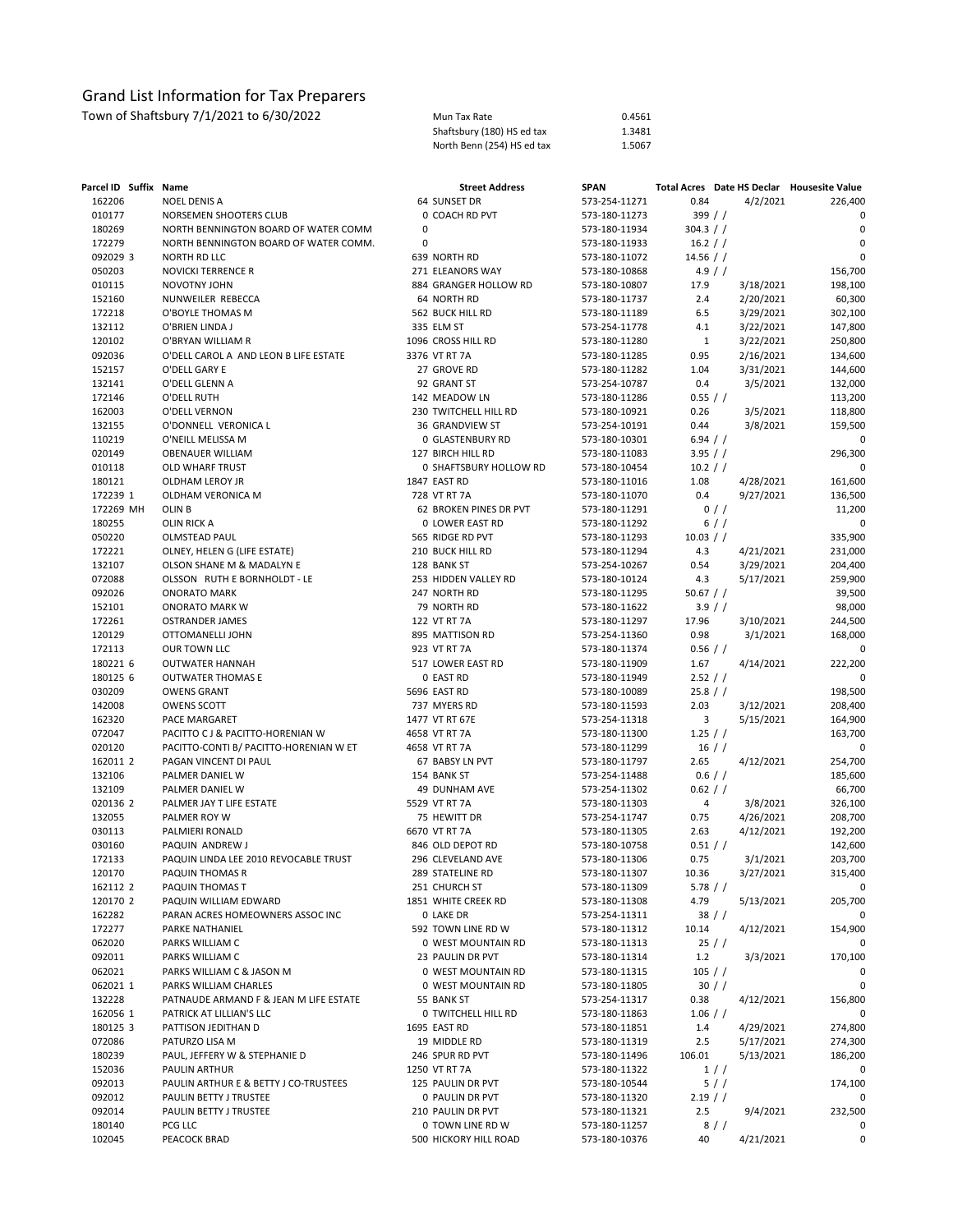| Parcel ID Suffix Name |                                        |   | <b>Street Address</b>      | <b>SPAN</b>   |              | Total Acres Date HS Declar Housesite Value |             |
|-----------------------|----------------------------------------|---|----------------------------|---------------|--------------|--------------------------------------------|-------------|
| 162206                | <b>NOEL DENIS A</b>                    |   | 64 SUNSET DR               | 573-254-11271 | 0.84         | 4/2/2021                                   | 226,400     |
| 010177                | NORSEMEN SHOOTERS CLUB                 |   | 0 COACH RD PVT             | 573-180-11273 | 399//        |                                            | 0           |
| 180269                | NORTH BENNINGTON BOARD OF WATER COMM   | 0 |                            | 573-180-11934 | 304.3 / /    |                                            | $\mathbf 0$ |
| 172279                | NORTH BENNINGTON BOARD OF WATER COMM.  | 0 |                            | 573-180-11933 | 16.2 / /     |                                            | $\mathbf 0$ |
| 092029 3              | <b>NORTH RD LLC</b>                    |   | 639 NORTH RD               | 573-180-11072 | 14.56 $/$ /  |                                            | $\mathbf 0$ |
| 050203                | <b>NOVICKI TERRENCE R</b>              |   | 271 ELEANORS WAY           | 573-180-10868 |              | 4.9 / /                                    | 156,700     |
| 010115                | NOVOTNY JOHN                           |   | 884 GRANGER HOLLOW RD      | 573-180-10807 | 17.9         | 3/18/2021                                  | 198,100     |
| 152160                | NUNWEILER REBECCA                      |   | 64 NORTH RD                | 573-180-11737 | 2.4          | 2/20/2021                                  | 60,300      |
| 172218                | O'BOYLE THOMAS M                       |   | 562 BUCK HILL RD           | 573-180-11189 | 6.5          | 3/29/2021                                  | 302,100     |
| 132112                | O'BRIEN LINDA J                        |   | 335 ELM ST                 | 573-254-11778 | 4.1          | 3/22/2021                                  | 147,800     |
| 120102                | O'BRYAN WILLIAM R                      |   | 1096 CROSS HILL RD         | 573-180-11280 | $\mathbf{1}$ | 3/22/2021                                  | 250,800     |
| 092036                | O'DELL CAROL A AND LEON B LIFE ESTATE  |   | 3376 VT RT 7A              | 573-180-11285 | 0.95         | 2/16/2021                                  | 134,600     |
| 152157                | O'DELL GARY E                          |   | 27 GROVE RD                | 573-180-11282 | 1.04         | 3/31/2021                                  | 144,600     |
| 132141                | O'DELL GLENN A                         |   | 92 GRANT ST                | 573-254-10787 | 0.4          | 3/5/2021                                   | 132,000     |
| 172146                | O'DELL RUTH                            |   | 142 MEADOW LN              | 573-180-11286 | 0.55 / /     |                                            | 113,200     |
| 162003                | O'DELL VERNON                          |   | 230 TWITCHELL HILL RD      | 573-180-10921 | 0.26         | 3/5/2021                                   | 118,800     |
| 132155                | O'DONNELL VERONICA L                   |   | 36 GRANDVIEW ST            | 573-254-10191 | 0.44         | 3/8/2021                                   | 159,500     |
| 110219                | O'NEILL MELISSA M                      |   | 0 GLASTENBURY RD           | 573-180-10301 | 6.94 / /     |                                            | 0           |
| 020149                | <b>OBENAUER WILLIAM</b>                |   | 127 BIRCH HILL RD          | 573-180-11083 | 3.95 / /     |                                            | 296,300     |
| 010118                | <b>OLD WHARF TRUST</b>                 |   | 0 SHAFTSBURY HOLLOW RD     | 573-180-10454 | 10.2 / /     |                                            | 0           |
| 180121                | OLDHAM LEROY JR                        |   | 1847 EAST RD               | 573-180-11016 | 1.08         | 4/28/2021                                  | 161,600     |
| 172239 1              | OLDHAM VERONICA M                      |   | 728 VT RT 7A               | 573-180-11070 | 0.4          | 9/27/2021                                  | 136,500     |
| 172269 MH             | OLIN B                                 |   | 62 BROKEN PINES DR PVT     | 573-180-11291 |              | 0/                                         | 11,200      |
| 180255                | <b>OLIN RICK A</b>                     |   | 0 LOWER EAST RD            | 573-180-11292 |              | 6//                                        | 0           |
| 050220                | <b>OLMSTEAD PAUL</b>                   |   | 565 RIDGE RD PVT           | 573-180-11293 | 10.03 / /    |                                            | 335,900     |
| 172221                | OLNEY, HELEN G (LIFE ESTATE)           |   | <b>210 BUCK HILL RD</b>    | 573-180-11294 | 4.3          | 4/21/2021                                  | 231,000     |
| 132107                | OLSON SHANE M & MADALYN E              |   | 128 BANK ST                | 573-254-10267 | 0.54         | 3/29/2021                                  | 204,400     |
| 072088                | OLSSON RUTH E BORNHOLDT - LE           |   | 253 HIDDEN VALLEY RD       | 573-180-10124 | 4.3          | 5/17/2021                                  | 259,900     |
| 092026                | <b>ONORATO MARK</b>                    |   | 247 NORTH RD               | 573-180-11295 | 50.67 / /    |                                            | 39,500      |
| 152101                | <b>ONORATO MARK W</b>                  |   | 79 NORTH RD                | 573-180-11622 |              | 3.9//                                      | 98,000      |
| 172261                |                                        |   | 122 VT RT 7A               |               | 17.96        | 3/10/2021                                  |             |
| 120129                | <b>OSTRANDER JAMES</b>                 |   | 895 MATTISON RD            | 573-180-11297 |              |                                            | 244,500     |
|                       | OTTOMANELLI JOHN                       |   |                            | 573-254-11360 | 0.98         | 3/1/2021                                   | 168,000     |
| 172113                | OUR TOWN LLC                           |   | 923 VT RT 7A               | 573-180-11374 | $0.56$ / /   |                                            | 0           |
| 180221 6              | OUTWATER HANNAH                        |   | 517 LOWER EAST RD          | 573-180-11909 | 1.67         | 4/14/2021                                  | 222,200     |
| 180125 6              | <b>OUTWATER THOMAS E</b>               |   | 0 EAST RD                  | 573-180-11949 | 2.52 / /     |                                            | 0           |
| 030209                | <b>OWENS GRANT</b>                     |   | 5696 EAST RD               | 573-180-10089 | 25.8 / /     |                                            | 198,500     |
| 142008                | <b>OWENS SCOTT</b>                     |   | 737 MYERS RD               | 573-180-11593 | 2.03         | 3/12/2021                                  | 208,400     |
| 162320                | PACE MARGARET                          |   | 1477 VT RT 67E             | 573-254-11318 | 3            | 5/15/2021                                  | 164,900     |
| 072047                | PACITTO C J & PACITTO-HORENIAN W       |   | 4658 VT RT 7A              | 573-180-11300 | 1.25 / /     |                                            | 163,700     |
| 020120                | PACITTO-CONTI B/ PACITTO-HORENIAN W ET |   | 4658 VT RT 7A              | 573-180-11299 |              | $16$ / /                                   | 0           |
| 162011 2              | PAGAN VINCENT DI PAUL                  |   | 67 BABSY LN PVT            | 573-180-11797 | 2.65         | 4/12/2021                                  | 254,700     |
| 132106                | PALMER DANIEL W                        |   | 154 BANK ST                | 573-254-11488 |              | 0.6 / /                                    | 185,600     |
| 132109                | PALMER DANIEL W                        |   | <b>49 DUNHAM AVE</b>       | 573-254-11302 | 0.62 / /     |                                            | 66,700      |
| 020136 2              | PALMER JAY T LIFE ESTATE               |   | 5529 VT RT 7A              | 573-180-11303 | 4            | 3/8/2021                                   | 326,100     |
| 132055                | PALMER ROY W                           |   | 75 HEWITT DR               | 573-254-11747 | 0.75         | 4/26/2021                                  | 208,700     |
| 030113                | PALMIERI RONALD                        |   | 6670 VT RT 7A              | 573-180-11305 | 2.63         | 4/12/2021                                  | 192,200     |
| 030160                | PAQUIN ANDREW J                        |   | 846 OLD DEPOT RD           | 573-180-10758 | 0.51 / /     |                                            | 142,600     |
| 172133                | PAQUIN LINDA LEE 2010 REVOCABLE TRUST  |   | 296 CLEVELAND AVE          | 573-180-11306 | 0.75         | 3/1/2021                                   | 203,700     |
| 120170                | PAQUIN THOMAS R                        |   | 289 STATELINE RD           | 573-180-11307 | 10.36        | 3/27/2021                                  | 315,400     |
| 162112 2              | PAQUIN THOMAS T                        |   | 251 CHURCH ST              | 573-180-11309 | 5.78 / /     |                                            | 0           |
| 120170 2              | PAQUIN WILLIAM EDWARD                  |   | 1851 WHITE CREEK RD        | 573-180-11308 | 4.79         | 5/13/2021                                  | 205,700     |
| 162282                | PARAN ACRES HOMEOWNERS ASSOC INC       |   | 0 LAKE DR                  | 573-254-11311 |              | 38 //                                      | 0           |
| 172277                | PARKE NATHANIEL                        |   | 592 TOWN LINE RD W         | 573-180-11312 | 10.14        | 4/12/2021                                  | 154,900     |
| 062020                | PARKS WILLIAM C                        |   | 0 WEST MOUNTAIN RD         | 573-180-11313 |              | 25//                                       | 0           |
| 092011                | PARKS WILLIAM C                        |   | 23 PAULIN DR PVT           | 573-180-11314 | 1.2          | 3/3/2021                                   | 170,100     |
| 062021                | PARKS WILLIAM C & JASON M              |   | 0 WEST MOUNTAIN RD         | 573-180-11315 | 105 / /      |                                            | 0           |
| 062021 1              | PARKS WILLIAM CHARLES                  |   | 0 WEST MOUNTAIN RD         | 573-180-11805 |              | 30 / /                                     | 0           |
| 132228                | PATNAUDE ARMAND F & JEAN M LIFE ESTATE |   | 55 BANK ST                 | 573-254-11317 | 0.38         | 4/12/2021                                  | 156,800     |
| 162056 1              | PATRICK AT LILLIAN'S LLC               |   | <b>0 TWITCHELL HILL RD</b> | 573-180-11863 | $1.06$ / /   |                                            | 0           |
| 180125 3              | PATTISON JEDITHAN D                    |   | 1695 EAST RD               | 573-180-11851 | 1.4          | 4/29/2021                                  | 274,800     |
| 072086                | PATURZO LISA M                         |   | 19 MIDDLE RD               | 573-180-11319 | 2.5          | 5/17/2021                                  | 274,300     |
| 180239                | PAUL, JEFFERY W & STEPHANIE D          |   | 246 SPUR RD PVT            | 573-180-11496 | 106.01       | 5/13/2021                                  | 186,200     |
| 152036                | <b>PAULIN ARTHUR</b>                   |   | 1250 VT RT 7A              | 573-180-11322 |              | 1//                                        | 0           |
| 092013                | PAULIN ARTHUR E & BETTY J CO-TRUSTEES  |   | 125 PAULIN DR PVT          | 573-180-10544 |              | 5//                                        | 174,100     |
| 092012                | PAULIN BETTY J TRUSTEE                 |   | 0 PAULIN DR PVT            | 573-180-11320 | $2.19$ / /   |                                            | 0           |
| 092014                | PAULIN BETTY J TRUSTEE                 |   | 210 PAULIN DR PVT          | 573-180-11321 | 2.5          | 9/4/2021                                   | 232,500     |
| 180140                | PCG LLC                                |   | 0 TOWN LINE RD W           | 573-180-11257 |              | 8/                                         | 0           |
| 102045                | PEACOCK BRAD                           |   | 500 HICKORY HILL ROAD      | 573-180-10376 | 40           | 4/21/2021                                  | 0           |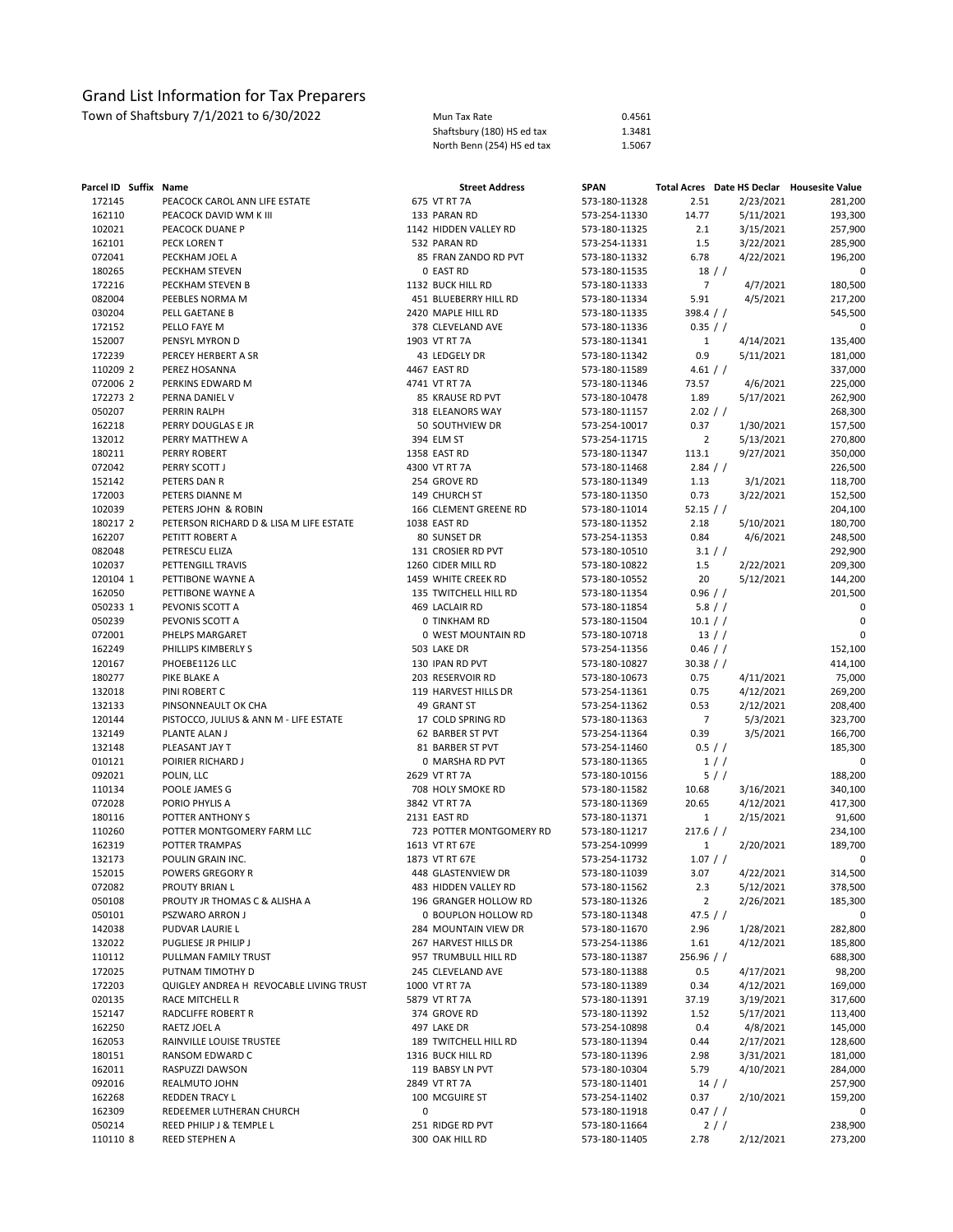| Mun Tax Rate               | 0.4561 |
|----------------------------|--------|
| Shaftsbury (180) HS ed tax | 1.3481 |
| North Benn (254) HS ed tax | 1.5067 |

| Parcel ID Suffix Name |                                                            |   | <b>Street Address</b>                 | <b>SPAN</b>                    |                |                        | Total Acres Date HS Declar Housesite Value |
|-----------------------|------------------------------------------------------------|---|---------------------------------------|--------------------------------|----------------|------------------------|--------------------------------------------|
| 172145                | PEACOCK CAROL ANN LIFE ESTATE                              |   | 675 VT RT 7A                          | 573-180-11328                  | 2.51           | 2/23/2021              | 281,200                                    |
| 162110                | PEACOCK DAVID WM K III                                     |   | 133 PARAN RD                          | 573-254-11330                  | 14.77          | 5/11/2021              | 193,300                                    |
| 102021                | PEACOCK DUANE P                                            |   | 1142 HIDDEN VALLEY RD                 | 573-180-11325                  | 2.1            | 3/15/2021              | 257,900                                    |
| 162101                | PECK LOREN T                                               |   | 532 PARAN RD                          | 573-254-11331                  | 1.5            | 3/22/2021              | 285,900                                    |
| 072041                | PECKHAM JOEL A                                             |   | 85 FRAN ZANDO RD PVT                  | 573-180-11332                  | 6.78           | 4/22/2021              | 196,200                                    |
| 180265                | PECKHAM STEVEN                                             |   | 0 EAST RD                             | 573-180-11535                  |                | $18$ / $/$             | 0                                          |
| 172216                | PECKHAM STEVEN B                                           |   | 1132 BUCK HILL RD                     | 573-180-11333                  | $\overline{7}$ | 4/7/2021               | 180,500                                    |
| 082004                | PEEBLES NORMA M                                            |   | 451 BLUEBERRY HILL RD                 | 573-180-11334                  | 5.91           | 4/5/2021               | 217,200                                    |
| 030204                | PELL GAETANE B                                             |   | 2420 MAPLE HILL RD                    | 573-180-11335                  | 398.4 / /      |                        | 545,500                                    |
| 172152                | PELLO FAYE M                                               |   | 378 CLEVELAND AVE                     | 573-180-11336                  | 0.35 / /       |                        | 0                                          |
| 152007                | PENSYL MYRON D                                             |   | 1903 VT RT 7A                         | 573-180-11341                  | $\mathbf{1}$   | 4/14/2021              | 135,400                                    |
| 172239                | PERCEY HERBERT A SR                                        |   | 43 LEDGELY DR                         | 573-180-11342                  | 0.9            | 5/11/2021              | 181,000                                    |
| 110209 2              | PEREZ HOSANNA                                              |   | 4467 EAST RD                          | 573-180-11589                  | 4.61 / /       |                        | 337,000                                    |
| 072006 2              | PERKINS EDWARD M                                           |   | 4741 VT RT 7A                         | 573-180-11346                  | 73.57          | 4/6/2021               | 225,000                                    |
| 172273 2              | PERNA DANIEL V                                             |   | 85 KRAUSE RD PVT                      | 573-180-10478                  | 1.89           | 5/17/2021              | 262,900                                    |
| 050207                | PERRIN RALPH                                               |   | 318 ELEANORS WAY                      | 573-180-11157                  | 2.02 / /       |                        | 268,300                                    |
| 162218                | PERRY DOUGLAS E JR                                         |   | 50 SOUTHVIEW DR                       | 573-254-10017                  | 0.37           | 1/30/2021              | 157,500                                    |
| 132012                | PERRY MATTHEW A                                            |   | 394 ELM ST                            | 573-254-11715                  | $\overline{2}$ | 5/13/2021              | 270,800                                    |
| 180211                | PERRY ROBERT                                               |   | 1358 EAST RD                          | 573-180-11347                  | 113.1          | 9/27/2021              | 350,000                                    |
| 072042                | PERRY SCOTT J                                              |   | 4300 VT RT 7A                         | 573-180-11468                  | 2.84 / /       |                        | 226,500                                    |
| 152142                | PETERS DAN R                                               |   | 254 GROVE RD                          | 573-180-11349                  | 1.13           | 3/1/2021               | 118,700                                    |
| 172003                | PETERS DIANNE M                                            |   | 149 CHURCH ST                         | 573-180-11350                  | 0.73           | 3/22/2021              | 152,500                                    |
| 102039<br>180217 2    | PETERS JOHN & ROBIN                                        |   | 166 CLEMENT GREENE RD<br>1038 EAST RD | 573-180-11014                  | 52.15 / /      |                        | 204,100                                    |
| 162207                | PETERSON RICHARD D & LISA M LIFE ESTATE<br>PETITT ROBERT A |   |                                       | 573-180-11352                  | 2.18           | 5/10/2021<br>4/6/2021  | 180,700                                    |
| 082048                | PETRESCU ELIZA                                             |   | 80 SUNSET DR<br>131 CROSIER RD PVT    | 573-254-11353<br>573-180-10510 | 0.84           | 3.1 / /                | 248,500<br>292,900                         |
| 102037                | PETTENGILL TRAVIS                                          |   | 1260 CIDER MILL RD                    | 573-180-10822                  | 1.5            |                        | 209,300                                    |
| 120104 1              | PETTIBONE WAYNE A                                          |   | 1459 WHITE CREEK RD                   | 573-180-10552                  | 20             | 2/22/2021<br>5/12/2021 | 144,200                                    |
| 162050                | PETTIBONE WAYNE A                                          |   | 135 TWITCHELL HILL RD                 | 573-180-11354                  | 0.96 / /       |                        | 201,500                                    |
| 050233 1              | PEVONIS SCOTT A                                            |   | 469 LACLAIR RD                        | 573-180-11854                  |                | 5.8 / /                | 0                                          |
| 050239                | PEVONIS SCOTT A                                            |   | <b>0 TINKHAM RD</b>                   | 573-180-11504                  | 10.1 / /       |                        | 0                                          |
| 072001                | PHELPS MARGARET                                            |   | 0 WEST MOUNTAIN RD                    | 573-180-10718                  |                | $13$ / /               | $\Omega$                                   |
| 162249                | PHILLIPS KIMBERLY S                                        |   | 503 LAKE DR                           | 573-254-11356                  | 0.46 / /       |                        | 152,100                                    |
| 120167                | PHOEBE1126 LLC                                             |   | 130 IPAN RD PVT                       | 573-180-10827                  | 30.38 / /      |                        | 414,100                                    |
| 180277                | PIKE BLAKE A                                               |   | 203 RESERVOIR RD                      | 573-180-10673                  | 0.75           | 4/11/2021              | 75,000                                     |
| 132018                | PINI ROBERT C                                              |   | 119 HARVEST HILLS DR                  | 573-254-11361                  | 0.75           | 4/12/2021              | 269,200                                    |
| 132133                | PINSONNEAULT OK CHA                                        |   | 49 GRANT ST                           | 573-254-11362                  | 0.53           | 2/12/2021              | 208,400                                    |
| 120144                | PISTOCCO, JULIUS & ANN M - LIFE ESTATE                     |   | 17 COLD SPRING RD                     | 573-180-11363                  | $\overline{7}$ | 5/3/2021               | 323,700                                    |
| 132149                | PLANTE ALAN J                                              |   | 62 BARBER ST PVT                      | 573-254-11364                  | 0.39           | 3/5/2021               | 166,700                                    |
| 132148                | PLEASANT JAY T                                             |   | 81 BARBER ST PVT                      | 573-254-11460                  |                | 0.5 / /                | 185,300                                    |
| 010121                | POIRIER RICHARD J                                          |   | 0 MARSHA RD PVT                       | 573-180-11365                  |                | 1//                    | 0                                          |
| 092021                | POLIN, LLC                                                 |   | 2629 VT RT 7A                         | 573-180-10156                  |                | 5/                     | 188,200                                    |
| 110134                | POOLE JAMES G                                              |   | 708 HOLY SMOKE RD                     | 573-180-11582                  | 10.68          | 3/16/2021              | 340,100                                    |
| 072028                | PORIO PHYLIS A                                             |   | 3842 VT RT 7A                         | 573-180-11369                  | 20.65          | 4/12/2021              | 417,300                                    |
| 180116                | POTTER ANTHONY S                                           |   | 2131 EAST RD                          | 573-180-11371                  | $\mathbf{1}$   | 2/15/2021              | 91,600                                     |
| 110260                | POTTER MONTGOMERY FARM LLC                                 |   | 723 POTTER MONTGOMERY RD              | 573-180-11217                  | $217.6$ / /    |                        | 234,100                                    |
| 162319                | POTTER TRAMPAS                                             |   | 1613 VT RT 67E                        | 573-254-10999                  | $\mathbf{1}$   | 2/20/2021              | 189,700                                    |
| 132173                | POULIN GRAIN INC.                                          |   | 1873 VT RT 67E                        | 573-254-11732                  | 1.07 / /       |                        | 0                                          |
| 152015                | POWERS GREGORY R                                           |   | 448 GLASTENVIEW DR                    | 573-180-11039                  | 3.07           | 4/22/2021              | 314,500                                    |
| 072082                | PROUTY BRIAN L                                             |   | 483 HIDDEN VALLEY RD                  | 573-180-11562                  | 2.3            | 5/12/2021              | 378,500                                    |
| 050108                | PROUTY JR THOMAS C & ALISHA A                              |   | 196 GRANGER HOLLOW RD                 | 573-180-11326                  | $\overline{2}$ | 2/26/2021              | 185,300                                    |
| 050101                | PSZWARO ARRON J                                            |   | 0 BOUPLON HOLLOW RD                   | 573-180-11348                  | 47.5 $/$ $/$   |                        | 0                                          |
| 142038                | PUDVAR LAURIE L                                            |   | 284 MOUNTAIN VIEW DR                  | 573-180-11670                  | 2.96           | 1/28/2021              | 282,800                                    |
| 132022                | PUGLIESE JR PHILIP J                                       |   | 267 HARVEST HILLS DR                  | 573-254-11386                  | 1.61           | 4/12/2021              | 185,800                                    |
| 110112                | PULLMAN FAMILY TRUST                                       |   | 957 TRUMBULL HILL RD                  | 573-180-11387                  | 256.96 / /     |                        | 688,300                                    |
| 172025                | PUTNAM TIMOTHY D                                           |   | 245 CLEVELAND AVE                     | 573-180-11388                  | 0.5            | 4/17/2021              | 98,200                                     |
| 172203                | QUIGLEY ANDREA H REVOCABLE LIVING TRUST                    |   | 1000 VT RT 7A                         | 573-180-11389                  | 0.34           | 4/12/2021              | 169,000                                    |
| 020135                | RACE MITCHELL R                                            |   | 5879 VT RT 7A                         | 573-180-11391                  | 37.19          | 3/19/2021              | 317,600                                    |
| 152147                | RADCLIFFE ROBERT R                                         |   | 374 GROVE RD                          | 573-180-11392                  | 1.52           | 5/17/2021              | 113,400                                    |
| 162250                | RAETZ JOEL A                                               |   | 497 LAKE DR                           | 573-254-10898                  | 0.4            | 4/8/2021               | 145,000                                    |
| 162053                | RAINVILLE LOUISE TRUSTEE                                   |   | 189 TWITCHELL HILL RD                 | 573-180-11394                  | 0.44           | 2/17/2021              | 128,600                                    |
| 180151                | RANSOM EDWARD C                                            |   | 1316 BUCK HILL RD                     | 573-180-11396                  | 2.98           | 3/31/2021              | 181,000                                    |
| 162011                | RASPUZZI DAWSON                                            |   | 119 BABSY LN PVT                      | 573-180-10304                  | 5.79           | 4/10/2021              | 284,000                                    |
| 092016                | REALMUTO JOHN                                              |   | 2849 VT RT 7A                         | 573-180-11401                  |                | 14 //                  | 257,900                                    |
| 162268                | REDDEN TRACY L                                             |   | 100 MCGUIRE ST                        | 573-254-11402                  | 0.37           | 2/10/2021              | 159,200                                    |
| 162309                | REDEEMER LUTHERAN CHURCH                                   | 0 |                                       | 573-180-11918                  | $0.47$ / /     |                        | 0                                          |
| 050214                | REED PHILIP J & TEMPLE L                                   |   | 251 RIDGE RD PVT                      | 573-180-11664                  |                | 2//                    | 238,900                                    |
| 110110 8              | REED STEPHEN A                                             |   | 300 OAK HILL RD                       | 573-180-11405                  | 2.78           | 2/12/2021              | 273,200                                    |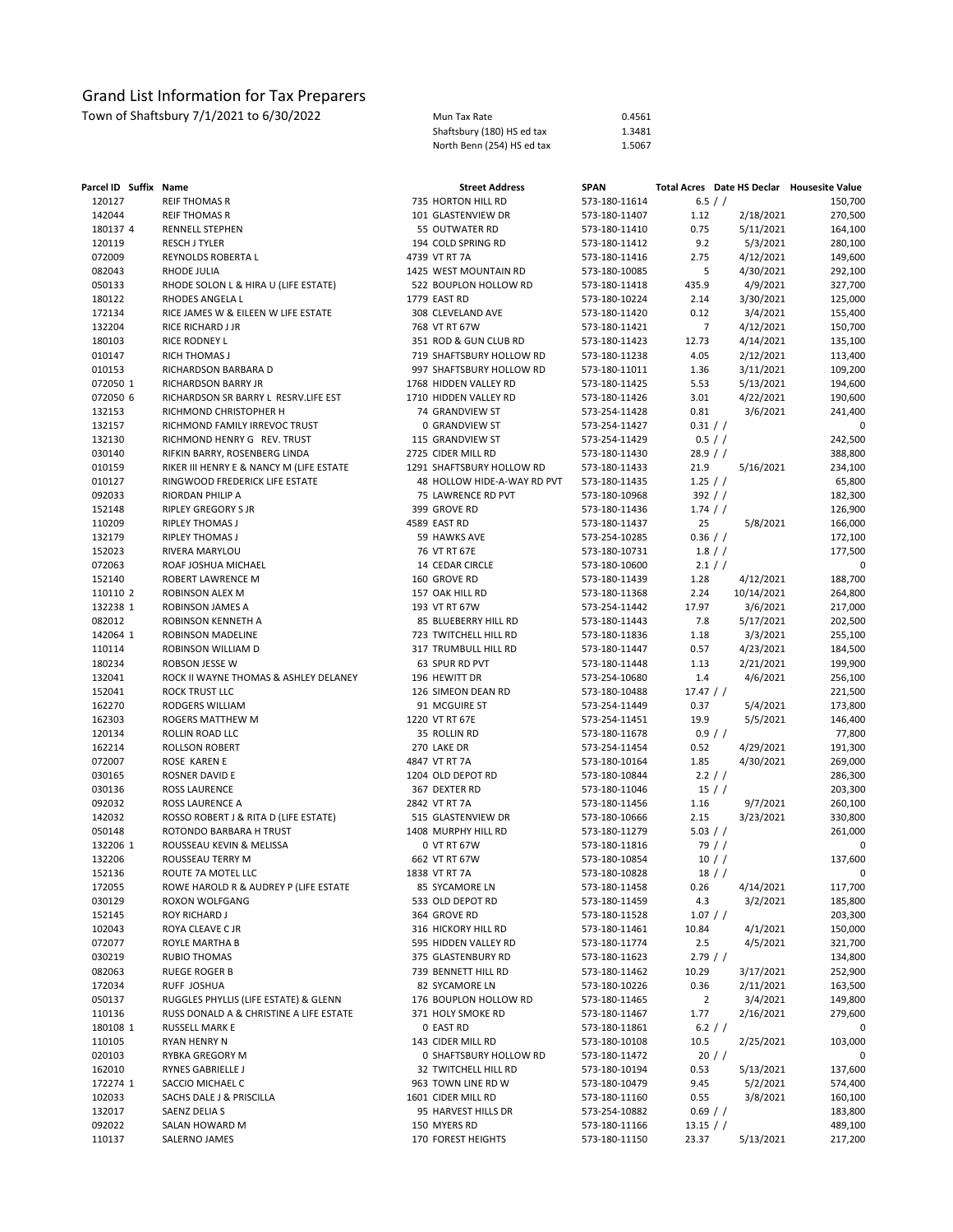| Mun Tax Rate               | 0.4561 |
|----------------------------|--------|
| Shaftsbury (180) HS ed tax | 1.3481 |
| North Benn (254) HS ed tax | 1.5067 |

| 120127<br>6.5 / /<br><b>REIF THOMAS R</b><br>735 HORTON HILL RD<br>573-180-11614<br>142044<br><b>REIF THOMAS R</b><br>101 GLASTENVIEW DR<br>573-180-11407<br>1.12<br>2/18/2021<br>180137 4<br>RENNELL STEPHEN<br>55 OUTWATER RD<br>573-180-11410<br>0.75<br>5/11/2021<br>120119<br><b>RESCH J TYLER</b><br>194 COLD SPRING RD<br>573-180-11412<br>9.2<br>5/3/2021<br>072009<br>REYNOLDS ROBERTA L<br>4739 VT RT 7A<br>573-180-11416<br>2.75<br>4/12/2021<br>082043<br>RHODE JULIA<br>1425 WEST MOUNTAIN RD<br>573-180-10085<br>5<br>4/30/2021<br>050133<br>RHODE SOLON L & HIRA U (LIFE ESTATE)<br>522 BOUPLON HOLLOW RD<br>573-180-11418<br>435.9<br>4/9/2021<br>180122<br>1779 EAST RD<br>573-180-10224<br>2.14<br>3/30/2021<br>RHODES ANGELA L<br>172134<br>RICE JAMES W & EILEEN W LIFE ESTATE<br>308 CLEVELAND AVE<br>573-180-11420<br>0.12<br>3/4/2021<br>155,400<br>132204<br>RICE RICHARD J JR<br>768 VT RT 67W<br>573-180-11421<br>$\overline{7}$<br>4/12/2021<br>150,700<br>180103<br>RICE RODNEY L<br>351 ROD & GUN CLUB RD<br>573-180-11423<br>12.73<br>4/14/2021<br>135,100<br>010147<br>RICH THOMAS J<br>719 SHAFTSBURY HOLLOW RD<br>573-180-11238<br>4.05<br>2/12/2021<br>113,400<br>010153<br>RICHARDSON BARBARA D<br>997 SHAFTSBURY HOLLOW RD<br>573-180-11011<br>1.36<br>3/11/2021<br>109,200<br>072050 1<br>1768 HIDDEN VALLEY RD<br>573-180-11425<br>5.53<br>5/13/2021<br>194,600<br>RICHARDSON BARRY JR<br>072050 6<br>1710 HIDDEN VALLEY RD<br>573-180-11426<br>3.01<br>4/22/2021<br>190,600<br>RICHARDSON SR BARRY L RESRV.LIFE EST<br>132153<br>RICHMOND CHRISTOPHER H<br>74 GRANDVIEW ST<br>573-254-11428<br>0.81<br>3/6/2021<br>241,400<br>0.31 / /<br>132157<br>RICHMOND FAMILY IRREVOC TRUST<br>0 GRANDVIEW ST<br>573-254-11427<br>132130<br>RICHMOND HENRY G REV. TRUST<br>115 GRANDVIEW ST<br>573-254-11429<br>0.5 / /<br>242,500<br>030140<br>RIFKIN BARRY, ROSENBERG LINDA<br>2725 CIDER MILL RD<br>573-180-11430<br>28.9 / /<br>388,800<br>010159<br>RIKER III HENRY E & NANCY M (LIFE ESTATE<br>1291 SHAFTSBURY HOLLOW RD<br>573-180-11433<br>21.9<br>5/16/2021<br>234,100<br>$1.25$ / /<br>010127<br>RINGWOOD FREDERICK LIFE ESTATE<br>573-180-11435<br>48 HOLLOW HIDE-A-WAY RD PVT<br>092033<br>75 LAWRENCE RD PVT<br>573-180-10968<br>392 / /<br>RIORDAN PHILIP A<br>152148<br>RIPLEY GREGORY S JR<br>399 GROVE RD<br>573-180-11436<br>$1.74$ / /<br>110209<br><b>RIPLEY THOMAS J</b><br>4589 EAST RD<br>573-180-11437<br>25<br>5/8/2021<br>0.36 / /<br>132179<br><b>RIPLEY THOMAS J</b><br>59 HAWKS AVE<br>573-254-10285<br>152023<br>RIVERA MARYLOU<br>76 VT RT 67E<br>573-180-10731<br>1.8 / /<br>072063<br>ROAF JOSHUA MICHAEL<br>14 CEDAR CIRCLE<br>573-180-10600<br>2.1 / /<br>152140<br>ROBERT LAWRENCE M<br>160 GROVE RD<br>573-180-11439<br>1.28<br>4/12/2021<br>110110 2<br>ROBINSON ALEX M<br>157 OAK HILL RD<br>573-180-11368<br>2.24<br>10/14/2021<br>132238 1<br>193 VT RT 67W<br>573-254-11442<br>17.97<br>3/6/2021<br>ROBINSON JAMES A<br>082012<br>ROBINSON KENNETH A<br>85 BLUEBERRY HILL RD<br>573-180-11443<br>7.8<br>5/17/2021<br>142064 1<br>ROBINSON MADELINE<br>723 TWITCHELL HILL RD<br>573-180-11836<br>1.18<br>3/3/2021<br>255,100<br>110114<br>ROBINSON WILLIAM D<br>317 TRUMBULL HILL RD<br>573-180-11447<br>0.57<br>4/23/2021<br>184,500<br>180234<br>ROBSON JESSE W<br>63 SPUR RD PVT<br>573-180-11448<br>1.13<br>2/21/2021<br>199,900<br>132041<br>ROCK II WAYNE THOMAS & ASHLEY DELANEY<br>196 HEWITT DR<br>573-254-10680<br>1.4<br>4/6/2021<br>256,100<br>152041<br>ROCK TRUST LLC<br>126 SIMEON DEAN RD<br>573-180-10488<br>$17.47$ / /<br>221,500<br>162270<br>RODGERS WILLIAM<br>91 MCGUIRE ST<br>573-254-11449<br>0.37<br>5/4/2021<br>173,800<br>162303<br>ROGERS MATTHEW M<br>1220 VT RT 67E<br>573-254-11451<br>19.9<br>5/5/2021<br>146,400<br>120134<br>ROLLIN ROAD LLC<br>35 ROLLIN RD<br>573-180-11678<br>0.9 / /<br>77,800<br>162214<br>ROLLSON ROBERT<br>270 LAKE DR<br>573-254-11454<br>0.52<br>4/29/2021<br>191,300<br>072007<br>ROSE KAREN E<br>4847 VT RT 7A<br>573-180-10164<br>1.85<br>4/30/2021<br>269,000<br>030165<br>ROSNER DAVID E<br>1204 OLD DEPOT RD<br>573-180-10844<br>$2.2$ / /<br>286,300<br>030136<br><b>ROSS LAURENCE</b><br>367 DEXTER RD<br>573-180-11046<br>$15$ / $/$<br>092032<br>ROSS LAURENCE A<br>2842 VT RT 7A<br>573-180-11456<br>1.16<br>9/7/2021<br>142032<br>ROSSO ROBERT J & RITA D (LIFE ESTATE)<br>515 GLASTENVIEW DR<br>573-180-10666<br>2.15<br>3/23/2021<br>050148<br>ROTONDO BARBARA H TRUST<br>1408 MURPHY HILL RD<br>573-180-11279<br>5.03 / /<br>132206 1<br>ROUSSEAU KEVIN & MELISSA<br>0 VT RT 67W<br>573-180-11816<br>79/<br>132206<br>662 VT RT 67W<br>573-180-10854<br>10 / /<br>ROUSSEAU TERRY M<br>152136<br>ROUTE 7A MOTEL LLC<br>1838 VT RT 7A<br>573-180-10828<br>$18$ / $/$<br>172055<br>ROWE HAROLD R & AUDREY P (LIFE ESTATE<br>4/14/2021<br>85 SYCAMORE LN<br>573-180-11458<br>0.26<br>030129<br>533 OLD DEPOT RD<br>573-180-11459<br>4.3<br>3/2/2021<br>ROXON WOLFGANG<br>152145<br>364 GROVE RD<br>1.07 / /<br><b>ROY RICHARD J</b><br>573-180-11528<br>102043<br>4/1/2021<br>150,000<br>ROYA CLEAVE C JR<br>316 HICKORY HILL RD<br>573-180-11461<br>10.84<br>072077<br>2.5<br>4/5/2021<br>321,700<br>ROYLE MARTHA B<br>595 HIDDEN VALLEY RD<br>573-180-11774<br>030219<br>2.79/<br>134,800<br><b>RUBIO THOMAS</b><br>375 GLASTENBURY RD<br>573-180-11623<br>082063<br>3/17/2021<br>252,900<br>RUEGE ROGER B<br>739 BENNETT HILL RD<br>573-180-11462<br>10.29<br>172034<br>0.36<br>163,500<br>RUFF JOSHUA<br>82 SYCAMORE LN<br>573-180-10226<br>2/11/2021<br>050137<br>$\overline{2}$<br>3/4/2021<br>RUGGLES PHYLLIS (LIFE ESTATE) & GLENN<br>176 BOUPLON HOLLOW RD<br>573-180-11465<br>149,800<br>110136<br>RUSS DONALD A & CHRISTINE A LIFE ESTATE<br>2/16/2021<br>371 HOLY SMOKE RD<br>573-180-11467<br>1.77<br>279,600<br>180108 1<br>0 EAST RD<br>6.2 / /<br>RUSSELL MARK E<br>573-180-11861<br>0<br>110105<br>143 CIDER MILL RD<br>2/25/2021<br>103,000<br>RYAN HENRY N<br>573-180-10108<br>10.5<br>020103<br>0 SHAFTSBURY HOLLOW RD<br>20/<br>RYBKA GREGORY M<br>573-180-11472<br>162010<br>0.53<br>5/13/2021<br>137,600<br>RYNES GABRIELLE J<br>32 TWITCHELL HILL RD<br>573-180-10194<br>172274 1<br>5/2/2021<br>SACCIO MICHAEL C<br>963 TOWN LINE RD W<br>573-180-10479<br>9.45<br>574,400<br>102033<br>3/8/2021<br>160,100<br>SACHS DALE J & PRISCILLA<br>1601 CIDER MILL RD<br>573-180-11160<br>0.55<br>132017<br>183,800<br>SAENZ DELIA S<br>95 HARVEST HILLS DR<br>573-254-10882<br>$0.69$ / /<br>092022<br>150 MYERS RD<br>SALAN HOWARD M<br>573-180-11166<br>$13.15$ / /<br>170 FOREST HEIGHTS | Parcel ID Suffix Name |               | <b>Street Address</b> | <b>SPAN</b>   |       |           | Total Acres Date HS Declar Housesite Value |
|------------------------------------------------------------------------------------------------------------------------------------------------------------------------------------------------------------------------------------------------------------------------------------------------------------------------------------------------------------------------------------------------------------------------------------------------------------------------------------------------------------------------------------------------------------------------------------------------------------------------------------------------------------------------------------------------------------------------------------------------------------------------------------------------------------------------------------------------------------------------------------------------------------------------------------------------------------------------------------------------------------------------------------------------------------------------------------------------------------------------------------------------------------------------------------------------------------------------------------------------------------------------------------------------------------------------------------------------------------------------------------------------------------------------------------------------------------------------------------------------------------------------------------------------------------------------------------------------------------------------------------------------------------------------------------------------------------------------------------------------------------------------------------------------------------------------------------------------------------------------------------------------------------------------------------------------------------------------------------------------------------------------------------------------------------------------------------------------------------------------------------------------------------------------------------------------------------------------------------------------------------------------------------------------------------------------------------------------------------------------------------------------------------------------------------------------------------------------------------------------------------------------------------------------------------------------------------------------------------------------------------------------------------------------------------------------------------------------------------------------------------------------------------------------------------------------------------------------------------------------------------------------------------------------------------------------------------------------------------------------------------------------------------------------------------------------------------------------------------------------------------------------------------------------------------------------------------------------------------------------------------------------------------------------------------------------------------------------------------------------------------------------------------------------------------------------------------------------------------------------------------------------------------------------------------------------------------------------------------------------------------------------------------------------------------------------------------------------------------------------------------------------------------------------------------------------------------------------------------------------------------------------------------------------------------------------------------------------------------------------------------------------------------------------------------------------------------------------------------------------------------------------------------------------------------------------------------------------------------------------------------------------------------------------------------------------------------------------------------------------------------------------------------------------------------------------------------------------------------------------------------------------------------------------------------------------------------------------------------------------------------------------------------------------------------------------------------------------------------------------------------------------------------------------------------------------------------------------------------------------------------------------------------------------------------------------------------------------------------------------------------------------------------------------------------------------------------------------------------------------------------------------------------------------------------------------------------------------------------------------------------------------------------------------------------------------------------------------------------------------------------------------------------------------------------------------------------------------------------------------------------------------------------------------------------------------------------------------------------------------------------------------------------------------------------------------------------------------------------------------------------------------------------------------------------------------------------------------------------------------------------------------------------------------------------------------------------------------------------------------------------------------------------------------------------------------------------------------------------------------------------------------------------------------------------------------------------------------------------------------------------------------------------------------------------------------------------------------------------------------------------------------------------------------------------------------------------------------------------------------------------------------------------------------------------------------------------------------------------------------------------------------------------|-----------------------|---------------|-----------------------|---------------|-------|-----------|--------------------------------------------|
|                                                                                                                                                                                                                                                                                                                                                                                                                                                                                                                                                                                                                                                                                                                                                                                                                                                                                                                                                                                                                                                                                                                                                                                                                                                                                                                                                                                                                                                                                                                                                                                                                                                                                                                                                                                                                                                                                                                                                                                                                                                                                                                                                                                                                                                                                                                                                                                                                                                                                                                                                                                                                                                                                                                                                                                                                                                                                                                                                                                                                                                                                                                                                                                                                                                                                                                                                                                                                                                                                                                                                                                                                                                                                                                                                                                                                                                                                                                                                                                                                                                                                                                                                                                                                                                                                                                                                                                                                                                                                                                                                                                                                                                                                                                                                                                                                                                                                                                                                                                                                                                                                                                                                                                                                                                                                                                                                                                                                                                                                                                                                                                                                                                                                                                                                                                                                                                                                                                                                                                                                                                                                                                                                                                                                                                                                                                                                                                                                                                                                                                                                                                                                                                            |                       |               |                       |               |       |           | 150,700                                    |
|                                                                                                                                                                                                                                                                                                                                                                                                                                                                                                                                                                                                                                                                                                                                                                                                                                                                                                                                                                                                                                                                                                                                                                                                                                                                                                                                                                                                                                                                                                                                                                                                                                                                                                                                                                                                                                                                                                                                                                                                                                                                                                                                                                                                                                                                                                                                                                                                                                                                                                                                                                                                                                                                                                                                                                                                                                                                                                                                                                                                                                                                                                                                                                                                                                                                                                                                                                                                                                                                                                                                                                                                                                                                                                                                                                                                                                                                                                                                                                                                                                                                                                                                                                                                                                                                                                                                                                                                                                                                                                                                                                                                                                                                                                                                                                                                                                                                                                                                                                                                                                                                                                                                                                                                                                                                                                                                                                                                                                                                                                                                                                                                                                                                                                                                                                                                                                                                                                                                                                                                                                                                                                                                                                                                                                                                                                                                                                                                                                                                                                                                                                                                                                                            |                       |               |                       |               |       |           | 270,500                                    |
|                                                                                                                                                                                                                                                                                                                                                                                                                                                                                                                                                                                                                                                                                                                                                                                                                                                                                                                                                                                                                                                                                                                                                                                                                                                                                                                                                                                                                                                                                                                                                                                                                                                                                                                                                                                                                                                                                                                                                                                                                                                                                                                                                                                                                                                                                                                                                                                                                                                                                                                                                                                                                                                                                                                                                                                                                                                                                                                                                                                                                                                                                                                                                                                                                                                                                                                                                                                                                                                                                                                                                                                                                                                                                                                                                                                                                                                                                                                                                                                                                                                                                                                                                                                                                                                                                                                                                                                                                                                                                                                                                                                                                                                                                                                                                                                                                                                                                                                                                                                                                                                                                                                                                                                                                                                                                                                                                                                                                                                                                                                                                                                                                                                                                                                                                                                                                                                                                                                                                                                                                                                                                                                                                                                                                                                                                                                                                                                                                                                                                                                                                                                                                                                            |                       |               |                       |               |       |           | 164,100                                    |
|                                                                                                                                                                                                                                                                                                                                                                                                                                                                                                                                                                                                                                                                                                                                                                                                                                                                                                                                                                                                                                                                                                                                                                                                                                                                                                                                                                                                                                                                                                                                                                                                                                                                                                                                                                                                                                                                                                                                                                                                                                                                                                                                                                                                                                                                                                                                                                                                                                                                                                                                                                                                                                                                                                                                                                                                                                                                                                                                                                                                                                                                                                                                                                                                                                                                                                                                                                                                                                                                                                                                                                                                                                                                                                                                                                                                                                                                                                                                                                                                                                                                                                                                                                                                                                                                                                                                                                                                                                                                                                                                                                                                                                                                                                                                                                                                                                                                                                                                                                                                                                                                                                                                                                                                                                                                                                                                                                                                                                                                                                                                                                                                                                                                                                                                                                                                                                                                                                                                                                                                                                                                                                                                                                                                                                                                                                                                                                                                                                                                                                                                                                                                                                                            |                       |               |                       |               |       |           | 280,100                                    |
|                                                                                                                                                                                                                                                                                                                                                                                                                                                                                                                                                                                                                                                                                                                                                                                                                                                                                                                                                                                                                                                                                                                                                                                                                                                                                                                                                                                                                                                                                                                                                                                                                                                                                                                                                                                                                                                                                                                                                                                                                                                                                                                                                                                                                                                                                                                                                                                                                                                                                                                                                                                                                                                                                                                                                                                                                                                                                                                                                                                                                                                                                                                                                                                                                                                                                                                                                                                                                                                                                                                                                                                                                                                                                                                                                                                                                                                                                                                                                                                                                                                                                                                                                                                                                                                                                                                                                                                                                                                                                                                                                                                                                                                                                                                                                                                                                                                                                                                                                                                                                                                                                                                                                                                                                                                                                                                                                                                                                                                                                                                                                                                                                                                                                                                                                                                                                                                                                                                                                                                                                                                                                                                                                                                                                                                                                                                                                                                                                                                                                                                                                                                                                                                            |                       |               |                       |               |       |           | 149,600                                    |
|                                                                                                                                                                                                                                                                                                                                                                                                                                                                                                                                                                                                                                                                                                                                                                                                                                                                                                                                                                                                                                                                                                                                                                                                                                                                                                                                                                                                                                                                                                                                                                                                                                                                                                                                                                                                                                                                                                                                                                                                                                                                                                                                                                                                                                                                                                                                                                                                                                                                                                                                                                                                                                                                                                                                                                                                                                                                                                                                                                                                                                                                                                                                                                                                                                                                                                                                                                                                                                                                                                                                                                                                                                                                                                                                                                                                                                                                                                                                                                                                                                                                                                                                                                                                                                                                                                                                                                                                                                                                                                                                                                                                                                                                                                                                                                                                                                                                                                                                                                                                                                                                                                                                                                                                                                                                                                                                                                                                                                                                                                                                                                                                                                                                                                                                                                                                                                                                                                                                                                                                                                                                                                                                                                                                                                                                                                                                                                                                                                                                                                                                                                                                                                                            |                       |               |                       |               |       |           | 292,100                                    |
|                                                                                                                                                                                                                                                                                                                                                                                                                                                                                                                                                                                                                                                                                                                                                                                                                                                                                                                                                                                                                                                                                                                                                                                                                                                                                                                                                                                                                                                                                                                                                                                                                                                                                                                                                                                                                                                                                                                                                                                                                                                                                                                                                                                                                                                                                                                                                                                                                                                                                                                                                                                                                                                                                                                                                                                                                                                                                                                                                                                                                                                                                                                                                                                                                                                                                                                                                                                                                                                                                                                                                                                                                                                                                                                                                                                                                                                                                                                                                                                                                                                                                                                                                                                                                                                                                                                                                                                                                                                                                                                                                                                                                                                                                                                                                                                                                                                                                                                                                                                                                                                                                                                                                                                                                                                                                                                                                                                                                                                                                                                                                                                                                                                                                                                                                                                                                                                                                                                                                                                                                                                                                                                                                                                                                                                                                                                                                                                                                                                                                                                                                                                                                                                            |                       |               |                       |               |       |           | 327,700                                    |
|                                                                                                                                                                                                                                                                                                                                                                                                                                                                                                                                                                                                                                                                                                                                                                                                                                                                                                                                                                                                                                                                                                                                                                                                                                                                                                                                                                                                                                                                                                                                                                                                                                                                                                                                                                                                                                                                                                                                                                                                                                                                                                                                                                                                                                                                                                                                                                                                                                                                                                                                                                                                                                                                                                                                                                                                                                                                                                                                                                                                                                                                                                                                                                                                                                                                                                                                                                                                                                                                                                                                                                                                                                                                                                                                                                                                                                                                                                                                                                                                                                                                                                                                                                                                                                                                                                                                                                                                                                                                                                                                                                                                                                                                                                                                                                                                                                                                                                                                                                                                                                                                                                                                                                                                                                                                                                                                                                                                                                                                                                                                                                                                                                                                                                                                                                                                                                                                                                                                                                                                                                                                                                                                                                                                                                                                                                                                                                                                                                                                                                                                                                                                                                                            |                       |               |                       |               |       |           | 125,000                                    |
|                                                                                                                                                                                                                                                                                                                                                                                                                                                                                                                                                                                                                                                                                                                                                                                                                                                                                                                                                                                                                                                                                                                                                                                                                                                                                                                                                                                                                                                                                                                                                                                                                                                                                                                                                                                                                                                                                                                                                                                                                                                                                                                                                                                                                                                                                                                                                                                                                                                                                                                                                                                                                                                                                                                                                                                                                                                                                                                                                                                                                                                                                                                                                                                                                                                                                                                                                                                                                                                                                                                                                                                                                                                                                                                                                                                                                                                                                                                                                                                                                                                                                                                                                                                                                                                                                                                                                                                                                                                                                                                                                                                                                                                                                                                                                                                                                                                                                                                                                                                                                                                                                                                                                                                                                                                                                                                                                                                                                                                                                                                                                                                                                                                                                                                                                                                                                                                                                                                                                                                                                                                                                                                                                                                                                                                                                                                                                                                                                                                                                                                                                                                                                                                            |                       |               |                       |               |       |           |                                            |
|                                                                                                                                                                                                                                                                                                                                                                                                                                                                                                                                                                                                                                                                                                                                                                                                                                                                                                                                                                                                                                                                                                                                                                                                                                                                                                                                                                                                                                                                                                                                                                                                                                                                                                                                                                                                                                                                                                                                                                                                                                                                                                                                                                                                                                                                                                                                                                                                                                                                                                                                                                                                                                                                                                                                                                                                                                                                                                                                                                                                                                                                                                                                                                                                                                                                                                                                                                                                                                                                                                                                                                                                                                                                                                                                                                                                                                                                                                                                                                                                                                                                                                                                                                                                                                                                                                                                                                                                                                                                                                                                                                                                                                                                                                                                                                                                                                                                                                                                                                                                                                                                                                                                                                                                                                                                                                                                                                                                                                                                                                                                                                                                                                                                                                                                                                                                                                                                                                                                                                                                                                                                                                                                                                                                                                                                                                                                                                                                                                                                                                                                                                                                                                                            |                       |               |                       |               |       |           |                                            |
|                                                                                                                                                                                                                                                                                                                                                                                                                                                                                                                                                                                                                                                                                                                                                                                                                                                                                                                                                                                                                                                                                                                                                                                                                                                                                                                                                                                                                                                                                                                                                                                                                                                                                                                                                                                                                                                                                                                                                                                                                                                                                                                                                                                                                                                                                                                                                                                                                                                                                                                                                                                                                                                                                                                                                                                                                                                                                                                                                                                                                                                                                                                                                                                                                                                                                                                                                                                                                                                                                                                                                                                                                                                                                                                                                                                                                                                                                                                                                                                                                                                                                                                                                                                                                                                                                                                                                                                                                                                                                                                                                                                                                                                                                                                                                                                                                                                                                                                                                                                                                                                                                                                                                                                                                                                                                                                                                                                                                                                                                                                                                                                                                                                                                                                                                                                                                                                                                                                                                                                                                                                                                                                                                                                                                                                                                                                                                                                                                                                                                                                                                                                                                                                            |                       |               |                       |               |       |           |                                            |
|                                                                                                                                                                                                                                                                                                                                                                                                                                                                                                                                                                                                                                                                                                                                                                                                                                                                                                                                                                                                                                                                                                                                                                                                                                                                                                                                                                                                                                                                                                                                                                                                                                                                                                                                                                                                                                                                                                                                                                                                                                                                                                                                                                                                                                                                                                                                                                                                                                                                                                                                                                                                                                                                                                                                                                                                                                                                                                                                                                                                                                                                                                                                                                                                                                                                                                                                                                                                                                                                                                                                                                                                                                                                                                                                                                                                                                                                                                                                                                                                                                                                                                                                                                                                                                                                                                                                                                                                                                                                                                                                                                                                                                                                                                                                                                                                                                                                                                                                                                                                                                                                                                                                                                                                                                                                                                                                                                                                                                                                                                                                                                                                                                                                                                                                                                                                                                                                                                                                                                                                                                                                                                                                                                                                                                                                                                                                                                                                                                                                                                                                                                                                                                                            |                       |               |                       |               |       |           |                                            |
|                                                                                                                                                                                                                                                                                                                                                                                                                                                                                                                                                                                                                                                                                                                                                                                                                                                                                                                                                                                                                                                                                                                                                                                                                                                                                                                                                                                                                                                                                                                                                                                                                                                                                                                                                                                                                                                                                                                                                                                                                                                                                                                                                                                                                                                                                                                                                                                                                                                                                                                                                                                                                                                                                                                                                                                                                                                                                                                                                                                                                                                                                                                                                                                                                                                                                                                                                                                                                                                                                                                                                                                                                                                                                                                                                                                                                                                                                                                                                                                                                                                                                                                                                                                                                                                                                                                                                                                                                                                                                                                                                                                                                                                                                                                                                                                                                                                                                                                                                                                                                                                                                                                                                                                                                                                                                                                                                                                                                                                                                                                                                                                                                                                                                                                                                                                                                                                                                                                                                                                                                                                                                                                                                                                                                                                                                                                                                                                                                                                                                                                                                                                                                                                            |                       |               |                       |               |       |           |                                            |
|                                                                                                                                                                                                                                                                                                                                                                                                                                                                                                                                                                                                                                                                                                                                                                                                                                                                                                                                                                                                                                                                                                                                                                                                                                                                                                                                                                                                                                                                                                                                                                                                                                                                                                                                                                                                                                                                                                                                                                                                                                                                                                                                                                                                                                                                                                                                                                                                                                                                                                                                                                                                                                                                                                                                                                                                                                                                                                                                                                                                                                                                                                                                                                                                                                                                                                                                                                                                                                                                                                                                                                                                                                                                                                                                                                                                                                                                                                                                                                                                                                                                                                                                                                                                                                                                                                                                                                                                                                                                                                                                                                                                                                                                                                                                                                                                                                                                                                                                                                                                                                                                                                                                                                                                                                                                                                                                                                                                                                                                                                                                                                                                                                                                                                                                                                                                                                                                                                                                                                                                                                                                                                                                                                                                                                                                                                                                                                                                                                                                                                                                                                                                                                                            |                       |               |                       |               |       |           |                                            |
|                                                                                                                                                                                                                                                                                                                                                                                                                                                                                                                                                                                                                                                                                                                                                                                                                                                                                                                                                                                                                                                                                                                                                                                                                                                                                                                                                                                                                                                                                                                                                                                                                                                                                                                                                                                                                                                                                                                                                                                                                                                                                                                                                                                                                                                                                                                                                                                                                                                                                                                                                                                                                                                                                                                                                                                                                                                                                                                                                                                                                                                                                                                                                                                                                                                                                                                                                                                                                                                                                                                                                                                                                                                                                                                                                                                                                                                                                                                                                                                                                                                                                                                                                                                                                                                                                                                                                                                                                                                                                                                                                                                                                                                                                                                                                                                                                                                                                                                                                                                                                                                                                                                                                                                                                                                                                                                                                                                                                                                                                                                                                                                                                                                                                                                                                                                                                                                                                                                                                                                                                                                                                                                                                                                                                                                                                                                                                                                                                                                                                                                                                                                                                                                            |                       |               |                       |               |       |           |                                            |
|                                                                                                                                                                                                                                                                                                                                                                                                                                                                                                                                                                                                                                                                                                                                                                                                                                                                                                                                                                                                                                                                                                                                                                                                                                                                                                                                                                                                                                                                                                                                                                                                                                                                                                                                                                                                                                                                                                                                                                                                                                                                                                                                                                                                                                                                                                                                                                                                                                                                                                                                                                                                                                                                                                                                                                                                                                                                                                                                                                                                                                                                                                                                                                                                                                                                                                                                                                                                                                                                                                                                                                                                                                                                                                                                                                                                                                                                                                                                                                                                                                                                                                                                                                                                                                                                                                                                                                                                                                                                                                                                                                                                                                                                                                                                                                                                                                                                                                                                                                                                                                                                                                                                                                                                                                                                                                                                                                                                                                                                                                                                                                                                                                                                                                                                                                                                                                                                                                                                                                                                                                                                                                                                                                                                                                                                                                                                                                                                                                                                                                                                                                                                                                                            |                       |               |                       |               |       |           | $\mathbf 0$                                |
|                                                                                                                                                                                                                                                                                                                                                                                                                                                                                                                                                                                                                                                                                                                                                                                                                                                                                                                                                                                                                                                                                                                                                                                                                                                                                                                                                                                                                                                                                                                                                                                                                                                                                                                                                                                                                                                                                                                                                                                                                                                                                                                                                                                                                                                                                                                                                                                                                                                                                                                                                                                                                                                                                                                                                                                                                                                                                                                                                                                                                                                                                                                                                                                                                                                                                                                                                                                                                                                                                                                                                                                                                                                                                                                                                                                                                                                                                                                                                                                                                                                                                                                                                                                                                                                                                                                                                                                                                                                                                                                                                                                                                                                                                                                                                                                                                                                                                                                                                                                                                                                                                                                                                                                                                                                                                                                                                                                                                                                                                                                                                                                                                                                                                                                                                                                                                                                                                                                                                                                                                                                                                                                                                                                                                                                                                                                                                                                                                                                                                                                                                                                                                                                            |                       |               |                       |               |       |           |                                            |
|                                                                                                                                                                                                                                                                                                                                                                                                                                                                                                                                                                                                                                                                                                                                                                                                                                                                                                                                                                                                                                                                                                                                                                                                                                                                                                                                                                                                                                                                                                                                                                                                                                                                                                                                                                                                                                                                                                                                                                                                                                                                                                                                                                                                                                                                                                                                                                                                                                                                                                                                                                                                                                                                                                                                                                                                                                                                                                                                                                                                                                                                                                                                                                                                                                                                                                                                                                                                                                                                                                                                                                                                                                                                                                                                                                                                                                                                                                                                                                                                                                                                                                                                                                                                                                                                                                                                                                                                                                                                                                                                                                                                                                                                                                                                                                                                                                                                                                                                                                                                                                                                                                                                                                                                                                                                                                                                                                                                                                                                                                                                                                                                                                                                                                                                                                                                                                                                                                                                                                                                                                                                                                                                                                                                                                                                                                                                                                                                                                                                                                                                                                                                                                                            |                       |               |                       |               |       |           |                                            |
|                                                                                                                                                                                                                                                                                                                                                                                                                                                                                                                                                                                                                                                                                                                                                                                                                                                                                                                                                                                                                                                                                                                                                                                                                                                                                                                                                                                                                                                                                                                                                                                                                                                                                                                                                                                                                                                                                                                                                                                                                                                                                                                                                                                                                                                                                                                                                                                                                                                                                                                                                                                                                                                                                                                                                                                                                                                                                                                                                                                                                                                                                                                                                                                                                                                                                                                                                                                                                                                                                                                                                                                                                                                                                                                                                                                                                                                                                                                                                                                                                                                                                                                                                                                                                                                                                                                                                                                                                                                                                                                                                                                                                                                                                                                                                                                                                                                                                                                                                                                                                                                                                                                                                                                                                                                                                                                                                                                                                                                                                                                                                                                                                                                                                                                                                                                                                                                                                                                                                                                                                                                                                                                                                                                                                                                                                                                                                                                                                                                                                                                                                                                                                                                            |                       |               |                       |               |       |           |                                            |
|                                                                                                                                                                                                                                                                                                                                                                                                                                                                                                                                                                                                                                                                                                                                                                                                                                                                                                                                                                                                                                                                                                                                                                                                                                                                                                                                                                                                                                                                                                                                                                                                                                                                                                                                                                                                                                                                                                                                                                                                                                                                                                                                                                                                                                                                                                                                                                                                                                                                                                                                                                                                                                                                                                                                                                                                                                                                                                                                                                                                                                                                                                                                                                                                                                                                                                                                                                                                                                                                                                                                                                                                                                                                                                                                                                                                                                                                                                                                                                                                                                                                                                                                                                                                                                                                                                                                                                                                                                                                                                                                                                                                                                                                                                                                                                                                                                                                                                                                                                                                                                                                                                                                                                                                                                                                                                                                                                                                                                                                                                                                                                                                                                                                                                                                                                                                                                                                                                                                                                                                                                                                                                                                                                                                                                                                                                                                                                                                                                                                                                                                                                                                                                                            |                       |               |                       |               |       |           | 65,800                                     |
|                                                                                                                                                                                                                                                                                                                                                                                                                                                                                                                                                                                                                                                                                                                                                                                                                                                                                                                                                                                                                                                                                                                                                                                                                                                                                                                                                                                                                                                                                                                                                                                                                                                                                                                                                                                                                                                                                                                                                                                                                                                                                                                                                                                                                                                                                                                                                                                                                                                                                                                                                                                                                                                                                                                                                                                                                                                                                                                                                                                                                                                                                                                                                                                                                                                                                                                                                                                                                                                                                                                                                                                                                                                                                                                                                                                                                                                                                                                                                                                                                                                                                                                                                                                                                                                                                                                                                                                                                                                                                                                                                                                                                                                                                                                                                                                                                                                                                                                                                                                                                                                                                                                                                                                                                                                                                                                                                                                                                                                                                                                                                                                                                                                                                                                                                                                                                                                                                                                                                                                                                                                                                                                                                                                                                                                                                                                                                                                                                                                                                                                                                                                                                                                            |                       |               |                       |               |       |           | 182,300                                    |
|                                                                                                                                                                                                                                                                                                                                                                                                                                                                                                                                                                                                                                                                                                                                                                                                                                                                                                                                                                                                                                                                                                                                                                                                                                                                                                                                                                                                                                                                                                                                                                                                                                                                                                                                                                                                                                                                                                                                                                                                                                                                                                                                                                                                                                                                                                                                                                                                                                                                                                                                                                                                                                                                                                                                                                                                                                                                                                                                                                                                                                                                                                                                                                                                                                                                                                                                                                                                                                                                                                                                                                                                                                                                                                                                                                                                                                                                                                                                                                                                                                                                                                                                                                                                                                                                                                                                                                                                                                                                                                                                                                                                                                                                                                                                                                                                                                                                                                                                                                                                                                                                                                                                                                                                                                                                                                                                                                                                                                                                                                                                                                                                                                                                                                                                                                                                                                                                                                                                                                                                                                                                                                                                                                                                                                                                                                                                                                                                                                                                                                                                                                                                                                                            |                       |               |                       |               |       |           | 126,900                                    |
|                                                                                                                                                                                                                                                                                                                                                                                                                                                                                                                                                                                                                                                                                                                                                                                                                                                                                                                                                                                                                                                                                                                                                                                                                                                                                                                                                                                                                                                                                                                                                                                                                                                                                                                                                                                                                                                                                                                                                                                                                                                                                                                                                                                                                                                                                                                                                                                                                                                                                                                                                                                                                                                                                                                                                                                                                                                                                                                                                                                                                                                                                                                                                                                                                                                                                                                                                                                                                                                                                                                                                                                                                                                                                                                                                                                                                                                                                                                                                                                                                                                                                                                                                                                                                                                                                                                                                                                                                                                                                                                                                                                                                                                                                                                                                                                                                                                                                                                                                                                                                                                                                                                                                                                                                                                                                                                                                                                                                                                                                                                                                                                                                                                                                                                                                                                                                                                                                                                                                                                                                                                                                                                                                                                                                                                                                                                                                                                                                                                                                                                                                                                                                                                            |                       |               |                       |               |       |           | 166,000                                    |
|                                                                                                                                                                                                                                                                                                                                                                                                                                                                                                                                                                                                                                                                                                                                                                                                                                                                                                                                                                                                                                                                                                                                                                                                                                                                                                                                                                                                                                                                                                                                                                                                                                                                                                                                                                                                                                                                                                                                                                                                                                                                                                                                                                                                                                                                                                                                                                                                                                                                                                                                                                                                                                                                                                                                                                                                                                                                                                                                                                                                                                                                                                                                                                                                                                                                                                                                                                                                                                                                                                                                                                                                                                                                                                                                                                                                                                                                                                                                                                                                                                                                                                                                                                                                                                                                                                                                                                                                                                                                                                                                                                                                                                                                                                                                                                                                                                                                                                                                                                                                                                                                                                                                                                                                                                                                                                                                                                                                                                                                                                                                                                                                                                                                                                                                                                                                                                                                                                                                                                                                                                                                                                                                                                                                                                                                                                                                                                                                                                                                                                                                                                                                                                                            |                       |               |                       |               |       |           | 172,100                                    |
|                                                                                                                                                                                                                                                                                                                                                                                                                                                                                                                                                                                                                                                                                                                                                                                                                                                                                                                                                                                                                                                                                                                                                                                                                                                                                                                                                                                                                                                                                                                                                                                                                                                                                                                                                                                                                                                                                                                                                                                                                                                                                                                                                                                                                                                                                                                                                                                                                                                                                                                                                                                                                                                                                                                                                                                                                                                                                                                                                                                                                                                                                                                                                                                                                                                                                                                                                                                                                                                                                                                                                                                                                                                                                                                                                                                                                                                                                                                                                                                                                                                                                                                                                                                                                                                                                                                                                                                                                                                                                                                                                                                                                                                                                                                                                                                                                                                                                                                                                                                                                                                                                                                                                                                                                                                                                                                                                                                                                                                                                                                                                                                                                                                                                                                                                                                                                                                                                                                                                                                                                                                                                                                                                                                                                                                                                                                                                                                                                                                                                                                                                                                                                                                            |                       |               |                       |               |       |           | 177,500                                    |
|                                                                                                                                                                                                                                                                                                                                                                                                                                                                                                                                                                                                                                                                                                                                                                                                                                                                                                                                                                                                                                                                                                                                                                                                                                                                                                                                                                                                                                                                                                                                                                                                                                                                                                                                                                                                                                                                                                                                                                                                                                                                                                                                                                                                                                                                                                                                                                                                                                                                                                                                                                                                                                                                                                                                                                                                                                                                                                                                                                                                                                                                                                                                                                                                                                                                                                                                                                                                                                                                                                                                                                                                                                                                                                                                                                                                                                                                                                                                                                                                                                                                                                                                                                                                                                                                                                                                                                                                                                                                                                                                                                                                                                                                                                                                                                                                                                                                                                                                                                                                                                                                                                                                                                                                                                                                                                                                                                                                                                                                                                                                                                                                                                                                                                                                                                                                                                                                                                                                                                                                                                                                                                                                                                                                                                                                                                                                                                                                                                                                                                                                                                                                                                                            |                       |               |                       |               |       |           | 0                                          |
|                                                                                                                                                                                                                                                                                                                                                                                                                                                                                                                                                                                                                                                                                                                                                                                                                                                                                                                                                                                                                                                                                                                                                                                                                                                                                                                                                                                                                                                                                                                                                                                                                                                                                                                                                                                                                                                                                                                                                                                                                                                                                                                                                                                                                                                                                                                                                                                                                                                                                                                                                                                                                                                                                                                                                                                                                                                                                                                                                                                                                                                                                                                                                                                                                                                                                                                                                                                                                                                                                                                                                                                                                                                                                                                                                                                                                                                                                                                                                                                                                                                                                                                                                                                                                                                                                                                                                                                                                                                                                                                                                                                                                                                                                                                                                                                                                                                                                                                                                                                                                                                                                                                                                                                                                                                                                                                                                                                                                                                                                                                                                                                                                                                                                                                                                                                                                                                                                                                                                                                                                                                                                                                                                                                                                                                                                                                                                                                                                                                                                                                                                                                                                                                            |                       |               |                       |               |       |           | 188,700                                    |
|                                                                                                                                                                                                                                                                                                                                                                                                                                                                                                                                                                                                                                                                                                                                                                                                                                                                                                                                                                                                                                                                                                                                                                                                                                                                                                                                                                                                                                                                                                                                                                                                                                                                                                                                                                                                                                                                                                                                                                                                                                                                                                                                                                                                                                                                                                                                                                                                                                                                                                                                                                                                                                                                                                                                                                                                                                                                                                                                                                                                                                                                                                                                                                                                                                                                                                                                                                                                                                                                                                                                                                                                                                                                                                                                                                                                                                                                                                                                                                                                                                                                                                                                                                                                                                                                                                                                                                                                                                                                                                                                                                                                                                                                                                                                                                                                                                                                                                                                                                                                                                                                                                                                                                                                                                                                                                                                                                                                                                                                                                                                                                                                                                                                                                                                                                                                                                                                                                                                                                                                                                                                                                                                                                                                                                                                                                                                                                                                                                                                                                                                                                                                                                                            |                       |               |                       |               |       |           | 264,800                                    |
|                                                                                                                                                                                                                                                                                                                                                                                                                                                                                                                                                                                                                                                                                                                                                                                                                                                                                                                                                                                                                                                                                                                                                                                                                                                                                                                                                                                                                                                                                                                                                                                                                                                                                                                                                                                                                                                                                                                                                                                                                                                                                                                                                                                                                                                                                                                                                                                                                                                                                                                                                                                                                                                                                                                                                                                                                                                                                                                                                                                                                                                                                                                                                                                                                                                                                                                                                                                                                                                                                                                                                                                                                                                                                                                                                                                                                                                                                                                                                                                                                                                                                                                                                                                                                                                                                                                                                                                                                                                                                                                                                                                                                                                                                                                                                                                                                                                                                                                                                                                                                                                                                                                                                                                                                                                                                                                                                                                                                                                                                                                                                                                                                                                                                                                                                                                                                                                                                                                                                                                                                                                                                                                                                                                                                                                                                                                                                                                                                                                                                                                                                                                                                                                            |                       |               |                       |               |       |           | 217,000                                    |
|                                                                                                                                                                                                                                                                                                                                                                                                                                                                                                                                                                                                                                                                                                                                                                                                                                                                                                                                                                                                                                                                                                                                                                                                                                                                                                                                                                                                                                                                                                                                                                                                                                                                                                                                                                                                                                                                                                                                                                                                                                                                                                                                                                                                                                                                                                                                                                                                                                                                                                                                                                                                                                                                                                                                                                                                                                                                                                                                                                                                                                                                                                                                                                                                                                                                                                                                                                                                                                                                                                                                                                                                                                                                                                                                                                                                                                                                                                                                                                                                                                                                                                                                                                                                                                                                                                                                                                                                                                                                                                                                                                                                                                                                                                                                                                                                                                                                                                                                                                                                                                                                                                                                                                                                                                                                                                                                                                                                                                                                                                                                                                                                                                                                                                                                                                                                                                                                                                                                                                                                                                                                                                                                                                                                                                                                                                                                                                                                                                                                                                                                                                                                                                                            |                       |               |                       |               |       |           | 202,500                                    |
|                                                                                                                                                                                                                                                                                                                                                                                                                                                                                                                                                                                                                                                                                                                                                                                                                                                                                                                                                                                                                                                                                                                                                                                                                                                                                                                                                                                                                                                                                                                                                                                                                                                                                                                                                                                                                                                                                                                                                                                                                                                                                                                                                                                                                                                                                                                                                                                                                                                                                                                                                                                                                                                                                                                                                                                                                                                                                                                                                                                                                                                                                                                                                                                                                                                                                                                                                                                                                                                                                                                                                                                                                                                                                                                                                                                                                                                                                                                                                                                                                                                                                                                                                                                                                                                                                                                                                                                                                                                                                                                                                                                                                                                                                                                                                                                                                                                                                                                                                                                                                                                                                                                                                                                                                                                                                                                                                                                                                                                                                                                                                                                                                                                                                                                                                                                                                                                                                                                                                                                                                                                                                                                                                                                                                                                                                                                                                                                                                                                                                                                                                                                                                                                            |                       |               |                       |               |       |           |                                            |
|                                                                                                                                                                                                                                                                                                                                                                                                                                                                                                                                                                                                                                                                                                                                                                                                                                                                                                                                                                                                                                                                                                                                                                                                                                                                                                                                                                                                                                                                                                                                                                                                                                                                                                                                                                                                                                                                                                                                                                                                                                                                                                                                                                                                                                                                                                                                                                                                                                                                                                                                                                                                                                                                                                                                                                                                                                                                                                                                                                                                                                                                                                                                                                                                                                                                                                                                                                                                                                                                                                                                                                                                                                                                                                                                                                                                                                                                                                                                                                                                                                                                                                                                                                                                                                                                                                                                                                                                                                                                                                                                                                                                                                                                                                                                                                                                                                                                                                                                                                                                                                                                                                                                                                                                                                                                                                                                                                                                                                                                                                                                                                                                                                                                                                                                                                                                                                                                                                                                                                                                                                                                                                                                                                                                                                                                                                                                                                                                                                                                                                                                                                                                                                                            |                       |               |                       |               |       |           |                                            |
|                                                                                                                                                                                                                                                                                                                                                                                                                                                                                                                                                                                                                                                                                                                                                                                                                                                                                                                                                                                                                                                                                                                                                                                                                                                                                                                                                                                                                                                                                                                                                                                                                                                                                                                                                                                                                                                                                                                                                                                                                                                                                                                                                                                                                                                                                                                                                                                                                                                                                                                                                                                                                                                                                                                                                                                                                                                                                                                                                                                                                                                                                                                                                                                                                                                                                                                                                                                                                                                                                                                                                                                                                                                                                                                                                                                                                                                                                                                                                                                                                                                                                                                                                                                                                                                                                                                                                                                                                                                                                                                                                                                                                                                                                                                                                                                                                                                                                                                                                                                                                                                                                                                                                                                                                                                                                                                                                                                                                                                                                                                                                                                                                                                                                                                                                                                                                                                                                                                                                                                                                                                                                                                                                                                                                                                                                                                                                                                                                                                                                                                                                                                                                                                            |                       |               |                       |               |       |           |                                            |
|                                                                                                                                                                                                                                                                                                                                                                                                                                                                                                                                                                                                                                                                                                                                                                                                                                                                                                                                                                                                                                                                                                                                                                                                                                                                                                                                                                                                                                                                                                                                                                                                                                                                                                                                                                                                                                                                                                                                                                                                                                                                                                                                                                                                                                                                                                                                                                                                                                                                                                                                                                                                                                                                                                                                                                                                                                                                                                                                                                                                                                                                                                                                                                                                                                                                                                                                                                                                                                                                                                                                                                                                                                                                                                                                                                                                                                                                                                                                                                                                                                                                                                                                                                                                                                                                                                                                                                                                                                                                                                                                                                                                                                                                                                                                                                                                                                                                                                                                                                                                                                                                                                                                                                                                                                                                                                                                                                                                                                                                                                                                                                                                                                                                                                                                                                                                                                                                                                                                                                                                                                                                                                                                                                                                                                                                                                                                                                                                                                                                                                                                                                                                                                                            |                       |               |                       |               |       |           |                                            |
|                                                                                                                                                                                                                                                                                                                                                                                                                                                                                                                                                                                                                                                                                                                                                                                                                                                                                                                                                                                                                                                                                                                                                                                                                                                                                                                                                                                                                                                                                                                                                                                                                                                                                                                                                                                                                                                                                                                                                                                                                                                                                                                                                                                                                                                                                                                                                                                                                                                                                                                                                                                                                                                                                                                                                                                                                                                                                                                                                                                                                                                                                                                                                                                                                                                                                                                                                                                                                                                                                                                                                                                                                                                                                                                                                                                                                                                                                                                                                                                                                                                                                                                                                                                                                                                                                                                                                                                                                                                                                                                                                                                                                                                                                                                                                                                                                                                                                                                                                                                                                                                                                                                                                                                                                                                                                                                                                                                                                                                                                                                                                                                                                                                                                                                                                                                                                                                                                                                                                                                                                                                                                                                                                                                                                                                                                                                                                                                                                                                                                                                                                                                                                                                            |                       |               |                       |               |       |           |                                            |
|                                                                                                                                                                                                                                                                                                                                                                                                                                                                                                                                                                                                                                                                                                                                                                                                                                                                                                                                                                                                                                                                                                                                                                                                                                                                                                                                                                                                                                                                                                                                                                                                                                                                                                                                                                                                                                                                                                                                                                                                                                                                                                                                                                                                                                                                                                                                                                                                                                                                                                                                                                                                                                                                                                                                                                                                                                                                                                                                                                                                                                                                                                                                                                                                                                                                                                                                                                                                                                                                                                                                                                                                                                                                                                                                                                                                                                                                                                                                                                                                                                                                                                                                                                                                                                                                                                                                                                                                                                                                                                                                                                                                                                                                                                                                                                                                                                                                                                                                                                                                                                                                                                                                                                                                                                                                                                                                                                                                                                                                                                                                                                                                                                                                                                                                                                                                                                                                                                                                                                                                                                                                                                                                                                                                                                                                                                                                                                                                                                                                                                                                                                                                                                                            |                       |               |                       |               |       |           |                                            |
|                                                                                                                                                                                                                                                                                                                                                                                                                                                                                                                                                                                                                                                                                                                                                                                                                                                                                                                                                                                                                                                                                                                                                                                                                                                                                                                                                                                                                                                                                                                                                                                                                                                                                                                                                                                                                                                                                                                                                                                                                                                                                                                                                                                                                                                                                                                                                                                                                                                                                                                                                                                                                                                                                                                                                                                                                                                                                                                                                                                                                                                                                                                                                                                                                                                                                                                                                                                                                                                                                                                                                                                                                                                                                                                                                                                                                                                                                                                                                                                                                                                                                                                                                                                                                                                                                                                                                                                                                                                                                                                                                                                                                                                                                                                                                                                                                                                                                                                                                                                                                                                                                                                                                                                                                                                                                                                                                                                                                                                                                                                                                                                                                                                                                                                                                                                                                                                                                                                                                                                                                                                                                                                                                                                                                                                                                                                                                                                                                                                                                                                                                                                                                                                            |                       |               |                       |               |       |           |                                            |
|                                                                                                                                                                                                                                                                                                                                                                                                                                                                                                                                                                                                                                                                                                                                                                                                                                                                                                                                                                                                                                                                                                                                                                                                                                                                                                                                                                                                                                                                                                                                                                                                                                                                                                                                                                                                                                                                                                                                                                                                                                                                                                                                                                                                                                                                                                                                                                                                                                                                                                                                                                                                                                                                                                                                                                                                                                                                                                                                                                                                                                                                                                                                                                                                                                                                                                                                                                                                                                                                                                                                                                                                                                                                                                                                                                                                                                                                                                                                                                                                                                                                                                                                                                                                                                                                                                                                                                                                                                                                                                                                                                                                                                                                                                                                                                                                                                                                                                                                                                                                                                                                                                                                                                                                                                                                                                                                                                                                                                                                                                                                                                                                                                                                                                                                                                                                                                                                                                                                                                                                                                                                                                                                                                                                                                                                                                                                                                                                                                                                                                                                                                                                                                                            |                       |               |                       |               |       |           |                                            |
|                                                                                                                                                                                                                                                                                                                                                                                                                                                                                                                                                                                                                                                                                                                                                                                                                                                                                                                                                                                                                                                                                                                                                                                                                                                                                                                                                                                                                                                                                                                                                                                                                                                                                                                                                                                                                                                                                                                                                                                                                                                                                                                                                                                                                                                                                                                                                                                                                                                                                                                                                                                                                                                                                                                                                                                                                                                                                                                                                                                                                                                                                                                                                                                                                                                                                                                                                                                                                                                                                                                                                                                                                                                                                                                                                                                                                                                                                                                                                                                                                                                                                                                                                                                                                                                                                                                                                                                                                                                                                                                                                                                                                                                                                                                                                                                                                                                                                                                                                                                                                                                                                                                                                                                                                                                                                                                                                                                                                                                                                                                                                                                                                                                                                                                                                                                                                                                                                                                                                                                                                                                                                                                                                                                                                                                                                                                                                                                                                                                                                                                                                                                                                                                            |                       |               |                       |               |       |           |                                            |
|                                                                                                                                                                                                                                                                                                                                                                                                                                                                                                                                                                                                                                                                                                                                                                                                                                                                                                                                                                                                                                                                                                                                                                                                                                                                                                                                                                                                                                                                                                                                                                                                                                                                                                                                                                                                                                                                                                                                                                                                                                                                                                                                                                                                                                                                                                                                                                                                                                                                                                                                                                                                                                                                                                                                                                                                                                                                                                                                                                                                                                                                                                                                                                                                                                                                                                                                                                                                                                                                                                                                                                                                                                                                                                                                                                                                                                                                                                                                                                                                                                                                                                                                                                                                                                                                                                                                                                                                                                                                                                                                                                                                                                                                                                                                                                                                                                                                                                                                                                                                                                                                                                                                                                                                                                                                                                                                                                                                                                                                                                                                                                                                                                                                                                                                                                                                                                                                                                                                                                                                                                                                                                                                                                                                                                                                                                                                                                                                                                                                                                                                                                                                                                                            |                       |               |                       |               |       |           |                                            |
|                                                                                                                                                                                                                                                                                                                                                                                                                                                                                                                                                                                                                                                                                                                                                                                                                                                                                                                                                                                                                                                                                                                                                                                                                                                                                                                                                                                                                                                                                                                                                                                                                                                                                                                                                                                                                                                                                                                                                                                                                                                                                                                                                                                                                                                                                                                                                                                                                                                                                                                                                                                                                                                                                                                                                                                                                                                                                                                                                                                                                                                                                                                                                                                                                                                                                                                                                                                                                                                                                                                                                                                                                                                                                                                                                                                                                                                                                                                                                                                                                                                                                                                                                                                                                                                                                                                                                                                                                                                                                                                                                                                                                                                                                                                                                                                                                                                                                                                                                                                                                                                                                                                                                                                                                                                                                                                                                                                                                                                                                                                                                                                                                                                                                                                                                                                                                                                                                                                                                                                                                                                                                                                                                                                                                                                                                                                                                                                                                                                                                                                                                                                                                                                            |                       |               |                       |               |       |           | 203,300                                    |
|                                                                                                                                                                                                                                                                                                                                                                                                                                                                                                                                                                                                                                                                                                                                                                                                                                                                                                                                                                                                                                                                                                                                                                                                                                                                                                                                                                                                                                                                                                                                                                                                                                                                                                                                                                                                                                                                                                                                                                                                                                                                                                                                                                                                                                                                                                                                                                                                                                                                                                                                                                                                                                                                                                                                                                                                                                                                                                                                                                                                                                                                                                                                                                                                                                                                                                                                                                                                                                                                                                                                                                                                                                                                                                                                                                                                                                                                                                                                                                                                                                                                                                                                                                                                                                                                                                                                                                                                                                                                                                                                                                                                                                                                                                                                                                                                                                                                                                                                                                                                                                                                                                                                                                                                                                                                                                                                                                                                                                                                                                                                                                                                                                                                                                                                                                                                                                                                                                                                                                                                                                                                                                                                                                                                                                                                                                                                                                                                                                                                                                                                                                                                                                                            |                       |               |                       |               |       |           | 260,100                                    |
|                                                                                                                                                                                                                                                                                                                                                                                                                                                                                                                                                                                                                                                                                                                                                                                                                                                                                                                                                                                                                                                                                                                                                                                                                                                                                                                                                                                                                                                                                                                                                                                                                                                                                                                                                                                                                                                                                                                                                                                                                                                                                                                                                                                                                                                                                                                                                                                                                                                                                                                                                                                                                                                                                                                                                                                                                                                                                                                                                                                                                                                                                                                                                                                                                                                                                                                                                                                                                                                                                                                                                                                                                                                                                                                                                                                                                                                                                                                                                                                                                                                                                                                                                                                                                                                                                                                                                                                                                                                                                                                                                                                                                                                                                                                                                                                                                                                                                                                                                                                                                                                                                                                                                                                                                                                                                                                                                                                                                                                                                                                                                                                                                                                                                                                                                                                                                                                                                                                                                                                                                                                                                                                                                                                                                                                                                                                                                                                                                                                                                                                                                                                                                                                            |                       |               |                       |               |       |           | 330,800                                    |
|                                                                                                                                                                                                                                                                                                                                                                                                                                                                                                                                                                                                                                                                                                                                                                                                                                                                                                                                                                                                                                                                                                                                                                                                                                                                                                                                                                                                                                                                                                                                                                                                                                                                                                                                                                                                                                                                                                                                                                                                                                                                                                                                                                                                                                                                                                                                                                                                                                                                                                                                                                                                                                                                                                                                                                                                                                                                                                                                                                                                                                                                                                                                                                                                                                                                                                                                                                                                                                                                                                                                                                                                                                                                                                                                                                                                                                                                                                                                                                                                                                                                                                                                                                                                                                                                                                                                                                                                                                                                                                                                                                                                                                                                                                                                                                                                                                                                                                                                                                                                                                                                                                                                                                                                                                                                                                                                                                                                                                                                                                                                                                                                                                                                                                                                                                                                                                                                                                                                                                                                                                                                                                                                                                                                                                                                                                                                                                                                                                                                                                                                                                                                                                                            |                       |               |                       |               |       |           | 261,000                                    |
|                                                                                                                                                                                                                                                                                                                                                                                                                                                                                                                                                                                                                                                                                                                                                                                                                                                                                                                                                                                                                                                                                                                                                                                                                                                                                                                                                                                                                                                                                                                                                                                                                                                                                                                                                                                                                                                                                                                                                                                                                                                                                                                                                                                                                                                                                                                                                                                                                                                                                                                                                                                                                                                                                                                                                                                                                                                                                                                                                                                                                                                                                                                                                                                                                                                                                                                                                                                                                                                                                                                                                                                                                                                                                                                                                                                                                                                                                                                                                                                                                                                                                                                                                                                                                                                                                                                                                                                                                                                                                                                                                                                                                                                                                                                                                                                                                                                                                                                                                                                                                                                                                                                                                                                                                                                                                                                                                                                                                                                                                                                                                                                                                                                                                                                                                                                                                                                                                                                                                                                                                                                                                                                                                                                                                                                                                                                                                                                                                                                                                                                                                                                                                                                            |                       |               |                       |               |       |           | 0                                          |
|                                                                                                                                                                                                                                                                                                                                                                                                                                                                                                                                                                                                                                                                                                                                                                                                                                                                                                                                                                                                                                                                                                                                                                                                                                                                                                                                                                                                                                                                                                                                                                                                                                                                                                                                                                                                                                                                                                                                                                                                                                                                                                                                                                                                                                                                                                                                                                                                                                                                                                                                                                                                                                                                                                                                                                                                                                                                                                                                                                                                                                                                                                                                                                                                                                                                                                                                                                                                                                                                                                                                                                                                                                                                                                                                                                                                                                                                                                                                                                                                                                                                                                                                                                                                                                                                                                                                                                                                                                                                                                                                                                                                                                                                                                                                                                                                                                                                                                                                                                                                                                                                                                                                                                                                                                                                                                                                                                                                                                                                                                                                                                                                                                                                                                                                                                                                                                                                                                                                                                                                                                                                                                                                                                                                                                                                                                                                                                                                                                                                                                                                                                                                                                                            |                       |               |                       |               |       |           | 137,600                                    |
|                                                                                                                                                                                                                                                                                                                                                                                                                                                                                                                                                                                                                                                                                                                                                                                                                                                                                                                                                                                                                                                                                                                                                                                                                                                                                                                                                                                                                                                                                                                                                                                                                                                                                                                                                                                                                                                                                                                                                                                                                                                                                                                                                                                                                                                                                                                                                                                                                                                                                                                                                                                                                                                                                                                                                                                                                                                                                                                                                                                                                                                                                                                                                                                                                                                                                                                                                                                                                                                                                                                                                                                                                                                                                                                                                                                                                                                                                                                                                                                                                                                                                                                                                                                                                                                                                                                                                                                                                                                                                                                                                                                                                                                                                                                                                                                                                                                                                                                                                                                                                                                                                                                                                                                                                                                                                                                                                                                                                                                                                                                                                                                                                                                                                                                                                                                                                                                                                                                                                                                                                                                                                                                                                                                                                                                                                                                                                                                                                                                                                                                                                                                                                                                            |                       |               |                       |               |       |           |                                            |
|                                                                                                                                                                                                                                                                                                                                                                                                                                                                                                                                                                                                                                                                                                                                                                                                                                                                                                                                                                                                                                                                                                                                                                                                                                                                                                                                                                                                                                                                                                                                                                                                                                                                                                                                                                                                                                                                                                                                                                                                                                                                                                                                                                                                                                                                                                                                                                                                                                                                                                                                                                                                                                                                                                                                                                                                                                                                                                                                                                                                                                                                                                                                                                                                                                                                                                                                                                                                                                                                                                                                                                                                                                                                                                                                                                                                                                                                                                                                                                                                                                                                                                                                                                                                                                                                                                                                                                                                                                                                                                                                                                                                                                                                                                                                                                                                                                                                                                                                                                                                                                                                                                                                                                                                                                                                                                                                                                                                                                                                                                                                                                                                                                                                                                                                                                                                                                                                                                                                                                                                                                                                                                                                                                                                                                                                                                                                                                                                                                                                                                                                                                                                                                                            |                       |               |                       |               |       |           | 117,700                                    |
|                                                                                                                                                                                                                                                                                                                                                                                                                                                                                                                                                                                                                                                                                                                                                                                                                                                                                                                                                                                                                                                                                                                                                                                                                                                                                                                                                                                                                                                                                                                                                                                                                                                                                                                                                                                                                                                                                                                                                                                                                                                                                                                                                                                                                                                                                                                                                                                                                                                                                                                                                                                                                                                                                                                                                                                                                                                                                                                                                                                                                                                                                                                                                                                                                                                                                                                                                                                                                                                                                                                                                                                                                                                                                                                                                                                                                                                                                                                                                                                                                                                                                                                                                                                                                                                                                                                                                                                                                                                                                                                                                                                                                                                                                                                                                                                                                                                                                                                                                                                                                                                                                                                                                                                                                                                                                                                                                                                                                                                                                                                                                                                                                                                                                                                                                                                                                                                                                                                                                                                                                                                                                                                                                                                                                                                                                                                                                                                                                                                                                                                                                                                                                                                            |                       |               |                       |               |       |           | 185,800                                    |
|                                                                                                                                                                                                                                                                                                                                                                                                                                                                                                                                                                                                                                                                                                                                                                                                                                                                                                                                                                                                                                                                                                                                                                                                                                                                                                                                                                                                                                                                                                                                                                                                                                                                                                                                                                                                                                                                                                                                                                                                                                                                                                                                                                                                                                                                                                                                                                                                                                                                                                                                                                                                                                                                                                                                                                                                                                                                                                                                                                                                                                                                                                                                                                                                                                                                                                                                                                                                                                                                                                                                                                                                                                                                                                                                                                                                                                                                                                                                                                                                                                                                                                                                                                                                                                                                                                                                                                                                                                                                                                                                                                                                                                                                                                                                                                                                                                                                                                                                                                                                                                                                                                                                                                                                                                                                                                                                                                                                                                                                                                                                                                                                                                                                                                                                                                                                                                                                                                                                                                                                                                                                                                                                                                                                                                                                                                                                                                                                                                                                                                                                                                                                                                                            |                       |               |                       |               |       |           | 203,300                                    |
|                                                                                                                                                                                                                                                                                                                                                                                                                                                                                                                                                                                                                                                                                                                                                                                                                                                                                                                                                                                                                                                                                                                                                                                                                                                                                                                                                                                                                                                                                                                                                                                                                                                                                                                                                                                                                                                                                                                                                                                                                                                                                                                                                                                                                                                                                                                                                                                                                                                                                                                                                                                                                                                                                                                                                                                                                                                                                                                                                                                                                                                                                                                                                                                                                                                                                                                                                                                                                                                                                                                                                                                                                                                                                                                                                                                                                                                                                                                                                                                                                                                                                                                                                                                                                                                                                                                                                                                                                                                                                                                                                                                                                                                                                                                                                                                                                                                                                                                                                                                                                                                                                                                                                                                                                                                                                                                                                                                                                                                                                                                                                                                                                                                                                                                                                                                                                                                                                                                                                                                                                                                                                                                                                                                                                                                                                                                                                                                                                                                                                                                                                                                                                                                            |                       |               |                       |               |       |           |                                            |
|                                                                                                                                                                                                                                                                                                                                                                                                                                                                                                                                                                                                                                                                                                                                                                                                                                                                                                                                                                                                                                                                                                                                                                                                                                                                                                                                                                                                                                                                                                                                                                                                                                                                                                                                                                                                                                                                                                                                                                                                                                                                                                                                                                                                                                                                                                                                                                                                                                                                                                                                                                                                                                                                                                                                                                                                                                                                                                                                                                                                                                                                                                                                                                                                                                                                                                                                                                                                                                                                                                                                                                                                                                                                                                                                                                                                                                                                                                                                                                                                                                                                                                                                                                                                                                                                                                                                                                                                                                                                                                                                                                                                                                                                                                                                                                                                                                                                                                                                                                                                                                                                                                                                                                                                                                                                                                                                                                                                                                                                                                                                                                                                                                                                                                                                                                                                                                                                                                                                                                                                                                                                                                                                                                                                                                                                                                                                                                                                                                                                                                                                                                                                                                                            |                       |               |                       |               |       |           |                                            |
|                                                                                                                                                                                                                                                                                                                                                                                                                                                                                                                                                                                                                                                                                                                                                                                                                                                                                                                                                                                                                                                                                                                                                                                                                                                                                                                                                                                                                                                                                                                                                                                                                                                                                                                                                                                                                                                                                                                                                                                                                                                                                                                                                                                                                                                                                                                                                                                                                                                                                                                                                                                                                                                                                                                                                                                                                                                                                                                                                                                                                                                                                                                                                                                                                                                                                                                                                                                                                                                                                                                                                                                                                                                                                                                                                                                                                                                                                                                                                                                                                                                                                                                                                                                                                                                                                                                                                                                                                                                                                                                                                                                                                                                                                                                                                                                                                                                                                                                                                                                                                                                                                                                                                                                                                                                                                                                                                                                                                                                                                                                                                                                                                                                                                                                                                                                                                                                                                                                                                                                                                                                                                                                                                                                                                                                                                                                                                                                                                                                                                                                                                                                                                                                            |                       |               |                       |               |       |           |                                            |
|                                                                                                                                                                                                                                                                                                                                                                                                                                                                                                                                                                                                                                                                                                                                                                                                                                                                                                                                                                                                                                                                                                                                                                                                                                                                                                                                                                                                                                                                                                                                                                                                                                                                                                                                                                                                                                                                                                                                                                                                                                                                                                                                                                                                                                                                                                                                                                                                                                                                                                                                                                                                                                                                                                                                                                                                                                                                                                                                                                                                                                                                                                                                                                                                                                                                                                                                                                                                                                                                                                                                                                                                                                                                                                                                                                                                                                                                                                                                                                                                                                                                                                                                                                                                                                                                                                                                                                                                                                                                                                                                                                                                                                                                                                                                                                                                                                                                                                                                                                                                                                                                                                                                                                                                                                                                                                                                                                                                                                                                                                                                                                                                                                                                                                                                                                                                                                                                                                                                                                                                                                                                                                                                                                                                                                                                                                                                                                                                                                                                                                                                                                                                                                                            |                       |               |                       |               |       |           |                                            |
|                                                                                                                                                                                                                                                                                                                                                                                                                                                                                                                                                                                                                                                                                                                                                                                                                                                                                                                                                                                                                                                                                                                                                                                                                                                                                                                                                                                                                                                                                                                                                                                                                                                                                                                                                                                                                                                                                                                                                                                                                                                                                                                                                                                                                                                                                                                                                                                                                                                                                                                                                                                                                                                                                                                                                                                                                                                                                                                                                                                                                                                                                                                                                                                                                                                                                                                                                                                                                                                                                                                                                                                                                                                                                                                                                                                                                                                                                                                                                                                                                                                                                                                                                                                                                                                                                                                                                                                                                                                                                                                                                                                                                                                                                                                                                                                                                                                                                                                                                                                                                                                                                                                                                                                                                                                                                                                                                                                                                                                                                                                                                                                                                                                                                                                                                                                                                                                                                                                                                                                                                                                                                                                                                                                                                                                                                                                                                                                                                                                                                                                                                                                                                                                            |                       |               |                       |               |       |           |                                            |
|                                                                                                                                                                                                                                                                                                                                                                                                                                                                                                                                                                                                                                                                                                                                                                                                                                                                                                                                                                                                                                                                                                                                                                                                                                                                                                                                                                                                                                                                                                                                                                                                                                                                                                                                                                                                                                                                                                                                                                                                                                                                                                                                                                                                                                                                                                                                                                                                                                                                                                                                                                                                                                                                                                                                                                                                                                                                                                                                                                                                                                                                                                                                                                                                                                                                                                                                                                                                                                                                                                                                                                                                                                                                                                                                                                                                                                                                                                                                                                                                                                                                                                                                                                                                                                                                                                                                                                                                                                                                                                                                                                                                                                                                                                                                                                                                                                                                                                                                                                                                                                                                                                                                                                                                                                                                                                                                                                                                                                                                                                                                                                                                                                                                                                                                                                                                                                                                                                                                                                                                                                                                                                                                                                                                                                                                                                                                                                                                                                                                                                                                                                                                                                                            |                       |               |                       |               |       |           |                                            |
|                                                                                                                                                                                                                                                                                                                                                                                                                                                                                                                                                                                                                                                                                                                                                                                                                                                                                                                                                                                                                                                                                                                                                                                                                                                                                                                                                                                                                                                                                                                                                                                                                                                                                                                                                                                                                                                                                                                                                                                                                                                                                                                                                                                                                                                                                                                                                                                                                                                                                                                                                                                                                                                                                                                                                                                                                                                                                                                                                                                                                                                                                                                                                                                                                                                                                                                                                                                                                                                                                                                                                                                                                                                                                                                                                                                                                                                                                                                                                                                                                                                                                                                                                                                                                                                                                                                                                                                                                                                                                                                                                                                                                                                                                                                                                                                                                                                                                                                                                                                                                                                                                                                                                                                                                                                                                                                                                                                                                                                                                                                                                                                                                                                                                                                                                                                                                                                                                                                                                                                                                                                                                                                                                                                                                                                                                                                                                                                                                                                                                                                                                                                                                                                            |                       |               |                       |               |       |           |                                            |
|                                                                                                                                                                                                                                                                                                                                                                                                                                                                                                                                                                                                                                                                                                                                                                                                                                                                                                                                                                                                                                                                                                                                                                                                                                                                                                                                                                                                                                                                                                                                                                                                                                                                                                                                                                                                                                                                                                                                                                                                                                                                                                                                                                                                                                                                                                                                                                                                                                                                                                                                                                                                                                                                                                                                                                                                                                                                                                                                                                                                                                                                                                                                                                                                                                                                                                                                                                                                                                                                                                                                                                                                                                                                                                                                                                                                                                                                                                                                                                                                                                                                                                                                                                                                                                                                                                                                                                                                                                                                                                                                                                                                                                                                                                                                                                                                                                                                                                                                                                                                                                                                                                                                                                                                                                                                                                                                                                                                                                                                                                                                                                                                                                                                                                                                                                                                                                                                                                                                                                                                                                                                                                                                                                                                                                                                                                                                                                                                                                                                                                                                                                                                                                                            |                       |               |                       |               |       |           |                                            |
|                                                                                                                                                                                                                                                                                                                                                                                                                                                                                                                                                                                                                                                                                                                                                                                                                                                                                                                                                                                                                                                                                                                                                                                                                                                                                                                                                                                                                                                                                                                                                                                                                                                                                                                                                                                                                                                                                                                                                                                                                                                                                                                                                                                                                                                                                                                                                                                                                                                                                                                                                                                                                                                                                                                                                                                                                                                                                                                                                                                                                                                                                                                                                                                                                                                                                                                                                                                                                                                                                                                                                                                                                                                                                                                                                                                                                                                                                                                                                                                                                                                                                                                                                                                                                                                                                                                                                                                                                                                                                                                                                                                                                                                                                                                                                                                                                                                                                                                                                                                                                                                                                                                                                                                                                                                                                                                                                                                                                                                                                                                                                                                                                                                                                                                                                                                                                                                                                                                                                                                                                                                                                                                                                                                                                                                                                                                                                                                                                                                                                                                                                                                                                                                            |                       |               |                       |               |       |           | 0                                          |
|                                                                                                                                                                                                                                                                                                                                                                                                                                                                                                                                                                                                                                                                                                                                                                                                                                                                                                                                                                                                                                                                                                                                                                                                                                                                                                                                                                                                                                                                                                                                                                                                                                                                                                                                                                                                                                                                                                                                                                                                                                                                                                                                                                                                                                                                                                                                                                                                                                                                                                                                                                                                                                                                                                                                                                                                                                                                                                                                                                                                                                                                                                                                                                                                                                                                                                                                                                                                                                                                                                                                                                                                                                                                                                                                                                                                                                                                                                                                                                                                                                                                                                                                                                                                                                                                                                                                                                                                                                                                                                                                                                                                                                                                                                                                                                                                                                                                                                                                                                                                                                                                                                                                                                                                                                                                                                                                                                                                                                                                                                                                                                                                                                                                                                                                                                                                                                                                                                                                                                                                                                                                                                                                                                                                                                                                                                                                                                                                                                                                                                                                                                                                                                                            |                       |               |                       |               |       |           |                                            |
|                                                                                                                                                                                                                                                                                                                                                                                                                                                                                                                                                                                                                                                                                                                                                                                                                                                                                                                                                                                                                                                                                                                                                                                                                                                                                                                                                                                                                                                                                                                                                                                                                                                                                                                                                                                                                                                                                                                                                                                                                                                                                                                                                                                                                                                                                                                                                                                                                                                                                                                                                                                                                                                                                                                                                                                                                                                                                                                                                                                                                                                                                                                                                                                                                                                                                                                                                                                                                                                                                                                                                                                                                                                                                                                                                                                                                                                                                                                                                                                                                                                                                                                                                                                                                                                                                                                                                                                                                                                                                                                                                                                                                                                                                                                                                                                                                                                                                                                                                                                                                                                                                                                                                                                                                                                                                                                                                                                                                                                                                                                                                                                                                                                                                                                                                                                                                                                                                                                                                                                                                                                                                                                                                                                                                                                                                                                                                                                                                                                                                                                                                                                                                                                            |                       |               |                       |               |       |           |                                            |
|                                                                                                                                                                                                                                                                                                                                                                                                                                                                                                                                                                                                                                                                                                                                                                                                                                                                                                                                                                                                                                                                                                                                                                                                                                                                                                                                                                                                                                                                                                                                                                                                                                                                                                                                                                                                                                                                                                                                                                                                                                                                                                                                                                                                                                                                                                                                                                                                                                                                                                                                                                                                                                                                                                                                                                                                                                                                                                                                                                                                                                                                                                                                                                                                                                                                                                                                                                                                                                                                                                                                                                                                                                                                                                                                                                                                                                                                                                                                                                                                                                                                                                                                                                                                                                                                                                                                                                                                                                                                                                                                                                                                                                                                                                                                                                                                                                                                                                                                                                                                                                                                                                                                                                                                                                                                                                                                                                                                                                                                                                                                                                                                                                                                                                                                                                                                                                                                                                                                                                                                                                                                                                                                                                                                                                                                                                                                                                                                                                                                                                                                                                                                                                                            |                       |               |                       |               |       |           |                                            |
|                                                                                                                                                                                                                                                                                                                                                                                                                                                                                                                                                                                                                                                                                                                                                                                                                                                                                                                                                                                                                                                                                                                                                                                                                                                                                                                                                                                                                                                                                                                                                                                                                                                                                                                                                                                                                                                                                                                                                                                                                                                                                                                                                                                                                                                                                                                                                                                                                                                                                                                                                                                                                                                                                                                                                                                                                                                                                                                                                                                                                                                                                                                                                                                                                                                                                                                                                                                                                                                                                                                                                                                                                                                                                                                                                                                                                                                                                                                                                                                                                                                                                                                                                                                                                                                                                                                                                                                                                                                                                                                                                                                                                                                                                                                                                                                                                                                                                                                                                                                                                                                                                                                                                                                                                                                                                                                                                                                                                                                                                                                                                                                                                                                                                                                                                                                                                                                                                                                                                                                                                                                                                                                                                                                                                                                                                                                                                                                                                                                                                                                                                                                                                                                            |                       |               |                       |               |       |           |                                            |
|                                                                                                                                                                                                                                                                                                                                                                                                                                                                                                                                                                                                                                                                                                                                                                                                                                                                                                                                                                                                                                                                                                                                                                                                                                                                                                                                                                                                                                                                                                                                                                                                                                                                                                                                                                                                                                                                                                                                                                                                                                                                                                                                                                                                                                                                                                                                                                                                                                                                                                                                                                                                                                                                                                                                                                                                                                                                                                                                                                                                                                                                                                                                                                                                                                                                                                                                                                                                                                                                                                                                                                                                                                                                                                                                                                                                                                                                                                                                                                                                                                                                                                                                                                                                                                                                                                                                                                                                                                                                                                                                                                                                                                                                                                                                                                                                                                                                                                                                                                                                                                                                                                                                                                                                                                                                                                                                                                                                                                                                                                                                                                                                                                                                                                                                                                                                                                                                                                                                                                                                                                                                                                                                                                                                                                                                                                                                                                                                                                                                                                                                                                                                                                                            |                       |               |                       |               |       |           | 489,100                                    |
|                                                                                                                                                                                                                                                                                                                                                                                                                                                                                                                                                                                                                                                                                                                                                                                                                                                                                                                                                                                                                                                                                                                                                                                                                                                                                                                                                                                                                                                                                                                                                                                                                                                                                                                                                                                                                                                                                                                                                                                                                                                                                                                                                                                                                                                                                                                                                                                                                                                                                                                                                                                                                                                                                                                                                                                                                                                                                                                                                                                                                                                                                                                                                                                                                                                                                                                                                                                                                                                                                                                                                                                                                                                                                                                                                                                                                                                                                                                                                                                                                                                                                                                                                                                                                                                                                                                                                                                                                                                                                                                                                                                                                                                                                                                                                                                                                                                                                                                                                                                                                                                                                                                                                                                                                                                                                                                                                                                                                                                                                                                                                                                                                                                                                                                                                                                                                                                                                                                                                                                                                                                                                                                                                                                                                                                                                                                                                                                                                                                                                                                                                                                                                                                            | 110137                | SALERNO JAMES |                       | 573-180-11150 | 23.37 | 5/13/2021 | 217,200                                    |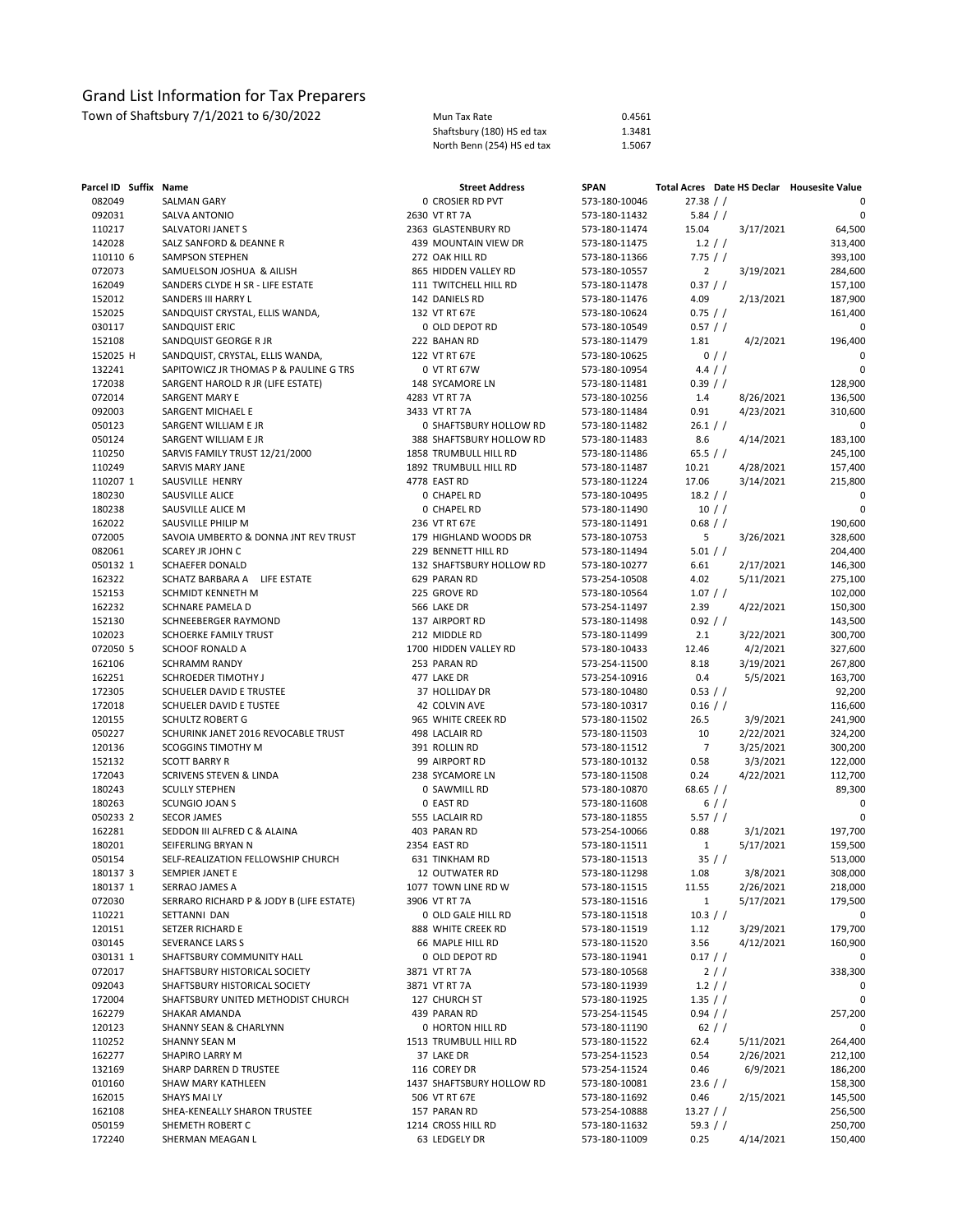| Mun Tax Rate               | 0.4561 |
|----------------------------|--------|
| Shaftsbury (180) HS ed tax | 1.3481 |
| North Benn (254) HS ed tax | 1.5067 |

| Parcel ID Suffix Name |                                                            | <b>Street Address</b>                        | <b>SPAN</b>                    |                  |           | Total Acres Date HS Declar Housesite Value |
|-----------------------|------------------------------------------------------------|----------------------------------------------|--------------------------------|------------------|-----------|--------------------------------------------|
| 082049                | <b>SALMAN GARY</b>                                         | 0 CROSIER RD PVT                             | 573-180-10046                  | 27.38 / /        |           | 0                                          |
| 092031                | SALVA ANTONIO                                              | 2630 VT RT 7A                                | 573-180-11432                  | 5.84 / /         |           | 0                                          |
| 110217                | SALVATORI JANET S                                          | 2363 GLASTENBURY RD                          | 573-180-11474                  | 15.04            | 3/17/2021 | 64,500                                     |
| 142028                | SALZ SANFORD & DEANNE R                                    | 439 MOUNTAIN VIEW DR                         | 573-180-11475                  | 1.2 / /          |           | 313,400                                    |
| 110110 6              | <b>SAMPSON STEPHEN</b>                                     | 272 OAK HILL RD                              | 573-180-11366                  | 7.75/            |           | 393,100                                    |
| 072073                | SAMUELSON JOSHUA & AILISH                                  | 865 HIDDEN VALLEY RD                         | 573-180-10557                  | $\overline{2}$   | 3/19/2021 | 284,600                                    |
| 162049                | SANDERS CLYDE H SR - LIFE ESTATE                           | 111 TWITCHELL HILL RD                        | 573-180-11478                  | 0.37 / /         |           | 157,100                                    |
| 152012                | SANDERS III HARRY L                                        | 142 DANIELS RD                               | 573-180-11476                  | 4.09             | 2/13/2021 | 187,900                                    |
| 152025                | SANDQUIST CRYSTAL, ELLIS WANDA,                            | 132 VT RT 67E                                | 573-180-10624                  | 0.75 / /         |           | 161,400                                    |
| 030117                | SANDQUIST ERIC                                             | 0 OLD DEPOT RD                               | 573-180-10549                  | $0.57$ / /       |           | 0                                          |
| 152108                | SANDQUIST GEORGE R JR                                      | 222 BAHAN RD                                 | 573-180-11479                  | 1.81             | 4/2/2021  | 196,400                                    |
| 152025 H              | SANDQUIST, CRYSTAL, ELLIS WANDA,                           | 122 VT RT 67E                                | 573-180-10625                  |                  | $0$ / /   | 0                                          |
| 132241                | SAPITOWICZ JR THOMAS P & PAULINE G TRS                     | 0 VT RT 67W                                  | 573-180-10954                  | 4.4 / /          |           | 0                                          |
| 172038                | SARGENT HAROLD R JR (LIFE ESTATE)                          | 148 SYCAMORE LN                              | 573-180-11481                  | 0.39 / /         |           | 128,900                                    |
| 072014                | <b>SARGENT MARY E</b>                                      | 4283 VT RT 7A                                | 573-180-10256                  | 1.4              | 8/26/2021 | 136,500                                    |
| 092003                | SARGENT MICHAEL E                                          | 3433 VT RT 7A                                | 573-180-11484                  | 0.91             | 4/23/2021 | 310,600                                    |
| 050123                | SARGENT WILLIAM E JR                                       | 0 SHAFTSBURY HOLLOW RD                       | 573-180-11482                  | 26.1 / /         |           | 0                                          |
| 050124                | SARGENT WILLIAM E JR                                       | 388 SHAFTSBURY HOLLOW RD                     | 573-180-11483                  | 8.6              | 4/14/2021 | 183,100                                    |
| 110250                | SARVIS FAMILY TRUST 12/21/2000                             | 1858 TRUMBULL HILL RD                        | 573-180-11486                  | 65.5 $/$ /       |           | 245,100                                    |
| 110249                | SARVIS MARY JANE                                           | 1892 TRUMBULL HILL RD                        | 573-180-11487                  | 10.21            | 4/28/2021 | 157,400                                    |
| 110207 1              | SAUSVILLE HENRY                                            | 4778 EAST RD                                 | 573-180-11224                  | 17.06            | 3/14/2021 | 215,800                                    |
| 180230                | SAUSVILLE ALICE                                            | 0 CHAPEL RD                                  | 573-180-10495                  | 18.2 / /         |           | 0                                          |
| 180238                | SAUSVILLE ALICE M                                          | 0 CHAPEL RD                                  | 573-180-11490                  |                  | 10 / /    | 0                                          |
| 162022<br>072005      | SAUSVILLE PHILIP M<br>SAVOIA UMBERTO & DONNA JNT REV TRUST | 236 VT RT 67E                                | 573-180-11491                  | 0.68 / /<br>5    |           | 190,600                                    |
| 082061                |                                                            | 179 HIGHLAND WOODS DR<br>229 BENNETT HILL RD | 573-180-10753                  |                  | 3/26/2021 | 328,600<br>204,400                         |
| 050132 1              | SCAREY JR JOHN C                                           | 132 SHAFTSBURY HOLLOW RD                     | 573-180-11494                  | 5.01 / /<br>6.61 | 2/17/2021 | 146,300                                    |
| 162322                | SCHAEFER DONALD<br>LIFE ESTATE<br>SCHATZ BARBARA A         | 629 PARAN RD                                 | 573-180-10277<br>573-254-10508 | 4.02             | 5/11/2021 | 275,100                                    |
| 152153                | SCHMIDT KENNETH M                                          | 225 GROVE RD                                 | 573-180-10564                  | 1.07 / /         |           | 102,000                                    |
| 162232                | SCHNARE PAMELA D                                           | 566 LAKE DR                                  | 573-254-11497                  | 2.39             | 4/22/2021 | 150,300                                    |
| 152130                | SCHNEEBERGER RAYMOND                                       | 137 AIRPORT RD                               | 573-180-11498                  | 0.92 / /         |           | 143,500                                    |
| 102023                | SCHOERKE FAMILY TRUST                                      | 212 MIDDLE RD                                | 573-180-11499                  | 2.1              | 3/22/2021 | 300,700                                    |
| 072050 5              | SCHOOF RONALD A                                            | 1700 HIDDEN VALLEY RD                        | 573-180-10433                  | 12.46            | 4/2/2021  | 327,600                                    |
| 162106                | SCHRAMM RANDY                                              | 253 PARAN RD                                 | 573-254-11500                  | 8.18             | 3/19/2021 | 267,800                                    |
| 162251                | SCHROEDER TIMOTHY J                                        | 477 LAKE DR                                  | 573-254-10916                  | 0.4              | 5/5/2021  | 163,700                                    |
| 172305                | SCHUELER DAVID E TRUSTEE                                   | 37 HOLLIDAY DR                               | 573-180-10480                  | 0.53 / /         |           | 92,200                                     |
| 172018                | SCHUELER DAVID E TUSTEE                                    | 42 COLVIN AVE                                | 573-180-10317                  | $0.16$ / /       |           | 116,600                                    |
| 120155                | SCHULTZ ROBERT G                                           | 965 WHITE CREEK RD                           | 573-180-11502                  | 26.5             | 3/9/2021  | 241,900                                    |
| 050227                | SCHURINK JANET 2016 REVOCABLE TRUST                        | 498 LACLAIR RD                               | 573-180-11503                  | 10               | 2/22/2021 | 324,200                                    |
| 120136                | SCOGGINS TIMOTHY M                                         | 391 ROLLIN RD                                | 573-180-11512                  | $\overline{7}$   | 3/25/2021 | 300,200                                    |
| 152132                | <b>SCOTT BARRY R</b>                                       | 99 AIRPORT RD                                | 573-180-10132                  | 0.58             | 3/3/2021  | 122,000                                    |
| 172043                | SCRIVENS STEVEN & LINDA                                    | 238 SYCAMORE LN                              | 573-180-11508                  | 0.24             | 4/22/2021 | 112,700                                    |
| 180243                | <b>SCULLY STEPHEN</b>                                      | 0 SAWMILL RD                                 | 573-180-10870                  | 68.65 $/$ /      |           | 89,300                                     |
| 180263                | SCUNGIO JOAN S                                             | 0 EAST RD                                    | 573-180-11608                  |                  | 6//       | 0                                          |
| 050233 2              | <b>SECOR JAMES</b>                                         | 555 LACLAIR RD                               | 573-180-11855                  | 5.57 / /         |           | 0                                          |
| 162281                | SEDDON III ALFRED C & ALAINA                               | 403 PARAN RD                                 | 573-254-10066                  | 0.88             | 3/1/2021  | 197,700                                    |
| 180201                | SEIFERLING BRYAN N                                         | 2354 EAST RD                                 | 573-180-11511                  | 1                | 5/17/2021 | 159,500                                    |
| 050154                | SELF-REALIZATION FELLOWSHIP CHURCH                         | 631 TINKHAM RD                               | 573-180-11513                  |                  | 35 / /    | 513,000                                    |
| 180137 3              | SEMPIER JANET E                                            | 12 OUTWATER RD                               | 573-180-11298                  | 1.08             | 3/8/2021  | 308,000                                    |
| 180137 1              | SERRAO JAMES A                                             | 1077 TOWN LINE RD W                          | 573-180-11515                  | 11.55            | 2/26/2021 | 218,000                                    |
| 072030                | SERRARO RICHARD P & JODY B (LIFE ESTATE)                   | 3906 VT RT 7A                                | 573-180-11516                  | $\mathbf{1}$     | 5/17/2021 | 179,500                                    |
| 110221                | SETTANNI DAN                                               | 0 OLD GALE HILL RD                           | 573-180-11518                  | 10.3 / /         |           | 0                                          |
| 120151                | SETZER RICHARD E                                           | 888 WHITE CREEK RD                           | 573-180-11519                  | 1.12             | 3/29/2021 | 179,700                                    |
| 030145                | SEVERANCE LARS S                                           | 66 MAPLE HILL RD                             | 573-180-11520                  | 3.56             | 4/12/2021 | 160,900                                    |
| 030131 1              | SHAFTSBURY COMMUNITY HALL                                  | 0 OLD DEPOT RD                               | 573-180-11941                  | 0.17 / /         |           | 0                                          |
| 072017                | SHAFTSBURY HISTORICAL SOCIETY                              | 3871 VT RT 7A                                | 573-180-10568                  |                  | 2/        | 338,300                                    |
| 092043                | SHAFTSBURY HISTORICAL SOCIETY                              | 3871 VT RT 7A                                | 573-180-11939                  | 1.2 / /          |           | 0                                          |
| 172004                | SHAFTSBURY UNITED METHODIST CHURCH                         | 127 CHURCH ST                                | 573-180-11925                  | 1.35 / /         |           | 0                                          |
| 162279                | SHAKAR AMANDA                                              | 439 PARAN RD                                 | 573-254-11545                  | $0.94$ / /       |           | 257,200                                    |
| 120123                | SHANNY SEAN & CHARLYNN                                     | 0 HORTON HILL RD                             | 573-180-11190                  |                  | 62 / /    | 0                                          |
| 110252                | SHANNY SEAN M                                              | 1513 TRUMBULL HILL RD                        | 573-180-11522                  | 62.4             | 5/11/2021 | 264,400                                    |
| 162277                | SHAPIRO LARRY M                                            | 37 LAKE DR                                   | 573-254-11523                  | 0.54             | 2/26/2021 | 212,100                                    |
| 132169                | SHARP DARREN D TRUSTEE                                     | 116 COREY DR                                 | 573-254-11524                  | 0.46             | 6/9/2021  | 186,200                                    |
| 010160                | SHAW MARY KATHLEEN                                         | 1437 SHAFTSBURY HOLLOW RD                    | 573-180-10081                  | $23.6$ / /       |           | 158,300                                    |
| 162015                | SHAYS MAI LY                                               | 506 VT RT 67E                                | 573-180-11692                  | 0.46             | 2/15/2021 | 145,500                                    |
| 162108                | SHEA-KENEALLY SHARON TRUSTEE                               | 157 PARAN RD                                 | 573-254-10888                  | 13.27 / /        |           | 256,500                                    |
| 050159                | SHEMETH ROBERT C                                           | 1214 CROSS HILL RD                           | 573-180-11632                  | 59.3 $/$ /       |           | 250,700                                    |
| 172240                | SHERMAN MEAGAN L                                           | 63 LEDGELY DR                                | 573-180-11009                  | 0.25             | 4/14/2021 | 150,400                                    |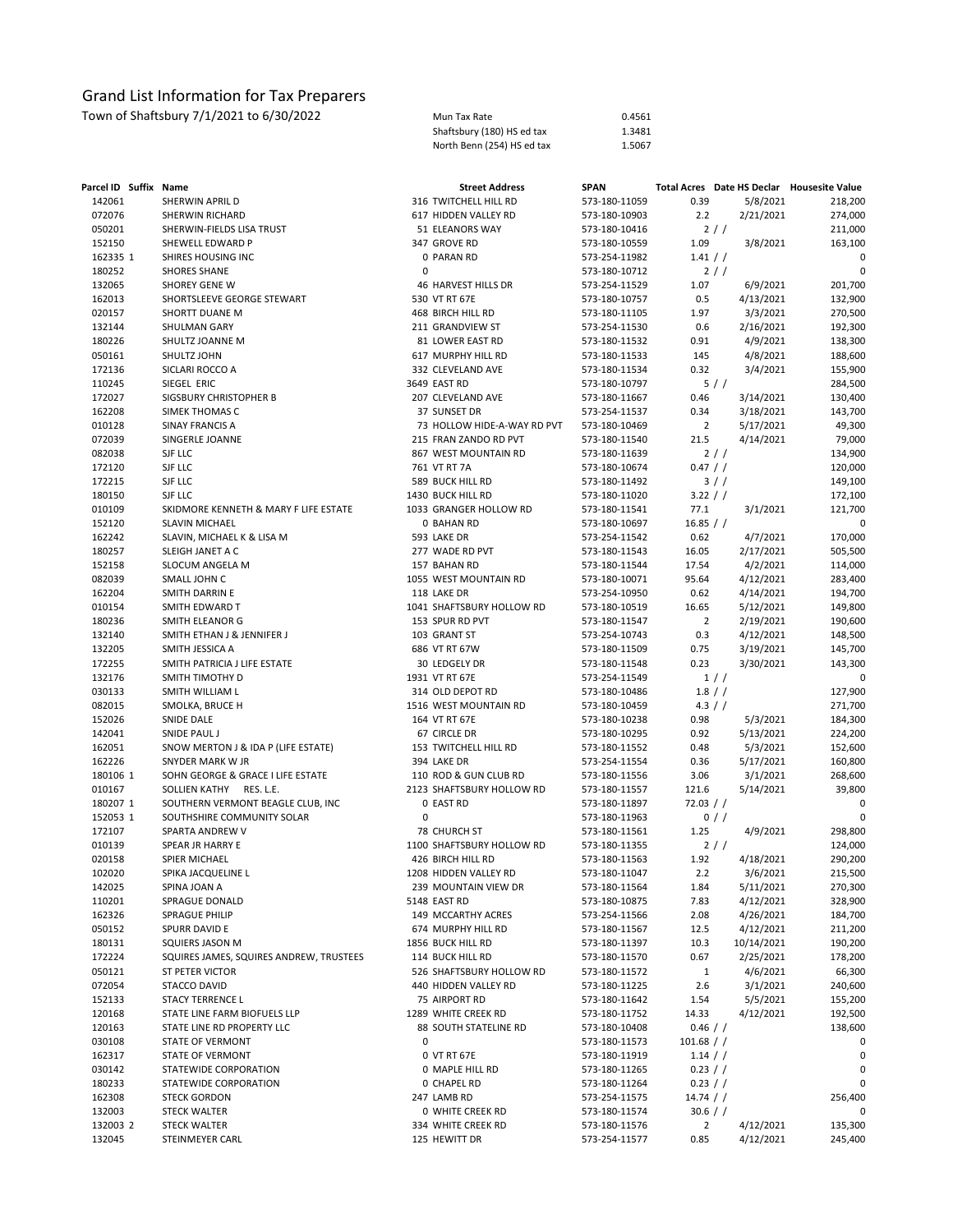| Town of Shaftsbury 7/1/2021 to 6/30/2022 | Mun Tax Rate               | 0.4561 |
|------------------------------------------|----------------------------|--------|
|                                          | Shaftsbury (180) HS ed tax | 1.3481 |
|                                          | North Benn (254) HS ed tax | 1.5067 |

| Parcel ID Suffix Name |                                              |   | <b>Street Address</b>       | <b>SPAN</b>                    |                         | Total Acres Date HS Declar Housesite Value |         |
|-----------------------|----------------------------------------------|---|-----------------------------|--------------------------------|-------------------------|--------------------------------------------|---------|
| 142061                | SHERWIN APRIL D                              |   | 316 TWITCHELL HILL RD       | 573-180-11059                  | 0.39                    | 5/8/2021                                   | 218,200 |
| 072076                | SHERWIN RICHARD                              |   | 617 HIDDEN VALLEY RD        | 573-180-10903                  | 2.2                     | 2/21/2021                                  | 274,000 |
| 050201                | SHERWIN-FIELDS LISA TRUST                    |   | 51 ELEANORS WAY             | 573-180-10416                  |                         | 2/1                                        | 211,000 |
| 152150                | SHEWELL EDWARD P                             |   | 347 GROVE RD                | 573-180-10559                  | 1.09                    | 3/8/2021                                   | 163,100 |
| 162335 1              | SHIRES HOUSING INC                           |   | 0 PARAN RD                  | 573-254-11982                  | 1.41 / /                |                                            | 0       |
| 180252                | <b>SHORES SHANE</b>                          | 0 |                             | 573-180-10712                  |                         | 2/                                         | 0       |
| 132065                | <b>SHOREY GENE W</b>                         |   | 46 HARVEST HILLS DR         | 573-254-11529                  | 1.07                    | 6/9/2021                                   | 201,700 |
| 162013                | SHORTSLEEVE GEORGE STEWART                   |   | 530 VT RT 67E               | 573-180-10757                  | 0.5                     | 4/13/2021                                  | 132,900 |
| 020157                | SHORTT DUANE M                               |   | 468 BIRCH HILL RD           | 573-180-11105                  | 1.97                    | 3/3/2021                                   | 270,500 |
| 132144                | SHULMAN GARY                                 |   | 211 GRANDVIEW ST            | 573-254-11530                  | 0.6                     | 2/16/2021                                  | 192,300 |
| 180226                | SHULTZ JOANNE M                              |   | 81 LOWER EAST RD            | 573-180-11532                  | 0.91                    | 4/9/2021                                   | 138,300 |
| 050161                | SHULTZ JOHN                                  |   | 617 MURPHY HILL RD          | 573-180-11533                  | 145                     | 4/8/2021                                   | 188,600 |
| 172136                | SICLARI ROCCO A                              |   | 332 CLEVELAND AVE           | 573-180-11534                  | 0.32                    | 3/4/2021                                   | 155,900 |
| 110245                | SIEGEL ERIC                                  |   | 3649 EAST RD                | 573-180-10797                  |                         | 5//                                        | 284,500 |
| 172027                | SIGSBURY CHRISTOPHER B                       |   | 207 CLEVELAND AVE           | 573-180-11667                  | 0.46                    | 3/14/2021                                  | 130,400 |
| 162208                | SIMEK THOMAS C                               |   | 37 SUNSET DR                | 573-254-11537                  | 0.34                    | 3/18/2021                                  | 143,700 |
| 010128                | SINAY FRANCIS A                              |   | 73 HOLLOW HIDE-A-WAY RD PVT | 573-180-10469                  | $\overline{2}$          | 5/17/2021                                  | 49,300  |
| 072039                | SINGERLE JOANNE                              |   | 215 FRAN ZANDO RD PVT       | 573-180-11540                  | 21.5                    | 4/14/2021                                  | 79,000  |
| 082038                | SJF LLC                                      |   | 867 WEST MOUNTAIN RD        | 573-180-11639                  |                         | 2/1                                        | 134,900 |
| 172120                | SJF LLC                                      |   | 761 VT RT 7A                | 573-180-10674                  | 0.47 / /                |                                            | 120,000 |
| 172215                | SJF LLC                                      |   | 589 BUCK HILL RD            | 573-180-11492                  |                         | $3$ / $/$                                  | 149,100 |
| 180150                | SJF LLC                                      |   | 1430 BUCK HILL RD           | 573-180-11020                  | 3.22 / /                |                                            | 172,100 |
| 010109                | SKIDMORE KENNETH & MARY F LIFE ESTATE        |   | 1033 GRANGER HOLLOW RD      | 573-180-11541                  | 77.1                    | 3/1/2021                                   | 121,700 |
| 152120                | <b>SLAVIN MICHAEL</b>                        |   | 0 BAHAN RD                  | 573-180-10697                  | 16.85 / /               |                                            | 0       |
| 162242                | SLAVIN, MICHAEL K & LISA M                   |   | 593 LAKE DR                 | 573-254-11542                  | 0.62                    | 4/7/2021                                   | 170,000 |
| 180257                | SLEIGH JANET A C                             |   | 277 WADE RD PVT             | 573-180-11543                  | 16.05                   | 2/17/2021                                  | 505,500 |
| 152158                | SLOCUM ANGELA M                              |   | 157 BAHAN RD                | 573-180-11544                  | 17.54                   | 4/2/2021                                   | 114,000 |
| 082039                | SMALL JOHN C                                 |   | 1055 WEST MOUNTAIN RD       | 573-180-10071                  | 95.64                   | 4/12/2021                                  | 283,400 |
| 162204                | SMITH DARRIN E                               |   | 118 LAKE DR                 | 573-254-10950                  | 0.62                    | 4/14/2021                                  | 194,700 |
| 010154                | SMITH EDWARD T                               |   | 1041 SHAFTSBURY HOLLOW RD   | 573-180-10519                  | 16.65                   | 5/12/2021                                  | 149,800 |
| 180236                | SMITH ELEANOR G                              |   | 153 SPUR RD PVT             | 573-180-11547                  | $\overline{2}$          | 2/19/2021                                  | 190,600 |
| 132140                | SMITH ETHAN J & JENNIFER J                   |   | 103 GRANT ST                | 573-254-10743                  | 0.3                     | 4/12/2021                                  | 148,500 |
| 132205                | SMITH JESSICA A                              |   | 686 VT RT 67W               | 573-180-11509                  | 0.75                    | 3/19/2021                                  | 145,700 |
| 172255                | SMITH PATRICIA J LIFE ESTATE                 |   | 30 LEDGELY DR               | 573-180-11548                  | 0.23                    | 3/30/2021                                  | 143,300 |
| 132176                | SMITH TIMOTHY D                              |   | 1931 VT RT 67E              | 573-254-11549                  |                         | 1//                                        | 0       |
| 030133                | SMITH WILLIAM L                              |   | 314 OLD DEPOT RD            | 573-180-10486                  |                         | 1.8 / /                                    | 127,900 |
| 082015                | SMOLKA, BRUCE H                              |   | 1516 WEST MOUNTAIN RD       | 573-180-10459                  |                         | 4.3 / /                                    | 271,700 |
| 152026                | <b>SNIDE DALE</b>                            |   | 164 VT RT 67E               | 573-180-10238                  | 0.98                    | 5/3/2021                                   | 184,300 |
| 142041                | SNIDE PAUL J                                 |   | 67 CIRCLE DR                | 573-180-10295                  | 0.92                    | 5/13/2021                                  | 224,200 |
| 162051                | SNOW MERTON J & IDA P (LIFE ESTATE)          |   | 153 TWITCHELL HILL RD       | 573-180-11552                  | 0.48                    | 5/3/2021                                   | 152,600 |
| 162226                | SNYDER MARK W JR                             |   | 394 LAKE DR                 | 573-254-11554                  | 0.36                    | 5/17/2021                                  | 160,800 |
| 180106 1              | SOHN GEORGE & GRACE I LIFE ESTATE            |   | 110 ROD & GUN CLUB RD       | 573-180-11556                  | 3.06                    | 3/1/2021                                   | 268,600 |
| 010167                | SOLLIEN KATHY RES. L.E.                      |   | 2123 SHAFTSBURY HOLLOW RD   | 573-180-11557                  | 121.6                   | 5/14/2021                                  | 39,800  |
| 180207 1              | SOUTHERN VERMONT BEAGLE CLUB, INC            |   | 0 EAST RD                   | 573-180-11897                  | 72.03 / /               |                                            | 0       |
| 152053 1              | SOUTHSHIRE COMMUNITY SOLAR                   | 0 |                             | 573-180-11963                  |                         | $0$ / $/$                                  | 0       |
| 172107                | SPARTA ANDREW V                              |   | 78 CHURCH ST                | 573-180-11561                  | 1.25                    | 4/9/2021                                   | 298,800 |
| 010139                | SPEAR JR HARRY E                             |   | 1100 SHAFTSBURY HOLLOW RD   | 573-180-11355                  |                         | 2/                                         | 124,000 |
| 020158                | SPIER MICHAEL                                |   | 426 BIRCH HILL RD           | 573-180-11563                  | 1.92                    | 4/18/2021                                  | 290,200 |
| 102020                | SPIKA JACQUELINE L                           |   | 1208 HIDDEN VALLEY RD       | 573-180-11047                  | 2.2                     | 3/6/2021                                   | 215,500 |
| 142025                | SPINA JOAN A                                 |   | 239 MOUNTAIN VIEW DR        | 573-180-11564                  | 1.84                    | 5/11/2021                                  | 270,300 |
| 110201                | SPRAGUE DONALD                               |   | 5148 EAST RD                | 573-180-10875                  | 7.83                    | 4/12/2021                                  | 328,900 |
| 162326                | <b>SPRAGUE PHILIP</b>                        |   | 149 MCCARTHY ACRES          | 573-254-11566                  | 2.08                    | 4/26/2021                                  | 184,700 |
| 050152                | SPURR DAVID E                                |   | 674 MURPHY HILL RD          | 573-180-11567                  | 12.5                    | 4/12/2021                                  | 211,200 |
| 180131                | SQUIERS JASON M                              |   | 1856 BUCK HILL RD           | 573-180-11397                  | 10.3                    | 10/14/2021                                 | 190,200 |
| 172224                | SQUIRES JAMES, SQUIRES ANDREW, TRUSTEES      |   | 114 BUCK HILL RD            | 573-180-11570                  | 0.67                    | 2/25/2021                                  | 178,200 |
| 050121                | ST PETER VICTOR                              |   | 526 SHAFTSBURY HOLLOW RD    | 573-180-11572                  | 1                       | 4/6/2021                                   | 66,300  |
| 072054                | STACCO DAVID                                 |   | 440 HIDDEN VALLEY RD        | 573-180-11225                  | 2.6                     | 3/1/2021                                   | 240,600 |
| 152133                | <b>STACY TERRENCE L</b>                      |   | 75 AIRPORT RD               | 573-180-11642                  | 1.54                    | 5/5/2021                                   | 155,200 |
| 120168                | STATE LINE FARM BIOFUELS LLP                 |   | 1289 WHITE CREEK RD         | 573-180-11752                  | 14.33                   | 4/12/2021                                  | 192,500 |
| 120163                | STATE LINE RD PROPERTY LLC                   |   | 88 SOUTH STATELINE RD       | 573-180-10408                  | $0.46$ / /              |                                            | 138,600 |
| 030108                | STATE OF VERMONT                             | 0 |                             | 573-180-11573                  | $101.68$ / /            |                                            | 0       |
| 162317                | STATE OF VERMONT<br>STATEWIDE CORPORATION    |   | 0 VT RT 67E                 | 573-180-11919                  | $1.14$ / /              |                                            | 0       |
| 030142                |                                              |   | 0 MAPLE HILL RD             | 573-180-11265                  | 0.23 / /                |                                            | 0<br>0  |
| 180233<br>162308      | STATEWIDE CORPORATION<br><b>STECK GORDON</b> |   | 0 CHAPEL RD<br>247 LAMB RD  | 573-180-11264                  | $0.23$ / /<br>14.74 / / |                                            | 256,400 |
| 132003                | <b>STECK WALTER</b>                          |   | 0 WHITE CREEK RD            | 573-254-11575<br>573-180-11574 | 30.6 / /                |                                            | 0       |
| 132003 2              | <b>STECK WALTER</b>                          |   | 334 WHITE CREEK RD          | 573-180-11576                  | $\overline{2}$          | 4/12/2021                                  | 135,300 |
| 132045                | STEINMEYER CARL                              |   | 125 HEWITT DR               | 573-254-11577                  | 0.85                    | 4/12/2021                                  | 245,400 |
|                       |                                              |   |                             |                                |                         |                                            |         |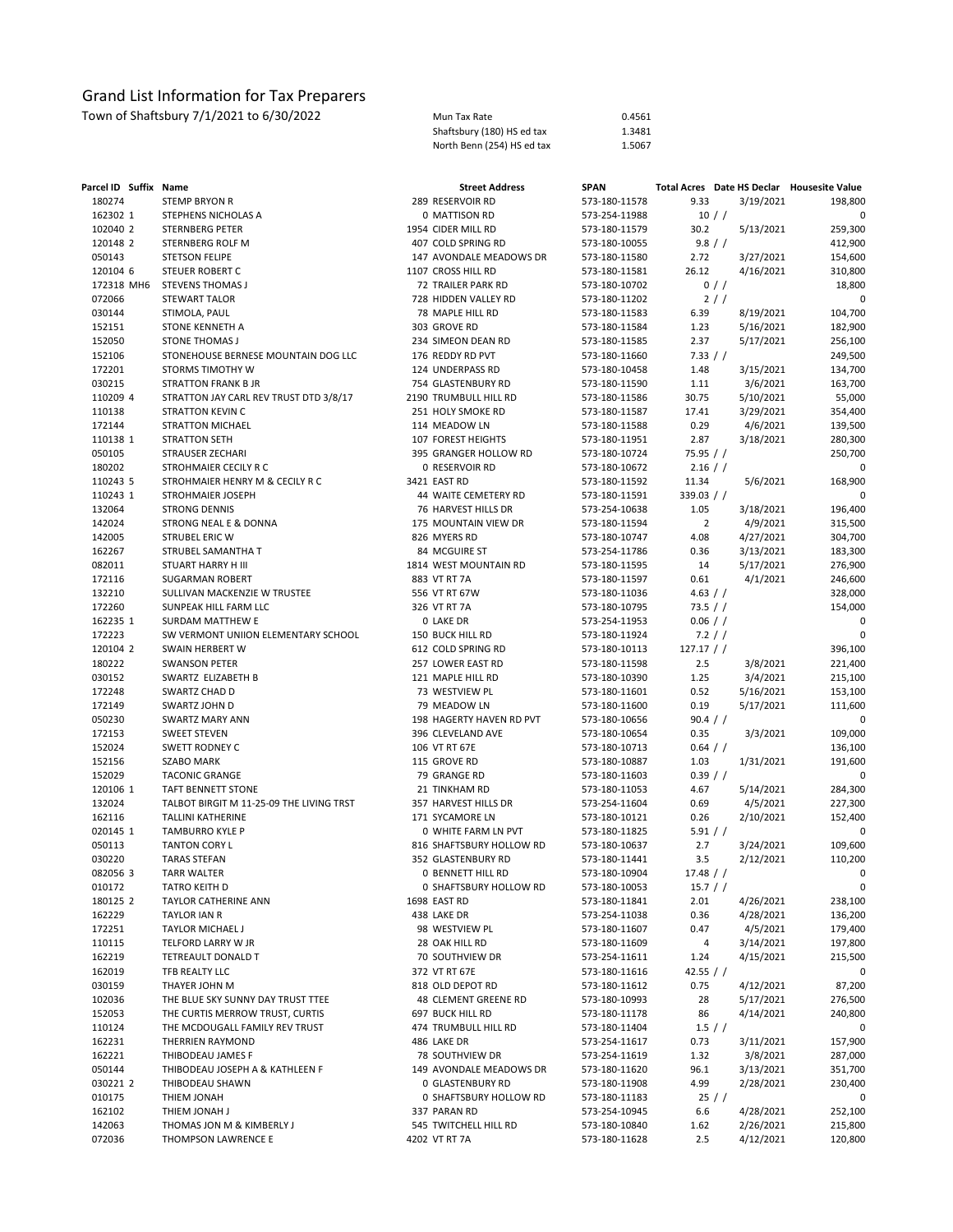| Town of Shaftsbury 7/1/2021 to 6/30/2022 | Mun Tax Rate               | 0.4561 |
|------------------------------------------|----------------------------|--------|
|                                          | Shaftsbury (180) HS ed tax | 1.3481 |
|                                          | North Benn (254) HS ed tax | 1.5067 |

| Parcel ID Suffix Name |                                          | <b>Street Address</b>    | <b>SPAN</b>   |                |           | Total Acres Date HS Declar Housesite Value |
|-----------------------|------------------------------------------|--------------------------|---------------|----------------|-----------|--------------------------------------------|
| 180274                | <b>STEMP BRYON R</b>                     | 289 RESERVOIR RD         | 573-180-11578 | 9.33           | 3/19/2021 | 198,800                                    |
| 162302 1              | STEPHENS NICHOLAS A                      | 0 MATTISON RD            | 573-254-11988 | $10$ / $/$     |           | 0                                          |
| 102040 2              | <b>STERNBERG PETER</b>                   | 1954 CIDER MILL RD       | 573-180-11579 | 30.2           | 5/13/2021 | 259,300                                    |
| 120148 2              | STERNBERG ROLF M                         | 407 COLD SPRING RD       | 573-180-10055 | 9.8 / /        |           | 412,900                                    |
| 050143                | <b>STETSON FELIPE</b>                    | 147 AVONDALE MEADOWS DR  | 573-180-11580 | 2.72           | 3/27/2021 | 154,600                                    |
| 120104 6              | <b>STEUER ROBERT C</b>                   | 1107 CROSS HILL RD       | 573-180-11581 | 26.12          | 4/16/2021 | 310,800                                    |
| 172318 MH6            | <b>STEVENS THOMAS J</b>                  | 72 TRAILER PARK RD       | 573-180-10702 |                | $0$ / /   | 18,800                                     |
| 072066                | STEWART TALOR                            | 728 HIDDEN VALLEY RD     | 573-180-11202 |                | 2/1       | 0                                          |
| 030144                | STIMOLA, PAUL                            | 78 MAPLE HILL RD         | 573-180-11583 | 6.39           | 8/19/2021 | 104,700                                    |
| 152151                | STONE KENNETH A                          | 303 GROVE RD             | 573-180-11584 | 1.23           | 5/16/2021 | 182,900                                    |
| 152050                | <b>STONE THOMAS J</b>                    | 234 SIMEON DEAN RD       | 573-180-11585 | 2.37           | 5/17/2021 | 256,100                                    |
| 152106                | STONEHOUSE BERNESE MOUNTAIN DOG LLC      | 176 REDDY RD PVT         | 573-180-11660 | 7.33 / /       |           | 249,500                                    |
| 172201                | <b>STORMS TIMOTHY W</b>                  | 124 UNDERPASS RD         | 573-180-10458 | 1.48           | 3/15/2021 | 134,700                                    |
| 030215                | STRATTON FRANK B JR                      | 754 GLASTENBURY RD       | 573-180-11590 | 1.11           | 3/6/2021  | 163,700                                    |
| 110209 4              | STRATTON JAY CARL REV TRUST DTD 3/8/17   | 2190 TRUMBULL HILL RD    | 573-180-11586 | 30.75          | 5/10/2021 | 55,000                                     |
| 110138                | <b>STRATTON KEVIN C</b>                  | 251 HOLY SMOKE RD        | 573-180-11587 | 17.41          | 3/29/2021 | 354,400                                    |
| 172144                | STRATTON MICHAEL                         | 114 MEADOW LN            | 573-180-11588 | 0.29           | 4/6/2021  | 139,500                                    |
| 110138 1              | <b>STRATTON SETH</b>                     | 107 FOREST HEIGHTS       | 573-180-11951 | 2.87           | 3/18/2021 | 280,300                                    |
| 050105                | STRAUSER ZECHARI                         | 395 GRANGER HOLLOW RD    | 573-180-10724 | 75.95 / /      |           | 250,700                                    |
| 180202                | STROHMAIER CECILY R C                    | 0 RESERVOIR RD           | 573-180-10672 | $2.16$ / /     |           | 0                                          |
| 110243 5              | STROHMAIER HENRY M & CECILY R C          | 3421 EAST RD             | 573-180-11592 | 11.34          | 5/6/2021  | 168,900                                    |
| 110243 1              | STROHMAIER JOSEPH                        | 44 WAITE CEMETERY RD     | 573-180-11591 | 339.03 / /     |           | 0                                          |
| 132064                | <b>STRONG DENNIS</b>                     | 76 HARVEST HILLS DR      | 573-254-10638 | 1.05           | 3/18/2021 | 196,400                                    |
| 142024                | STRONG NEAL E & DONNA                    | 175 MOUNTAIN VIEW DR     | 573-180-11594 | $\overline{2}$ | 4/9/2021  | 315,500                                    |
| 142005                | <b>STRUBEL ERIC W</b>                    | 826 MYERS RD             | 573-180-10747 | 4.08           | 4/27/2021 | 304,700                                    |
| 162267                | STRUBEL SAMANTHA T                       | 84 MCGUIRE ST            | 573-254-11786 | 0.36           | 3/13/2021 | 183,300                                    |
| 082011                | STUART HARRY H III                       | 1814 WEST MOUNTAIN RD    | 573-180-11595 | 14             | 5/17/2021 | 276,900                                    |
| 172116                | SUGARMAN ROBERT                          | 883 VT RT 7A             | 573-180-11597 | 0.61           | 4/1/2021  | 246,600                                    |
| 132210                | SULLIVAN MACKENZIE W TRUSTEE             | 556 VT RT 67W            | 573-180-11036 | 4.63 / /       |           | 328,000                                    |
| 172260                | SUNPEAK HILL FARM LLC                    | 326 VT RT 7A             | 573-180-10795 | 73.5 / /       |           | 154,000                                    |
| 162235 1              | SURDAM MATTHEW E                         | 0 LAKE DR                | 573-254-11953 | $0.06$ / /     |           | 0                                          |
| 172223                | SW VERMONT UNIION ELEMENTARY SCHOOL      | 150 BUCK HILL RD         | 573-180-11924 | 7.2 / /        |           | $\mathbf 0$                                |
| 120104 2              | SWAIN HERBERT W                          | 612 COLD SPRING RD       | 573-180-10113 | $127.17$ / /   |           | 396,100                                    |
| 180222                | <b>SWANSON PETER</b>                     | 257 LOWER EAST RD        | 573-180-11598 | 2.5            | 3/8/2021  | 221,400                                    |
| 030152                | SWARTZ ELIZABETH B                       | 121 MAPLE HILL RD        | 573-180-10390 | 1.25           | 3/4/2021  | 215,100                                    |
| 172248                | SWARTZ CHAD D                            | 73 WESTVIEW PL           | 573-180-11601 | 0.52           | 5/16/2021 | 153,100                                    |
| 172149                | SWARTZ JOHN D                            | 79 MEADOW LN             | 573-180-11600 | 0.19           | 5/17/2021 | 111,600                                    |
| 050230                | SWARTZ MARY ANN                          | 198 HAGERTY HAVEN RD PVT | 573-180-10656 | 90.4 / /       |           | 0                                          |
| 172153                | <b>SWEET STEVEN</b>                      | 396 CLEVELAND AVE        | 573-180-10654 | 0.35           | 3/3/2021  | 109,000                                    |
| 152024                | <b>SWETT RODNEY C</b>                    | 106 VT RT 67E            | 573-180-10713 | 0.64 / /       |           | 136,100                                    |
| 152156                | <b>SZABO MARK</b>                        | 115 GROVE RD             | 573-180-10887 | 1.03           | 1/31/2021 | 191,600                                    |
| 152029                | <b>TACONIC GRANGE</b>                    | 79 GRANGE RD             | 573-180-11603 | $0.39$ / /     |           | 0                                          |
| 120106 1              | TAFT BENNETT STONE                       | 21 TINKHAM RD            | 573-180-11053 | 4.67           | 5/14/2021 | 284,300                                    |
| 132024                | TALBOT BIRGIT M 11-25-09 THE LIVING TRST | 357 HARVEST HILLS DR     | 573-254-11604 | 0.69           | 4/5/2021  | 227,300                                    |
| 162116                | <b>TALLINI KATHERINE</b>                 | 171 SYCAMORE LN          | 573-180-10121 | 0.26           | 2/10/2021 | 152,400                                    |
| 020145 1              | TAMBURRO KYLE P                          | 0 WHITE FARM LN PVT      | 573-180-11825 | 5.91 / /       |           | 0                                          |
| 050113                | <b>TANTON CORY L</b>                     | 816 SHAFTSBURY HOLLOW RD | 573-180-10637 | 2.7            | 3/24/2021 | 109,600                                    |
| 030220                | <b>TARAS STEFAN</b>                      | 352 GLASTENBURY RD       | 573-180-11441 | 3.5            | 2/12/2021 | 110,200                                    |
| 082056 3              | TARR WALTER                              | <b>0 BENNETT HILL RD</b> | 573-180-10904 | $17.48$ / /    |           | 0                                          |
| 010172                | TATRO KEITH D                            | 0 SHAFTSBURY HOLLOW RD   | 573-180-10053 | 15.7 / /       |           | 0                                          |
| 180125 2              | TAYLOR CATHERINE ANN                     | 1698 EAST RD             | 573-180-11841 | 2.01           | 4/26/2021 | 238,100                                    |
| 162229                | TAYLOR IAN R                             | 438 LAKE DR              | 573-254-11038 | 0.36           | 4/28/2021 | 136,200                                    |
| 172251                | TAYLOR MICHAEL J                         | 98 WESTVIEW PL           | 573-180-11607 | 0.47           | 4/5/2021  | 179,400                                    |
| 110115                | TELFORD LARRY W JR                       | 28 OAK HILL RD           | 573-180-11609 | 4              | 3/14/2021 | 197,800                                    |
| 162219                | TETREAULT DONALD T                       | 70 SOUTHVIEW DR          | 573-254-11611 | 1.24           | 4/15/2021 | 215,500                                    |
| 162019                | TFB REALTY LLC                           | 372 VT RT 67E            | 573-180-11616 | 42.55 $/$ /    |           | 0                                          |
| 030159                | THAYER JOHN M                            | 818 OLD DEPOT RD         | 573-180-11612 | 0.75           | 4/12/2021 | 87,200                                     |
| 102036                | THE BLUE SKY SUNNY DAY TRUST TTEE        | 48 CLEMENT GREENE RD     | 573-180-10993 | 28             | 5/17/2021 | 276,500                                    |
| 152053                | THE CURTIS MERROW TRUST, CURTIS          | 697 BUCK HILL RD         | 573-180-11178 | 86             | 4/14/2021 | 240,800                                    |
| 110124                | THE MCDOUGALL FAMILY REV TRUST           | 474 TRUMBULL HILL RD     | 573-180-11404 | 1.5 / /        |           | 0                                          |
| 162231                | THERRIEN RAYMOND                         | 486 LAKE DR              | 573-254-11617 | 0.73           | 3/11/2021 | 157,900                                    |
| 162221                | THIBODEAU JAMES F                        | 78 SOUTHVIEW DR          | 573-254-11619 | 1.32           | 3/8/2021  | 287,000                                    |
| 050144                | THIBODEAU JOSEPH A & KATHLEEN F          | 149 AVONDALE MEADOWS DR  | 573-180-11620 | 96.1           | 3/13/2021 | 351,700                                    |
| 030221 2              | THIBODEAU SHAWN                          | 0 GLASTENBURY RD         | 573-180-11908 | 4.99           | 2/28/2021 | 230,400                                    |
| 010175                | THIEM JONAH                              | 0 SHAFTSBURY HOLLOW RD   | 573-180-11183 | 25//           |           | 0                                          |
| 162102                | THIEM JONAH J                            | 337 PARAN RD             | 573-254-10945 | 6.6            | 4/28/2021 | 252,100                                    |
| 142063                | THOMAS JON M & KIMBERLY J                | 545 TWITCHELL HILL RD    | 573-180-10840 | 1.62           | 2/26/2021 | 215,800                                    |
| 072036                | THOMPSON LAWRENCE E                      | 4202 VT RT 7A            | 573-180-11628 | 2.5            | 4/12/2021 | 120,800                                    |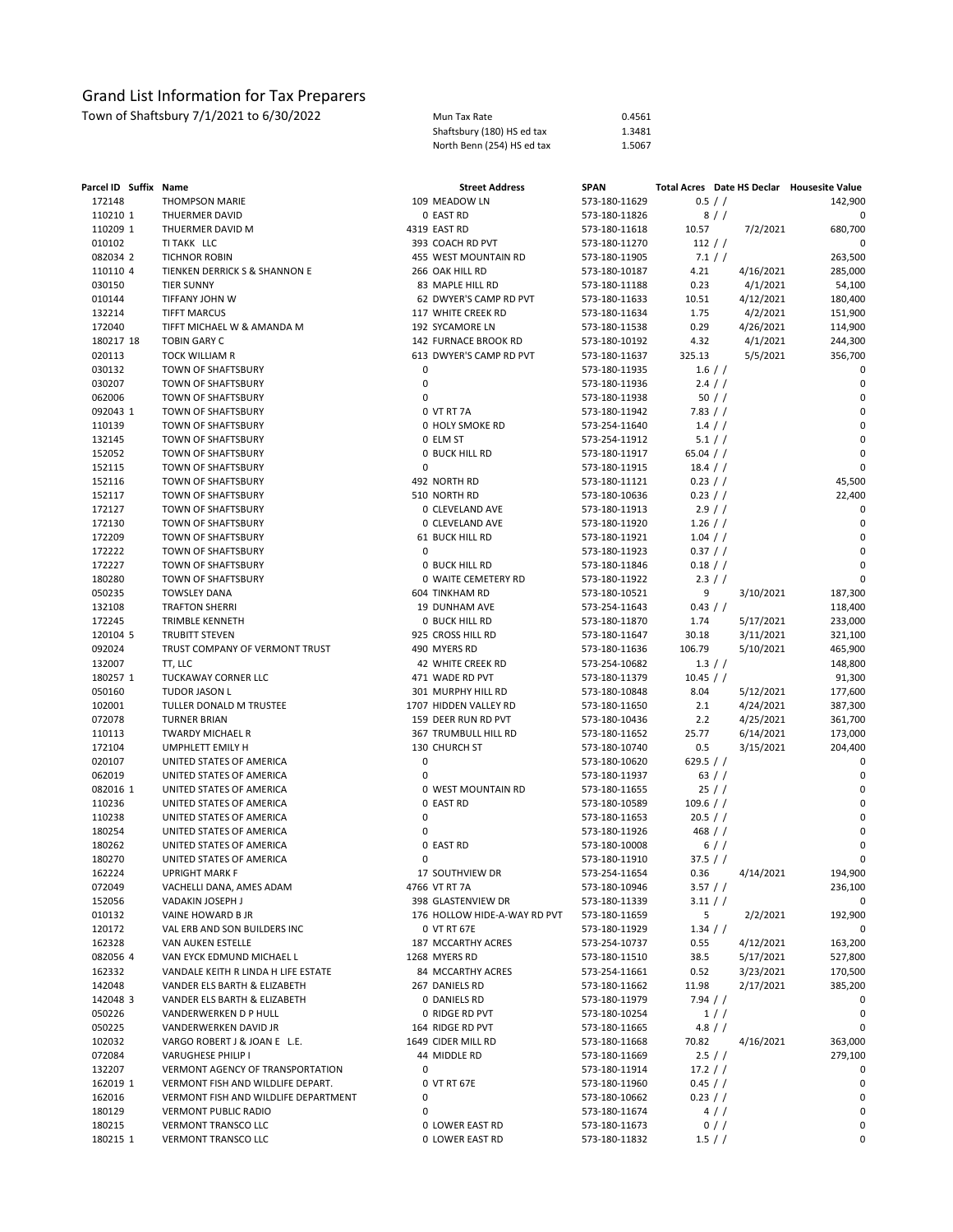| Mun Tax Rate               | 0.4561 |
|----------------------------|--------|
| Shaftsbury (180) HS ed tax | 1.3481 |
| North Benn (254) HS ed tax | 1.5067 |

| Parcel ID Suffix Name |                                      | <b>Street Address</b>        | <b>SPAN</b>   |             |           | Total Acres Date HS Declar Housesite Value |
|-----------------------|--------------------------------------|------------------------------|---------------|-------------|-----------|--------------------------------------------|
| 172148                | <b>THOMPSON MARIE</b>                | 109 MEADOW LN                | 573-180-11629 | 0.5 / /     |           | 142,900                                    |
| 110210 1              | THUERMER DAVID                       | 0 EAST RD                    | 573-180-11826 | 8//         |           | 0                                          |
| 110209 1              | THUERMER DAVID M                     | 4319 EAST RD                 | 573-180-11618 | 10.57       | 7/2/2021  | 680,700                                    |
| 010102                | TI TAKK LLC                          | 393 COACH RD PVT             | 573-180-11270 | 112 / /     |           | 0                                          |
| 082034 2              | <b>TICHNOR ROBIN</b>                 | 455 WEST MOUNTAIN RD         | 573-180-11905 | 7.1 / /     |           | 263,500                                    |
| 110110 4              | TIENKEN DERRICK S & SHANNON E        | 266 OAK HILL RD              | 573-180-10187 | 4.21        | 4/16/2021 | 285,000                                    |
| 030150                | <b>TIER SUNNY</b>                    | 83 MAPLE HILL RD             | 573-180-11188 | 0.23        | 4/1/2021  | 54,100                                     |
| 010144                | TIFFANY JOHN W                       | 62 DWYER'S CAMP RD PVT       | 573-180-11633 | 10.51       | 4/12/2021 | 180,400                                    |
| 132214                | <b>TIFFT MARCUS</b>                  | 117 WHITE CREEK RD           | 573-180-11634 | 1.75        | 4/2/2021  | 151,900                                    |
| 172040                | TIFFT MICHAEL W & AMANDA M           | 192 SYCAMORE LN              | 573-180-11538 | 0.29        | 4/26/2021 | 114,900                                    |
| 180217 18             | <b>TOBIN GARY C</b>                  | 142 FURNACE BROOK RD         | 573-180-10192 | 4.32        | 4/1/2021  | 244,300                                    |
| 020113                | <b>TOCK WILLIAM R</b>                | 613 DWYER'S CAMP RD PVT      | 573-180-11637 | 325.13      | 5/5/2021  | 356,700                                    |
| 030132                | TOWN OF SHAFTSBURY                   | 0                            | 573-180-11935 | $1.6$ / /   |           | 0                                          |
| 030207                | TOWN OF SHAFTSBURY                   | 0                            | 573-180-11936 | 2.4 / /     |           | 0                                          |
| 062006                | TOWN OF SHAFTSBURY                   | 0                            | 573-180-11938 | 50//        |           | $\mathbf 0$                                |
| 092043 1              | TOWN OF SHAFTSBURY                   | 0 VT RT 7A                   | 573-180-11942 | 7.83 / /    |           | 0                                          |
| 110139                | TOWN OF SHAFTSBURY                   | 0 HOLY SMOKE RD              | 573-254-11640 | $1.4$ / /   |           | $\mathsf 0$                                |
| 132145                | TOWN OF SHAFTSBURY                   | 0 ELM ST                     | 573-254-11912 | 5.1 / /     |           | 0                                          |
| 152052                | TOWN OF SHAFTSBURY                   | <b>0 BUCK HILL RD</b>        | 573-180-11917 | 65.04 $/$ / |           | 0                                          |
| 152115                | TOWN OF SHAFTSBURY                   | 0                            | 573-180-11915 | 18.4 / /    |           | $\mathbf 0$                                |
| 152116                | TOWN OF SHAFTSBURY                   | 492 NORTH RD                 | 573-180-11121 | 0.23 / /    |           | 45,500                                     |
| 152117                | TOWN OF SHAFTSBURY                   | 510 NORTH RD                 | 573-180-10636 | $0.23$ / /  |           | 22,400                                     |
|                       |                                      | 0 CLEVELAND AVE              |               | 2.9/        |           | 0                                          |
| 172127                | TOWN OF SHAFTSBURY                   |                              | 573-180-11913 |             |           |                                            |
| 172130                | TOWN OF SHAFTSBURY                   | 0 CLEVELAND AVE              | 573-180-11920 | $1.26$ / /  |           | 0                                          |
| 172209                | TOWN OF SHAFTSBURY                   | <b>61 BUCK HILL RD</b>       | 573-180-11921 | $1.04$ / /  |           | $\mathbf 0$                                |
| 172222                | TOWN OF SHAFTSBURY                   | 0                            | 573-180-11923 | $0.37$ / /  |           | 0                                          |
| 172227                | TOWN OF SHAFTSBURY                   | <b>0 BUCK HILL RD</b>        | 573-180-11846 | $0.18$ / /  |           | $\mathbf 0$                                |
| 180280                | TOWN OF SHAFTSBURY                   | 0 WAITE CEMETERY RD          | 573-180-11922 | 2.3 / /     |           | $\Omega$                                   |
| 050235                | <b>TOWSLEY DANA</b>                  | 604 TINKHAM RD               | 573-180-10521 | 9           | 3/10/2021 | 187,300                                    |
| 132108                | <b>TRAFTON SHERRI</b>                | 19 DUNHAM AVE                | 573-254-11643 | 0.43 / /    |           | 118,400                                    |
| 172245                | TRIMBLE KENNETH                      | <b>0 BUCK HILL RD</b>        | 573-180-11870 | 1.74        | 5/17/2021 | 233,000                                    |
| 120104 5              | <b>TRUBITT STEVEN</b>                | 925 CROSS HILL RD            | 573-180-11647 | 30.18       | 3/11/2021 | 321,100                                    |
| 092024                | TRUST COMPANY OF VERMONT TRUST       | 490 MYERS RD                 | 573-180-11636 | 106.79      | 5/10/2021 | 465,900                                    |
| 132007                | TT, LLC                              | 42 WHITE CREEK RD            | 573-254-10682 | $1.3$ / /   |           | 148,800                                    |
| 180257 1              | TUCKAWAY CORNER LLC                  | 471 WADE RD PVT              | 573-180-11379 | 10.45 / /   |           | 91,300                                     |
| 050160                | TUDOR JASON L                        | 301 MURPHY HILL RD           | 573-180-10848 | 8.04        | 5/12/2021 | 177,600                                    |
| 102001                | TULLER DONALD M TRUSTEE              | 1707 HIDDEN VALLEY RD        | 573-180-11650 | 2.1         | 4/24/2021 | 387,300                                    |
| 072078                | <b>TURNER BRIAN</b>                  | 159 DEER RUN RD PVT          | 573-180-10436 | 2.2         | 4/25/2021 | 361,700                                    |
| 110113                | <b>TWARDY MICHAEL R</b>              | 367 TRUMBULL HILL RD         | 573-180-11652 | 25.77       | 6/14/2021 | 173,000                                    |
| 172104                | UMPHLETT EMILY H                     | 130 CHURCH ST                | 573-180-10740 | 0.5         | 3/15/2021 | 204,400                                    |
| 020107                | UNITED STATES OF AMERICA             | 0                            | 573-180-10620 | 629.5 $/$ / |           | 0                                          |
| 062019                | UNITED STATES OF AMERICA             | 0                            | 573-180-11937 | 63 / /      |           | 0                                          |
| 082016 1              | UNITED STATES OF AMERICA             | 0 WEST MOUNTAIN RD           | 573-180-11655 | 25//        |           | $\mathbf 0$                                |
| 110236                | UNITED STATES OF AMERICA             | 0 EAST RD                    | 573-180-10589 | 109.6 / /   |           | 0                                          |
| 110238                | UNITED STATES OF AMERICA             | 0                            | 573-180-11653 | 20.5 / /    |           | 0                                          |
| 180254                | UNITED STATES OF AMERICA             | 0                            | 573-180-11926 | 468 / /     |           | 0                                          |
| 180262                | UNITED STATES OF AMERICA             | 0 EAST RD                    | 573-180-10008 | 6//         |           | $\mathbf 0$                                |
| 180270                | UNITED STATES OF AMERICA             | 0                            | 573-180-11910 | 37.5 / /    |           | $\mathbf 0$                                |
| 162224                | <b>UPRIGHT MARK F</b>                | 17 SOUTHVIEW DR              | 573-254-11654 | 0.36        | 4/14/2021 | 194.900                                    |
| 072049                | VACHELLI DANA, AMES ADAM             | 4766 VT RT 7A                | 573-180-10946 | $3.57$ / /  |           | 236,100                                    |
| 152056                | VADAKIN JOSEPH J                     | 398 GLASTENVIEW DR           | 573-180-11339 | 3.11 / /    |           | 0                                          |
| 010132                | VAINE HOWARD B JR                    | 176 HOLLOW HIDE-A-WAY RD PVT | 573-180-11659 | 5           | 2/2/2021  | 192,900                                    |
| 120172                | VAL ERB AND SON BUILDERS INC         | 0 VT RT 67E                  | 573-180-11929 | 1.34 / /    |           | 0                                          |
| 162328                | VAN AUKEN ESTELLE                    | 187 MCCARTHY ACRES           | 573-254-10737 | 0.55        | 4/12/2021 | 163,200                                    |
| 082056 4              | VAN EYCK EDMUND MICHAEL L            | 1268 MYERS RD                | 573-180-11510 | 38.5        | 5/17/2021 | 527,800                                    |
| 162332                | VANDALE KEITH R LINDA H LIFE ESTATE  | 84 MCCARTHY ACRES            | 573-254-11661 | 0.52        | 3/23/2021 | 170,500                                    |
| 142048                | VANDER ELS BARTH & ELIZABETH         | 267 DANIELS RD               | 573-180-11662 | 11.98       | 2/17/2021 | 385,200                                    |
| 142048 3              | VANDER ELS BARTH & ELIZABETH         | 0 DANIELS RD                 | 573-180-11979 | 7.94 / /    |           | 0                                          |
| 050226                | VANDERWERKEN D P HULL                | 0 RIDGE RD PVT               | 573-180-10254 | 1//         |           | 0                                          |
| 050225                | VANDERWERKEN DAVID JR                | 164 RIDGE RD PVT             | 573-180-11665 | $4.8$ / /   |           | 0                                          |
| 102032                | VARGO ROBERT J & JOAN E L.E.         | 1649 CIDER MILL RD           | 573-180-11668 | 70.82       | 4/16/2021 | 363,000                                    |
| 072084                | VARUGHESE PHILIP I                   | 44 MIDDLE RD                 | 573-180-11669 | 2.5 / /     |           | 279,100                                    |
| 132207                | VERMONT AGENCY OF TRANSPORTATION     | 0                            | 573-180-11914 | 17.2 / /    |           | 0                                          |
| 162019 1              | VERMONT FISH AND WILDLIFE DEPART.    | 0 VT RT 67E                  |               | 0.45 / /    |           | 0                                          |
| 162016                | VERMONT FISH AND WILDLIFE DEPARTMENT | 0                            | 573-180-11960 |             |           | 0                                          |
|                       |                                      | 0                            | 573-180-10662 | $0.23$ / /  |           | 0                                          |
| 180129                | <b>VERMONT PUBLIC RADIO</b>          |                              | 573-180-11674 | $4$ / $/$   |           |                                            |
| 180215                | VERMONT TRANSCO LLC                  | 0 LOWER EAST RD              | 573-180-11673 | $0$ / /     |           | 0<br>0                                     |
| 180215 1              | <b>VERMONT TRANSCO LLC</b>           | 0 LOWER EAST RD              | 573-180-11832 | $1.5$ / /   |           |                                            |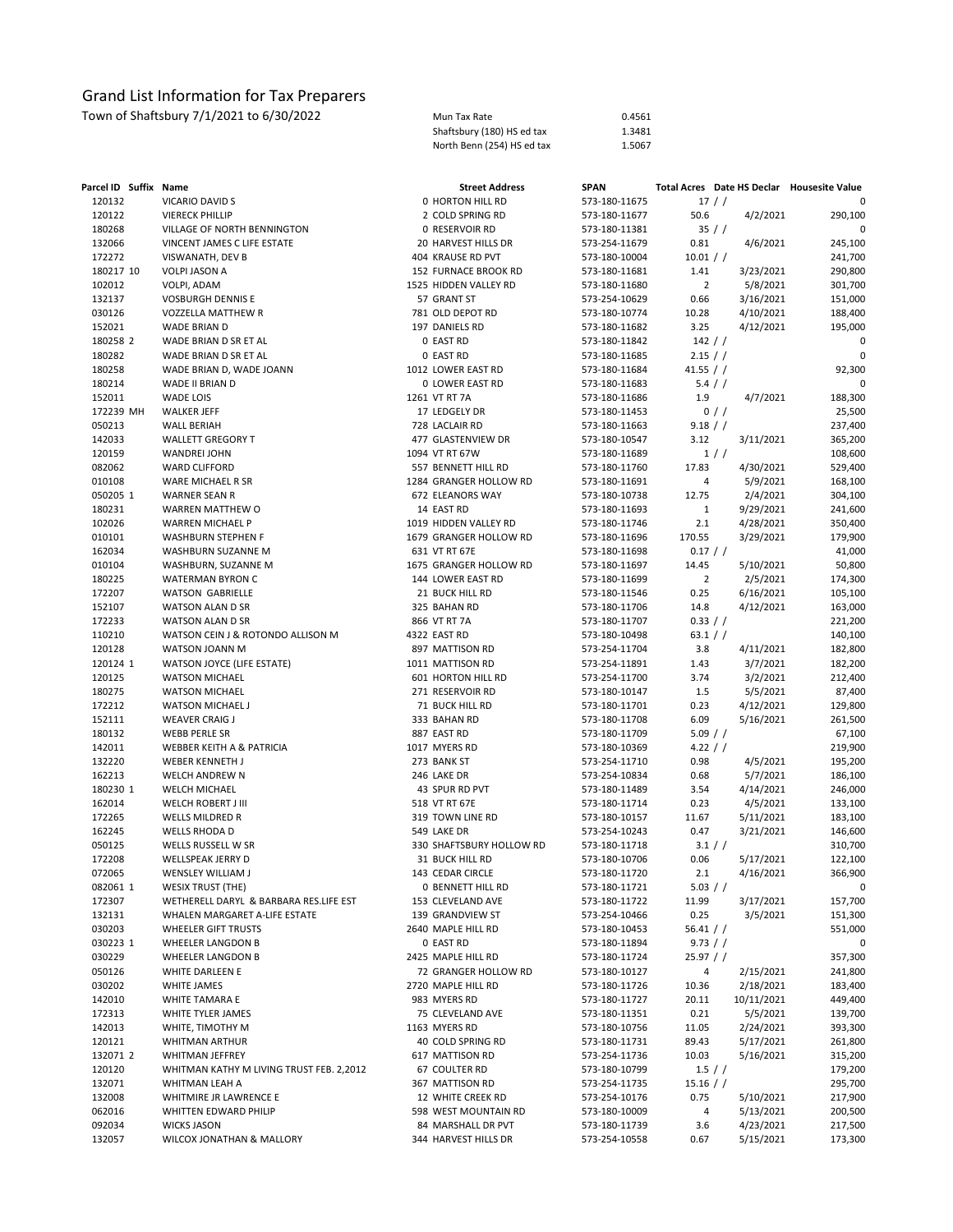| Parcel ID Suffix Name |                                            | <b>Street Address</b>            | <b>SPAN</b>                    |                      |            | Total Acres Date HS Declar Housesite Value |
|-----------------------|--------------------------------------------|----------------------------------|--------------------------------|----------------------|------------|--------------------------------------------|
| 120132                | VICARIO DAVID S                            | 0 HORTON HILL RD                 | 573-180-11675                  | 17/                  |            | 0                                          |
| 120122                | <b>VIERECK PHILLIP</b>                     | 2 COLD SPRING RD                 | 573-180-11677                  | 50.6                 | 4/2/2021   | 290,100                                    |
| 180268                | VILLAGE OF NORTH BENNINGTON                | 0 RESERVOIR RD                   | 573-180-11381                  | 35//                 |            | 0                                          |
| 132066                | VINCENT JAMES C LIFE ESTATE                | 20 HARVEST HILLS DR              | 573-254-11679                  | 0.81                 | 4/6/2021   | 245,100                                    |
| 172272                | VISWANATH, DEV B                           | 404 KRAUSE RD PVT                | 573-180-10004                  | 10.01 / /            |            | 241,700                                    |
| 180217 10             | VOLPI JASON A                              | 152 FURNACE BROOK RD             | 573-180-11681                  | 1.41                 | 3/23/2021  | 290,800                                    |
| 102012                | VOLPI, ADAM                                | 1525 HIDDEN VALLEY RD            | 573-180-11680                  | $\overline{2}$       | 5/8/2021   | 301,700                                    |
| 132137                | <b>VOSBURGH DENNIS E</b>                   | 57 GRANT ST                      | 573-254-10629                  | 0.66                 | 3/16/2021  | 151,000                                    |
| 030126                | VOZZELLA MATTHEW R                         | 781 OLD DEPOT RD                 | 573-180-10774                  | 10.28                | 4/10/2021  | 188,400                                    |
| 152021                | WADE BRIAN D                               | 197 DANIELS RD                   | 573-180-11682                  | 3.25                 | 4/12/2021  | 195,000                                    |
| 180258 2              | WADE BRIAN D SR ET AL                      | 0 EAST RD                        | 573-180-11842                  | 142 / /              |            | 0                                          |
| 180282                | WADE BRIAN D SR ET AL                      | 0 EAST RD                        | 573-180-11685                  | $2.15$ / /           |            | $\mathbf 0$                                |
| 180258                | WADE BRIAN D, WADE JOANN                   | 1012 LOWER EAST RD               | 573-180-11684                  | 41.55 / /            |            | 92,300                                     |
| 180214                | WADE II BRIAN D                            | 0 LOWER EAST RD                  | 573-180-11683                  | 5.4 / /              |            | 0                                          |
| 152011<br>172239 MH   | WADE LOIS                                  | 1261 VT RT 7A<br>17 LEDGELY DR   | 573-180-11686                  | 1.9                  | 4/7/2021   | 188,300                                    |
| 050213                | <b>WALKER JEFF</b><br><b>WALL BERIAH</b>   | 728 LACLAIR RD                   | 573-180-11453<br>573-180-11663 | 9.18 / /             | $0$ / /    | 25,500<br>237,400                          |
| 142033                | <b>WALLETT GREGORY T</b>                   | 477 GLASTENVIEW DR               | 573-180-10547                  | 3.12                 | 3/11/2021  | 365,200                                    |
| 120159                | WANDREI JOHN                               | 1094 VT RT 67W                   | 573-180-11689                  |                      | 1//        | 108,600                                    |
| 082062                | <b>WARD CLIFFORD</b>                       | 557 BENNETT HILL RD              | 573-180-11760                  | 17.83                | 4/30/2021  | 529,400                                    |
| 010108                | WARE MICHAEL R SR                          | 1284 GRANGER HOLLOW RD           | 573-180-11691                  | 4                    | 5/9/2021   | 168,100                                    |
| 050205 1              | <b>WARNER SEAN R</b>                       | 672 ELEANORS WAY                 | 573-180-10738                  | 12.75                | 2/4/2021   | 304,100                                    |
| 180231                | WARREN MATTHEW O                           | 14 EAST RD                       | 573-180-11693                  | $\mathbf{1}$         | 9/29/2021  | 241,600                                    |
| 102026                | WARREN MICHAEL P                           | 1019 HIDDEN VALLEY RD            | 573-180-11746                  | 2.1                  | 4/28/2021  | 350,400                                    |
| 010101                | WASHBURN STEPHEN F                         | 1679 GRANGER HOLLOW RD           | 573-180-11696                  | 170.55               | 3/29/2021  | 179,900                                    |
| 162034                | WASHBURN SUZANNE M                         | 631 VT RT 67E                    | 573-180-11698                  | $0.17$ / /           |            | 41,000                                     |
| 010104                | WASHBURN, SUZANNE M                        | 1675 GRANGER HOLLOW RD           | 573-180-11697                  | 14.45                | 5/10/2021  | 50,800                                     |
| 180225                | WATERMAN BYRON C                           | 144 LOWER EAST RD                | 573-180-11699                  | $\overline{2}$       | 2/5/2021   | 174,300                                    |
| 172207                | <b>WATSON GABRIELLE</b>                    | 21 BUCK HILL RD                  | 573-180-11546                  | 0.25                 | 6/16/2021  | 105,100                                    |
| 152107                | WATSON ALAN D SR                           | 325 BAHAN RD                     | 573-180-11706                  | 14.8                 | 4/12/2021  | 163,000                                    |
| 172233                | WATSON ALAN D SR                           | 866 VT RT 7A                     | 573-180-11707                  | 0.33 / /             |            | 221,200                                    |
| 110210                | WATSON CEIN J & ROTONDO ALLISON M          | 4322 EAST RD                     | 573-180-10498                  | 63.1 / $/$           |            | 140,100                                    |
| 120128                | WATSON JOANN M                             | 897 MATTISON RD                  | 573-254-11704                  | 3.8                  | 4/11/2021  | 182,800                                    |
| 120124 1              | <b>WATSON JOYCE (LIFE ESTATE)</b>          | 1011 MATTISON RD                 | 573-254-11891                  | 1.43                 | 3/7/2021   | 182,200                                    |
| 120125                | <b>WATSON MICHAEL</b>                      | 601 HORTON HILL RD               | 573-254-11700                  | 3.74                 | 3/2/2021   | 212,400                                    |
| 180275                | <b>WATSON MICHAEL</b>                      | 271 RESERVOIR RD                 | 573-180-10147                  | 1.5                  | 5/5/2021   | 87,400                                     |
| 172212                | WATSON MICHAEL J                           | 71 BUCK HILL RD                  | 573-180-11701                  | 0.23                 | 4/12/2021  | 129,800                                    |
| 152111                | <b>WEAVER CRAIG J</b>                      | 333 BAHAN RD                     | 573-180-11708                  | 6.09                 | 5/16/2021  | 261,500                                    |
| 180132<br>142011      | WEBB PERLE SR<br>WEBBER KEITH A & PATRICIA | 887 EAST RD<br>1017 MYERS RD     | 573-180-11709<br>573-180-10369 | 5.09 / /<br>4.22 / / |            | 67,100<br>219,900                          |
| 132220                | WEBER KENNETH J                            | 273 BANK ST                      | 573-254-11710                  | 0.98                 | 4/5/2021   | 195,200                                    |
| 162213                | WELCH ANDREW N                             | 246 LAKE DR                      | 573-254-10834                  | 0.68                 | 5/7/2021   | 186,100                                    |
| 180230 1              | <b>WELCH MICHAEL</b>                       | 43 SPUR RD PVT                   | 573-180-11489                  | 3.54                 | 4/14/2021  | 246,000                                    |
| 162014                | WELCH ROBERT J III                         | 518 VT RT 67E                    | 573-180-11714                  | 0.23                 | 4/5/2021   | 133,100                                    |
| 172265                | <b>WELLS MILDRED R</b>                     | 319 TOWN LINE RD                 | 573-180-10157                  | 11.67                | 5/11/2021  | 183,100                                    |
| 162245                | <b>WELLS RHODA D</b>                       | 549 LAKE DR                      | 573-254-10243                  | 0.47                 | 3/21/2021  | 146,600                                    |
| 050125                | WELLS RUSSELL W SR                         | 330 SHAFTSBURY HOLLOW RD         | 573-180-11718                  | 3.1 / /              |            | 310,700                                    |
| 172208                | WELLSPEAK JERRY D                          | 31 BUCK HILL RD                  | 573-180-10706                  | 0.06                 | 5/17/2021  | 122,100                                    |
| 072065                | WENSLEY WILLIAM J                          | 143 CEDAR CIRCLE                 | 573-180-11720                  | 2.1                  | 4/16/2021  | 366,900                                    |
| 082061 1              | <b>WESIX TRUST (THE)</b>                   | 0 BENNETT HILL RD                | 573-180-11721                  | 5.03 / /             |            |                                            |
| 172307                | WETHERELL DARYL & BARBARA RES.LIFE EST     | 153 CLEVELAND AVE                | 573-180-11722                  | 11.99                | 3/17/2021  | 157,700                                    |
| 132131                | WHALEN MARGARET A-LIFE ESTATE              | 139 GRANDVIEW ST                 | 573-254-10466                  | 0.25                 | 3/5/2021   | 151,300                                    |
| 030203                | WHEELER GIFT TRUSTS                        | 2640 MAPLE HILL RD               | 573-180-10453                  | 56.41 / /            |            | 551,000                                    |
| 030223 1              | WHEELER LANGDON B                          | 0 EAST RD                        | 573-180-11894                  | 9.73 / /             |            | 0                                          |
| 030229                | WHEELER LANGDON B                          | 2425 MAPLE HILL RD               | 573-180-11724                  | $25.97$ / /          |            | 357,300                                    |
| 050126                | WHITE DARLEEN E                            | 72 GRANGER HOLLOW RD             | 573-180-10127                  | 4                    | 2/15/2021  | 241,800                                    |
| 030202                | WHITE JAMES                                | 2720 MAPLE HILL RD               | 573-180-11726                  | 10.36                | 2/18/2021  | 183,400                                    |
| 142010                | WHITE TAMARA E                             | 983 MYERS RD                     | 573-180-11727                  | 20.11                | 10/11/2021 | 449,400                                    |
| 172313                | WHITE TYLER JAMES                          | 75 CLEVELAND AVE                 | 573-180-11351                  | 0.21                 | 5/5/2021   | 139,700                                    |
| 142013                | WHITE, TIMOTHY M                           | 1163 MYERS RD                    | 573-180-10756                  | 11.05                | 2/24/2021  | 393,300                                    |
| 120121                | WHITMAN ARTHUR<br>WHITMAN JEFFREY          | 40 COLD SPRING RD                | 573-180-11731<br>573-254-11736 | 89.43                | 5/17/2021  | 261,800                                    |
| 132071 2<br>120120    | WHITMAN KATHY M LIVING TRUST FEB. 2,2012   | 617 MATTISON RD<br>67 COULTER RD | 573-180-10799                  | 10.03<br>1.5 / /     | 5/16/2021  | 315,200<br>179,200                         |
| 132071                | WHITMAN LEAH A                             | 367 MATTISON RD                  | 573-254-11735                  | $15.16$ / /          |            | 295,700                                    |
| 132008                | WHITMIRE JR LAWRENCE E                     | 12 WHITE CREEK RD                | 573-254-10176                  | 0.75                 | 5/10/2021  | 217,900                                    |
| 062016                | WHITTEN EDWARD PHILIP                      | 598 WEST MOUNTAIN RD             | 573-180-10009                  | 4                    | 5/13/2021  | 200,500                                    |
| 092034                | <b>WICKS JASON</b>                         | 84 MARSHALL DR PVT               | 573-180-11739                  | 3.6                  | 4/23/2021  | 217,500                                    |
| 132057                | WILCOX JONATHAN & MALLORY                  | 344 HARVEST HILLS DR             | 573-254-10558                  | 0.67                 | 5/15/2021  | 173,300                                    |